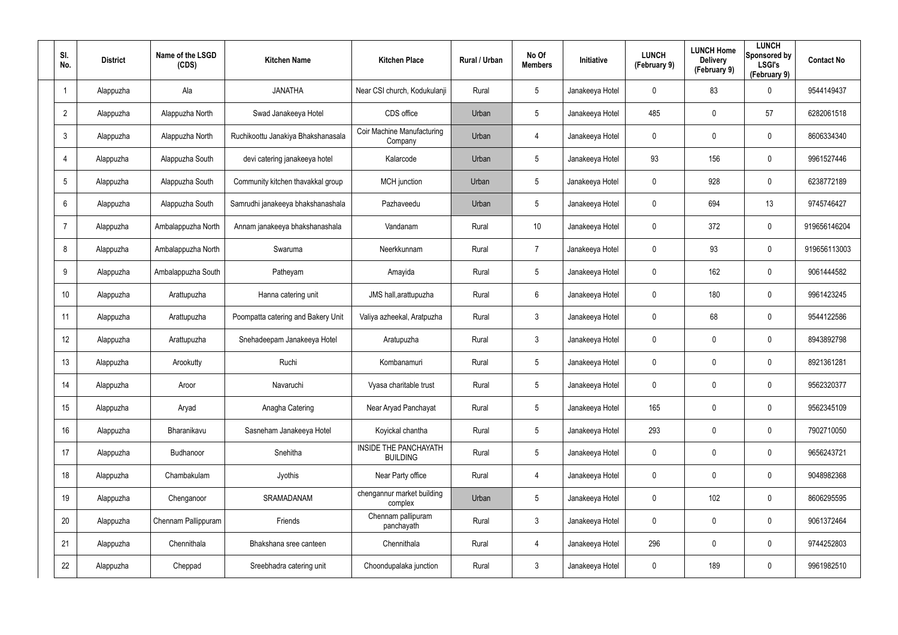| SI.<br>No.              | <b>District</b> | Name of the LSGD<br>(CDS) | <b>Kitchen Name</b>                | <b>Kitchen Place</b>                     | Rural / Urban | No Of<br><b>Members</b> | Initiative      | <b>LUNCH</b><br>(February 9) | <b>LUNCH Home</b><br><b>Delivery</b><br>(February 9) | <b>LUNCH</b><br>Sponsored by<br><b>LSGI's</b><br>(February 9) | <b>Contact No</b> |
|-------------------------|-----------------|---------------------------|------------------------------------|------------------------------------------|---------------|-------------------------|-----------------|------------------------------|------------------------------------------------------|---------------------------------------------------------------|-------------------|
| $\overline{\mathbf{1}}$ | Alappuzha       | Ala                       | <b>JANATHA</b>                     | Near CSI church, Kodukulanji             | Rural         | 5                       | Janakeeya Hotel | 0                            | 83                                                   | $\mathbf 0$                                                   | 9544149437        |
| $\overline{2}$          | Alappuzha       | Alappuzha North           | Swad Janakeeya Hotel               | CDS office                               | Urban         | 5                       | Janakeeya Hotel | 485                          | 0                                                    | 57                                                            | 6282061518        |
| $\mathfrak{Z}$          | Alappuzha       | Alappuzha North           | Ruchikoottu Janakiya Bhakshanasala | Coir Machine Manufacturing<br>Company    | Urban         | 4                       | Janakeeya Hotel | 0                            | 0                                                    | $\mathbf 0$                                                   | 8606334340        |
| $\overline{4}$          | Alappuzha       | Alappuzha South           | devi catering janakeeya hotel      | Kalarcode                                | Urban         | 5                       | Janakeeya Hotel | 93                           | 156                                                  | $\pmb{0}$                                                     | 9961527446        |
| $5\phantom{.0}$         | Alappuzha       | Alappuzha South           | Community kitchen thavakkal group  | <b>MCH</b> junction                      | Urban         | $5\phantom{.0}$         | Janakeeya Hotel | 0                            | 928                                                  | $\mathbf 0$                                                   | 6238772189        |
| 6                       | Alappuzha       | Alappuzha South           | Samrudhi janakeeya bhakshanashala  | Pazhaveedu                               | Urban         | 5                       | Janakeeya Hotel | 0                            | 694                                                  | 13                                                            | 9745746427        |
| $\overline{7}$          | Alappuzha       | Ambalappuzha North        | Annam janakeeya bhakshanashala     | Vandanam                                 | Rural         | 10                      | Janakeeya Hotel | 0                            | 372                                                  | $\pmb{0}$                                                     | 919656146204      |
| 8                       | Alappuzha       | Ambalappuzha North        | Swaruma                            | Neerkkunnam                              | Rural         | $\overline{7}$          | Janakeeya Hotel | 0                            | 93                                                   | $\mathbf 0$                                                   | 919656113003      |
| 9                       | Alappuzha       | Ambalappuzha South        | Patheyam                           | Amayida                                  | Rural         | $5\phantom{.0}$         | Janakeeya Hotel | 0                            | 162                                                  | $\boldsymbol{0}$                                              | 9061444582        |
| 10 <sup>°</sup>         | Alappuzha       | Arattupuzha               | Hanna catering unit                | JMS hall, arattupuzha                    | Rural         | 6                       | Janakeeya Hotel | 0                            | 180                                                  | $\mathbf 0$                                                   | 9961423245        |
| 11                      | Alappuzha       | Arattupuzha               | Poompatta catering and Bakery Unit | Valiya azheekal, Aratpuzha               | Rural         | $\mathbf{3}$            | Janakeeya Hotel | 0                            | 68                                                   | $\boldsymbol{0}$                                              | 9544122586        |
| 12                      | Alappuzha       | Arattupuzha               | Snehadeepam Janakeeya Hotel        | Aratupuzha                               | Rural         | $\mathbf{3}$            | Janakeeya Hotel | 0                            | 0                                                    | $\mathbf 0$                                                   | 8943892798        |
| 13                      | Alappuzha       | Arookutty                 | Ruchi                              | Kombanamuri                              | Rural         | $5\phantom{.0}$         | Janakeeya Hotel | 0                            | 0                                                    | $\mathbf 0$                                                   | 8921361281        |
| 14                      | Alappuzha       | Aroor                     | Navaruchi                          | Vyasa charitable trust                   | Rural         | 5                       | Janakeeya Hotel | 0                            | 0                                                    | $\mathbf 0$                                                   | 9562320377        |
| 15                      | Alappuzha       | Aryad                     | Anagha Catering                    | Near Aryad Panchayat                     | Rural         | $5\phantom{.0}$         | Janakeeya Hotel | 165                          | 0                                                    | $\mathbf 0$                                                   | 9562345109        |
| 16                      | Alappuzha       | Bharanikavu               | Sasneham Janakeeya Hotel           | Koyickal chantha                         | Rural         | $5\phantom{.0}$         | Janakeeya Hotel | 293                          | 0                                                    | $\mathbf 0$                                                   | 7902710050        |
| 17                      | Alappuzha       | Budhanoor                 | Snehitha                           | INSIDE THE PANCHAYATH<br><b>BUILDING</b> | Rural         | $5\phantom{.0}$         | Janakeeya Hotel | 0                            | 0                                                    | $\mathbf 0$                                                   | 9656243721        |
| 18                      | Alappuzha       | Chambakulam               | Jyothis                            | Near Party office                        | Rural         | 4                       | Janakeeya Hotel | $\boldsymbol{0}$             | 0                                                    | $\mathbf 0$                                                   | 9048982368        |
| 19                      | Alappuzha       | Chenganoor                | SRAMADANAM                         | chengannur market building<br>complex    | Urban         | $5\phantom{.0}$         | Janakeeya Hotel | 0                            | 102                                                  | $\mathbf 0$                                                   | 8606295595        |
| 20                      | Alappuzha       | Chennam Pallippuram       | Friends                            | Chennam pallipuram<br>panchayath         | Rural         | $\mathbf{3}$            | Janakeeya Hotel | 0                            | 0                                                    | $\mathbf 0$                                                   | 9061372464        |
| 21                      | Alappuzha       | Chennithala               | Bhakshana sree canteen             | Chennithala                              | Rural         | 4                       | Janakeeya Hotel | 296                          | 0                                                    | $\mathbf 0$                                                   | 9744252803        |
| 22                      | Alappuzha       | Cheppad                   | Sreebhadra catering unit           | Choondupalaka junction                   | Rural         | $\mathfrak{Z}$          | Janakeeya Hotel | 0                            | 189                                                  | $\mathsf{0}$                                                  | 9961982510        |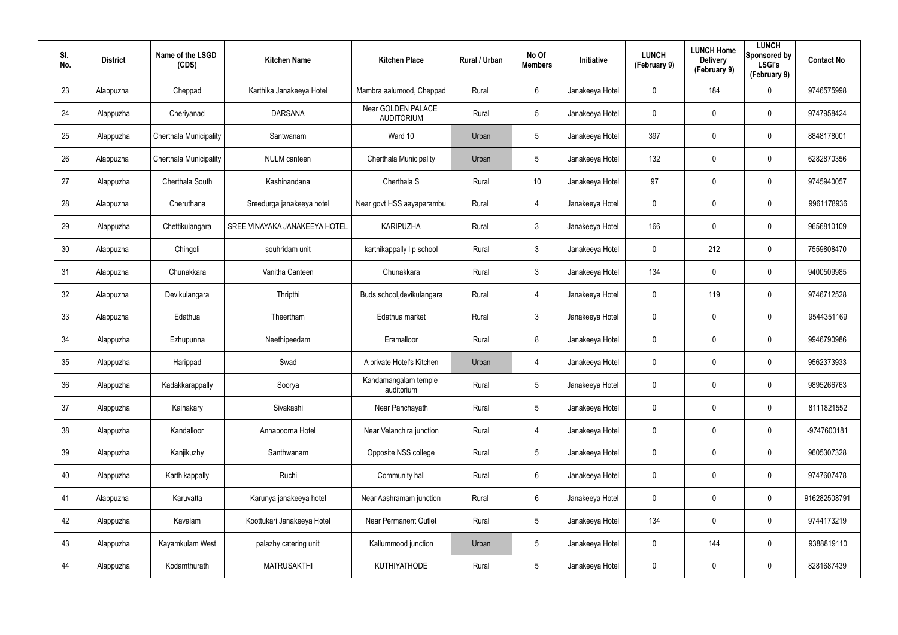| SI.<br>No. | <b>District</b> | Name of the LSGD<br>(CDS) | <b>Kitchen Name</b>           | <b>Kitchen Place</b>                    | Rural / Urban | No Of<br><b>Members</b> | Initiative      | <b>LUNCH</b><br>(February 9) | <b>LUNCH Home</b><br><b>Delivery</b><br>(February 9) | <b>LUNCH</b><br>Sponsored by<br><b>LSGI's</b><br>(February 9) | <b>Contact No</b> |
|------------|-----------------|---------------------------|-------------------------------|-----------------------------------------|---------------|-------------------------|-----------------|------------------------------|------------------------------------------------------|---------------------------------------------------------------|-------------------|
| 23         | Alappuzha       | Cheppad                   | Karthika Janakeeya Hotel      | Mambra aalumood, Cheppad                | Rural         | 6                       | Janakeeya Hotel | 0                            | 184                                                  | $\mathbf 0$                                                   | 9746575998        |
| 24         | Alappuzha       | Cheriyanad                | <b>DARSANA</b>                | Near GOLDEN PALACE<br><b>AUDITORIUM</b> | Rural         | 5                       | Janakeeya Hotel | 0                            | 0                                                    | $\mathbf 0$                                                   | 9747958424        |
| 25         | Alappuzha       | Cherthala Municipality    | Santwanam                     | Ward 10                                 | Urban         | 5                       | Janakeeya Hotel | 397                          | 0                                                    | $\pmb{0}$                                                     | 8848178001        |
| 26         | Alappuzha       | Cherthala Municipality    | <b>NULM</b> canteen           | Cherthala Municipality                  | Urban         | 5                       | Janakeeya Hotel | 132                          | 0                                                    | $\pmb{0}$                                                     | 6282870356        |
| 27         | Alappuzha       | Cherthala South           | Kashinandana                  | Cherthala S                             | Rural         | 10 <sup>°</sup>         | Janakeeya Hotel | 97                           | 0                                                    | $\pmb{0}$                                                     | 9745940057        |
| 28         | Alappuzha       | Cheruthana                | Sreedurga janakeeya hotel     | Near govt HSS aayaparambu               | Rural         | 4                       | Janakeeya Hotel | 0                            | 0                                                    | $\mathbf 0$                                                   | 9961178936        |
| 29         | Alappuzha       | Chettikulangara           | SREE VINAYAKA JANAKEEYA HOTEL | <b>KARIPUZHA</b>                        | Rural         | $\mathbf{3}$            | Janakeeya Hotel | 166                          | 0                                                    | $\pmb{0}$                                                     | 9656810109        |
| 30         | Alappuzha       | Chingoli                  | souhridam unit                | karthikappally I p school               | Rural         | $\mathbf{3}$            | Janakeeya Hotel | 0                            | 212                                                  | $\mathbf 0$                                                   | 7559808470        |
| 31         | Alappuzha       | Chunakkara                | Vanitha Canteen               | Chunakkara                              | Rural         | $\mathbf{3}$            | Janakeeya Hotel | 134                          | 0                                                    | $\pmb{0}$                                                     | 9400509985        |
| 32         | Alappuzha       | Devikulangara             | Thripthi                      | Buds school, devikulangara              | Rural         | 4                       | Janakeeya Hotel | 0                            | 119                                                  | $\mathbf 0$                                                   | 9746712528        |
| 33         | Alappuzha       | Edathua                   | Theertham                     | Edathua market                          | Rural         | $\mathbf{3}$            | Janakeeya Hotel | 0                            | 0                                                    | $\boldsymbol{0}$                                              | 9544351169        |
| 34         | Alappuzha       | Ezhupunna                 | Neethipeedam                  | Eramalloor                              | Rural         | 8                       | Janakeeya Hotel | 0                            | 0                                                    | $\mathbf 0$                                                   | 9946790986        |
| 35         | Alappuzha       | Harippad                  | Swad                          | A private Hotel's Kitchen               | Urban         | 4                       | Janakeeya Hotel | 0                            | 0                                                    | $\mathbf 0$                                                   | 9562373933        |
| 36         | Alappuzha       | Kadakkarappally           | Soorya                        | Kandamangalam temple<br>auditorium      | Rural         | 5                       | Janakeeya Hotel | 0                            | 0                                                    | $\pmb{0}$                                                     | 9895266763        |
| 37         | Alappuzha       | Kainakary                 | Sivakashi                     | Near Panchayath                         | Rural         | $5\phantom{.0}$         | Janakeeya Hotel | $\pmb{0}$                    | 0                                                    | $\mathbf 0$                                                   | 8111821552        |
| 38         | Alappuzha       | Kandalloor                | Annapoorna Hotel              | Near Velanchira junction                | Rural         | 4                       | Janakeeya Hotel | $\pmb{0}$                    | 0                                                    | $\mathbf 0$                                                   | -9747600181       |
| 39         | Alappuzha       | Kanjikuzhy                | Santhwanam                    | Opposite NSS college                    | Rural         | $5\phantom{.0}$         | Janakeeya Hotel | $\boldsymbol{0}$             | 0                                                    | $\mathbf 0$                                                   | 9605307328        |
| 40         | Alappuzha       | Karthikappally            | Ruchi                         | Community hall                          | Rural         | $6\phantom{.}6$         | Janakeeya Hotel | $\boldsymbol{0}$             | 0                                                    | $\mathbf 0$                                                   | 9747607478        |
| 41         | Alappuzha       | Karuvatta                 | Karunya janakeeya hotel       | Near Aashramam junction                 | Rural         | $6\phantom{.}6$         | Janakeeya Hotel | 0                            | 0                                                    | $\mathbf 0$                                                   | 916282508791      |
| 42         | Alappuzha       | Kavalam                   | Koottukari Janakeeya Hotel    | <b>Near Permanent Outlet</b>            | Rural         | $5\phantom{.0}$         | Janakeeya Hotel | 134                          | 0                                                    | $\mathbf 0$                                                   | 9744173219        |
| 43         | Alappuzha       | Kayamkulam West           | palazhy catering unit         | Kallummood junction                     | Urban         | $5\phantom{.0}$         | Janakeeya Hotel | $\boldsymbol{0}$             | 144                                                  | $\mathbf 0$                                                   | 9388819110        |
| 44         | Alappuzha       | Kodamthurath              | <b>MATRUSAKTHI</b>            | KUTHIYATHODE                            | Rural         | $5\phantom{.0}$         | Janakeeya Hotel | 0                            | 0                                                    | $\mathbf 0$                                                   | 8281687439        |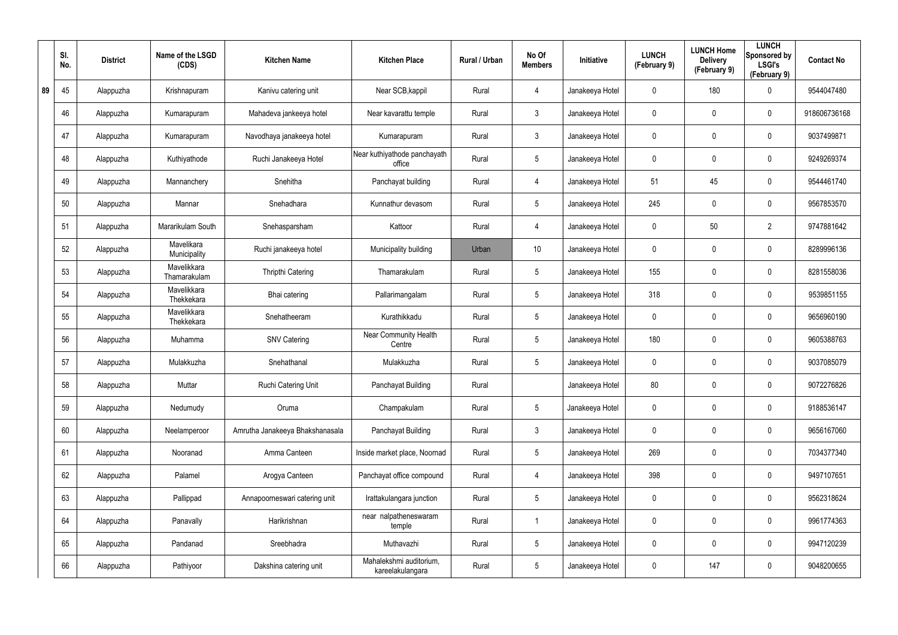|    | SI.<br>No. | <b>District</b> | Name of the LSGD<br>(CDS)   | <b>Kitchen Name</b>             | <b>Kitchen Place</b>                        | Rural / Urban | No Of<br><b>Members</b> | Initiative      | <b>LUNCH</b><br>(February 9) | <b>LUNCH Home</b><br><b>Delivery</b><br>(February 9) | <b>LUNCH</b><br>Sponsored by<br><b>LSGI's</b><br>(February 9) | <b>Contact No</b> |
|----|------------|-----------------|-----------------------------|---------------------------------|---------------------------------------------|---------------|-------------------------|-----------------|------------------------------|------------------------------------------------------|---------------------------------------------------------------|-------------------|
| 89 | 45         | Alappuzha       | Krishnapuram                | Kanivu catering unit            | Near SCB, kappil                            | Rural         | 4                       | Janakeeya Hotel | 0                            | 180                                                  | $\mathbf 0$                                                   | 9544047480        |
|    | 46         | Alappuzha       | Kumarapuram                 | Mahadeva jankeeya hotel         | Near kavarattu temple                       | Rural         | $\mathfrak{Z}$          | Janakeeya Hotel | 0                            | 0                                                    | $\pmb{0}$                                                     | 918606736168      |
|    | 47         | Alappuzha       | Kumarapuram                 | Navodhaya janakeeya hotel       | Kumarapuram                                 | Rural         | $\mathbf{3}$            | Janakeeya Hotel | 0                            | 0                                                    | $\pmb{0}$                                                     | 9037499871        |
|    | 48         | Alappuzha       | Kuthiyathode                | Ruchi Janakeeya Hotel           | Near kuthiyathode panchayath<br>office      | Rural         | 5                       | Janakeeya Hotel | 0                            | 0                                                    | $\pmb{0}$                                                     | 9249269374        |
|    | 49         | Alappuzha       | Mannanchery                 | Snehitha                        | Panchayat building                          | Rural         | 4                       | Janakeeya Hotel | 51                           | 45                                                   | $\pmb{0}$                                                     | 9544461740        |
|    | 50         | Alappuzha       | Mannar                      | Snehadhara                      | Kunnathur devasom                           | Rural         | 5                       | Janakeeya Hotel | 245                          | 0                                                    | $\pmb{0}$                                                     | 9567853570        |
|    | 51         | Alappuzha       | Mararikulam South           | Snehasparsham                   | Kattoor                                     | Rural         | 4                       | Janakeeya Hotel | 0                            | 50                                                   | $\overline{2}$                                                | 9747881642        |
|    | 52         | Alappuzha       | Mavelikara<br>Municipality  | Ruchi janakeeya hotel           | Municipality building                       | Urban         | 10 <sup>°</sup>         | Janakeeya Hotel | 0                            | 0                                                    | $\pmb{0}$                                                     | 8289996136        |
|    | 53         | Alappuzha       | Mavelikkara<br>Thamarakulam | <b>Thripthi Catering</b>        | Thamarakulam                                | Rural         | $\sqrt{5}$              | Janakeeya Hotel | 155                          | 0                                                    | $\pmb{0}$                                                     | 8281558036        |
|    | 54         | Alappuzha       | Mavelikkara<br>Thekkekara   | Bhai catering                   | Pallarimangalam                             | Rural         | 5                       | Janakeeya Hotel | 318                          | 0                                                    | $\pmb{0}$                                                     | 9539851155        |
|    | 55         | Alappuzha       | Mavelikkara<br>Thekkekara   | Snehatheeram                    | Kurathikkadu                                | Rural         | $\sqrt{5}$              | Janakeeya Hotel | 0                            | 0                                                    | $\pmb{0}$                                                     | 9656960190        |
|    | 56         | Alappuzha       | Muhamma                     | <b>SNV Catering</b>             | Near Community Health<br>Centre             | Rural         | 5                       | Janakeeya Hotel | 180                          | 0                                                    | $\pmb{0}$                                                     | 9605388763        |
|    | 57         | Alappuzha       | Mulakkuzha                  | Snehathanal                     | Mulakkuzha                                  | Rural         | $\sqrt{5}$              | Janakeeya Hotel | 0                            | 0                                                    | 0                                                             | 9037085079        |
|    | 58         | Alappuzha       | Muttar                      | Ruchi Catering Unit             | Panchayat Building                          | Rural         |                         | Janakeeya Hotel | 80                           | $\mathbf 0$                                          | $\pmb{0}$                                                     | 9072276826        |
|    | 59         | Alappuzha       | Nedumudy                    | Oruma                           | Champakulam                                 | Rural         | $5\phantom{.0}$         | Janakeeya Hotel | 0                            | $\mathbf 0$                                          | $\mathbf 0$                                                   | 9188536147        |
|    | 60         | Alappuzha       | Neelamperoor                | Amrutha Janakeeya Bhakshanasala | Panchayat Building                          | Rural         | $\mathbf{3}$            | Janakeeya Hotel | 0                            | $\mathbf 0$                                          | $\mathbf 0$                                                   | 9656167060        |
|    | 61         | Alappuzha       | Nooranad                    | Amma Canteen                    | Inside market place, Noornad                | Rural         | $5\overline{)}$         | Janakeeya Hotel | 269                          | $\mathbf 0$                                          | $\mathbf 0$                                                   | 7034377340        |
|    | 62         | Alappuzha       | Palamel                     | Arogya Canteen                  | Panchayat office compound                   | Rural         | $\overline{4}$          | Janakeeya Hotel | 398                          | 0                                                    | $\mathbf 0$                                                   | 9497107651        |
|    | 63         | Alappuzha       | Pallippad                   | Annapoorneswari catering unit   | Irattakulangara junction                    | Rural         | 5                       | Janakeeya Hotel | 0                            | 0                                                    | $\mathbf 0$                                                   | 9562318624        |
|    | 64         | Alappuzha       | Panavally                   | Harikrishnan                    | near nalpatheneswaram<br>temple             | Rural         |                         | Janakeeya Hotel | 0                            | 0                                                    | $\mathbf 0$                                                   | 9961774363        |
|    | 65         | Alappuzha       | Pandanad                    | Sreebhadra                      | Muthavazhi                                  | Rural         | 5                       | Janakeeya Hotel | 0                            | 0                                                    | $\mathbf 0$                                                   | 9947120239        |
|    | 66         | Alappuzha       | Pathiyoor                   | Dakshina catering unit          | Mahalekshmi auditorium,<br>kareelakulangara | Rural         | $5\phantom{.0}$         | Janakeeya Hotel | 0                            | 147                                                  | $\mathsf{0}$                                                  | 9048200655        |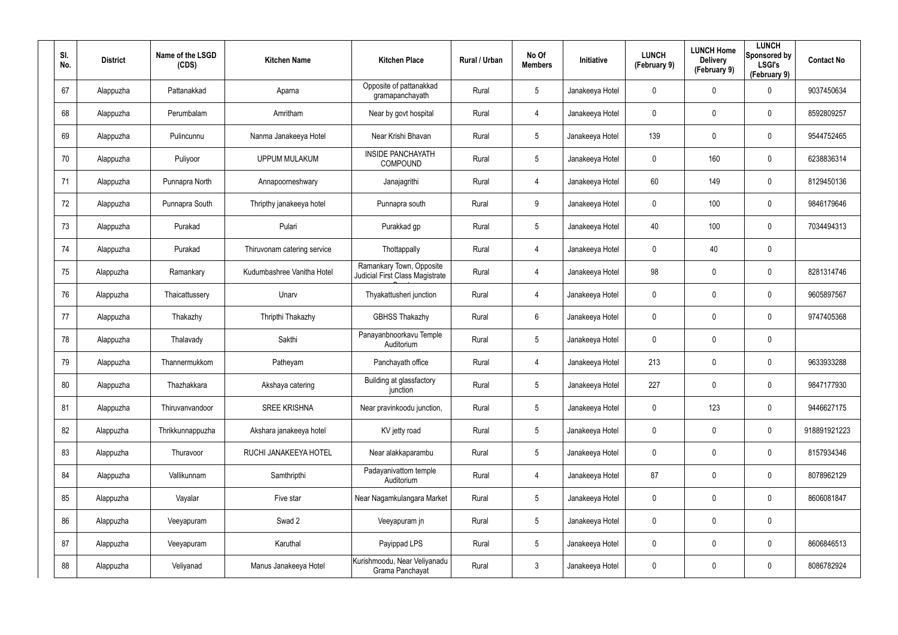| SI.<br>No. | <b>District</b> | Name of the LSGD<br>(CDS) | <b>Kitchen Name</b>         | <b>Kitchen Place</b>                                               | Rural / Urban | No Of<br><b>Members</b> | Initiative      | <b>LUNCH</b><br>(February 9) | <b>LUNCH Home</b><br><b>Delivery</b><br>(February 9) | <b>LUNCH</b><br>Sponsored by<br><b>LSGI's</b><br>(February 9) | <b>Contact No</b> |
|------------|-----------------|---------------------------|-----------------------------|--------------------------------------------------------------------|---------------|-------------------------|-----------------|------------------------------|------------------------------------------------------|---------------------------------------------------------------|-------------------|
| 67         | Alappuzha       | Pattanakkad               | Aparna                      | Opposite of pattanakkad<br>gramapanchayath                         | Rural         | $5\phantom{.0}$         | Janakeeya Hotel | $\mathbf 0$                  | 0                                                    | 0                                                             | 9037450634        |
| 68         | Alappuzha       | Perumbalam                | Amritham                    | Near by govt hospital                                              | Rural         | 4                       | Janakeeya Hotel | 0                            | 0                                                    | $\boldsymbol{0}$                                              | 8592809257        |
| 69         | Alappuzha       | Pulincunnu                | Nanma Janakeeya Hotel       | Near Krishi Bhavan                                                 | Rural         | $5\phantom{.0}$         | Janakeeya Hotel | 139                          | $\mathbf 0$                                          | $\pmb{0}$                                                     | 9544752465        |
| 70         | Alappuzha       | Puliyoor                  | <b>UPPUM MULAKUM</b>        | <b>INSIDE PANCHAYATH</b><br><b>COMPOUND</b>                        | Rural         | $5\phantom{.0}$         | Janakeeya Hotel | 0                            | 160                                                  | $\mathbf 0$                                                   | 6238836314        |
| 71         | Alappuzha       | Punnapra North            | Annapoorneshwary            | Janajagrithi                                                       | Rural         | 4                       | Janakeeya Hotel | 60                           | 149                                                  | $\mathbf 0$                                                   | 8129450136        |
| 72         | Alappuzha       | Punnapra South            | Thripthy janakeeya hotel    | Punnapra south                                                     | Rural         | 9                       | Janakeeya Hotel | 0                            | 100                                                  | $\mathbf 0$                                                   | 9846179646        |
| 73         | Alappuzha       | Purakad                   | Pulari                      | Purakkad gp                                                        | Rural         | $5\phantom{.0}$         | Janakeeya Hotel | 40                           | 100                                                  | $\mathbf 0$                                                   | 7034494313        |
| 74         | Alappuzha       | Purakad                   | Thiruvonam catering service | Thottappally                                                       | Rural         | 4                       | Janakeeya Hotel | 0                            | 40                                                   | $\mathbf 0$                                                   |                   |
| 75         | Alappuzha       | Ramankary                 | Kudumbashree Vanitha Hotel  | Ramankary Town, Opposite<br><b>Judicial First Class Magistrate</b> | Rural         | 4                       | Janakeeya Hotel | 98                           | 0                                                    | $\pmb{0}$                                                     | 8281314746        |
| 76         | Alappuzha       | Thaicattussery            | Unarv                       | Thyakattusheri junction                                            | Rural         | 4                       | Janakeeya Hotel | 0                            | 0                                                    | $\mathbf 0$                                                   | 9605897567        |
| 77         | Alappuzha       | Thakazhy                  | Thripthi Thakazhy           | <b>GBHSS Thakazhy</b>                                              | Rural         | 6                       | Janakeeya Hotel | 0                            | 0                                                    | $\mathbf 0$                                                   | 9747405368        |
| 78         | Alappuzha       | Thalavady                 | Sakthi                      | Panayanbnoorkavu Temple<br>Auditorium                              | Rural         | $5\phantom{.0}$         | Janakeeya Hotel | 0                            | 0                                                    | $\mathbf 0$                                                   |                   |
| 79         | Alappuzha       | Thannermukkom             | Patheyam                    | Panchayath office                                                  | Rural         | 4                       | Janakeeya Hotel | 213                          | 0                                                    | $\mathbf 0$                                                   | 9633933288        |
| 80         | Alappuzha       | Thazhakkara               | Akshaya catering            | Building at glassfactory<br>junction                               | Rural         | $5\phantom{.0}$         | Janakeeya Hotel | 227                          | $\mathbf 0$                                          | $\pmb{0}$                                                     | 9847177930        |
| 81         | Alappuzha       | Thiruvanvandoor           | <b>SREE KRISHNA</b>         | Near pravinkoodu junction,                                         | Rural         | $5\phantom{.0}$         | Janakeeya Hotel | 0                            | 123                                                  | $\mathbf 0$                                                   | 9446627175        |
| 82         | Alappuzha       | Thrikkunnappuzha          | Akshara janakeeya hotel     | KV jetty road                                                      | Rural         | $5\phantom{.0}$         | Janakeeya Hotel | 0                            | $\mathbf 0$                                          | $\mathbf 0$                                                   | 918891921223      |
| 83         | Alappuzha       | Thuravoor                 | RUCHI JANAKEEYA HOTEL       | Near alakkaparambu                                                 | Rural         | $5\phantom{.0}$         | Janakeeya Hotel | 0                            | $\mathbf 0$                                          | $\mathbf 0$                                                   | 8157934346        |
| 84         | Alappuzha       | Vallikunnam               | Samthripthi                 | Padayanivattom temple<br>Auditorium                                | Rural         | 4                       | Janakeeya Hotel | 87                           | 0                                                    | $\mathbf 0$                                                   | 8078962129        |
| 85         | Alappuzha       | Vayalar                   | Five star                   | Near Nagamkulangara Market                                         | Rural         | $5\phantom{.0}$         | Janakeeya Hotel | 0                            | 0                                                    | $\mathbf 0$                                                   | 8606081847        |
| 86         | Alappuzha       | Veeyapuram                | Swad 2                      | Veeyapuram jn                                                      | Rural         | $5\phantom{.0}$         | Janakeeya Hotel | 0                            | $\mathbf 0$                                          | $\pmb{0}$                                                     |                   |
| 87         | Alappuzha       | Veeyapuram                | Karuthal                    | Payippad LPS                                                       | Rural         | $5\phantom{.0}$         | Janakeeya Hotel | 0                            | 0                                                    | $\mathbf 0$                                                   | 8606846513        |
| 88         | Alappuzha       | Veliyanad                 | Manus Janakeeya Hotel       | Kurishmoodu, Near Veliyanadu<br>Grama Panchayat                    | Rural         | $\mathfrak{Z}$          | Janakeeya Hotel | 0                            | 0                                                    | $\pmb{0}$                                                     | 8086782924        |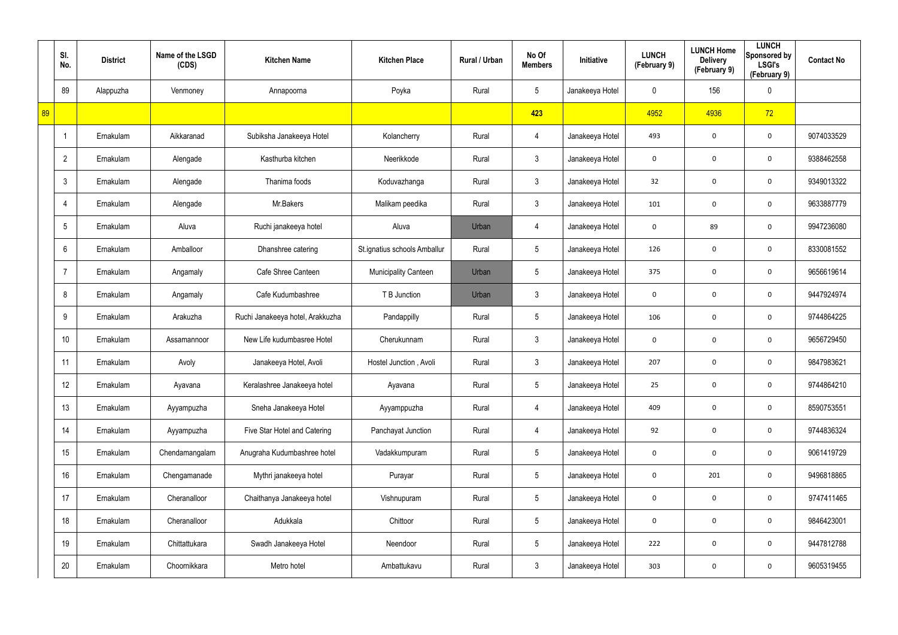|    | SI.<br>No.     | <b>District</b> | Name of the LSGD<br>(CDS) | <b>Kitchen Name</b>              | <b>Kitchen Place</b>         | Rural / Urban | No Of<br><b>Members</b> | Initiative      | <b>LUNCH</b><br>(February 9) | <b>LUNCH Home</b><br><b>Delivery</b><br>(February 9) | <b>LUNCH</b><br>Sponsored by<br><b>LSGI's</b><br>(February 9) | <b>Contact No</b> |
|----|----------------|-----------------|---------------------------|----------------------------------|------------------------------|---------------|-------------------------|-----------------|------------------------------|------------------------------------------------------|---------------------------------------------------------------|-------------------|
|    | 89             | Alappuzha       | Venmoney                  | Annapoorna                       | Poyka                        | Rural         | $5\phantom{.0}$         | Janakeeya Hotel | 0                            | 156                                                  | $\mathbf 0$                                                   |                   |
| 89 |                |                 |                           |                                  |                              |               | 423                     |                 | 4952                         | 4936                                                 | 72                                                            |                   |
|    | -1             | Ernakulam       | Aikkaranad                | Subiksha Janakeeya Hotel         | Kolancherry                  | Rural         | $\overline{4}$          | Janakeeya Hotel | 493                          | 0                                                    | $\mathbf 0$                                                   | 9074033529        |
|    | $\overline{2}$ | Ernakulam       | Alengade                  | Kasthurba kitchen                | Neerikkode                   | Rural         | $\mathbf{3}$            | Janakeeya Hotel | 0                            | 0                                                    | $\mathbf 0$                                                   | 9388462558        |
|    | 3              | Ernakulam       | Alengade                  | Thanima foods                    | Koduvazhanga                 | Rural         | 3 <sup>1</sup>          | Janakeeya Hotel | 32                           | 0                                                    | $\mathbf 0$                                                   | 9349013322        |
|    |                | Ernakulam       | Alengade                  | Mr.Bakers                        | Malikam peedika              | Rural         | $\mathbf{3}$            | Janakeeya Hotel | 101                          | 0                                                    | $\mathbf 0$                                                   | 9633887779        |
|    | 5              | Ernakulam       | Aluva                     | Ruchi janakeeya hotel            | Aluva                        | Urban         | $\overline{4}$          | Janakeeya Hotel | 0                            | 89                                                   | $\mathbf 0$                                                   | 9947236080        |
|    | 6              | Ernakulam       | Amballoor                 | Dhanshree catering               | St.ignatius schools Amballur | Rural         | $5\overline{)}$         | Janakeeya Hotel | 126                          | 0                                                    | $\mathbf 0$                                                   | 8330081552        |
|    |                | Ernakulam       | Angamaly                  | Cafe Shree Canteen               | <b>Municipality Canteen</b>  | Urban         | $5\overline{)}$         | Janakeeya Hotel | 375                          | 0                                                    | $\mathbf 0$                                                   | 9656619614        |
|    | 8              | Ernakulam       | Angamaly                  | Cafe Kudumbashree                | T B Junction                 | Urban         | 3                       | Janakeeya Hotel | 0                            | 0                                                    | $\mathbf 0$                                                   | 9447924974        |
|    | 9              | Ernakulam       | Arakuzha                  | Ruchi Janakeeya hotel, Arakkuzha | Pandappilly                  | Rural         | $5\phantom{.0}$         | Janakeeya Hotel | 106                          | 0                                                    | $\mathbf 0$                                                   | 9744864225        |
|    | 10             | Ernakulam       | Assamannoor               | New Life kudumbasree Hotel       | Cherukunnam                  | Rural         | $\mathbf{3}$            | Janakeeya Hotel | 0                            | 0                                                    | $\mathbf 0$                                                   | 9656729450        |
|    | 11             | Ernakulam       | Avoly                     | Janakeeya Hotel, Avoli           | Hostel Junction, Avoli       | Rural         | $\mathbf{3}$            | Janakeeya Hotel | 207                          | 0                                                    | $\mathbf 0$                                                   | 9847983621        |
|    | 12             | Ernakulam       | Ayavana                   | Keralashree Janakeeya hotel      | Ayavana                      | Rural         | $5\phantom{.0}$         | Janakeeya Hotel | 25                           | $\mathbf 0$                                          | $\boldsymbol{0}$                                              | 9744864210        |
|    | 13             | Ernakulam       | Ayyampuzha                | Sneha Janakeeya Hotel            | Ayyamppuzha                  | Rural         | $\overline{4}$          | Janakeeya Hotel | 409                          | 0                                                    | $\mathbf 0$                                                   | 8590753551        |
|    | 14             | Ernakulam       | Ayyampuzha                | Five Star Hotel and Catering     | Panchayat Junction           | Rural         | $\overline{4}$          | Janakeeya Hotel | 92                           | 0                                                    | $\mathbf 0$                                                   | 9744836324        |
|    | 15             | Ernakulam       | Chendamangalam            | Anugraha Kudumbashree hotel      | Vadakkumpuram                | Rural         | $5\phantom{.0}$         | Janakeeya Hotel | $\mathbf 0$                  | 0                                                    | $\mathbf 0$                                                   | 9061419729        |
|    | 16             | Ernakulam       | Chengamanade              | Mythri janakeeya hotel           | Purayar                      | Rural         | $5\phantom{.0}$         | Janakeeya Hotel | $\mathbf 0$                  | 201                                                  | $\mathbf 0$                                                   | 9496818865        |
|    | 17             | Ernakulam       | Cheranalloor              | Chaithanya Janakeeya hotel       | Vishnupuram                  | Rural         | $5\phantom{.0}$         | Janakeeya Hotel | 0                            | 0                                                    | $\mathbf 0$                                                   | 9747411465        |
|    | 18             | Ernakulam       | Cheranalloor              | Adukkala                         | Chittoor                     | Rural         | $5\phantom{.0}$         | Janakeeya Hotel | $\mathbf 0$                  | $\mathbf 0$                                          | $\mathbf 0$                                                   | 9846423001        |
|    | 19             | Ernakulam       | Chittattukara             | Swadh Janakeeya Hotel            | Neendoor                     | Rural         | $5\phantom{.0}$         | Janakeeya Hotel | 222                          | 0                                                    | $\mathbf 0$                                                   | 9447812788        |
|    | 20             | Ernakulam       | Choornikkara              | Metro hotel                      | Ambattukavu                  | Rural         | $\mathfrak{Z}$          | Janakeeya Hotel | 303                          | 0                                                    | $\mathbf 0$                                                   | 9605319455        |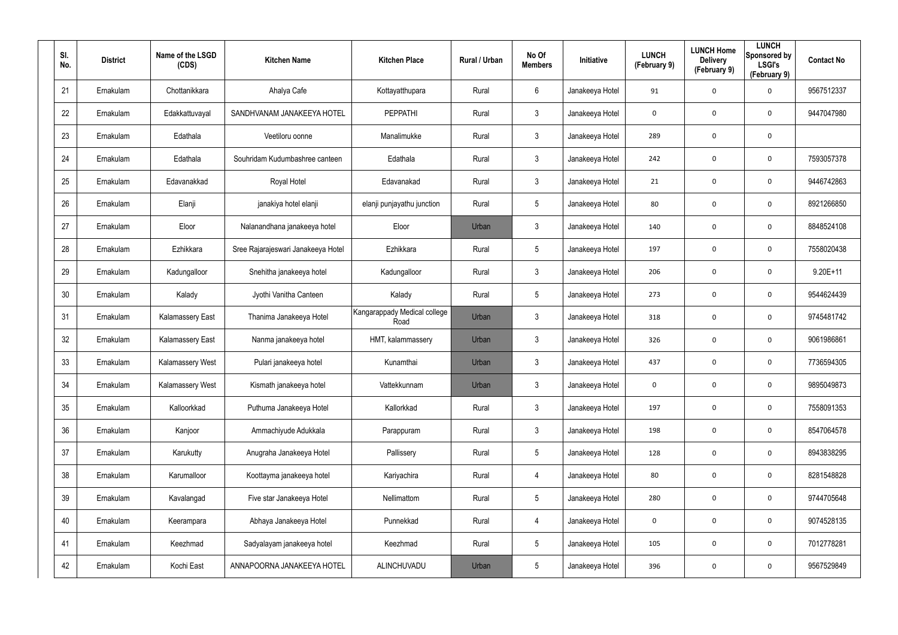| SI.<br>No. | <b>District</b> | Name of the LSGD<br>(CDS) | <b>Kitchen Name</b>                | <b>Kitchen Place</b>                 | Rural / Urban | No Of<br><b>Members</b> | <b>Initiative</b> | <b>LUNCH</b><br>(February 9) | <b>LUNCH Home</b><br><b>Delivery</b><br>(February 9) | <b>LUNCH</b><br>Sponsored by<br><b>LSGI's</b><br>(February 9) | <b>Contact No</b> |
|------------|-----------------|---------------------------|------------------------------------|--------------------------------------|---------------|-------------------------|-------------------|------------------------------|------------------------------------------------------|---------------------------------------------------------------|-------------------|
| 21         | Ernakulam       | Chottanikkara             | Ahalya Cafe                        | Kottayatthupara                      | Rural         | 6                       | Janakeeya Hotel   | 91                           | 0                                                    | $\mathbf 0$                                                   | 9567512337        |
| 22         | Ernakulam       | Edakkattuvayal            | SANDHVANAM JANAKEEYA HOTEL         | <b>PEPPATHI</b>                      | Rural         | $\mathbf{3}$            | Janakeeya Hotel   | 0                            | 0                                                    | $\mathbf 0$                                                   | 9447047980        |
| 23         | Ernakulam       | Edathala                  | Veetiloru oonne                    | Manalimukke                          | Rural         | $\mathbf{3}$            | Janakeeya Hotel   | 289                          | 0                                                    | $\mathbf 0$                                                   |                   |
| 24         | Ernakulam       | Edathala                  | Souhridam Kudumbashree canteen     | Edathala                             | Rural         | $\mathbf{3}$            | Janakeeya Hotel   | 242                          | 0                                                    | $\mathbf 0$                                                   | 7593057378        |
| 25         | Ernakulam       | Edavanakkad               | Royal Hotel                        | Edavanakad                           | Rural         | $\mathbf{3}$            | Janakeeya Hotel   | 21                           | 0                                                    | $\mathbf 0$                                                   | 9446742863        |
| 26         | Ernakulam       | Elanji                    | janakiya hotel elanji              | elanji punjayathu junction           | Rural         | $5\phantom{.0}$         | Janakeeya Hotel   | 80                           | 0                                                    | $\mathbf 0$                                                   | 8921266850        |
| 27         | Ernakulam       | Eloor                     | Nalanandhana janakeeya hotel       | Eloor                                | Urban         | $\mathbf{3}$            | Janakeeya Hotel   | 140                          | 0                                                    | $\mathbf 0$                                                   | 8848524108        |
| 28         | Ernakulam       | Ezhikkara                 | Sree Rajarajeswari Janakeeya Hotel | Ezhikkara                            | Rural         | $5\overline{)}$         | Janakeeya Hotel   | 197                          | 0                                                    | $\mathbf 0$                                                   | 7558020438        |
| 29         | Ernakulam       | Kadungalloor              | Snehitha janakeeya hotel           | Kadungalloor                         | Rural         | $\mathbf{3}$            | Janakeeya Hotel   | 206                          | 0                                                    | $\mathbf 0$                                                   | $9.20E + 11$      |
| 30         | Ernakulam       | Kalady                    | Jyothi Vanitha Canteen             | Kalady                               | Rural         | $5\overline{)}$         | Janakeeya Hotel   | 273                          | 0                                                    | $\mathbf 0$                                                   | 9544624439        |
| 31         | Ernakulam       | <b>Kalamassery East</b>   | Thanima Janakeeya Hotel            | Kangarappady Medical college<br>Road | Urban         | $\mathbf{3}$            | Janakeeya Hotel   | 318                          | 0                                                    | $\mathbf 0$                                                   | 9745481742        |
| 32         | Ernakulam       | <b>Kalamassery East</b>   | Nanma janakeeya hotel              | HMT, kalammassery                    | Urban         | $\mathbf{3}$            | Janakeeya Hotel   | 326                          | 0                                                    | $\mathbf 0$                                                   | 9061986861        |
| 33         | Ernakulam       | Kalamassery West          | Pulari janakeeya hotel             | Kunamthai                            | Urban         | $\mathbf{3}$            | Janakeeya Hotel   | 437                          | 0                                                    | $\mathbf 0$                                                   | 7736594305        |
| 34         | Ernakulam       | Kalamassery West          | Kismath janakeeya hotel            | Vattekkunnam                         | Urban         | $\mathfrak{Z}$          | Janakeeya Hotel   | 0                            | 0                                                    | $\mathbf 0$                                                   | 9895049873        |
| 35         | Ernakulam       | Kalloorkkad               | Puthuma Janakeeya Hotel            | Kallorkkad                           | Rural         | $\mathbf{3}$            | Janakeeya Hotel   | 197                          | 0                                                    | $\mathbf 0$                                                   | 7558091353        |
| 36         | Ernakulam       | Kanjoor                   | Ammachiyude Adukkala               | Parappuram                           | Rural         | $\mathbf{3}$            | Janakeeya Hotel   | 198                          | 0                                                    | $\mathbf 0$                                                   | 8547064578        |
| 37         | Ernakulam       | Karukutty                 | Anugraha Janakeeya Hotel           | Pallissery                           | Rural         | $5\phantom{.0}$         | Janakeeya Hotel   | 128                          | 0                                                    | $\mathbf 0$                                                   | 8943838295        |
| 38         | Ernakulam       | Karumalloor               | Koottayma janakeeya hotel          | Kariyachira                          | Rural         | 4                       | Janakeeya Hotel   | 80                           | 0                                                    | $\mathbf 0$                                                   | 8281548828        |
| 39         | Ernakulam       | Kavalangad                | Five star Janakeeya Hotel          | Nellimattom                          | Rural         | $5\phantom{.0}$         | Janakeeya Hotel   | 280                          | 0                                                    | $\mathbf 0$                                                   | 9744705648        |
| 40         | Ernakulam       | Keerampara                | Abhaya Janakeeya Hotel             | Punnekkad                            | Rural         | 4                       | Janakeeya Hotel   | $\mathbf 0$                  | 0                                                    | $\mathbf 0$                                                   | 9074528135        |
| 41         | Ernakulam       | Keezhmad                  | Sadyalayam janakeeya hotel         | Keezhmad                             | Rural         | $5\phantom{.0}$         | Janakeeya Hotel   | 105                          | $\mathbf 0$                                          | $\mathbf 0$                                                   | 7012778281        |
| 42         | Ernakulam       | Kochi East                | ANNAPOORNA JANAKEEYA HOTEL         | ALINCHUVADU                          | Urban         | $5\phantom{.0}$         | Janakeeya Hotel   | 396                          | 0                                                    | $\mathbf 0$                                                   | 9567529849        |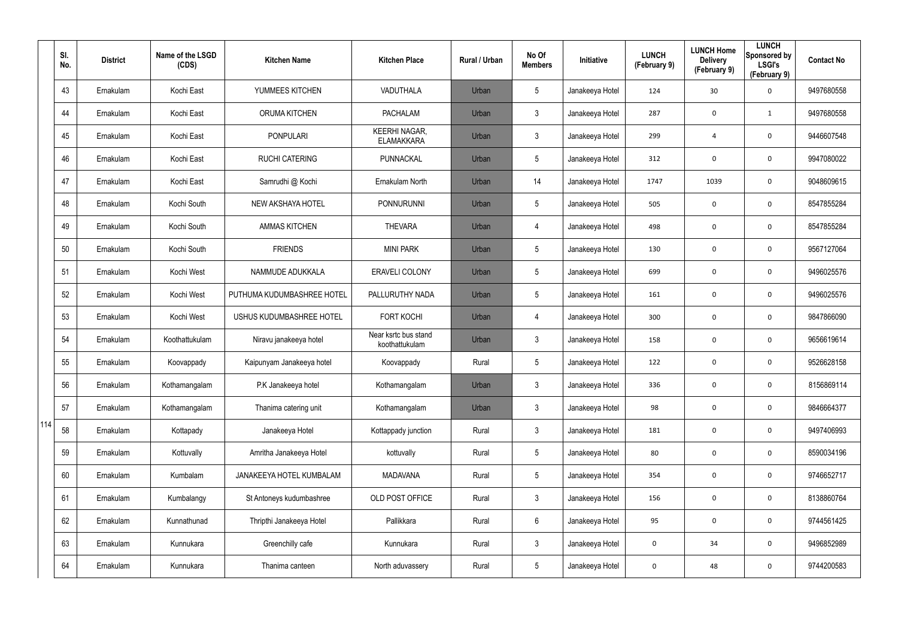|     | SI.<br>No. | <b>District</b> | Name of the LSGD<br>(CDS) | <b>Kitchen Name</b>        | <b>Kitchen Place</b>                      | Rural / Urban | No Of<br><b>Members</b> | Initiative      | <b>LUNCH</b><br>(February 9) | <b>LUNCH Home</b><br><b>Delivery</b><br>(February 9) | <b>LUNCH</b><br>Sponsored by<br><b>LSGI's</b><br>(February 9) | <b>Contact No</b> |
|-----|------------|-----------------|---------------------------|----------------------------|-------------------------------------------|---------------|-------------------------|-----------------|------------------------------|------------------------------------------------------|---------------------------------------------------------------|-------------------|
|     | 43         | Ernakulam       | Kochi East                | YUMMEES KITCHEN            | VADUTHALA                                 | Urban         | $5\overline{)}$         | Janakeeya Hotel | 124                          | 30                                                   | 0                                                             | 9497680558        |
|     | 44         | Ernakulam       | Kochi East                | <b>ORUMA KITCHEN</b>       | <b>PACHALAM</b>                           | Urban         | 3                       | Janakeeya Hotel | 287                          | $\mathbf 0$                                          | $\mathbf{1}$                                                  | 9497680558        |
|     | 45         | Ernakulam       | Kochi East                | <b>PONPULARI</b>           | <b>KEERHI NAGAR,</b><br><b>ELAMAKKARA</b> | Urban         | 3                       | Janakeeya Hotel | 299                          | $\overline{4}$                                       | 0                                                             | 9446607548        |
|     | 46         | Ernakulam       | Kochi East                | <b>RUCHI CATERING</b>      | PUNNACKAL                                 | Urban         | 5                       | Janakeeya Hotel | 312                          | 0                                                    | 0                                                             | 9947080022        |
|     | 47         | Ernakulam       | Kochi East                | Samrudhi @ Kochi           | Ernakulam North                           | Urban         | 14                      | Janakeeya Hotel | 1747                         | 1039                                                 | 0                                                             | 9048609615        |
|     | 48         | Ernakulam       | Kochi South               | NEW AKSHAYA HOTEL          | <b>PONNURUNNI</b>                         | Urban         | 5                       | Janakeeya Hotel | 505                          | 0                                                    | 0                                                             | 8547855284        |
|     | 49         | Ernakulam       | Kochi South               | <b>AMMAS KITCHEN</b>       | <b>THEVARA</b>                            | Urban         | 4                       | Janakeeya Hotel | 498                          | 0                                                    | $\mathbf 0$                                                   | 8547855284        |
|     | 50         | Ernakulam       | Kochi South               | <b>FRIENDS</b>             | <b>MINI PARK</b>                          | Urban         | 5                       | Janakeeya Hotel | 130                          | 0                                                    | 0                                                             | 9567127064        |
|     | 51         | Ernakulam       | Kochi West                | NAMMUDE ADUKKALA           | <b>ERAVELI COLONY</b>                     | Urban         | $5\overline{)}$         | Janakeeya Hotel | 699                          | 0                                                    | $\mathbf 0$                                                   | 9496025576        |
|     | 52         | Ernakulam       | Kochi West                | PUTHUMA KUDUMBASHREE HOTEL | PALLURUTHY NADA                           | Urban         | $5\overline{)}$         | Janakeeya Hotel | 161                          | 0                                                    | 0                                                             | 9496025576        |
|     | 53         | Ernakulam       | Kochi West                | USHUS KUDUMBASHREE HOTEL   | <b>FORT KOCHI</b>                         | Urban         | 4                       | Janakeeya Hotel | 300                          | 0                                                    | $\mathbf 0$                                                   | 9847866090        |
|     | 54         | Ernakulam       | Koothattukulam            | Niravu janakeeya hotel     | Near ksrtc bus stand<br>koothattukulam    | Urban         | 3                       | Janakeeya Hotel | 158                          | 0                                                    | $\mathbf 0$                                                   | 9656619614        |
|     | 55         | Ernakulam       | Koovappady                | Kaipunyam Janakeeya hotel  | Koovappady                                | Rural         | $5\overline{)}$         | Janakeeya Hotel | 122                          | 0                                                    | $\mathbf 0$                                                   | 9526628158        |
|     | 56         | Ernakulam       | Kothamangalam             | P.K Janakeeya hotel        | Kothamangalam                             | Urban         | 3                       | Janakeeya Hotel | 336                          | 0                                                    | 0                                                             | 8156869114        |
|     | 57         | Ernakulam       | Kothamangalam             | Thanima catering unit      | Kothamangalam                             | Urban         | $\mathfrak{Z}$          | Janakeeya Hotel | 98                           | $\boldsymbol{0}$                                     | $\mathbf 0$                                                   | 9846664377        |
| 114 | 58         | Ernakulam       | Kottapady                 | Janakeeya Hotel            | Kottappady junction                       | Rural         | $\mathbf{3}$            | Janakeeya Hotel | 181                          | 0                                                    | $\mathbf 0$                                                   | 9497406993        |
|     | 59         | Ernakulam       | Kottuvally                | Amritha Janakeeya Hotel    | kottuvally                                | Rural         | $\sqrt{5}$              | Janakeeya Hotel | 80                           | $\boldsymbol{0}$                                     | $\mathbf 0$                                                   | 8590034196        |
|     | 60         | Ernakulam       | Kumbalam                  | JANAKEEYA HOTEL KUMBALAM   | <b>MADAVANA</b>                           | Rural         | $5\phantom{.0}$         | Janakeeya Hotel | 354                          | 0                                                    | $\mathbf 0$                                                   | 9746652717        |
|     | 61         | Ernakulam       | Kumbalangy                | St Antoneys kudumbashree   | OLD POST OFFICE                           | Rural         | $\mathfrak{Z}$          | Janakeeya Hotel | 156                          | $\boldsymbol{0}$                                     | $\mathbf 0$                                                   | 8138860764        |
|     | 62         | Ernakulam       | Kunnathunad               | Thripthi Janakeeya Hotel   | Pallikkara                                | Rural         | $6\overline{6}$         | Janakeeya Hotel | 95                           | 0                                                    | $\mathbf 0$                                                   | 9744561425        |
|     | 63         | Ernakulam       | Kunnukara                 | Greenchilly cafe           | Kunnukara                                 | Rural         | $\mathfrak{Z}$          | Janakeeya Hotel | 0                            | 34                                                   | $\mathbf 0$                                                   | 9496852989        |
|     | 64         | Ernakulam       | Kunnukara                 | Thanima canteen            | North aduvassery                          | Rural         | $\sqrt{5}$              | Janakeeya Hotel | 0                            | 48                                                   | $\mathbf 0$                                                   | 9744200583        |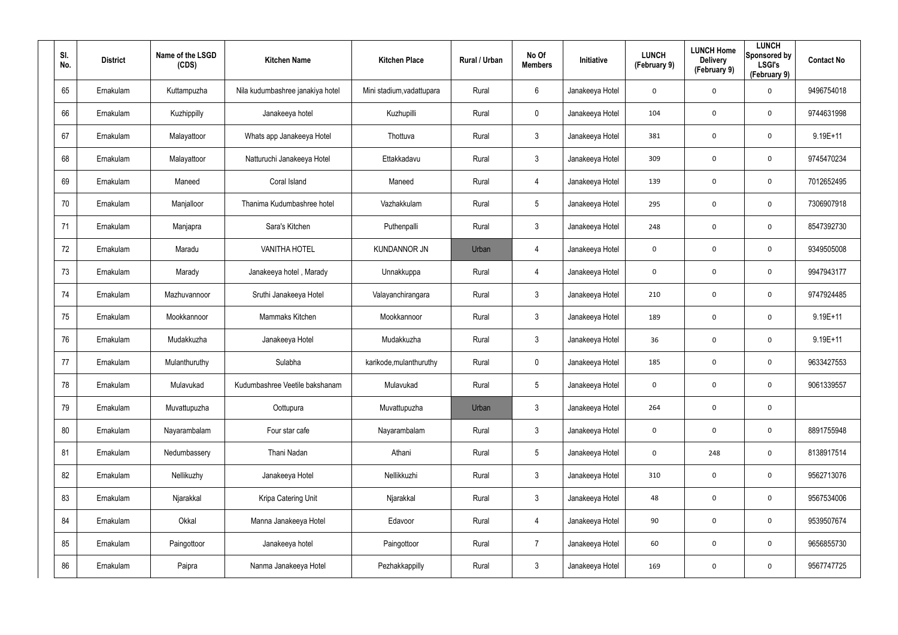| SI.<br>No. | <b>District</b> | Name of the LSGD<br>(CDS) | <b>Kitchen Name</b>              | <b>Kitchen Place</b>      | Rural / Urban | No Of<br><b>Members</b> | Initiative      | <b>LUNCH</b><br>(February 9) | <b>LUNCH Home</b><br><b>Delivery</b><br>(February 9) | <b>LUNCH</b><br>Sponsored by<br><b>LSGI's</b><br>(February 9) | <b>Contact No</b> |
|------------|-----------------|---------------------------|----------------------------------|---------------------------|---------------|-------------------------|-----------------|------------------------------|------------------------------------------------------|---------------------------------------------------------------|-------------------|
| 65         | Ernakulam       | Kuttampuzha               | Nila kudumbashree janakiya hotel | Mini stadium, vadattupara | Rural         | 6                       | Janakeeya Hotel | 0                            | 0                                                    | $\mathbf 0$                                                   | 9496754018        |
| 66         | Ernakulam       | Kuzhippilly               | Janakeeya hotel                  | Kuzhupilli                | Rural         | $\mathbf 0$             | Janakeeya Hotel | 104                          | 0                                                    | $\mathbf 0$                                                   | 9744631998        |
| 67         | Ernakulam       | Malayattoor               | Whats app Janakeeya Hotel        | Thottuva                  | Rural         | $\mathbf{3}$            | Janakeeya Hotel | 381                          | 0                                                    | $\mathbf 0$                                                   | $9.19E + 11$      |
| 68         | Ernakulam       | Malayattoor               | Natturuchi Janakeeya Hotel       | Ettakkadavu               | Rural         | $\mathbf{3}$            | Janakeeya Hotel | 309                          | 0                                                    | $\mathbf 0$                                                   | 9745470234        |
| 69         | Ernakulam       | Maneed                    | Coral Island                     | Maneed                    | Rural         | $\overline{4}$          | Janakeeya Hotel | 139                          | 0                                                    | $\mathbf 0$                                                   | 7012652495        |
| 70         | Ernakulam       | Manjalloor                | Thanima Kudumbashree hotel       | Vazhakkulam               | Rural         | $5\phantom{.0}$         | Janakeeya Hotel | 295                          | 0                                                    | $\mathbf 0$                                                   | 7306907918        |
| 71         | Ernakulam       | Manjapra                  | Sara's Kitchen                   | Puthenpalli               | Rural         | $\mathbf{3}$            | Janakeeya Hotel | 248                          | 0                                                    | $\mathbf 0$                                                   | 8547392730        |
| 72         | Ernakulam       | Maradu                    | <b>VANITHA HOTEL</b>             | <b>KUNDANNOR JN</b>       | Urban         | 4                       | Janakeeya Hotel | 0                            | 0                                                    | $\mathbf 0$                                                   | 9349505008        |
| 73         | Ernakulam       | Marady                    | Janakeeya hotel, Marady          | Unnakkuppa                | Rural         | $\overline{4}$          | Janakeeya Hotel | 0                            | 0                                                    | $\mathbf 0$                                                   | 9947943177        |
| 74         | Ernakulam       | Mazhuvannoor              | Sruthi Janakeeya Hotel           | Valayanchirangara         | Rural         | $\mathbf{3}$            | Janakeeya Hotel | 210                          | 0                                                    | $\mathbf 0$                                                   | 9747924485        |
| 75         | Ernakulam       | Mookkannoor               | Mammaks Kitchen                  | Mookkannoor               | Rural         | $\mathbf{3}$            | Janakeeya Hotel | 189                          | 0                                                    | $\mathbf 0$                                                   | $9.19E + 11$      |
| 76         | Ernakulam       | Mudakkuzha                | Janakeeya Hotel                  | Mudakkuzha                | Rural         | $\mathbf{3}$            | Janakeeya Hotel | 36                           | 0                                                    | $\mathbf 0$                                                   | $9.19E + 11$      |
| 77         | Ernakulam       | Mulanthuruthy             | Sulabha                          | karikode, mulanthuruthy   | Rural         | $\mathbf 0$             | Janakeeya Hotel | 185                          | 0                                                    | $\mathbf 0$                                                   | 9633427553        |
| 78         | Ernakulam       | Mulavukad                 | Kudumbashree Veetile bakshanam   | Mulavukad                 | Rural         | $5\phantom{.0}$         | Janakeeya Hotel | 0                            | 0                                                    | $\mathbf 0$                                                   | 9061339557        |
| 79         | Ernakulam       | Muvattupuzha              | Oottupura                        | Muvattupuzha              | Urban         | $\mathbf{3}$            | Janakeeya Hotel | 264                          | 0                                                    | $\mathbf 0$                                                   |                   |
| 80         | Ernakulam       | Nayarambalam              | Four star cafe                   | Nayarambalam              | Rural         | $\mathbf{3}$            | Janakeeya Hotel | $\mathbf 0$                  | 0                                                    | $\mathbf 0$                                                   | 8891755948        |
| 81         | Ernakulam       | Nedumbassery              | Thani Nadan                      | Athani                    | Rural         | $5\phantom{.0}$         | Janakeeya Hotel | $\mathbf 0$                  | 248                                                  | $\mathbf 0$                                                   | 8138917514        |
| 82         | Ernakulam       | Nellikuzhy                | Janakeeya Hotel                  | Nellikkuzhi               | Rural         | $\mathbf{3}$            | Janakeeya Hotel | 310                          | 0                                                    | $\mathbf 0$                                                   | 9562713076        |
| 83         | Ernakulam       | Njarakkal                 | Kripa Catering Unit              | Njarakkal                 | Rural         | $\mathbf{3}$            | Janakeeya Hotel | 48                           | 0                                                    | $\mathbf 0$                                                   | 9567534006        |
| 84         | Ernakulam       | Okkal                     | Manna Janakeeya Hotel            | Edavoor                   | Rural         | $\overline{4}$          | Janakeeya Hotel | 90                           | 0                                                    | $\mathbf 0$                                                   | 9539507674        |
| 85         | Ernakulam       | Paingottoor               | Janakeeya hotel                  | Paingottoor               | Rural         | $\overline{7}$          | Janakeeya Hotel | 60                           | $\mathbf 0$                                          | $\mathbf 0$                                                   | 9656855730        |
| 86         | Ernakulam       | Paipra                    | Nanma Janakeeya Hotel            | Pezhakkappilly            | Rural         | $\mathfrak{Z}$          | Janakeeya Hotel | 169                          | 0                                                    | $\mathbf 0$                                                   | 9567747725        |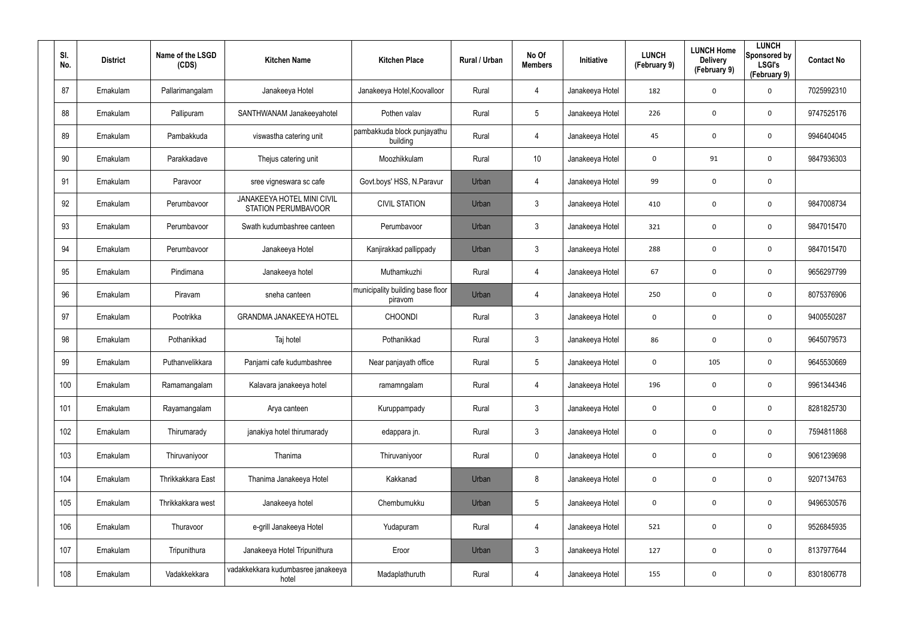| SI.<br>No. | <b>District</b> | Name of the LSGD<br>(CDS) | <b>Kitchen Name</b>                                      | <b>Kitchen Place</b>                        | Rural / Urban | No Of<br><b>Members</b> | <b>Initiative</b> | <b>LUNCH</b><br>(February 9) | <b>LUNCH Home</b><br><b>Delivery</b><br>(February 9) | <b>LUNCH</b><br>Sponsored by<br><b>LSGI's</b><br>(February 9) | <b>Contact No</b> |
|------------|-----------------|---------------------------|----------------------------------------------------------|---------------------------------------------|---------------|-------------------------|-------------------|------------------------------|------------------------------------------------------|---------------------------------------------------------------|-------------------|
| 87         | Ernakulam       | Pallarimangalam           | Janakeeya Hotel                                          | Janakeeya Hotel, Koovalloor                 | Rural         | 4                       | Janakeeya Hotel   | 182                          | 0                                                    | $\mathbf 0$                                                   | 7025992310        |
| 88         | Ernakulam       | Pallipuram                | SANTHWANAM Janakeeyahotel                                | Pothen valav                                | Rural         | $5\phantom{.0}$         | Janakeeya Hotel   | 226                          | $\mathbf 0$                                          | $\mathbf 0$                                                   | 9747525176        |
| 89         | Ernakulam       | Pambakkuda                | viswastha catering unit                                  | pambakkuda block punjayathu<br>building     | Rural         | 4                       | Janakeeya Hotel   | 45                           | 0                                                    | $\mathbf 0$                                                   | 9946404045        |
| 90         | Ernakulam       | Parakkadave               | Thejus catering unit                                     | Moozhikkulam                                | Rural         | 10                      | Janakeeya Hotel   | 0                            | 91                                                   | $\mathbf 0$                                                   | 9847936303        |
| 91         | Ernakulam       | Paravoor                  | sree vigneswara sc cafe                                  | Govt.boys' HSS, N.Paravur                   | Urban         | 4                       | Janakeeya Hotel   | 99                           | 0                                                    | $\mathbf 0$                                                   |                   |
| 92         | Ernakulam       | Perumbavoor               | JANAKEEYA HOTEL MINI CIVIL<br><b>STATION PERUMBAVOOR</b> | <b>CIVIL STATION</b>                        | Urban         | 3                       | Janakeeya Hotel   | 410                          | $\mathbf 0$                                          | $\mathbf 0$                                                   | 9847008734        |
| 93         | Ernakulam       | Perumbavoor               | Swath kudumbashree canteen                               | Perumbavoor                                 | Urban         | $\mathbf{3}$            | Janakeeya Hotel   | 321                          | $\mathbf 0$                                          | $\mathbf 0$                                                   | 9847015470        |
| 94         | Ernakulam       | Perumbayoor               | Janakeeya Hotel                                          | Kanjirakkad pallippady                      | Urban         | $\mathbf{3}$            | Janakeeya Hotel   | 288                          | 0                                                    | $\mathbf 0$                                                   | 9847015470        |
| 95         | Ernakulam       | Pindimana                 | Janakeeya hotel                                          | Muthamkuzhi                                 | Rural         | 4                       | Janakeeya Hotel   | 67                           | $\mathbf 0$                                          | $\mathbf 0$                                                   | 9656297799        |
| 96         | Ernakulam       | Piravam                   | sneha canteen                                            | municipality building base floor<br>piravom | Urban         | 4                       | Janakeeya Hotel   | 250                          | 0                                                    | $\mathbf 0$                                                   | 8075376906        |
| 97         | Ernakulam       | Pootrikka                 | <b>GRANDMA JANAKEEYA HOTEL</b>                           | <b>CHOONDI</b>                              | Rural         | $\mathbf{3}$            | Janakeeya Hotel   | 0                            | 0                                                    | $\mathbf 0$                                                   | 9400550287        |
| 98         | Ernakulam       | Pothanikkad               | Taj hotel                                                | Pothanikkad                                 | Rural         | $\mathbf{3}$            | Janakeeya Hotel   | 86                           | 0                                                    | $\mathbf 0$                                                   | 9645079573        |
| 99         | Ernakulam       | Puthanvelikkara           | Panjami cafe kudumbashree                                | Near panjayath office                       | Rural         | $5\overline{)}$         | Janakeeya Hotel   | 0                            | 105                                                  | $\mathbf 0$                                                   | 9645530669        |
| 100        | Ernakulam       | Ramamangalam              | Kalavara janakeeya hotel                                 | ramamngalam                                 | Rural         | 4                       | Janakeeya Hotel   | 196                          | 0                                                    | $\mathbf 0$                                                   | 9961344346        |
| 101        | Ernakulam       | Rayamangalam              | Arya canteen                                             | Kuruppampady                                | Rural         | $\mathbf{3}$            | Janakeeya Hotel   | $\mathbf 0$                  | 0                                                    | $\mathbf 0$                                                   | 8281825730        |
| 102        | Ernakulam       | Thirumarady               | janakiya hotel thirumarady                               | edappara jn.                                | Rural         | $\mathfrak{Z}$          | Janakeeya Hotel   | $\mathbf 0$                  | $\mathbf 0$                                          | $\mathbf 0$                                                   | 7594811868        |
| 103        | Ernakulam       | Thiruvaniyoor             | Thanima                                                  | Thiruvaniyoor                               | Rural         | $\mathbf 0$             | Janakeeya Hotel   | $\mathbf 0$                  | 0                                                    | $\mathbf 0$                                                   | 9061239698        |
| 104        | Ernakulam       | Thrikkakkara East         | Thanima Janakeeya Hotel                                  | Kakkanad                                    | Urban         | 8                       | Janakeeya Hotel   | $\mathbf 0$                  | $\pmb{0}$                                            | $\mathbf 0$                                                   | 9207134763        |
| 105        | Ernakulam       | Thrikkakkara west         | Janakeeya hotel                                          | Chembumukku                                 | Urban         | $5\phantom{.0}$         | Janakeeya Hotel   | $\mathbf 0$                  | 0                                                    | $\mathbf 0$                                                   | 9496530576        |
| 106        | Ernakulam       | Thuravoor                 | e-grill Janakeeya Hotel                                  | Yudapuram                                   | Rural         | 4                       | Janakeeya Hotel   | 521                          | $\mathbf 0$                                          | $\mathbf 0$                                                   | 9526845935        |
| 107        | Ernakulam       | Tripunithura              | Janakeeya Hotel Tripunithura                             | Eroor                                       | Urban         | $\mathfrak{Z}$          | Janakeeya Hotel   | 127                          | $\mathbf 0$                                          | $\mathbf 0$                                                   | 8137977644        |
| 108        | Ernakulam       | Vadakkekkara              | vadakkekkara kudumbasree janakeeya<br>hotel              | Madaplathuruth                              | Rural         | 4                       | Janakeeya Hotel   | 155                          | 0                                                    | $\mathbf 0$                                                   | 8301806778        |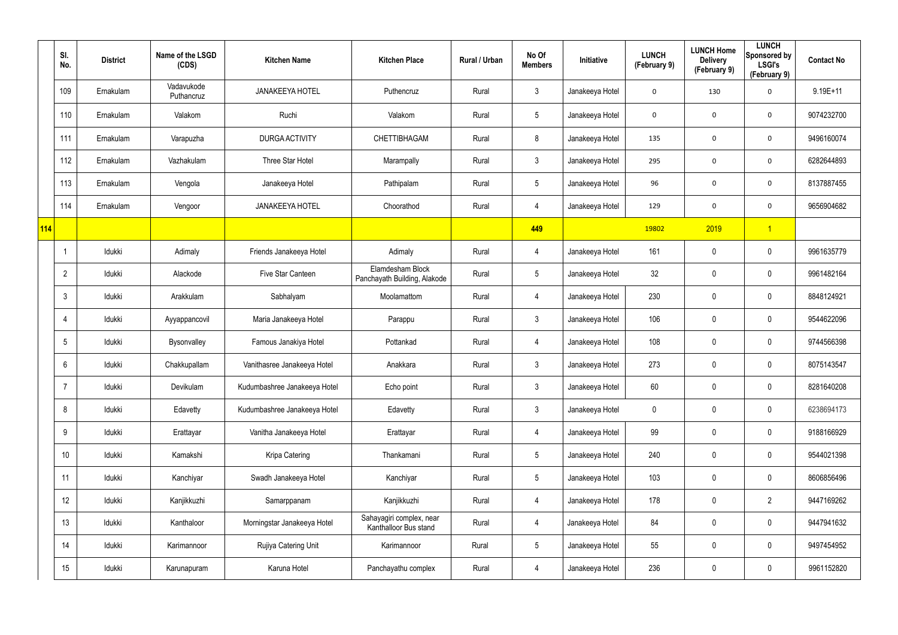|     | SI.<br>No.      | <b>District</b> | Name of the LSGD<br>(CDS) | <b>Kitchen Name</b>          | <b>Kitchen Place</b>                              | Rural / Urban | No Of<br><b>Members</b> | Initiative      | <b>LUNCH</b><br>(February 9) | <b>LUNCH Home</b><br><b>Delivery</b><br>(February 9) | <b>LUNCH</b><br>Sponsored by<br><b>LSGI's</b><br>(February 9) | <b>Contact No</b> |
|-----|-----------------|-----------------|---------------------------|------------------------------|---------------------------------------------------|---------------|-------------------------|-----------------|------------------------------|------------------------------------------------------|---------------------------------------------------------------|-------------------|
|     | 109             | Ernakulam       | Vadavukode<br>Puthancruz  | <b>JANAKEEYA HOTEL</b>       | Puthencruz                                        | Rural         | $\mathfrak{Z}$          | Janakeeya Hotel | $\mathbf 0$                  | 130                                                  | $\mathbf 0$                                                   | $9.19E + 11$      |
|     | 110             | Ernakulam       | Valakom                   | Ruchi                        | Valakom                                           | Rural         | $\sqrt{5}$              | Janakeeya Hotel | 0                            | 0                                                    | $\mathbf 0$                                                   | 9074232700        |
|     | 111             | Ernakulam       | Varapuzha                 | DURGA ACTIVITY               | CHETTIBHAGAM                                      | Rural         | 8                       | Janakeeya Hotel | 135                          | 0                                                    | $\mathbf 0$                                                   | 9496160074        |
|     | 112             | Ernakulam       | Vazhakulam                | Three Star Hotel             | Marampally                                        | Rural         | $\mathbf{3}$            | Janakeeya Hotel | 295                          | 0                                                    | $\mathbf 0$                                                   | 6282644893        |
|     | 113             | Ernakulam       | Vengola                   | Janakeeya Hotel              | Pathipalam                                        | Rural         | $5\overline{)}$         | Janakeeya Hotel | 96                           | 0                                                    | $\mathbf 0$                                                   | 8137887455        |
|     | 114             | Ernakulam       | Vengoor                   | <b>JANAKEEYA HOTEL</b>       | Choorathod                                        | Rural         | 4                       | Janakeeya Hotel | 129                          | 0                                                    | $\mathbf 0$                                                   | 9656904682        |
| 114 |                 |                 |                           |                              |                                                   |               | 449                     |                 | 19802                        | 2019                                                 | $\overline{1}$                                                |                   |
|     |                 | Idukki          | Adimaly                   | Friends Janakeeya Hotel      | Adimaly                                           | Rural         | 4                       | Janakeeya Hotel | 161                          | 0                                                    | $\mathbf 0$                                                   | 9961635779        |
|     | $\overline{2}$  | Idukki          | Alackode                  | Five Star Canteen            | Elamdesham Block<br>Panchayath Building, Alakode  | Rural         | $\sqrt{5}$              | Janakeeya Hotel | 32                           | 0                                                    | $\pmb{0}$                                                     | 9961482164        |
|     | $\mathbf{3}$    | Idukki          | Arakkulam                 | Sabhalyam                    | Moolamattom                                       | Rural         | 4                       | Janakeeya Hotel | 230                          | 0                                                    | $\pmb{0}$                                                     | 8848124921        |
|     | 4               | ldukki          | Ayyappancovil             | Maria Janakeeya Hotel        | Parappu                                           | Rural         | $\mathfrak{Z}$          | Janakeeya Hotel | 106                          | 0                                                    | $\mathbf 0$                                                   | 9544622096        |
|     | $5\phantom{.0}$ | Idukki          | Bysonvalley               | Famous Janakiya Hotel        | Pottankad                                         | Rural         | 4                       | Janakeeya Hotel | 108                          | 0                                                    | $\mathbf 0$                                                   | 9744566398        |
|     | 6               | Idukki          | Chakkupallam              | Vanithasree Janakeeya Hotel  | Anakkara                                          | Rural         | $\mathbf{3}$            | Janakeeya Hotel | 273                          | 0                                                    | $\pmb{0}$                                                     | 8075143547        |
|     | $\overline{7}$  | Idukki          | Devikulam                 | Kudumbashree Janakeeya Hotel | Echo point                                        | Rural         | $\mathbf{3}$            | Janakeeya Hotel | 60                           | 0                                                    | $\pmb{0}$                                                     | 8281640208        |
|     | 8               | Idukki          | Edavetty                  | Kudumbashree Janakeeya Hotel | Edavetty                                          | Rural         | $\mathfrak{Z}$          | Janakeeya Hotel | 0                            | 0                                                    | $\mathbf 0$                                                   | 6238694173        |
|     | 9               | ldukki          | Erattayar                 | Vanitha Janakeeya Hotel      | Erattayar                                         | Rural         | $\overline{4}$          | Janakeeya Hotel | 99                           | 0                                                    | $\mathsf{0}$                                                  | 9188166929        |
|     | 10 <sup>°</sup> | Idukki          | Kamakshi                  | Kripa Catering               | Thankamani                                        | Rural         | $5\phantom{.0}$         | Janakeeya Hotel | 240                          | 0                                                    | $\mathbf 0$                                                   | 9544021398        |
|     | 11              | ldukki          | Kanchiyar                 | Swadh Janakeeya Hotel        | Kanchiyar                                         | Rural         | $5\phantom{.0}$         | Janakeeya Hotel | 103                          | 0                                                    | $\mathsf{0}$                                                  | 8606856496        |
|     | 12              | Idukki          | Kanjikkuzhi               | Samarppanam                  | Kanjikkuzhi                                       | Rural         | $\overline{4}$          | Janakeeya Hotel | 178                          | 0                                                    | $\overline{2}$                                                | 9447169262        |
|     | 13              | ldukki          | Kanthaloor                | Morningstar Janakeeya Hotel  | Sahayagiri complex, near<br>Kanthalloor Bus stand | Rural         | $\overline{4}$          | Janakeeya Hotel | 84                           | 0                                                    | $\mathbf 0$                                                   | 9447941632        |
|     | 14              | ldukki          | Karimannoor               | Rujiya Catering Unit         | Karimannoor                                       | Rural         | $5\phantom{.0}$         | Janakeeya Hotel | 55                           | 0                                                    | $\mathbf 0$                                                   | 9497454952        |
|     | 15              | ldukki          | Karunapuram               | Karuna Hotel                 | Panchayathu complex                               | Rural         | 4                       | Janakeeya Hotel | 236                          | 0                                                    | $\mathsf{0}$                                                  | 9961152820        |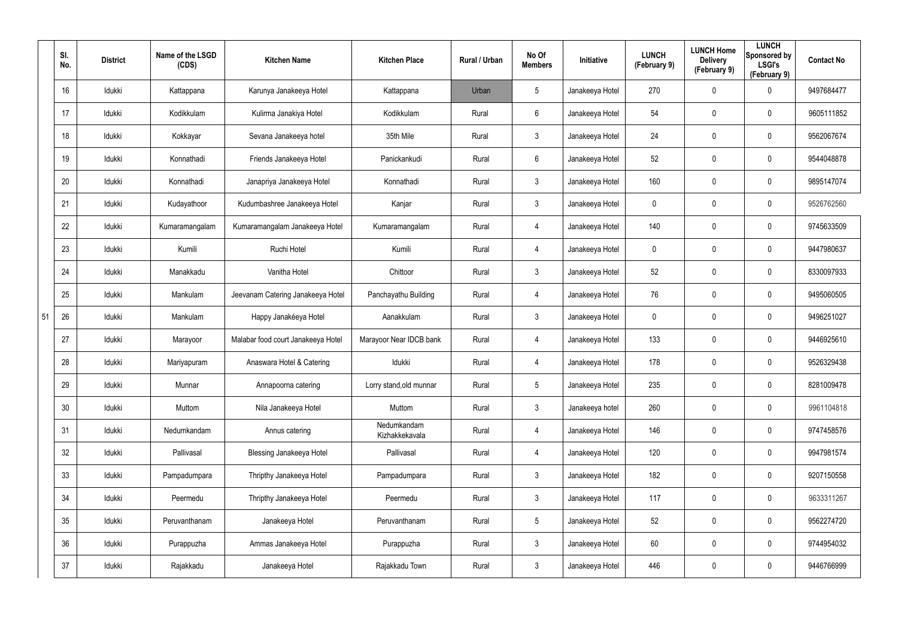|    | SI.<br>No.      | <b>District</b> | Name of the LSGD<br>(CDS) | <b>Kitchen Name</b>                | <b>Kitchen Place</b>          | <b>Rural / Urban</b> | No Of<br><b>Members</b> | Initiative      | <b>LUNCH</b><br>(February 9) | <b>LUNCH Home</b><br><b>Delivery</b><br>(February 9) | <b>LUNCH</b><br>Sponsored by<br><b>LSGI's</b><br>(February 9) | <b>Contact No</b> |
|----|-----------------|-----------------|---------------------------|------------------------------------|-------------------------------|----------------------|-------------------------|-----------------|------------------------------|------------------------------------------------------|---------------------------------------------------------------|-------------------|
|    | 16              | Idukki          | Kattappana                | Karunya Janakeeya Hotel            | Kattappana                    | Urban                | 5                       | Janakeeya Hotel | 270                          | $\mathbf 0$                                          | 0                                                             | 9497684477        |
|    | 17              | Idukki          | Kodikkulam                | Kulirma Janakiya Hotel             | Kodikkulam                    | Rural                | 6                       | Janakeeya Hotel | 54                           | $\mathbf 0$                                          | 0                                                             | 9605111852        |
|    | 18              | Idukki          | Kokkayar                  | Sevana Janakeeya hotel             | 35th Mile                     | Rural                | 3                       | Janakeeya Hotel | 24                           | 0                                                    | 0                                                             | 9562067674        |
|    | 19              | Idukki          | Konnathadi                | Friends Janakeeya Hotel            | Panickankudi                  | Rural                | $6\phantom{.}6$         | Janakeeya Hotel | 52                           | 0                                                    | 0                                                             | 9544048878        |
|    | 20              | Idukki          | Konnathadi                | Janapriya Janakeeya Hotel          | Konnathadi                    | Rural                | 3                       | Janakeeya Hotel | 160                          | 0                                                    | 0                                                             | 9895147074        |
|    | 21              | Idukki          | Kudayathoor               | Kudumbashree Janakeeya Hotel       | Kanjar                        | Rural                | 3                       | Janakeeya Hotel | 0                            | 0                                                    | 0                                                             | 9526762560        |
|    | 22              | Idukki          | Kumaramangalam            | Kumaramangalam Janakeeya Hotel     | Kumaramangalam                | Rural                | 4                       | Janakeeya Hotel | 140                          | 0                                                    | 0                                                             | 9745633509        |
|    | 23              | Idukki          | Kumili                    | Ruchi Hotel                        | Kumili                        | Rural                | 4                       | Janakeeya Hotel | 0                            | 0                                                    | 0                                                             | 9447980637        |
|    | 24              | Idukki          | Manakkadu                 | Vanitha Hotel                      | Chittoor                      | Rural                | $\mathbf{3}$            | Janakeeya Hotel | 52                           | 0                                                    | 0                                                             | 8330097933        |
|    | 25              | Idukki          | Mankulam                  | Jeevanam Catering Janakeeya Hotel  | Panchayathu Building          | Rural                | 4                       | Janakeeya Hotel | 76                           | 0                                                    | 0                                                             | 9495060505        |
| 51 | 26              | Idukki          | Mankulam                  | Happy Janakéeya Hotel              | Aanakkulam                    | Rural                | $\mathbf{3}$            | Janakeeya Hotel | 0                            | 0                                                    | 0                                                             | 9496251027        |
|    | 27              | Idukki          | Marayoor                  | Malabar food court Janakeeya Hotel | Marayoor Near IDCB bank       | Rural                | 4                       | Janakeeya Hotel | 133                          | 0                                                    | 0                                                             | 9446925610        |
|    | 28              | Idukki          | Mariyapuram               | Anaswara Hotel & Catering          | Idukki                        | Rural                | 4                       | Janakeeya Hotel | 178                          | $\mathbf 0$                                          | 0                                                             | 9526329438        |
|    | 29              | Idukki          | Munnar                    | Annapoorna catering                | Lorry stand, old munnar       | Rural                | 5                       | Janakeeya Hotel | 235                          | 0                                                    | 0                                                             | 8281009478        |
|    | 30              | Idukki          | Muttom                    | Nila Janakeeya Hotel               | Muttom                        | Rural                | $\mathbf{3}$            | Janakeeya hotel | 260                          | $\mathbf 0$                                          | 0                                                             | 9961104818        |
|    | 31              | Idukki          | Nedumkandam               | Annus catering                     | Nedumkandam<br>Kizhakkekavala | Rural                | 4                       | Janakeeya Hotel | 146                          | $\mathbf 0$                                          | 0                                                             | 9747458576        |
|    | 32              | Idukki          | Pallivasal                | Blessing Janakeeya Hotel           | Pallivasal                    | Rural                | 4                       | Janakeeya Hotel | 120                          | $\mathbf 0$                                          | 0                                                             | 9947981574        |
|    | 33              | Idukki          | Pampadumpara              | Thripthy Janakeeya Hotel           | Pampadumpara                  | Rural                | $\mathbf{3}$            | Janakeeya Hotel | 182                          | $\mathbf 0$                                          | 0                                                             | 9207150558        |
|    | 34              | Idukki          | Peermedu                  | Thripthy Janakeeya Hotel           | Peermedu                      | Rural                | $\mathbf{3}$            | Janakeeya Hotel | 117                          | $\mathbf 0$                                          | 0                                                             | 9633311267        |
|    | 35 <sub>5</sub> | Idukki          | Peruvanthanam             | Janakeeya Hotel                    | Peruvanthanam                 | Rural                | $5\phantom{.0}$         | Janakeeya Hotel | 52                           | $\mathbf 0$                                          | 0                                                             | 9562274720        |
|    | 36              | Idukki          | Purappuzha                | Ammas Janakeeya Hotel              | Purappuzha                    | Rural                | $\mathbf{3}$            | Janakeeya Hotel | 60                           | $\mathbf 0$                                          | 0                                                             | 9744954032        |
|    | 37              | Idukki          | Rajakkadu                 | Janakeeya Hotel                    | Rajakkadu Town                | Rural                | $\mathbf{3}$            | Janakeeya Hotel | 446                          | $\mathbf 0$                                          | 0                                                             | 9446766999        |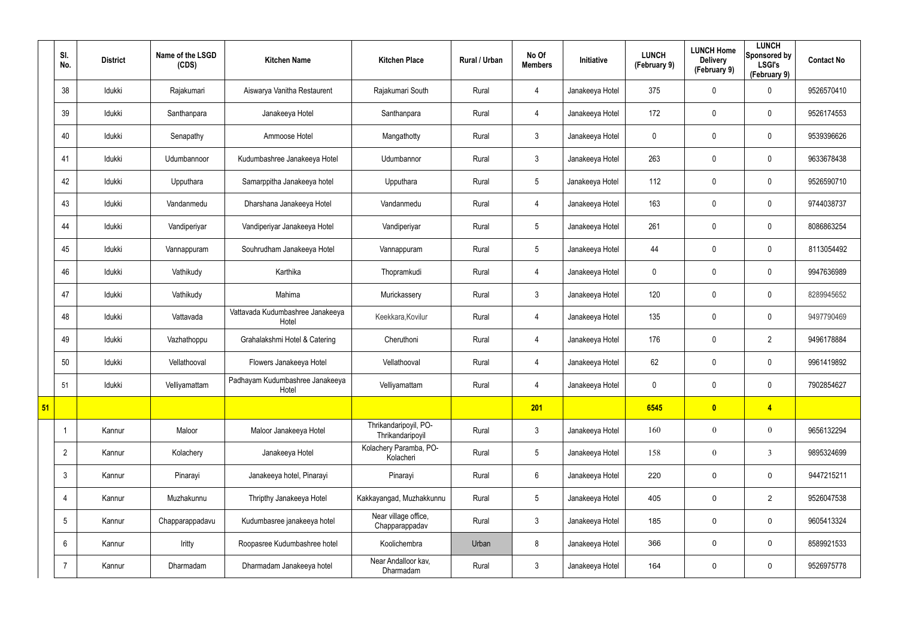|    | SI.<br>No.      | <b>District</b> | Name of the LSGD<br>(CDS) | <b>Kitchen Name</b>                       | <b>Kitchen Place</b>                      | <b>Rural / Urban</b> | No Of<br><b>Members</b> | Initiative      | <b>LUNCH</b><br>(February 9) | <b>LUNCH Home</b><br><b>Delivery</b><br>(February 9) | <b>LUNCH</b><br>Sponsored by<br><b>LSGI's</b><br>(February 9) | <b>Contact No</b> |
|----|-----------------|-----------------|---------------------------|-------------------------------------------|-------------------------------------------|----------------------|-------------------------|-----------------|------------------------------|------------------------------------------------------|---------------------------------------------------------------|-------------------|
|    | 38              | Idukki          | Rajakumari                | Aiswarya Vanitha Restaurent               | Rajakumari South                          | Rural                | $\overline{4}$          | Janakeeya Hotel | 375                          | 0                                                    | 0                                                             | 9526570410        |
|    | 39              | Idukki          | Santhanpara               | Janakeeya Hotel                           | Santhanpara                               | Rural                | $\overline{4}$          | Janakeeya Hotel | 172                          | 0                                                    | $\mathbf 0$                                                   | 9526174553        |
|    | 40              | Idukki          | Senapathy                 | Ammoose Hotel                             | Mangathotty                               | Rural                | $\mathbf{3}$            | Janakeeya Hotel | $\mathbf 0$                  | 0                                                    | $\mathbf 0$                                                   | 9539396626        |
|    | 41              | ldukki          | Udumbannoor               | Kudumbashree Janakeeya Hotel              | Udumbannor                                | Rural                | $\mathbf{3}$            | Janakeeya Hotel | 263                          | 0                                                    | $\mathbf 0$                                                   | 9633678438        |
|    | 42              | Idukki          | Upputhara                 | Samarppitha Janakeeya hotel               | Upputhara                                 | Rural                | $5\overline{)}$         | Janakeeya Hotel | 112                          | 0                                                    | $\mathbf 0$                                                   | 9526590710        |
|    | 43              | ldukki          | Vandanmedu                | Dharshana Janakeeya Hotel                 | Vandanmedu                                | Rural                | $\overline{4}$          | Janakeeya Hotel | 163                          | 0                                                    | $\mathbf 0$                                                   | 9744038737        |
|    | 44              | Idukki          | Vandiperiyar              | Vandiperiyar Janakeeya Hotel              | Vandiperiyar                              | Rural                | $5\overline{)}$         | Janakeeya Hotel | 261                          | 0                                                    | $\mathbf 0$                                                   | 8086863254        |
|    | 45              | Idukki          | Vannappuram               | Souhrudham Janakeeya Hotel                | Vannappuram                               | Rural                | $5\overline{)}$         | Janakeeya Hotel | 44                           | 0                                                    | $\mathbf 0$                                                   | 8113054492        |
|    | 46              | Idukki          | Vathikudy                 | Karthika                                  | Thopramkudi                               | Rural                | $\overline{4}$          | Janakeeya Hotel | $\mathbf 0$                  | 0                                                    | $\mathbf 0$                                                   | 9947636989        |
|    | 47              | Idukki          | Vathikudy                 | Mahima                                    | Murickassery                              | Rural                | $\mathbf{3}$            | Janakeeya Hotel | 120                          | 0                                                    | $\mathbf 0$                                                   | 8289945652        |
|    | 48              | Idukki          | Vattavada                 | Vattavada Kudumbashree Janakeeya<br>Hotel | Keekkara, Kovilur                         | Rural                | $\overline{4}$          | Janakeeya Hotel | 135                          | 0                                                    | $\mathbf 0$                                                   | 9497790469        |
|    | 49              | ldukki          | Vazhathoppu               | Grahalakshmi Hotel & Catering             | Cheruthoni                                | Rural                | $\overline{4}$          | Janakeeya Hotel | 176                          | 0                                                    | $\overline{2}$                                                | 9496178884        |
|    | 50              | Idukki          | Vellathooval              | Flowers Janakeeya Hotel                   | Vellathooval                              | Rural                | 4                       | Janakeeya Hotel | 62                           | 0                                                    | $\mathbf 0$                                                   | 9961419892        |
|    | 51              | Idukki          | Velliyamattam             | Padhayam Kudumbashree Janakeeya<br>Hotel  | Velliyamattam                             | Rural                | 4                       | Janakeeya Hotel | 0                            | 0                                                    | $\pmb{0}$                                                     | 7902854627        |
| 51 |                 |                 |                           |                                           |                                           |                      | 201                     |                 | 6545                         | $\bullet$                                            | $\overline{4}$                                                |                   |
|    |                 | Kannur          | Maloor                    | Maloor Janakeeya Hotel                    | Thrikandaripoyil, PO-<br>Thrikandaripoyil | Rural                | $\mathbf{3}$            | Janakeeya Hotel | 160                          | $\boldsymbol{0}$                                     | $\boldsymbol{0}$                                              | 9656132294        |
|    | $\overline{2}$  | Kannur          | Kolachery                 | Janakeeya Hotel                           | Kolachery Paramba, PO-<br>Kolacheri       | Rural                | $5\phantom{.0}$         | Janakeeya Hotel | 158                          | $\boldsymbol{0}$                                     | $\mathbf{3}$                                                  | 9895324699        |
|    | $\mathbf{3}$    | Kannur          | Pinarayi                  | Janakeeya hotel, Pinarayi                 | Pinarayi                                  | Rural                | $6\overline{6}$         | Janakeeya Hotel | 220                          | 0                                                    | $\mathbf 0$                                                   | 9447215211        |
|    | 4               | Kannur          | Muzhakunnu                | Thripthy Janakeeya Hotel                  | Kakkayangad, Muzhakkunnu                  | Rural                | $5\phantom{.0}$         | Janakeeya Hotel | 405                          | 0                                                    | $\overline{2}$                                                | 9526047538        |
|    | $5\overline{)}$ | Kannur          | Chapparappadavu           | Kudumbasree janakeeya hotel               | Near village office,<br>Chapparappadav    | Rural                | 3 <sup>1</sup>          | Janakeeya Hotel | 185                          | 0                                                    | $\mathbf 0$                                                   | 9605413324        |
|    | 6               | Kannur          | Iritty                    | Roopasree Kudumbashree hotel              | Koolichembra                              | Urban                | 8                       | Janakeeya Hotel | 366                          | 0                                                    | $\mathbf 0$                                                   | 8589921533        |
|    | $\overline{7}$  | Kannur          | Dharmadam                 | Dharmadam Janakeeya hotel                 | Near Andalloor kav,<br>Dharmadam          | Rural                | $\mathbf{3}$            | Janakeeya Hotel | 164                          | 0                                                    | $\pmb{0}$                                                     | 9526975778        |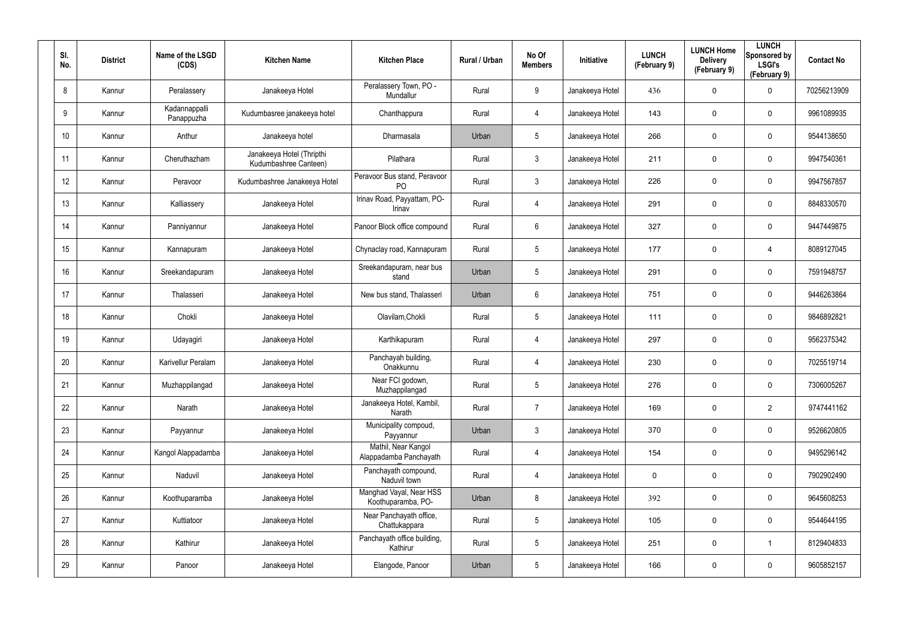| SI.<br>No.      | <b>District</b> | Name of the LSGD<br>(CDS)   | <b>Kitchen Name</b>                                | <b>Kitchen Place</b>                           | Rural / Urban | No Of<br><b>Members</b> | <b>Initiative</b> | <b>LUNCH</b><br>(February 9) | <b>LUNCH Home</b><br><b>Delivery</b><br>(February 9) | <b>LUNCH</b><br>Sponsored by<br><b>LSGI's</b><br>(February 9) | <b>Contact No</b> |
|-----------------|-----------------|-----------------------------|----------------------------------------------------|------------------------------------------------|---------------|-------------------------|-------------------|------------------------------|------------------------------------------------------|---------------------------------------------------------------|-------------------|
| 8               | Kannur          | Peralassery                 | Janakeeya Hotel                                    | Peralassery Town, PO -<br>Mundallur            | Rural         | 9                       | Janakeeya Hotel   | 436                          | 0                                                    | $\mathbf 0$                                                   | 70256213909       |
| 9               | Kannur          | Kadannappalli<br>Panappuzha | Kudumbasree janakeeya hotel                        | Chanthappura                                   | Rural         | 4                       | Janakeeya Hotel   | 143                          | 0                                                    | 0                                                             | 9961089935        |
| 10 <sup>°</sup> | Kannur          | Anthur                      | Janakeeya hotel                                    | Dharmasala                                     | Urban         | 5                       | Janakeeya Hotel   | 266                          | 0                                                    | $\mathbf 0$                                                   | 9544138650        |
| 11              | Kannur          | Cheruthazham                | Janakeeya Hotel (Thripthi<br>Kudumbashree Canteen) | Pilathara                                      | Rural         | 3                       | Janakeeya Hotel   | 211                          | 0                                                    | $\mathbf 0$                                                   | 9947540361        |
| 12 <sup>°</sup> | Kannur          | Peravoor                    | Kudumbashree Janakeeya Hotel                       | Peravoor Bus stand, Peravoor<br>P <sub>O</sub> | Rural         | 3                       | Janakeeya Hotel   | 226                          | 0                                                    | $\mathbf 0$                                                   | 9947567857        |
| 13              | Kannur          | Kalliassery                 | Janakeeya Hotel                                    | Irinav Road, Payyattam, PO-<br>Irinav          | Rural         | 4                       | Janakeeya Hotel   | 291                          | 0                                                    | $\mathbf 0$                                                   | 8848330570        |
| 14              | Kannur          | Panniyannur                 | Janakeeya Hotel                                    | Panoor Block office compound                   | Rural         | 6                       | Janakeeya Hotel   | 327                          | 0                                                    | 0                                                             | 9447449875        |
| 15              | Kannur          | Kannapuram                  | Janakeeya Hotel                                    | Chynaclay road, Kannapuram                     | Rural         | $5\overline{)}$         | Janakeeya Hotel   | 177                          | 0                                                    | 4                                                             | 8089127045        |
| 16              | Kannur          | Sreekandapuram              | Janakeeya Hotel                                    | Sreekandapuram, near bus<br>stand              | Urban         | $\sqrt{5}$              | Janakeeya Hotel   | 291                          | 0                                                    | 0                                                             | 7591948757        |
| 17              | Kannur          | Thalasseri                  | Janakeeya Hotel                                    | New bus stand, Thalasseri                      | Urban         | 6                       | Janakeeya Hotel   | 751                          | 0                                                    | $\mathbf 0$                                                   | 9446263864        |
| 18              | Kannur          | Chokli                      | Janakeeya Hotel                                    | Olavilam, Chokli                               | Rural         | $5\phantom{.0}$         | Janakeeya Hotel   | 111                          | 0                                                    | $\mathbf 0$                                                   | 9846892821        |
| 19              | Kannur          | Udayagiri                   | Janakeeya Hotel                                    | Karthikapuram                                  | Rural         | 4                       | Janakeeya Hotel   | 297                          | 0                                                    | $\mathbf 0$                                                   | 9562375342        |
| 20              | Kannur          | Karivellur Peralam          | Janakeeya Hotel                                    | Panchayah building,<br>Onakkunnu               | Rural         | 4                       | Janakeeya Hotel   | 230                          | 0                                                    | $\mathbf 0$                                                   | 7025519714        |
| 21              | Kannur          | Muzhappilangad              | Janakeeya Hotel                                    | Near FCI godown,<br>Muzhappilangad             | Rural         | 5                       | Janakeeya Hotel   | 276                          | 0                                                    | 0                                                             | 7306005267        |
| 22              | Kannur          | Narath                      | Janakeeya Hotel                                    | Janakeeya Hotel, Kambil,<br>Narath             | Rural         | $\overline{7}$          | Janakeeya Hotel   | 169                          | 0                                                    | $\overline{2}$                                                | 9747441162        |
| 23              | Kannur          | Payyannur                   | Janakeeya Hotel                                    | Municipality compoud,<br>Payyannur             | Urban         | $\mathbf{3}$            | Janakeeya Hotel   | 370                          | 0                                                    | $\mathbf 0$                                                   | 9526620805        |
| 24              | Kannur          | Kangol Alappadamba          | Janakeeya Hotel                                    | Mathil, Near Kangol<br>Alappadamba Panchayath  | Rural         | 4                       | Janakeeya Hotel   | 154                          | 0                                                    | $\mathbf 0$                                                   | 9495296142        |
| 25              | Kannur          | Naduvil                     | Janakeeya Hotel                                    | Panchayath compound,<br>Naduvil town           | Rural         | 4                       | Janakeeya Hotel   | 0                            | 0                                                    | $\mathbf 0$                                                   | 7902902490        |
| 26              | Kannur          | Koothuparamba               | Janakeeya Hotel                                    | Manghad Vayal, Near HSS<br>Koothuparamba, PO-  | Urban         | 8                       | Janakeeya Hotel   | 392                          | 0                                                    | $\mathbf 0$                                                   | 9645608253        |
| 27              | Kannur          | Kuttiatoor                  | Janakeeya Hotel                                    | Near Panchayath office,<br>Chattukappara       | Rural         | $5\phantom{.0}$         | Janakeeya Hotel   | 105                          | 0                                                    | $\mathbf 0$                                                   | 9544644195        |
| 28              | Kannur          | Kathirur                    | Janakeeya Hotel                                    | Panchayath office building,<br>Kathirur        | Rural         | $5\phantom{.0}$         | Janakeeya Hotel   | 251                          | 0                                                    | $\mathbf{1}$                                                  | 8129404833        |
| 29              | Kannur          | Panoor                      | Janakeeya Hotel                                    | Elangode, Panoor                               | Urban         | $5\phantom{.0}$         | Janakeeya Hotel   | 166                          | 0                                                    | $\pmb{0}$                                                     | 9605852157        |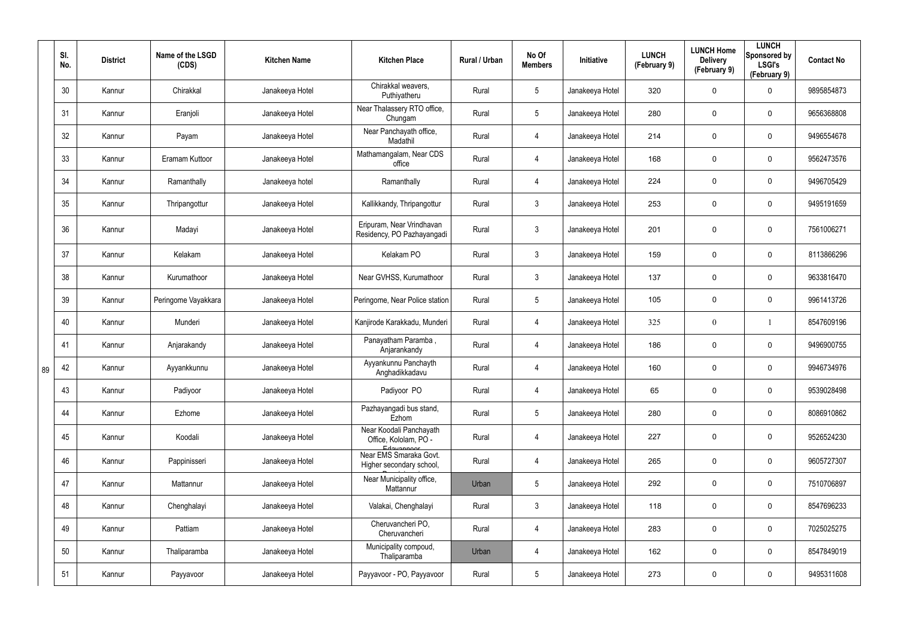|    | SI.<br>No. | <b>District</b> | Name of the LSGD<br>(CDS) | <b>Kitchen Name</b> | <b>Kitchen Place</b>                                             | Rural / Urban | No Of<br><b>Members</b> | Initiative      | <b>LUNCH</b><br>(February 9) | <b>LUNCH Home</b><br><b>Delivery</b><br>(February 9) | <b>LUNCH</b><br>Sponsored by<br><b>LSGI's</b><br>(February 9) | <b>Contact No</b> |
|----|------------|-----------------|---------------------------|---------------------|------------------------------------------------------------------|---------------|-------------------------|-----------------|------------------------------|------------------------------------------------------|---------------------------------------------------------------|-------------------|
|    | 30         | Kannur          | Chirakkal                 | Janakeeya Hotel     | Chirakkal weavers,<br>Puthiyatheru                               | Rural         | $5\phantom{.0}$         | Janakeeya Hotel | 320                          | $\mathbf 0$                                          | $\mathbf 0$                                                   | 9895854873        |
|    | 31         | Kannur          | Eranjoli                  | Janakeeya Hotel     | Near Thalassery RTO office,<br>Chungam                           | Rural         | $5\phantom{.0}$         | Janakeeya Hotel | 280                          | $\mathbf 0$                                          | $\mathbf 0$                                                   | 9656368808        |
|    | 32         | Kannur          | Payam                     | Janakeeya Hotel     | Near Panchayath office,<br>Madathil                              | Rural         | $\overline{4}$          | Janakeeya Hotel | 214                          | $\mathbf 0$                                          | $\mathbf 0$                                                   | 9496554678        |
|    | 33         | Kannur          | Eramam Kuttoor            | Janakeeya Hotel     | Mathamangalam, Near CDS<br>office                                | Rural         | 4                       | Janakeeya Hotel | 168                          | $\mathbf 0$                                          | $\mathbf 0$                                                   | 9562473576        |
|    | 34         | Kannur          | Ramanthally               | Janakeeya hotel     | Ramanthally                                                      | Rural         | $\overline{4}$          | Janakeeya Hotel | 224                          | $\mathbf 0$                                          | $\mathbf 0$                                                   | 9496705429        |
|    | 35         | Kannur          | Thripangottur             | Janakeeya Hotel     | Kallikkandy, Thripangottur                                       | Rural         | $\mathbf{3}$            | Janakeeya Hotel | 253                          | $\mathbf 0$                                          | $\mathbf 0$                                                   | 9495191659        |
|    | 36         | Kannur          | Madayi                    | Janakeeya Hotel     | Eripuram, Near Vrindhavan<br>Residency, PO Pazhayangadi          | Rural         | $\mathbf{3}$            | Janakeeya Hotel | 201                          | $\mathbf 0$                                          | $\mathbf 0$                                                   | 7561006271        |
|    | 37         | Kannur          | Kelakam                   | Janakeeya Hotel     | Kelakam PO                                                       | Rural         | $\mathbf{3}$            | Janakeeya Hotel | 159                          | 0                                                    | $\mathbf 0$                                                   | 8113866296        |
|    | 38         | Kannur          | Kurumathoor               | Janakeeya Hotel     | Near GVHSS, Kurumathoor                                          | Rural         | $\mathbf{3}$            | Janakeeya Hotel | 137                          | 0                                                    | $\mathbf 0$                                                   | 9633816470        |
|    | 39         | Kannur          | Peringome Vayakkara       | Janakeeya Hotel     | Peringome, Near Police station                                   | Rural         | $5\phantom{.0}$         | Janakeeya Hotel | 105                          | 0                                                    | $\mathbf 0$                                                   | 9961413726        |
|    | 40         | Kannur          | Munderi                   | Janakeeya Hotel     | Kanjirode Karakkadu, Munderi                                     | Rural         | $\overline{4}$          | Janakeeya Hotel | 325                          | $\boldsymbol{0}$                                     |                                                               | 8547609196        |
|    | 41         | Kannur          | Anjarakandy               | Janakeeya Hotel     | Panayatham Paramba,<br>Anjarankandy                              | Rural         | $\overline{4}$          | Janakeeya Hotel | 186                          | $\pmb{0}$                                            | $\mathbf 0$                                                   | 9496900755        |
| 89 | 42         | Kannur          | Ayyankkunnu               | Janakeeya Hotel     | Ayyankunnu Panchayth<br>Anghadikkadavu                           | Rural         | 4                       | Janakeeya Hotel | 160                          | 0                                                    | $\mathbf 0$                                                   | 9946734976        |
|    | 43         | Kannur          | Padiyoor                  | Janakeeya Hotel     | Padiyoor PO                                                      | Rural         | $\overline{4}$          | Janakeeya Hotel | 65                           | $\pmb{0}$                                            | $\mathbf 0$                                                   | 9539028498        |
|    | 44         | Kannur          | Ezhome                    | Janakeeya Hotel     | Pazhayangadi bus stand,<br>Ezhom                                 | Rural         | $5\phantom{.0}$         | Janakeeya Hotel | 280                          | $\pmb{0}$                                            | $\mathbf 0$                                                   | 8086910862        |
|    | 45         | Kannur          | Koodali                   | Janakeeya Hotel     | Near Koodali Panchayath<br>Office, Kololam, PO -                 | Rural         | $\overline{4}$          | Janakeeya Hotel | 227                          | 0                                                    | $\mathbf 0$                                                   | 9526524230        |
|    | 46         | Kannur          | Pappinisseri              | Janakeeya Hotel     | Edavannont<br>Near EMS Smaraka Govt.<br>Higher secondary school, | Rural         | $\overline{4}$          | Janakeeya Hotel | 265                          | 0                                                    | $\mathbf 0$                                                   | 9605727307        |
|    | 47         | Kannur          | Mattannur                 | Janakeeya Hotel     | Near Municipality office,<br>Mattannur                           | Urban         | $5\,$                   | Janakeeya Hotel | 292                          | 0                                                    | $\mathbf 0$                                                   | 7510706897        |
|    | 48         | Kannur          | Chenghalayi               | Janakeeya Hotel     | Valakai, Chenghalayi                                             | Rural         | $\mathbf{3}$            | Janakeeya Hotel | 118                          | 0                                                    | $\mathbf 0$                                                   | 8547696233        |
|    | 49         | Kannur          | Pattiam                   | Janakeeya Hotel     | Cheruvancheri PO,<br>Cheruvancheri                               | Rural         | $\overline{4}$          | Janakeeya Hotel | 283                          | 0                                                    | $\mathbf 0$                                                   | 7025025275        |
|    | 50         | Kannur          | Thaliparamba              | Janakeeya Hotel     | Municipality compoud,<br>Thaliparamba                            | Urban         | $\overline{4}$          | Janakeeya Hotel | 162                          | 0                                                    | $\mathbf 0$                                                   | 8547849019        |
|    | 51         | Kannur          | Payyavoor                 | Janakeeya Hotel     | Payyavoor - PO, Payyavoor                                        | Rural         | $5\phantom{.0}$         | Janakeeya Hotel | 273                          | 0                                                    | $\mathbf 0$                                                   | 9495311608        |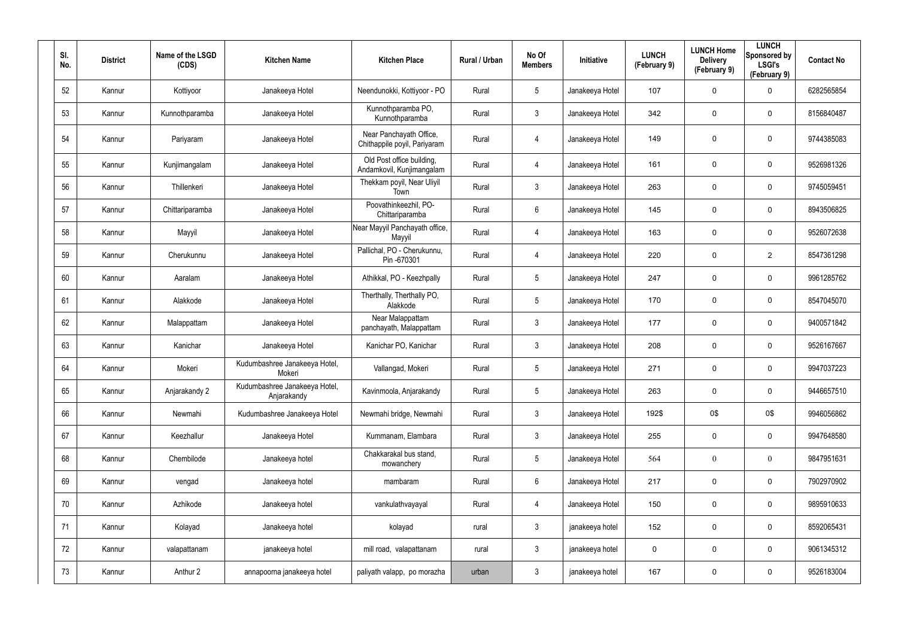| SI.<br>No. | <b>District</b> | Name of the LSGD<br>(CDS) | <b>Kitchen Name</b>                          | <b>Kitchen Place</b>                                    | Rural / Urban | No Of<br><b>Members</b> | Initiative      | <b>LUNCH</b><br>(February 9) | <b>LUNCH Home</b><br><b>Delivery</b><br>(February 9) | <b>LUNCH</b><br>Sponsored by<br><b>LSGI's</b><br>(February 9) | <b>Contact No</b> |
|------------|-----------------|---------------------------|----------------------------------------------|---------------------------------------------------------|---------------|-------------------------|-----------------|------------------------------|------------------------------------------------------|---------------------------------------------------------------|-------------------|
| 52         | Kannur          | Kottiyoor                 | Janakeeya Hotel                              | Neendunokki, Kottiyoor - PO                             | Rural         | $5\phantom{.0}$         | Janakeeya Hotel | 107                          | $\mathbf 0$                                          | $\mathbf 0$                                                   | 6282565854        |
| 53         | Kannur          | Kunnothparamba            | Janakeeya Hotel                              | Kunnothparamba PO,<br>Kunnothparamba                    | Rural         | $\mathbf{3}$            | Janakeeya Hotel | 342                          | $\mathbf 0$                                          | $\mathbf 0$                                                   | 8156840487        |
| 54         | Kannur          | Pariyaram                 | Janakeeya Hotel                              | Near Panchayath Office,<br>Chithappile poyil, Pariyaram | Rural         | $\overline{4}$          | Janakeeya Hotel | 149                          | 0                                                    | $\mathbf 0$                                                   | 9744385083        |
| 55         | Kannur          | Kunjimangalam             | Janakeeya Hotel                              | Old Post office building,<br>Andamkovil, Kunjimangalam  | Rural         | $\overline{4}$          | Janakeeya Hotel | 161                          | $\mathbf 0$                                          | $\mathbf 0$                                                   | 9526981326        |
| 56         | Kannur          | Thillenkeri               | Janakeeya Hotel                              | Thekkam poyil, Near Uliyil<br>Town                      | Rural         | $\mathbf{3}$            | Janakeeya Hotel | 263                          | $\mathbf 0$                                          | $\mathbf 0$                                                   | 9745059451        |
| 57         | Kannur          | Chittariparamba           | Janakeeya Hotel                              | Poovathinkeezhil, PO-<br>Chittariparamba                | Rural         | $6\phantom{.}$          | Janakeeya Hotel | 145                          | $\mathbf 0$                                          | $\mathbf 0$                                                   | 8943506825        |
| 58         | Kannur          | Mayyil                    | Janakeeya Hotel                              | Near Mayyil Panchayath office,<br>Mayyil                | Rural         | $\overline{4}$          | Janakeeya Hotel | 163                          | $\mathbf 0$                                          | $\mathbf 0$                                                   | 9526072638        |
| 59         | Kannur          | Cherukunnu                | Janakeeya Hotel                              | Pallichal, PO - Cherukunnu,<br>Pin-670301               | Rural         | $\overline{4}$          | Janakeeya Hotel | 220                          | $\mathbf 0$                                          | $\overline{2}$                                                | 8547361298        |
| 60         | Kannur          | Aaralam                   | Janakeeya Hotel                              | Athikkal, PO - Keezhpally                               | Rural         | $5\phantom{.0}$         | Janakeeya Hotel | 247                          | $\mathbf 0$                                          | $\mathbf 0$                                                   | 9961285762        |
| 61         | Kannur          | Alakkode                  | Janakeeya Hotel                              | Therthally, Therthally PO,<br>Alakkode                  | Rural         | $5\phantom{.0}$         | Janakeeya Hotel | 170                          | $\mathbf 0$                                          | $\mathbf 0$                                                   | 8547045070        |
| 62         | Kannur          | Malappattam               | Janakeeya Hotel                              | Near Malappattam<br>panchayath, Malappattam             | Rural         | $\mathbf{3}$            | Janakeeya Hotel | 177                          | $\mathbf 0$                                          | $\mathbf 0$                                                   | 9400571842        |
| 63         | Kannur          | Kanichar                  | Janakeeya Hotel                              | Kanichar PO, Kanichar                                   | Rural         | $\mathfrak{Z}$          | Janakeeya Hotel | 208                          | $\mathbf 0$                                          | $\mathbf 0$                                                   | 9526167667        |
| 64         | Kannur          | Mokeri                    | Kudumbashree Janakeeya Hotel,<br>Mokeri      | Vallangad, Mokeri                                       | Rural         | $5\phantom{.0}$         | Janakeeya Hotel | 271                          | $\mathbf 0$                                          | $\mathbf 0$                                                   | 9947037223        |
| 65         | Kannur          | Anjarakandy 2             | Kudumbashree Janakeeya Hotel,<br>Anjarakandy | Kavinmoola, Anjarakandy                                 | Rural         | $5\phantom{.0}$         | Janakeeya Hotel | 263                          | $\pmb{0}$                                            | $\mathbf 0$                                                   | 9446657510        |
| 66         | Kannur          | Newmahi                   | Kudumbashree Janakeeya Hotel                 | Newmahi bridge, Newmahi                                 | Rural         | $\mathfrak{Z}$          | Janakeeya Hotel | 192\$                        | 0\$                                                  | 0\$                                                           | 9946056862        |
| 67         | Kannur          | Keezhallur                | Janakeeya Hotel                              | Kummanam, Elambara                                      | Rural         | $\mathfrak{Z}$          | Janakeeya Hotel | 255                          | 0                                                    | $\mathbf 0$                                                   | 9947648580        |
| 68         | Kannur          | Chembilode                | Janakeeya hotel                              | Chakkarakal bus stand,<br>mowanchery                    | Rural         | $5\phantom{.0}$         | Janakeeya Hotel | 564                          | $\boldsymbol{0}$                                     | $\boldsymbol{0}$                                              | 9847951631        |
| 69         | Kannur          | vengad                    | Janakeeya hotel                              | mambaram                                                | Rural         | $6\,$                   | Janakeeya Hotel | 217                          | 0                                                    | $\mathbf 0$                                                   | 7902970902        |
| 70         | Kannur          | Azhikode                  | Janakeeya hotel                              | vankulathvayayal                                        | Rural         | $\overline{4}$          | Janakeeya Hotel | 150                          | 0                                                    | $\mathbf 0$                                                   | 9895910633        |
| 71         | Kannur          | Kolayad                   | Janakeeya hotel                              | kolayad                                                 | rural         | $\mathfrak{Z}$          | janakeeya hotel | 152                          | 0                                                    | $\mathbf 0$                                                   | 8592065431        |
| 72         | Kannur          | valapattanam              | janakeeya hotel                              | mill road, valapattanam                                 | rural         | $\mathfrak{Z}$          | janakeeya hotel | 0                            | 0                                                    | $\mathbf 0$                                                   | 9061345312        |
| 73         | Kannur          | Anthur 2                  | annapoorna janakeeya hotel                   | paliyath valapp, po morazha                             | urban         | $\mathfrak{Z}$          | janakeeya hotel | 167                          | 0                                                    | $\mathbf 0$                                                   | 9526183004        |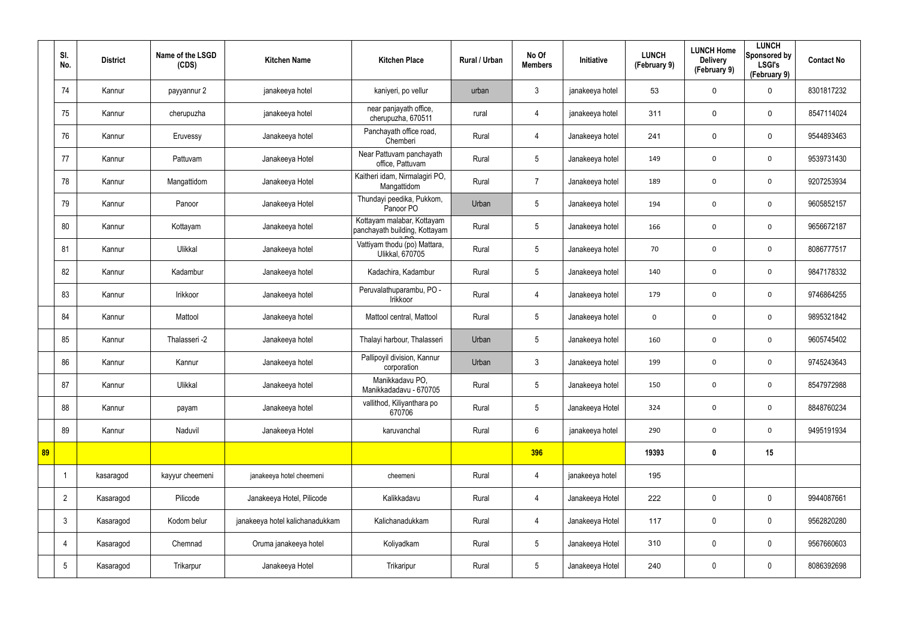|    | SI.<br>No.      | <b>District</b> | Name of the LSGD<br>(CDS) | <b>Kitchen Name</b>             | <b>Kitchen Place</b>                                        | Rural / Urban | No Of<br><b>Members</b> | Initiative      | <b>LUNCH</b><br>(February 9) | <b>LUNCH Home</b><br><b>Delivery</b><br>(February 9) | <b>LUNCH</b><br>Sponsored by<br><b>LSGI's</b><br>(February 9) | <b>Contact No</b> |
|----|-----------------|-----------------|---------------------------|---------------------------------|-------------------------------------------------------------|---------------|-------------------------|-----------------|------------------------------|------------------------------------------------------|---------------------------------------------------------------|-------------------|
|    | 74              | Kannur          | payyannur 2               | janakeeya hotel                 | kaniyeri, po vellur                                         | urban         | $\mathbf{3}$            | janakeeya hotel | 53                           | $\mathbf 0$                                          | $\mathbf 0$                                                   | 8301817232        |
|    | 75              | Kannur          | cherupuzha                | janakeeya hotel                 | near panjayath office,<br>cherupuzha, 670511                | rural         | $\overline{4}$          | janakeeya hotel | 311                          | $\mathbf 0$                                          | $\mathbf 0$                                                   | 8547114024        |
|    | 76              | Kannur          | Eruvessy                  | Janakeeya hotel                 | Panchayath office road,<br>Chemberi                         | Rural         | $\overline{4}$          | Janakeeya hotel | 241                          | $\mathbf 0$                                          | $\mathbf 0$                                                   | 9544893463        |
|    | 77              | Kannur          | Pattuvam                  | Janakeeya Hotel                 | Near Pattuvam panchayath<br>office, Pattuvam                | Rural         | $5\overline{)}$         | Janakeeya hotel | 149                          | 0                                                    | $\mathbf 0$                                                   | 9539731430        |
|    | 78              | Kannur          | Mangattidom               | Janakeeya Hotel                 | Kaitheri idam, Nirmalagiri PO,<br>Mangattidom               | Rural         | $\overline{7}$          | Janakeeya hotel | 189                          | 0                                                    | $\mathbf 0$                                                   | 9207253934        |
|    | 79              | Kannur          | Panoor                    | Janakeeya Hotel                 | Thundayi peedika, Pukkom,<br>Panoor PO                      | Urban         | $5\phantom{.0}$         | Janakeeya hotel | 194                          | 0                                                    | $\mathbf 0$                                                   | 9605852157        |
|    | 80              | Kannur          | Kottayam                  | Janakeeya hotel                 | Kottayam malabar, Kottayam<br>panchayath building, Kottayam | Rural         | $5\phantom{.0}$         | Janakeeya hotel | 166                          | 0                                                    | $\mathbf 0$                                                   | 9656672187        |
|    | 81              | Kannur          | Ulikkal                   | Janakeeya hotel                 | Vattiyam thodu (po) Mattara,<br>Ulikkal, 670705             | Rural         | $5\overline{)}$         | Janakeeya hotel | 70                           | 0                                                    | $\mathbf 0$                                                   | 8086777517        |
|    | 82              | Kannur          | Kadambur                  | Janakeeya hotel                 | Kadachira, Kadambur                                         | Rural         | $5\phantom{.0}$         | Janakeeya hotel | 140                          | 0                                                    | $\mathbf 0$                                                   | 9847178332        |
|    | 83              | Kannur          | Irikkoor                  | Janakeeya hotel                 | Peruvalathuparambu, PO -<br>Irikkoor                        | Rural         | $\overline{4}$          | Janakeeya hotel | 179                          | 0                                                    | $\mathbf 0$                                                   | 9746864255        |
|    | 84              | Kannur          | Mattool                   | Janakeeya hotel                 | Mattool central, Mattool                                    | Rural         | $5\overline{)}$         | Janakeeya hotel | 0                            | 0                                                    | $\mathbf 0$                                                   | 9895321842        |
|    | 85              | Kannur          | Thalasseri -2             | Janakeeya hotel                 | Thalayi harbour, Thalasseri                                 | Urban         | $5\overline{)}$         | Janakeeya hotel | 160                          | 0                                                    | $\mathbf 0$                                                   | 9605745402        |
|    | 86              | Kannur          | Kannur                    | Janakeeya hotel                 | Pallipoyil division, Kannur<br>corporation                  | Urban         | $\mathbf{3}$            | Janakeeya hotel | 199                          | 0                                                    | $\mathbf 0$                                                   | 9745243643        |
|    | 87              | Kannur          | Ulikkal                   | Janakeeya hotel                 | Manikkadavu PO,<br>Manikkadadavu - 670705                   | Rural         | $5\phantom{.0}$         | Janakeeya hotel | 150                          | $\mathbf 0$                                          | $\mathbf 0$                                                   | 8547972988        |
|    | 88              | Kannur          | payam                     | Janakeeya hotel                 | vallithod, Kiliyanthara po<br>670706                        | Rural         | $5\phantom{.0}$         | Janakeeya Hotel | 324                          | $\mathbf 0$                                          | $\mathbf 0$                                                   | 8848760234        |
|    | 89              | Kannur          | Naduvil                   | Janakeeya Hotel                 | karuvanchal                                                 | Rural         | $6\overline{6}$         | janakeeya hotel | 290                          | $\mathbf 0$                                          | $\mathbf 0$                                                   | 9495191934        |
| 89 |                 |                 |                           |                                 |                                                             |               | 396                     |                 | 19393                        | $\boldsymbol{0}$                                     | 15                                                            |                   |
|    |                 | kasaragod       | kayyur cheemeni           | janakeeya hotel cheemeni        | cheemeni                                                    | Rural         | $\overline{4}$          | janakeeya hotel | 195                          |                                                      |                                                               |                   |
|    | $\overline{2}$  | Kasaragod       | Pilicode                  | Janakeeya Hotel, Pilicode       | Kalikkadavu                                                 | Rural         | $\overline{4}$          | Janakeeya Hotel | 222                          | 0                                                    | $\mathbf 0$                                                   | 9944087661        |
|    | $\mathbf{3}$    | Kasaragod       | Kodom belur               | janakeeya hotel kalichanadukkam | Kalichanadukkam                                             | Rural         | $\overline{4}$          | Janakeeya Hotel | 117                          | 0                                                    | $\pmb{0}$                                                     | 9562820280        |
|    | 4               | Kasaragod       | Chemnad                   | Oruma janakeeya hotel           | Koliyadkam                                                  | Rural         | 5 <sup>5</sup>          | Janakeeya Hotel | 310                          | 0                                                    | $\mathbf 0$                                                   | 9567660603        |
|    | $5\phantom{.0}$ | Kasaragod       | Trikarpur                 | Janakeeya Hotel                 | Trikaripur                                                  | Rural         | $5\phantom{.0}$         | Janakeeya Hotel | 240                          | 0                                                    | $\boldsymbol{0}$                                              | 8086392698        |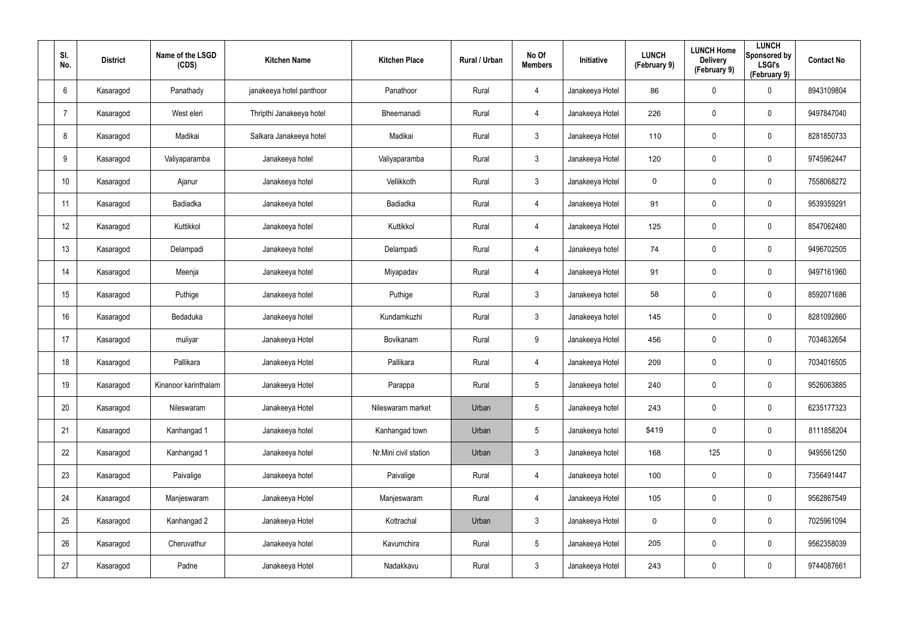| SI.<br>No.      | <b>District</b> | Name of the LSGD<br>(CDS) | <b>Kitchen Name</b>      | <b>Kitchen Place</b>  | Rural / Urban | No Of<br><b>Members</b> | Initiative      | <b>LUNCH</b><br>(February 9) | <b>LUNCH Home</b><br><b>Delivery</b><br>(February 9) | <b>LUNCH</b><br>Sponsored by<br><b>LSGI's</b><br>(February 9) | <b>Contact No</b> |
|-----------------|-----------------|---------------------------|--------------------------|-----------------------|---------------|-------------------------|-----------------|------------------------------|------------------------------------------------------|---------------------------------------------------------------|-------------------|
| 6               | Kasaragod       | Panathady                 | janakeeya hotel panthoor | Panathoor             | Rural         | $\overline{4}$          | Janakeeya Hotel | 86                           | $\mathbf 0$                                          | $\mathbf 0$                                                   | 8943109804        |
| -7              | Kasaragod       | West eleri                | Thripthi Janakeeya hotel | Bheemanadi            | Rural         | $\overline{4}$          | Janakeeya Hotel | 226                          | $\mathbf 0$                                          | $\mathbf 0$                                                   | 9497847040        |
| 8               | Kasaragod       | Madikai                   | Salkara Janakeeya hotel  | Madikai               | Rural         | $\mathbf{3}$            | Janakeeya Hotel | 110                          | 0                                                    | $\boldsymbol{0}$                                              | 8281850733        |
| 9               | Kasaragod       | Valiyaparamba             | Janakeeya hotel          | Valiyaparamba         | Rural         | $\mathbf{3}$            | Janakeeya Hotel | 120                          | 0                                                    | $\mathbf 0$                                                   | 9745962447        |
| 10 <sup>°</sup> | Kasaragod       | Ajanur                    | Janakeeya hotel          | Vellikkoth            | Rural         | $\mathbf{3}$            | Janakeeya Hotel | 0                            | $\pmb{0}$                                            | $\pmb{0}$                                                     | 7558068272        |
| 11              | Kasaragod       | Badiadka                  | Janakeeya hotel          | Badiadka              | Rural         | $\overline{4}$          | Janakeeya Hotel | 91                           | 0                                                    | $\mathbf 0$                                                   | 9539359291        |
| 12              | Kasaragod       | Kuttikkol                 | Janakeeya hotel          | Kuttikkol             | Rural         | $\overline{4}$          | Janakeeya Hotel | 125                          | $\pmb{0}$                                            | $\pmb{0}$                                                     | 8547062480        |
| 13              | Kasaragod       | Delampadi                 | Janakeeya hotel          | Delampadi             | Rural         | 4                       | Janakeeya hotel | 74                           | 0                                                    | $\mathbf 0$                                                   | 9496702505        |
| 14              | Kasaragod       | Meenja                    | Janakeeya hotel          | Miyapadav             | Rural         | $\overline{4}$          | Janakeeya Hotel | 91                           | 0                                                    | $\pmb{0}$                                                     | 9497161960        |
| 15              | Kasaragod       | Puthige                   | Janakeeya hotel          | Puthige               | Rural         | $\mathbf{3}$            | Janakeeya hotel | 58                           | 0                                                    | $\mathbf 0$                                                   | 8592071686        |
| 16              | Kasaragod       | Bedaduka                  | Janakeeya hotel          | Kundamkuzhi           | Rural         | $\mathbf{3}$            | Janakeeya hotel | 145                          | $\mathbf 0$                                          | $\mathbf 0$                                                   | 8281092860        |
| 17              | Kasaragod       | muliyar                   | Janakeeya Hotel          | Bovikanam             | Rural         | 9                       | Janakeeya Hotel | 456                          | $\mathbf 0$                                          | $\mathbf 0$                                                   | 7034632654        |
| 18              | Kasaragod       | Pallikara                 | Janakeeya Hotel          | Pallikara             | Rural         | $\overline{4}$          | Janakeeya Hotel | 209                          | 0                                                    | $\boldsymbol{0}$                                              | 7034016505        |
| 19              | Kasaragod       | Kinanoor karinthalam      | Janakeeya Hotel          | Parappa               | Rural         | $5\phantom{.0}$         | Janakeeya hotel | 240                          | $\pmb{0}$                                            | $\pmb{0}$                                                     | 9526063885        |
| 20              | Kasaragod       | Nileswaram                | Janakeeya Hotel          | Nileswaram market     | Urban         | $5\overline{)}$         | Janakeeya hotel | 243                          | $\pmb{0}$                                            | $\mathbf 0$                                                   | 6235177323        |
| 21              | Kasaragod       | Kanhangad 1               | Janakeeya hotel          | Kanhangad town        | Urban         | $5\overline{)}$         | Janakeeya hotel | \$419                        | $\pmb{0}$                                            | $\mathbf 0$                                                   | 8111858204        |
| 22              | Kasaragod       | Kanhangad 1               | Janakeeya hotel          | Nr.Mini civil station | Urban         | $\mathbf{3}$            | Janakeeya hotel | 168                          | 125                                                  | $\mathbf 0$                                                   | 9495561250        |
| 23              | Kasaragod       | Paivalige                 | Janakeeya hotel          | Paivalige             | Rural         | $\overline{4}$          | Janakeeya hotel | 100                          | $\pmb{0}$                                            | $\mathbf 0$                                                   | 7356491447        |
| 24              | Kasaragod       | Manjeswaram               | Janakeeya Hotel          | Manjeswaram           | Rural         | $\overline{4}$          | Janakeeya Hotel | 105                          | $\pmb{0}$                                            | $\mathbf 0$                                                   | 9562867549        |
| 25              | Kasaragod       | Kanhangad 2               | Janakeeya Hotel          | Kottrachal            | Urban         | $\mathbf{3}$            | Janakeeya Hotel | $\mathbf 0$                  | $\pmb{0}$                                            | $\mathbf 0$                                                   | 7025961094        |
| 26              | Kasaragod       | Cheruvathur               | Janakeeya hotel          | Kavumchira            | Rural         | $5\overline{)}$         | Janakeeya Hotel | 205                          | $\pmb{0}$                                            | $\mathbf 0$                                                   | 9562358039        |
| 27              | Kasaragod       | Padne                     | Janakeeya Hotel          | Nadakkavu             | Rural         | $\mathbf{3}$            | Janakeeya Hotel | 243                          | 0                                                    | $\overline{0}$                                                | 9744087661        |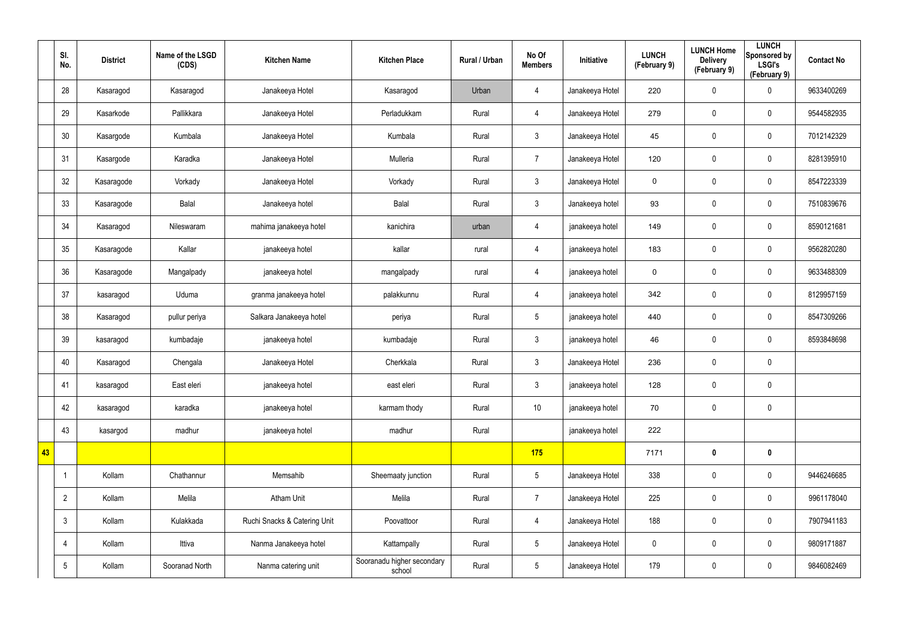|    | SI.<br>No.      | <b>District</b> | Name of the LSGD<br>(CDS) | <b>Kitchen Name</b>          | <b>Kitchen Place</b>                 | Rural / Urban | No Of<br><b>Members</b> | Initiative      | <b>LUNCH</b><br>(February 9) | <b>LUNCH Home</b><br><b>Delivery</b><br>(February 9) | <b>LUNCH</b><br>Sponsored by<br><b>LSGI's</b><br>(February 9) | <b>Contact No</b> |
|----|-----------------|-----------------|---------------------------|------------------------------|--------------------------------------|---------------|-------------------------|-----------------|------------------------------|------------------------------------------------------|---------------------------------------------------------------|-------------------|
|    | 28              | Kasaragod       | Kasaragod                 | Janakeeya Hotel              | Kasaragod                            | Urban         | 4                       | Janakeeya Hotel | 220                          | 0                                                    | $\mathbf 0$                                                   | 9633400269        |
|    | 29              | Kasarkode       | Pallikkara                | Janakeeya Hotel              | Perladukkam                          | Rural         | 4                       | Janakeeya Hotel | 279                          | $\mathbf 0$                                          | $\mathbf 0$                                                   | 9544582935        |
|    | 30              | Kasargode       | Kumbala                   | Janakeeya Hotel              | Kumbala                              | Rural         | 3 <sup>5</sup>          | Janakeeya Hotel | 45                           | 0                                                    | $\pmb{0}$                                                     | 7012142329        |
|    | 31              | Kasargode       | Karadka                   | Janakeeya Hotel              | Mulleria                             | Rural         | $\overline{7}$          | Janakeeya Hotel | 120                          | 0                                                    | $\mathbf 0$                                                   | 8281395910        |
|    | 32              | Kasaragode      | Vorkady                   | Janakeeya Hotel              | Vorkady                              | Rural         | 3 <sup>5</sup>          | Janakeeya Hotel | $\mathbf 0$                  | 0                                                    | $\pmb{0}$                                                     | 8547223339        |
|    | 33              | Kasaragode      | Balal                     | Janakeeya hotel              | Balal                                | Rural         | 3                       | Janakeeya hotel | 93                           | 0                                                    | $\mathbf 0$                                                   | 7510839676        |
|    | 34              | Kasaragod       | Nileswaram                | mahima janakeeya hotel       | kanichira                            | urban         | $\overline{4}$          | janakeeya hotel | 149                          | 0                                                    | $\mathbf 0$                                                   | 8590121681        |
|    | 35              | Kasaragode      | Kallar                    | janakeeya hotel              | kallar                               | rural         | 4                       | janakeeya hotel | 183                          | 0                                                    | $\mathbf 0$                                                   | 9562820280        |
|    | 36              | Kasaragode      | Mangalpady                | janakeeya hotel              | mangalpady                           | rural         | $\overline{4}$          | janakeeya hotel | 0                            | 0                                                    | $\pmb{0}$                                                     | 9633488309        |
|    | 37              | kasaragod       | Uduma                     | granma janakeeya hotel       | palakkunnu                           | Rural         | 4                       | janakeeya hotel | 342                          | 0                                                    | $\mathbf 0$                                                   | 8129957159        |
|    | 38              | Kasaragod       | pullur periya             | Salkara Janakeeya hotel      | periya                               | Rural         | $5\overline{)}$         | janakeeya hotel | 440                          | 0                                                    | $\pmb{0}$                                                     | 8547309266        |
|    | 39              | kasaragod       | kumbadaje                 | janakeeya hotel              | kumbadaje                            | Rural         | $\mathbf{3}$            | janakeeya hotel | 46                           | 0                                                    | $\mathbf 0$                                                   | 8593848698        |
|    | 40              | Kasaragod       | Chengala                  | Janakeeya Hotel              | Cherkkala                            | Rural         | $\mathbf{3}$            | Janakeeya Hotel | 236                          | 0                                                    | $\pmb{0}$                                                     |                   |
|    | 41              | kasaragod       | East eleri                | janakeeya hotel              | east eleri                           | Rural         | $\mathbf{3}$            | janakeeya hotel | 128                          | $\pmb{0}$                                            | $\pmb{0}$                                                     |                   |
|    | 42              | kasaragod       | karadka                   | janakeeya hotel              | karmam thody                         | Rural         | 10                      | janakeeya hotel | 70                           | 0                                                    | $\mathbf 0$                                                   |                   |
|    | 43              | kasargod        | madhur                    | janakeeya hotel              | madhur                               | Rural         |                         | janakeeya hotel | 222                          |                                                      |                                                               |                   |
| 43 |                 |                 |                           |                              |                                      |               | 175                     |                 | 7171                         | $\boldsymbol{0}$                                     | $\mathbf 0$                                                   |                   |
|    | -1              | Kollam          | Chathannur                | Memsahib                     | Sheemaaty junction                   | Rural         | $5\overline{)}$         | Janakeeya Hotel | 338                          | $\pmb{0}$                                            | $\pmb{0}$                                                     | 9446246685        |
|    | $\overline{2}$  | Kollam          | Melila                    | <b>Atham Unit</b>            | Melila                               | Rural         | $\overline{7}$          | Janakeeya Hotel | 225                          | $\pmb{0}$                                            | $\mathbf 0$                                                   | 9961178040        |
|    | $\mathbf{3}$    | Kollam          | Kulakkada                 | Ruchi Snacks & Catering Unit | Poovattoor                           | Rural         | $\overline{4}$          | Janakeeya Hotel | 188                          | $\pmb{0}$                                            | $\pmb{0}$                                                     | 7907941183        |
|    | $\overline{4}$  | Kollam          | Ittiva                    | Nanma Janakeeya hotel        | Kattampally                          | Rural         | 5 <sup>5</sup>          | Janakeeya Hotel | $\mathbf 0$                  | 0                                                    | $\mathbf 0$                                                   | 9809171887        |
|    | $5\phantom{.0}$ | Kollam          | Sooranad North            | Nanma catering unit          | Sooranadu higher secondary<br>school | Rural         | 5 <sub>5</sub>          | Janakeeya Hotel | 179                          | 0                                                    | $\pmb{0}$                                                     | 9846082469        |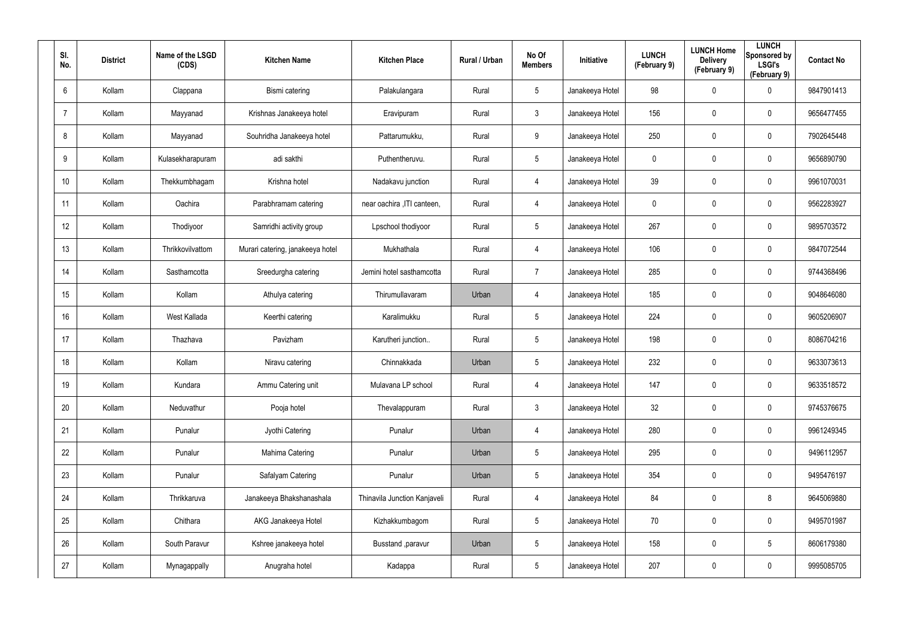| SI.<br>No.     | <b>District</b> | Name of the LSGD<br>(CDS) | <b>Kitchen Name</b>              | <b>Kitchen Place</b>         | Rural / Urban | No Of<br><b>Members</b> | <b>Initiative</b> | <b>LUNCH</b><br>(February 9) | <b>LUNCH Home</b><br><b>Delivery</b><br>(February 9) | <b>LUNCH</b><br>Sponsored by<br><b>LSGI's</b><br>(February 9) | <b>Contact No</b> |
|----------------|-----------------|---------------------------|----------------------------------|------------------------------|---------------|-------------------------|-------------------|------------------------------|------------------------------------------------------|---------------------------------------------------------------|-------------------|
| 6              | Kollam          | Clappana                  | Bismi catering                   | Palakulangara                | Rural         | $5\overline{)}$         | Janakeeya Hotel   | 98                           | 0                                                    | $\mathbf 0$                                                   | 9847901413        |
| $\overline{7}$ | Kollam          | Mayyanad                  | Krishnas Janakeeya hotel         | Eravipuram                   | Rural         | $\mathbf{3}$            | Janakeeya Hotel   | 156                          | 0                                                    | $\mathbf 0$                                                   | 9656477455        |
| 8              | Kollam          | Mayyanad                  | Souhridha Janakeeya hotel        | Pattarumukku,                | Rural         | 9                       | Janakeeya Hotel   | 250                          | 0                                                    | $\mathbf 0$                                                   | 7902645448        |
| 9              | Kollam          | Kulasekharapuram          | adi sakthi                       | Puthentheruvu.               | Rural         | $5\overline{)}$         | Janakeeya Hotel   | 0                            | 0                                                    | $\mathbf 0$                                                   | 9656890790        |
| 10             | Kollam          | Thekkumbhagam             | Krishna hotel                    | Nadakavu junction            | Rural         | $\overline{4}$          | Janakeeya Hotel   | 39                           | 0                                                    | $\mathbf 0$                                                   | 9961070031        |
| 11             | Kollam          | Oachira                   | Parabhramam catering             | near oachira , ITI canteen,  | Rural         | 4                       | Janakeeya Hotel   | 0                            | 0                                                    | $\mathbf 0$                                                   | 9562283927        |
| 12             | Kollam          | Thodiyoor                 | Samridhi activity group          | Lpschool thodiyoor           | Rural         | $5\phantom{.0}$         | Janakeeya Hotel   | 267                          | 0                                                    | $\pmb{0}$                                                     | 9895703572        |
| 13             | Kollam          | Thrikkovilvattom          | Murari catering, janakeeya hotel | Mukhathala                   | Rural         | 4                       | Janakeeya Hotel   | 106                          | 0                                                    | $\mathbf 0$                                                   | 9847072544        |
| 14             | Kollam          | Sasthamcotta              | Sreedurgha catering              | Jemini hotel sasthamcotta    | Rural         | $\overline{7}$          | Janakeeya Hotel   | 285                          | 0                                                    | $\mathbf 0$                                                   | 9744368496        |
| 15             | Kollam          | Kollam                    | Athulya catering                 | Thirumullavaram              | Urban         | 4                       | Janakeeya Hotel   | 185                          | 0                                                    | $\mathbf 0$                                                   | 9048646080        |
| 16             | Kollam          | West Kallada              | Keerthi catering                 | Karalimukku                  | Rural         | $5\phantom{.0}$         | Janakeeya Hotel   | 224                          | 0                                                    | $\mathbf 0$                                                   | 9605206907        |
| 17             | Kollam          | Thazhava                  | Pavizham                         | Karutheri junction           | Rural         | $5\overline{)}$         | Janakeeya Hotel   | 198                          | 0                                                    | $\mathbf 0$                                                   | 8086704216        |
| 18             | Kollam          | Kollam                    | Niravu catering                  | Chinnakkada                  | Urban         | 5                       | Janakeeya Hotel   | 232                          | 0                                                    | $\mathbf 0$                                                   | 9633073613        |
| 19             | Kollam          | Kundara                   | Ammu Catering unit               | Mulavana LP school           | Rural         | 4                       | Janakeeya Hotel   | 147                          | 0                                                    | $\pmb{0}$                                                     | 9633518572        |
| 20             | Kollam          | Neduvathur                | Pooja hotel                      | Thevalappuram                | Rural         | $\mathfrak{Z}$          | Janakeeya Hotel   | 32                           | 0                                                    | $\mathsf{0}$                                                  | 9745376675        |
| 21             | Kollam          | Punalur                   | Jyothi Catering                  | Punalur                      | Urban         | $\overline{4}$          | Janakeeya Hotel   | 280                          | 0                                                    | $\mathsf{0}$                                                  | 9961249345        |
| 22             | Kollam          | Punalur                   | Mahima Catering                  | Punalur                      | Urban         | $5\phantom{.0}$         | Janakeeya Hotel   | 295                          | 0                                                    | $\mathsf{0}$                                                  | 9496112957        |
| 23             | Kollam          | Punalur                   | Safalyam Catering                | Punalur                      | Urban         | $5\phantom{.0}$         | Janakeeya Hotel   | 354                          | $\mathbf 0$                                          | $\mathsf{0}$                                                  | 9495476197        |
| 24             | Kollam          | Thrikkaruva               | Janakeeya Bhakshanashala         | Thinavila Junction Kanjaveli | Rural         | 4                       | Janakeeya Hotel   | 84                           | 0                                                    | 8                                                             | 9645069880        |
| 25             | Kollam          | Chithara                  | AKG Janakeeya Hotel              | Kizhakkumbagom               | Rural         | $5\phantom{.0}$         | Janakeeya Hotel   | 70                           | $\mathbf 0$                                          | $\mathsf{0}$                                                  | 9495701987        |
| 26             | Kollam          | South Paravur             | Kshree janakeeya hotel           | Busstand , paravur           | Urban         | $5\phantom{.0}$         | Janakeeya Hotel   | 158                          | 0                                                    | $5\phantom{.0}$                                               | 8606179380        |
| 27             | Kollam          | Mynagappally              | Anugraha hotel                   | Kadappa                      | Rural         | $5\phantom{.0}$         | Janakeeya Hotel   | 207                          | 0                                                    | $\pmb{0}$                                                     | 9995085705        |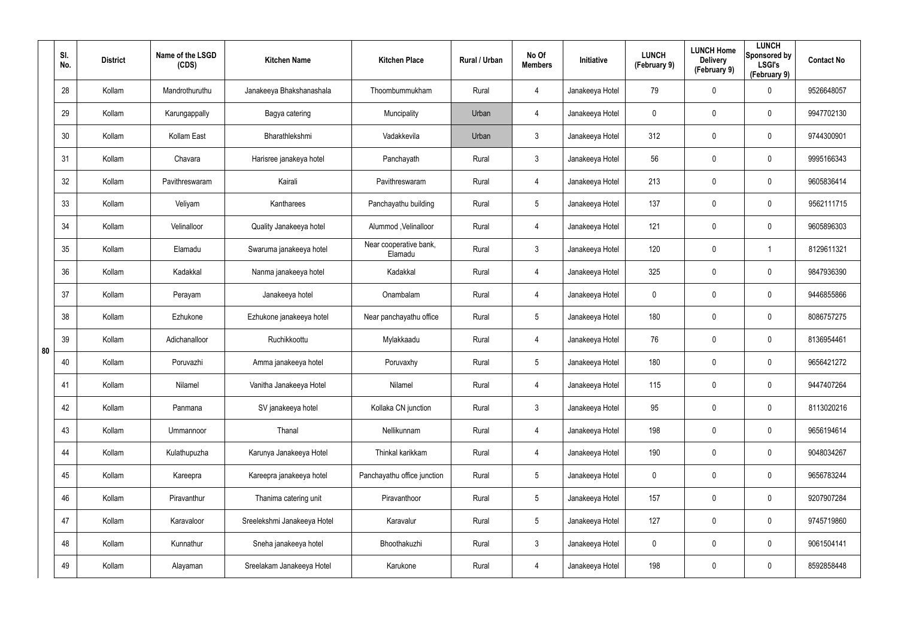|    | SI.<br>No. | <b>District</b> | Name of the LSGD<br>(CDS) | <b>Kitchen Name</b>         | <b>Kitchen Place</b>              | Rural / Urban | No Of<br><b>Members</b> | Initiative      | <b>LUNCH</b><br>(February 9) | <b>LUNCH Home</b><br><b>Delivery</b><br>(February 9) | <b>LUNCH</b><br>Sponsored by<br><b>LSGI's</b><br>(February 9) | <b>Contact No</b> |
|----|------------|-----------------|---------------------------|-----------------------------|-----------------------------------|---------------|-------------------------|-----------------|------------------------------|------------------------------------------------------|---------------------------------------------------------------|-------------------|
|    | 28         | Kollam          | Mandrothuruthu            | Janakeeya Bhakshanashala    | Thoombummukham                    | Rural         | 4                       | Janakeeya Hotel | 79                           | 0                                                    | $\mathbf 0$                                                   | 9526648057        |
|    | 29         | Kollam          | Karungappally             | Bagya catering              | Muncipality                       | Urban         | 4                       | Janakeeya Hotel | 0                            | 0                                                    | $\mathbf 0$                                                   | 9947702130        |
|    | 30         | Kollam          | Kollam East               | Bharathlekshmi              | Vadakkevila                       | Urban         | $\mathbf{3}$            | Janakeeya Hotel | 312                          | 0                                                    | $\mathbf 0$                                                   | 9744300901        |
|    | 31         | Kollam          | Chavara                   | Harisree janakeya hotel     | Panchayath                        | Rural         | 3                       | Janakeeya Hotel | 56                           | 0                                                    | $\mathbf 0$                                                   | 9995166343        |
|    | 32         | Kollam          | Pavithreswaram            | Kairali                     | Pavithreswaram                    | Rural         | 4                       | Janakeeya Hotel | 213                          | 0                                                    | $\mathbf 0$                                                   | 9605836414        |
|    | 33         | Kollam          | Veliyam                   | Kantharees                  | Panchayathu building              | Rural         | $5\phantom{.0}$         | Janakeeya Hotel | 137                          | 0                                                    | $\mathbf 0$                                                   | 9562111715        |
|    | 34         | Kollam          | Velinalloor               | Quality Janakeeya hotel     | Alummod, Velinalloor              | Rural         | 4                       | Janakeeya Hotel | 121                          | $\mathbf 0$                                          | $\pmb{0}$                                                     | 9605896303        |
|    | 35         | Kollam          | Elamadu                   | Swaruma janakeeya hotel     | Near cooperative bank,<br>Elamadu | Rural         | $\mathfrak{Z}$          | Janakeeya Hotel | 120                          | 0                                                    | 1                                                             | 8129611321        |
|    | 36         | Kollam          | Kadakkal                  | Nanma janakeeya hotel       | Kadakkal                          | Rural         | 4                       | Janakeeya Hotel | 325                          | $\mathbf 0$                                          | $\pmb{0}$                                                     | 9847936390        |
|    | 37         | Kollam          | Perayam                   | Janakeeya hotel             | Onambalam                         | Rural         | 4                       | Janakeeya Hotel | 0                            | 0                                                    | $\pmb{0}$                                                     | 9446855866        |
|    | 38         | Kollam          | Ezhukone                  | Ezhukone janakeeya hotel    | Near panchayathu office           | Rural         | $5\phantom{.0}$         | Janakeeya Hotel | 180                          | 0                                                    | $\pmb{0}$                                                     | 8086757275        |
| 80 | 39         | Kollam          | Adichanalloor             | Ruchikkoottu                | Mylakkaadu                        | Rural         | 4                       | Janakeeya Hotel | 76                           | 0                                                    | $\pmb{0}$                                                     | 8136954461        |
|    | 40         | Kollam          | Poruvazhi                 | Amma janakeeya hotel        | Poruvaxhy                         | Rural         | $5\phantom{.0}$         | Janakeeya Hotel | 180                          | 0                                                    | 0                                                             | 9656421272        |
|    | 41         | Kollam          | Nilamel                   | Vanitha Janakeeya Hotel     | Nilamel                           | Rural         | 4                       | Janakeeya Hotel | 115                          | $\pmb{0}$                                            | $\pmb{0}$                                                     | 9447407264        |
|    | 42         | Kollam          | Panmana                   | SV janakeeya hotel          | Kollaka CN junction               | Rural         | $\mathfrak{Z}$          | Janakeeya Hotel | 95                           | $\mathbf 0$                                          | $\mathsf{0}$                                                  | 8113020216        |
|    | 43         | Kollam          | Ummannoor                 | Thanal                      | Nellikunnam                       | Rural         | 4                       | Janakeeya Hotel | 198                          | $\pmb{0}$                                            | $\mathsf{0}$                                                  | 9656194614        |
|    | 44         | Kollam          | Kulathupuzha              | Karunya Janakeeya Hotel     | Thinkal karikkam                  | Rural         | 4                       | Janakeeya Hotel | 190                          | $\mathbf 0$                                          | $\mathsf{0}$                                                  | 9048034267        |
|    | 45         | Kollam          | Kareepra                  | Kareepra janakeeya hotel    | Panchayathu office junction       | Rural         | $5\phantom{.0}$         | Janakeeya Hotel | $\mathbf 0$                  | $\mathbf 0$                                          | $\mathsf{0}$                                                  | 9656783244        |
|    | 46         | Kollam          | Piravanthur               | Thanima catering unit       | Piravanthoor                      | Rural         | $5\phantom{.0}$         | Janakeeya Hotel | 157                          | $\mathbf 0$                                          | $\mathbf 0$                                                   | 9207907284        |
|    | 47         | Kollam          | Karavaloor                | Sreelekshmi Janakeeya Hotel | Karavalur                         | Rural         | $5\phantom{.0}$         | Janakeeya Hotel | 127                          | $\mathbf 0$                                          | $\mathsf{0}$                                                  | 9745719860        |
|    | 48         | Kollam          | Kunnathur                 | Sneha janakeeya hotel       | Bhoothakuzhi                      | Rural         | $\mathbf{3}$            | Janakeeya Hotel | 0                            | $\mathbf 0$                                          | $\mathbf 0$                                                   | 9061504141        |
|    | 49         | Kollam          | Alayaman                  | Sreelakam Janakeeya Hotel   | Karukone                          | Rural         | 4                       | Janakeeya Hotel | 198                          | $\pmb{0}$                                            | $\mathsf{0}$                                                  | 8592858448        |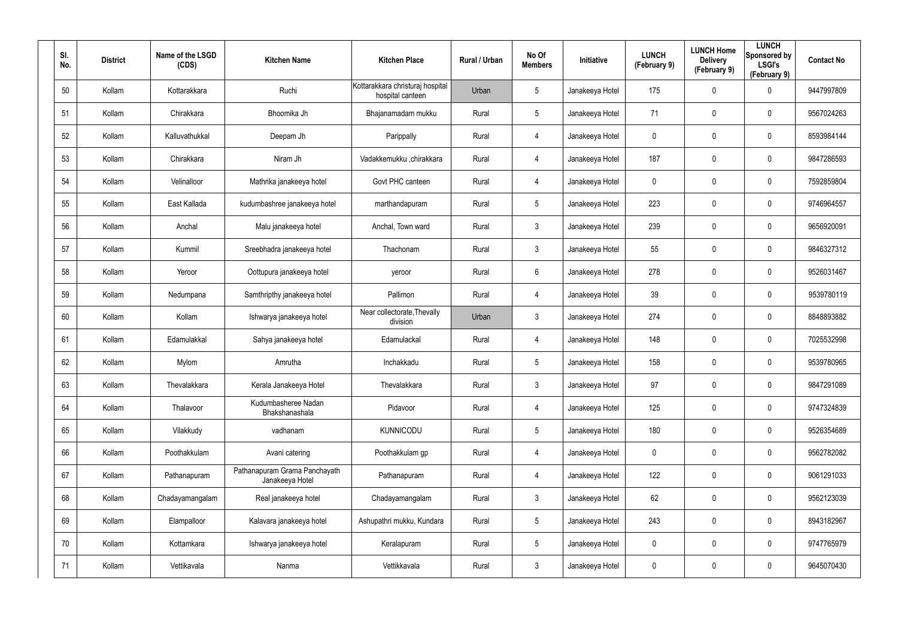| SI.<br>No. | <b>District</b> | Name of the LSGD<br>(CDS) | <b>Kitchen Name</b>                              | <b>Kitchen Place</b>                                 | <b>Rural / Urban</b> | No Of<br><b>Members</b> | <b>Initiative</b> | <b>LUNCH</b><br>(February 9) | <b>LUNCH Home</b><br><b>Delivery</b><br>(February 9) | <b>LUNCH</b><br>Sponsored by<br><b>LSGI's</b><br>(February 9) | <b>Contact No</b> |
|------------|-----------------|---------------------------|--------------------------------------------------|------------------------------------------------------|----------------------|-------------------------|-------------------|------------------------------|------------------------------------------------------|---------------------------------------------------------------|-------------------|
| 50         | Kollam          | Kottarakkara              | Ruchi                                            | Kottarakkara christuraj hospital<br>hospital canteen | Urban                | $5\overline{)}$         | Janakeeya Hotel   | 175                          | 0                                                    | $\mathbf 0$                                                   | 9447997809        |
| 51         | Kollam          | Chirakkara                | Bhoomika Jh                                      | Bhajanamadam mukku                                   | Rural                | $5\overline{)}$         | Janakeeya Hotel   | 71                           | 0                                                    | $\mathbf 0$                                                   | 9567024263        |
| 52         | Kollam          | Kalluvathukkal            | Deepam Jh                                        | Parippally                                           | Rural                | 4                       | Janakeeya Hotel   | $\mathbf 0$                  | 0                                                    | $\mathbf 0$                                                   | 8593984144        |
| 53         | Kollam          | Chirakkara                | Niram Jh                                         | Vadakkemukku ,chirakkara                             | Rural                | 4                       | Janakeeya Hotel   | 187                          | 0                                                    | $\mathbf 0$                                                   | 9847286593        |
| 54         | Kollam          | Velinalloor               | Mathrika janakeeya hotel                         | Govt PHC canteen                                     | Rural                | 4                       | Janakeeya Hotel   | 0                            | 0                                                    | $\mathbf 0$                                                   | 7592859804        |
| 55         | Kollam          | East Kallada              | kudumbashree janakeeya hotel                     | marthandapuram                                       | Rural                | $5\overline{)}$         | Janakeeya Hotel   | 223                          | 0                                                    | $\mathbf 0$                                                   | 9746964557        |
| 56         | Kollam          | Anchal                    | Malu janakeeya hotel                             | Anchal, Town ward                                    | Rural                | $\mathbf{3}$            | Janakeeya Hotel   | 239                          | 0                                                    | $\pmb{0}$                                                     | 9656920091        |
| 57         | Kollam          | Kummil                    | Sreebhadra janakeeya hotel                       | Thachonam                                            | Rural                | $\mathbf{3}$            | Janakeeya Hotel   | 55                           | 0                                                    | $\mathbf 0$                                                   | 9846327312        |
| 58         | Kollam          | Yeroor                    | Oottupura janakeeya hotel                        | yeroor                                               | Rural                | 6                       | Janakeeya Hotel   | 278                          | 0                                                    | $\boldsymbol{0}$                                              | 9526031467        |
| 59         | Kollam          | Nedumpana                 | Samthripthy janakeeya hotel                      | Pallimon                                             | Rural                | 4                       | Janakeeya Hotel   | 39                           | 0                                                    | $\mathbf 0$                                                   | 9539780119        |
| 60         | Kollam          | Kollam                    | Ishwarya janakeeya hotel                         | Near collectorate, Thevally<br>division              | Urban                | $\mathbf{3}$            | Janakeeya Hotel   | 274                          | 0                                                    | $\boldsymbol{0}$                                              | 8848893882        |
| 61         | Kollam          | Edamulakkal               | Sahya janakeeya hotel                            | Edamulackal                                          | Rural                | 4                       | Janakeeya Hotel   | 148                          | 0                                                    | $\mathbf 0$                                                   | 7025532998        |
| 62         | Kollam          | Mylom                     | Amrutha                                          | Inchakkadu                                           | Rural                | 5                       | Janakeeya Hotel   | 158                          | 0                                                    | $\mathbf 0$                                                   | 9539780965        |
| 63         | Kollam          | Thevalakkara              | Kerala Janakeeya Hotel                           | Thevalakkara                                         | Rural                | $\mathfrak{Z}$          | Janakeeya Hotel   | 97                           | 0                                                    | $\pmb{0}$                                                     | 9847291089        |
| 64         | Kollam          | Thalavoor                 | Kudumbasheree Nadan<br>Bhakshanashala            | Pidavoor                                             | Rural                | 4                       | Janakeeya Hotel   | 125                          | 0                                                    | $\mathsf{0}$                                                  | 9747324839        |
| 65         | Kollam          | Vilakkudy                 | vadhanam                                         | KUNNICODU                                            | Rural                | $5\phantom{.0}$         | Janakeeya Hotel   | 180                          | 0                                                    | $\mathsf{0}$                                                  | 9526354689        |
| 66         | Kollam          | Poothakkulam              | Avani catering                                   | Poothakkulam gp                                      | Rural                | 4                       | Janakeeya Hotel   | $\boldsymbol{0}$             | 0                                                    | $\mathsf{0}$                                                  | 9562782082        |
| 67         | Kollam          | Pathanapuram              | Pathanapuram Grama Panchayath<br>Janakeeya Hotel | Pathanapuram                                         | Rural                | 4                       | Janakeeya Hotel   | 122                          | 0                                                    | $\mathbf 0$                                                   | 9061291033        |
| 68         | Kollam          | Chadayamangalam           | Real janakeeya hotel                             | Chadayamangalam                                      | Rural                | $\mathbf{3}$            | Janakeeya Hotel   | 62                           | 0                                                    | $\mathbf 0$                                                   | 9562123039        |
| 69         | Kollam          | Elampalloor               | Kalavara janakeeya hotel                         | Ashupathri mukku, Kundara                            | Rural                | $5\phantom{.0}$         | Janakeeya Hotel   | 243                          | 0                                                    | $\mathbf 0$                                                   | 8943182967        |
| 70         | Kollam          | Kottamkara                | Ishwarya janakeeya hotel                         | Keralapuram                                          | Rural                | $5\phantom{.0}$         | Janakeeya Hotel   | $\mathbf 0$                  | 0                                                    | $\mathbf 0$                                                   | 9747765979        |
| 71         | Kollam          | Vettikavala               | Nanma                                            | Vettikkavala                                         | Rural                | $\mathfrak{Z}$          | Janakeeya Hotel   | $\mathbf 0$                  | 0                                                    | $\mathsf{0}$                                                  | 9645070430        |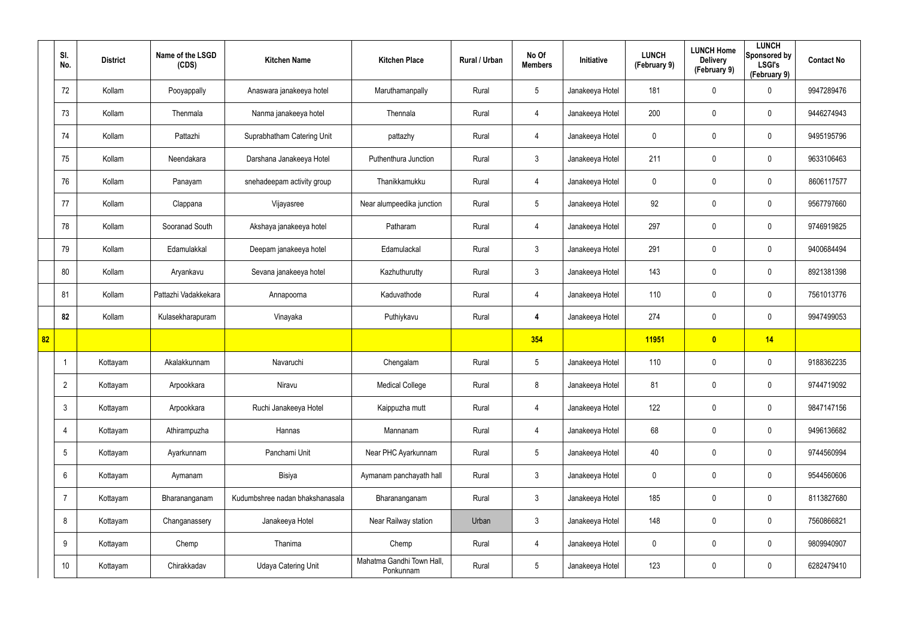|    | SI.<br>No.      | <b>District</b> | Name of the LSGD<br>(CDS) | <b>Kitchen Name</b>             | <b>Kitchen Place</b>                   | Rural / Urban | No Of<br><b>Members</b> | Initiative      | <b>LUNCH</b><br>(February 9) | <b>LUNCH Home</b><br><b>Delivery</b><br>(February 9) | <b>LUNCH</b><br>Sponsored by<br><b>LSGI's</b><br>(February 9) | <b>Contact No</b> |
|----|-----------------|-----------------|---------------------------|---------------------------------|----------------------------------------|---------------|-------------------------|-----------------|------------------------------|------------------------------------------------------|---------------------------------------------------------------|-------------------|
|    | 72              | Kollam          | Pooyappally               | Anaswara janakeeya hotel        | Maruthamanpally                        | Rural         | $5\phantom{.0}$         | Janakeeya Hotel | 181                          | 0                                                    | $\mathbf 0$                                                   | 9947289476        |
|    | 73              | Kollam          | Thenmala                  | Nanma janakeeya hotel           | Thennala                               | Rural         | $\overline{4}$          | Janakeeya Hotel | 200                          | 0                                                    | $\mathbf 0$                                                   | 9446274943        |
|    | 74              | Kollam          | Pattazhi                  | Suprabhatham Catering Unit      | pattazhy                               | Rural         | $\overline{4}$          | Janakeeya Hotel | 0                            | 0                                                    | $\mathbf 0$                                                   | 9495195796        |
|    | 75              | Kollam          | Neendakara                | Darshana Janakeeya Hotel        | Puthenthura Junction                   | Rural         | $\mathbf{3}$            | Janakeeya Hotel | 211                          | 0                                                    | $\mathbf 0$                                                   | 9633106463        |
|    | 76              | Kollam          | Panayam                   | snehadeepam activity group      | Thanikkamukku                          | Rural         | $\overline{4}$          | Janakeeya Hotel | 0                            | 0                                                    | $\mathbf 0$                                                   | 8606117577        |
|    | 77              | Kollam          | Clappana                  | Vijayasree                      | Near alumpeedika junction              | Rural         | $5\overline{)}$         | Janakeeya Hotel | 92                           | 0                                                    | $\mathbf 0$                                                   | 9567797660        |
|    | 78              | Kollam          | Sooranad South            | Akshaya janakeeya hotel         | Patharam                               | Rural         | $\overline{4}$          | Janakeeya Hotel | 297                          | 0                                                    | $\mathbf 0$                                                   | 9746919825        |
|    | 79              | Kollam          | Edamulakkal               | Deepam janakeeya hotel          | Edamulackal                            | Rural         | $\mathbf{3}$            | Janakeeya Hotel | 291                          | 0                                                    | $\mathbf 0$                                                   | 9400684494        |
|    | 80              | Kollam          | Aryankavu                 | Sevana janakeeya hotel          | Kazhuthurutty                          | Rural         | $\mathbf{3}$            | Janakeeya Hotel | 143                          | 0                                                    | $\mathbf 0$                                                   | 8921381398        |
|    | 81              | Kollam          | Pattazhi Vadakkekara      | Annapoorna                      | Kaduvathode                            | Rural         | $\overline{4}$          | Janakeeya Hotel | 110                          | 0                                                    | $\mathbf 0$                                                   | 7561013776        |
|    | 82              | Kollam          | Kulasekharapuram          | Vinayaka                        | Puthiykavu                             | Rural         | 4                       | Janakeeya Hotel | 274                          | 0                                                    | $\mathbf 0$                                                   | 9947499053        |
| 82 |                 |                 |                           |                                 |                                        |               | 354                     |                 | 11951                        | $\overline{\mathbf{0}}$                              | 14                                                            |                   |
|    |                 | Kottayam        | Akalakkunnam              | Navaruchi                       | Chengalam                              | Rural         | $5\phantom{.0}$         | Janakeeya Hotel | 110                          | 0                                                    | $\boldsymbol{0}$                                              | 9188362235        |
|    | $\overline{2}$  | Kottayam        | Arpookkara                | Niravu                          | <b>Medical College</b>                 | Rural         | 8                       | Janakeeya Hotel | 81                           | $\pmb{0}$                                            | $\pmb{0}$                                                     | 9744719092        |
|    | $\mathbf{3}$    | Kottayam        | Arpookkara                | Ruchi Janakeeya Hotel           | Kaippuzha mutt                         | Rural         | $\overline{4}$          | Janakeeya Hotel | 122                          | $\mathbf 0$                                          | $\mathbf 0$                                                   | 9847147156        |
|    | $\overline{4}$  | Kottayam        | Athirampuzha              | Hannas                          | Mannanam                               | Rural         | $\overline{4}$          | Janakeeya Hotel | 68                           | $\mathbf 0$                                          | $\pmb{0}$                                                     | 9496136682        |
|    | $5\overline{)}$ | Kottayam        | Ayarkunnam                | Panchami Unit                   | Near PHC Ayarkunnam                    | Rural         | $5\phantom{.0}$         | Janakeeya Hotel | 40                           | $\mathbf 0$                                          | $\pmb{0}$                                                     | 9744560994        |
|    | $6\overline{6}$ | Kottayam        | Aymanam                   | Bisiya                          | Aymanam panchayath hall                | Rural         | $\mathbf{3}$            | Janakeeya Hotel | 0                            | 0                                                    | $\mathbf 0$                                                   | 9544560606        |
|    | $\overline{7}$  | Kottayam        | Bharananganam             | Kudumbshree nadan bhakshanasala | Bharananganam                          | Rural         | $\mathbf{3}$            | Janakeeya Hotel | 185                          | 0                                                    | $\mathbf 0$                                                   | 8113827680        |
|    | 8               | Kottayam        | Changanassery             | Janakeeya Hotel                 | Near Railway station                   | Urban         | $\mathbf{3}$            | Janakeeya Hotel | 148                          | 0                                                    | $\pmb{0}$                                                     | 7560866821        |
|    | 9               | Kottayam        | Chemp                     | Thanima                         | Chemp                                  | Rural         | 4                       | Janakeeya Hotel | 0                            | 0                                                    | $\mathbf 0$                                                   | 9809940907        |
|    | 10 <sup>°</sup> | Kottayam        | Chirakkadav               | <b>Udaya Catering Unit</b>      | Mahatma Gandhi Town Hall,<br>Ponkunnam | Rural         | $5\phantom{.0}$         | Janakeeya Hotel | 123                          | 0                                                    | $\pmb{0}$                                                     | 6282479410        |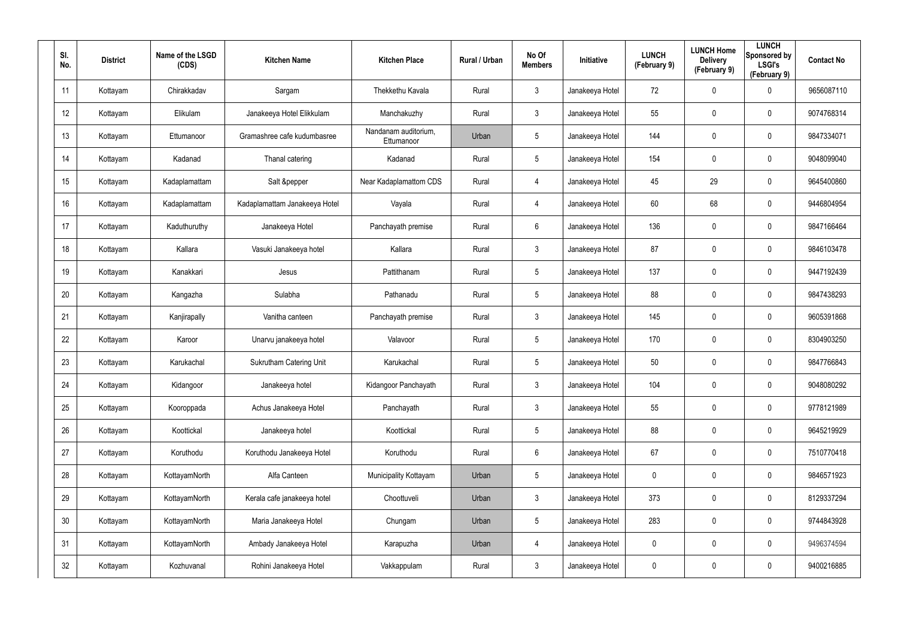| SI.<br>No.      | <b>District</b> | Name of the LSGD<br>(CDS) | <b>Kitchen Name</b>            | <b>Kitchen Place</b>               | Rural / Urban | No Of<br><b>Members</b> | Initiative      | <b>LUNCH</b><br>(February 9) | <b>LUNCH Home</b><br><b>Delivery</b><br>(February 9) | <b>LUNCH</b><br>Sponsored by<br><b>LSGI's</b><br>(February 9) | <b>Contact No</b> |
|-----------------|-----------------|---------------------------|--------------------------------|------------------------------------|---------------|-------------------------|-----------------|------------------------------|------------------------------------------------------|---------------------------------------------------------------|-------------------|
| 11              | Kottayam        | Chirakkadav               | Sargam                         | Thekkethu Kavala                   | Rural         | $\mathbf{3}$            | Janakeeya Hotel | 72                           | 0                                                    | $\mathbf 0$                                                   | 9656087110        |
| 12              | Kottayam        | Elikulam                  | Janakeeya Hotel Elikkulam      | Manchakuzhy                        | Rural         | $\mathbf{3}$            | Janakeeya Hotel | 55                           | 0                                                    | $\mathbf 0$                                                   | 9074768314        |
| 13              | Kottayam        | Ettumanoor                | Gramashree cafe kudumbasree    | Nandanam auditorium,<br>Ettumanoor | Urban         | 5                       | Janakeeya Hotel | 144                          | 0                                                    | $\pmb{0}$                                                     | 9847334071        |
| 14              | Kottayam        | Kadanad                   | Thanal catering                | Kadanad                            | Rural         | 5                       | Janakeeya Hotel | 154                          | 0                                                    | $\mathbf 0$                                                   | 9048099040        |
| 15              | Kottayam        | Kadaplamattam             | Salt &pepper                   | Near Kadaplamattom CDS             | Rural         | $\overline{4}$          | Janakeeya Hotel | 45                           | 29                                                   | $\mathbf 0$                                                   | 9645400860        |
| 16              | Kottayam        | Kadaplamattam             | Kadaplamattam Janakeeya Hotel  | Vayala                             | Rural         | $\overline{4}$          | Janakeeya Hotel | 60                           | 68                                                   | $\boldsymbol{0}$                                              | 9446804954        |
| 17              | Kottayam        | Kaduthuruthy              | Janakeeya Hotel                | Panchayath premise                 | Rural         | 6                       | Janakeeya Hotel | 136                          | $\mathbf 0$                                          | $\mathbf 0$                                                   | 9847166464        |
| 18              | Kottayam        | Kallara                   | Vasuki Janakeeya hotel         | Kallara                            | Rural         | $\mathbf{3}$            | Janakeeya Hotel | 87                           | 0                                                    | $\mathbf 0$                                                   | 9846103478        |
| 19              | Kottayam        | Kanakkari                 | Jesus                          | Pattithanam                        | Rural         | $5\phantom{.0}$         | Janakeeya Hotel | 137                          | $\mathbf 0$                                          | $\boldsymbol{0}$                                              | 9447192439        |
| 20              | Kottayam        | Kangazha                  | Sulabha                        | Pathanadu                          | Rural         | $5\phantom{.0}$         | Janakeeya Hotel | 88                           | 0                                                    | $\mathbf 0$                                                   | 9847438293        |
| 21              | Kottayam        | Kanjirapally              | Vanitha canteen                | Panchayath premise                 | Rural         | $\mathbf{3}$            | Janakeeya Hotel | 145                          | $\mathbf 0$                                          | $\boldsymbol{0}$                                              | 9605391868        |
| 22              | Kottayam        | Karoor                    | Unarvu janakeeya hotel         | Valavoor                           | Rural         | $5\phantom{.0}$         | Janakeeya Hotel | 170                          | $\mathbf 0$                                          | $\mathbf 0$                                                   | 8304903250        |
| 23              | Kottayam        | Karukachal                | <b>Sukrutham Catering Unit</b> | Karukachal                         | Rural         | $5\phantom{.0}$         | Janakeeya Hotel | 50                           | $\mathbf 0$                                          | $\mathbf 0$                                                   | 9847766843        |
| 24              | Kottayam        | Kidangoor                 | Janakeeya hotel                | Kidangoor Panchayath               | Rural         | $\mathbf{3}$            | Janakeeya Hotel | 104                          | $\mathbf 0$                                          | $\pmb{0}$                                                     | 9048080292        |
| 25              | Kottayam        | Kooroppada                | Achus Janakeeya Hotel          | Panchayath                         | Rural         | $\mathbf{3}$            | Janakeeya Hotel | 55                           | $\mathbf 0$                                          | $\mathbf 0$                                                   | 9778121989        |
| 26              | Kottayam        | Koottickal                | Janakeeya hotel                | Koottickal                         | Rural         | $5\phantom{.0}$         | Janakeeya Hotel | 88                           | $\mathbf 0$                                          | $\mathbf 0$                                                   | 9645219929        |
| 27              | Kottayam        | Koruthodu                 | Koruthodu Janakeeya Hotel      | Koruthodu                          | Rural         | $6\phantom{.}6$         | Janakeeya Hotel | 67                           | $\mathbf 0$                                          | $\mathbf 0$                                                   | 7510770418        |
| 28              | Kottayam        | KottayamNorth             | Alfa Canteen                   | Municipality Kottayam              | Urban         | 5                       | Janakeeya Hotel | $\mathbf 0$                  | $\mathbf 0$                                          | $\mathbf 0$                                                   | 9846571923        |
| 29              | Kottayam        | KottayamNorth             | Kerala cafe janakeeya hotel    | Choottuveli                        | Urban         | $\mathbf{3}$            | Janakeeya Hotel | 373                          | $\mathbf 0$                                          | $\mathbf 0$                                                   | 8129337294        |
| 30 <sup>°</sup> | Kottayam        | KottayamNorth             | Maria Janakeeya Hotel          | Chungam                            | Urban         | 5                       | Janakeeya Hotel | 283                          | $\mathbf 0$                                          | $\pmb{0}$                                                     | 9744843928        |
| 31              | Kottayam        | KottayamNorth             | Ambady Janakeeya Hotel         | Karapuzha                          | Urban         | $\overline{4}$          | Janakeeya Hotel | 0                            | $\mathbf 0$                                          | $\mathbf 0$                                                   | 9496374594        |
| 32              | Kottayam        | Kozhuvanal                | Rohini Janakeeya Hotel         | Vakkappulam                        | Rural         | $\mathfrak{Z}$          | Janakeeya Hotel | 0                            | $\mathbf 0$                                          | $\pmb{0}$                                                     | 9400216885        |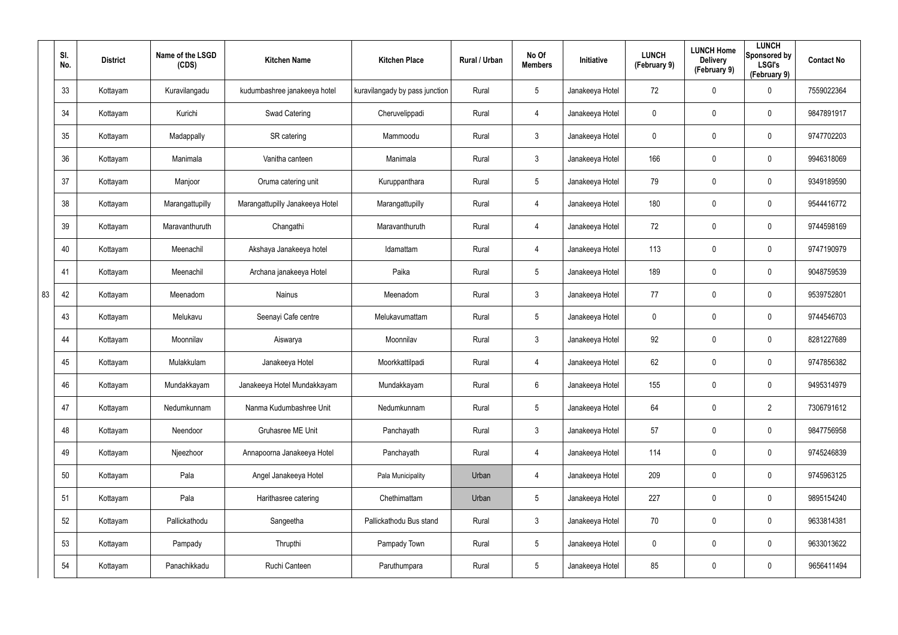|    | SI.<br>No. | <b>District</b> | Name of the LSGD<br>(CDS) | <b>Kitchen Name</b>             | <b>Kitchen Place</b>           | Rural / Urban | No Of<br><b>Members</b> | Initiative      | <b>LUNCH</b><br>(February 9) | <b>LUNCH Home</b><br><b>Delivery</b><br>(February 9) | <b>LUNCH</b><br>Sponsored by<br><b>LSGI's</b><br>(February 9) | <b>Contact No</b> |
|----|------------|-----------------|---------------------------|---------------------------------|--------------------------------|---------------|-------------------------|-----------------|------------------------------|------------------------------------------------------|---------------------------------------------------------------|-------------------|
|    | 33         | Kottayam        | Kuravilangadu             | kudumbashree janakeeya hotel    | kuravilangady by pass junction | Rural         | $5\phantom{.0}$         | Janakeeya Hotel | 72                           | 0                                                    | 0                                                             | 7559022364        |
|    | 34         | Kottayam        | Kurichi                   | Swad Catering                   | Cheruvelippadi                 | Rural         | $\overline{4}$          | Janakeeya Hotel | 0                            | $\mathbf 0$                                          | $\mathbf 0$                                                   | 9847891917        |
|    | 35         | Kottayam        | Madappally                | SR catering                     | Mammoodu                       | Rural         | $\mathbf{3}$            | Janakeeya Hotel | $\boldsymbol{0}$             | 0                                                    | $\pmb{0}$                                                     | 9747702203        |
|    | 36         | Kottayam        | Manimala                  | Vanitha canteen                 | Manimala                       | Rural         | $\mathbf{3}$            | Janakeeya Hotel | 166                          | 0                                                    | $\mathbf 0$                                                   | 9946318069        |
|    | 37         | Kottayam        | Manjoor                   | Oruma catering unit             | Kuruppanthara                  | Rural         | $5\phantom{.0}$         | Janakeeya Hotel | 79                           | 0                                                    | $\pmb{0}$                                                     | 9349189590        |
|    | 38         | Kottayam        | Marangattupilly           | Marangattupilly Janakeeya Hotel | Marangattupilly                | Rural         | 4                       | Janakeeya Hotel | 180                          | 0                                                    | $\pmb{0}$                                                     | 9544416772        |
|    | 39         | Kottayam        | Maravanthuruth            | Changathi                       | Maravanthuruth                 | Rural         | 4                       | Janakeeya Hotel | 72                           | 0                                                    | $\pmb{0}$                                                     | 9744598169        |
|    | 40         | Kottayam        | Meenachil                 | Akshaya Janakeeya hotel         | Idamattam                      | Rural         | 4                       | Janakeeya Hotel | 113                          | 0                                                    | $\mathbf 0$                                                   | 9747190979        |
|    | 41         | Kottayam        | Meenachil                 | Archana janakeeya Hotel         | Paika                          | Rural         | $5\phantom{.0}$         | Janakeeya Hotel | 189                          | 0                                                    | $\pmb{0}$                                                     | 9048759539        |
| 83 | 42         | Kottayam        | Meenadom                  | Nainus                          | Meenadom                       | Rural         | $\mathbf{3}$            | Janakeeya Hotel | 77                           | 0                                                    | $\mathbf 0$                                                   | 9539752801        |
|    | 43         | Kottayam        | Melukavu                  | Seenayi Cafe centre             | Melukavumattam                 | Rural         | $5\phantom{.0}$         | Janakeeya Hotel | $\mathbf 0$                  | 0                                                    | $\pmb{0}$                                                     | 9744546703        |
|    | 44         | Kottayam        | Moonnilav                 | Aiswarya                        | Moonnilav                      | Rural         | $\mathbf{3}$            | Janakeeya Hotel | 92                           | 0                                                    | $\mathbf 0$                                                   | 8281227689        |
|    | 45         | Kottayam        | Mulakkulam                | Janakeeya Hotel                 | Moorkkattilpadi                | Rural         | 4                       | Janakeeya Hotel | 62                           | 0                                                    | 0                                                             | 9747856382        |
|    | 46         | Kottayam        | Mundakkayam               | Janakeeya Hotel Mundakkayam     | Mundakkayam                    | Rural         | 6                       | Janakeeya Hotel | 155                          | 0                                                    | $\pmb{0}$                                                     | 9495314979        |
|    | 47         | Kottayam        | Nedumkunnam               | Nanma Kudumbashree Unit         | Nedumkunnam                    | Rural         | $5\phantom{.0}$         | Janakeeya Hotel | 64                           | 0                                                    | $\overline{2}$                                                | 7306791612        |
|    | 48         | Kottayam        | Neendoor                  | Gruhasree ME Unit               | Panchayath                     | Rural         | $\mathbf{3}$            | Janakeeya Hotel | 57                           | 0                                                    | $\mathbf 0$                                                   | 9847756958        |
|    | 49         | Kottayam        | Njeezhoor                 | Annapoorna Janakeeya Hotel      | Panchayath                     | Rural         | 4                       | Janakeeya Hotel | 114                          | 0                                                    | $\mathbf 0$                                                   | 9745246839        |
|    | 50         | Kottayam        | Pala                      | Angel Janakeeya Hotel           | Pala Municipality              | Urban         | 4                       | Janakeeya Hotel | 209                          | 0                                                    | $\mathbf 0$                                                   | 9745963125        |
|    | 51         | Kottayam        | Pala                      | Harithasree catering            | Chethimattam                   | Urban         | $5\phantom{.0}$         | Janakeeya Hotel | 227                          | 0                                                    | $\mathbf 0$                                                   | 9895154240        |
|    | 52         | Kottayam        | Pallickathodu             | Sangeetha                       | Pallickathodu Bus stand        | Rural         | $\mathbf{3}$            | Janakeeya Hotel | 70                           | 0                                                    | $\mathbf 0$                                                   | 9633814381        |
|    | 53         | Kottayam        | Pampady                   | Thrupthi                        | Pampady Town                   | Rural         | $5\phantom{.0}$         | Janakeeya Hotel | 0                            | 0                                                    | $\mathbf 0$                                                   | 9633013622        |
|    | 54         | Kottayam        | Panachikkadu              | Ruchi Canteen                   | Paruthumpara                   | Rural         | $5\phantom{.0}$         | Janakeeya Hotel | 85                           | 0                                                    | $\mathsf{0}$                                                  | 9656411494        |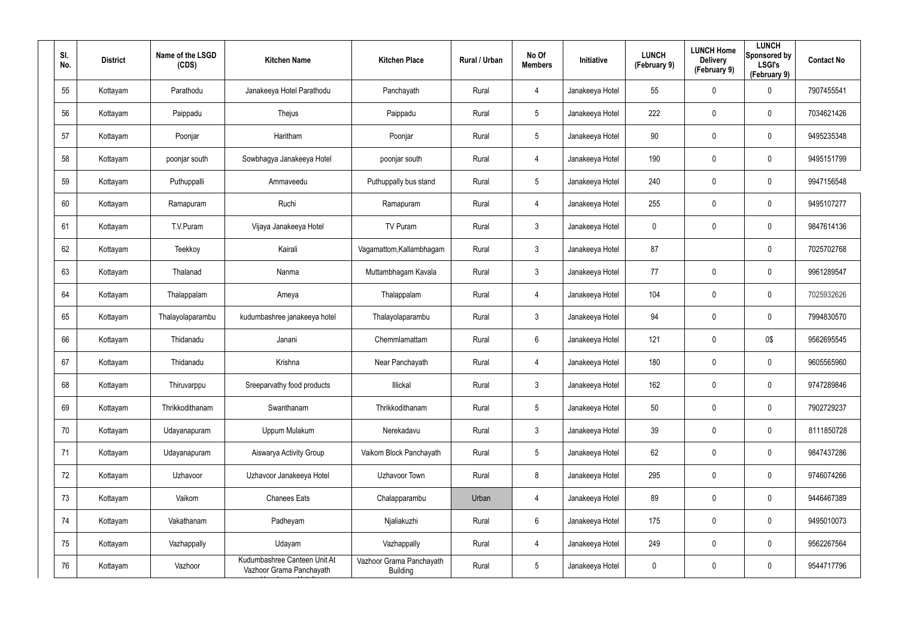| SI.<br>No. | <b>District</b> | Name of the LSGD<br>(CDS) | <b>Kitchen Name</b>                                      | <b>Kitchen Place</b>                 | Rural / Urban | No Of<br><b>Members</b> | Initiative      | <b>LUNCH</b><br>(February 9) | <b>LUNCH Home</b><br><b>Delivery</b><br>(February 9) | <b>LUNCH</b><br>Sponsored by<br><b>LSGI's</b><br>(February 9) | <b>Contact No</b> |
|------------|-----------------|---------------------------|----------------------------------------------------------|--------------------------------------|---------------|-------------------------|-----------------|------------------------------|------------------------------------------------------|---------------------------------------------------------------|-------------------|
| 55         | Kottayam        | Parathodu                 | Janakeeya Hotel Parathodu                                | Panchayath                           | Rural         | 4                       | Janakeeya Hotel | 55                           | $\mathbf 0$                                          | 0                                                             | 7907455541        |
| 56         | Kottayam        | Paippadu                  | Thejus                                                   | Paippadu                             | Rural         | $5\overline{)}$         | Janakeeya Hotel | 222                          | $\mathbf 0$                                          | $\mathbf 0$                                                   | 7034621426        |
| 57         | Kottayam        | Poonjar                   | Haritham                                                 | Poonjar                              | Rural         | $5\phantom{.0}$         | Janakeeya Hotel | 90                           | $\mathbf 0$                                          | $\mathbf 0$                                                   | 9495235348        |
| 58         | Kottayam        | poonjar south             | Sowbhagya Janakeeya Hotel                                | poonjar south                        | Rural         | 4                       | Janakeeya Hotel | 190                          | $\mathbf 0$                                          | $\mathbf 0$                                                   | 9495151799        |
| 59         | Kottayam        | Puthuppalli               | Ammaveedu                                                | Puthuppally bus stand                | Rural         | $5\phantom{.0}$         | Janakeeya Hotel | 240                          | $\mathbf 0$                                          | $\mathbf 0$                                                   | 9947156548        |
| 60         | Kottayam        | Ramapuram                 | Ruchi                                                    | Ramapuram                            | Rural         | 4                       | Janakeeya Hotel | 255                          | $\mathbf 0$                                          | $\mathbf 0$                                                   | 9495107277        |
| 61         | Kottayam        | T.V.Puram                 | Vijaya Janakeeya Hotel                                   | TV Puram                             | Rural         | $\mathbf{3}$            | Janakeeya Hotel | 0                            | $\pmb{0}$                                            | 0                                                             | 9847614136        |
| 62         | Kottayam        | Teekkoy                   | Kairali                                                  | Vagamattom, Kallambhagam             | Rural         | $\mathbf{3}$            | Janakeeya Hotel | 87                           |                                                      | 0                                                             | 7025702768        |
| 63         | Kottayam        | Thalanad                  | Nanma                                                    | Muttambhagam Kavala                  | Rural         | $\mathbf{3}$            | Janakeeya Hotel | 77                           | $\pmb{0}$                                            | 0                                                             | 9961289547        |
| 64         | Kottayam        | Thalappalam               | Ameya                                                    | Thalappalam                          | Rural         | 4                       | Janakeeya Hotel | 104                          | $\boldsymbol{0}$                                     | $\mathbf 0$                                                   | 7025932626        |
| 65         | Kottayam        | Thalayolaparambu          | kudumbashree janakeeya hotel                             | Thalayolaparambu                     | Rural         | $\mathbf{3}$            | Janakeeya Hotel | 94                           | $\pmb{0}$                                            | 0                                                             | 7994830570        |
| 66         | Kottayam        | Thidanadu                 | Janani                                                   | Chemmlamattam                        | Rural         | 6                       | Janakeeya Hotel | 121                          | $\boldsymbol{0}$                                     | 0\$                                                           | 9562695545        |
| 67         | Kottayam        | Thidanadu                 | Krishna                                                  | Near Panchayath                      | Rural         | 4                       | Janakeeya Hotel | 180                          | $\pmb{0}$                                            | 0                                                             | 9605565960        |
| 68         | Kottayam        | Thiruvarppu               | Sreeparvathy food products                               | Illickal                             | Rural         | $\mathfrak{Z}$          | Janakeeya Hotel | 162                          | $\pmb{0}$                                            | $\pmb{0}$                                                     | 9747289846        |
| 69         | Kottayam        | Thrikkodithanam           | Swanthanam                                               | Thrikkodithanam                      | Rural         | $5\phantom{.0}$         | Janakeeya Hotel | 50                           | $\pmb{0}$                                            | $\pmb{0}$                                                     | 7902729237        |
| 70         | Kottayam        | Udayanapuram              | Uppum Mulakum                                            | Nerekadavu                           | Rural         | $\mathbf{3}$            | Janakeeya Hotel | 39                           | $\pmb{0}$                                            | $\pmb{0}$                                                     | 8111850728        |
| 71         | Kottayam        | Udayanapuram              | Aiswarya Activity Group                                  | Vaikom Block Panchayath              | Rural         | $5\phantom{.0}$         | Janakeeya Hotel | 62                           | $\pmb{0}$                                            | $\pmb{0}$                                                     | 9847437286        |
| 72         | Kottayam        | Uzhavoor                  | Uzhavoor Janakeeya Hotel                                 | Uzhavoor Town                        | Rural         | 8                       | Janakeeya Hotel | 295                          | $\overline{0}$                                       | $\pmb{0}$                                                     | 9746074266        |
| 73         | Kottayam        | Vaikom                    | <b>Chanees Eats</b>                                      | Chalapparambu                        | Urban         | $\overline{4}$          | Janakeeya Hotel | 89                           | $\pmb{0}$                                            | $\pmb{0}$                                                     | 9446467389        |
| 74         | Kottayam        | Vakathanam                | Padheyam                                                 | Njaliakuzhi                          | Rural         | $6\phantom{.0}$         | Janakeeya Hotel | 175                          | $\overline{0}$                                       | $\pmb{0}$                                                     | 9495010073        |
| 75         | Kottayam        | Vazhappally               | Udayam                                                   | Vazhappally                          | Rural         | $\overline{4}$          | Janakeeya Hotel | 249                          | $\pmb{0}$                                            | $\pmb{0}$                                                     | 9562267564        |
| 76         | Kottayam        | Vazhoor                   | Kudumbashree Canteen Unit At<br>Vazhoor Grama Panchayath | Vazhoor Grama Panchayath<br>Building | Rural         | $5\phantom{.0}$         | Janakeeya Hotel | 0                            | $\overline{0}$                                       | 0                                                             | 9544717796        |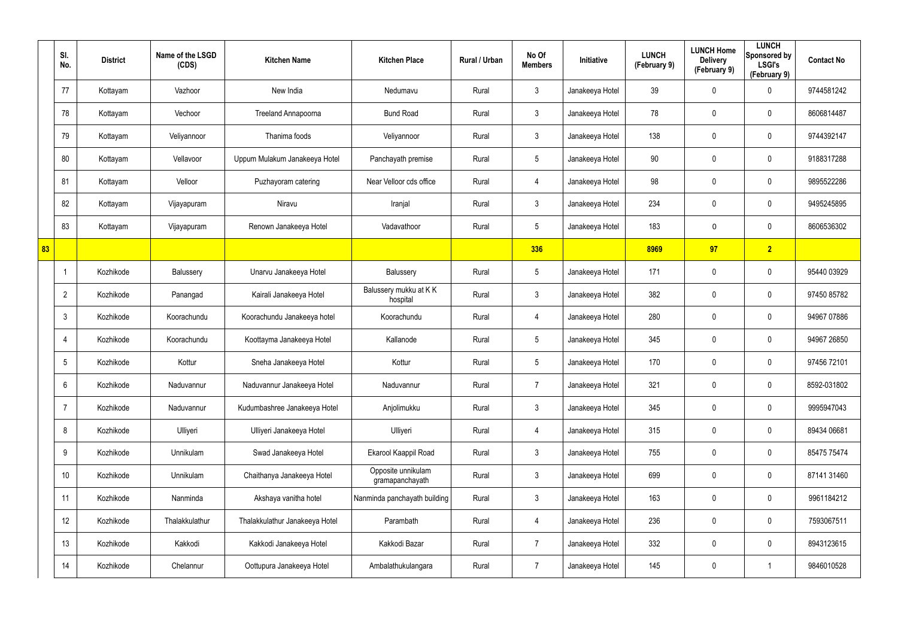|    | SI.<br>No.      | <b>District</b> | Name of the LSGD<br>(CDS) | <b>Kitchen Name</b>            | <b>Kitchen Place</b>                  | Rural / Urban | No Of<br><b>Members</b> | Initiative      | <b>LUNCH</b><br>(February 9) | <b>LUNCH Home</b><br><b>Delivery</b><br>(February 9) | <b>LUNCH</b><br>Sponsored by<br><b>LSGI's</b><br>(February 9) | <b>Contact No</b> |
|----|-----------------|-----------------|---------------------------|--------------------------------|---------------------------------------|---------------|-------------------------|-----------------|------------------------------|------------------------------------------------------|---------------------------------------------------------------|-------------------|
|    | 77              | Kottayam        | Vazhoor                   | New India                      | Nedumavu                              | Rural         | $\mathbf{3}$            | Janakeeya Hotel | 39                           | 0                                                    | $\mathbf 0$                                                   | 9744581242        |
|    | 78              | Kottayam        | Vechoor                   | Treeland Annapoorna            | <b>Bund Road</b>                      | Rural         | $\mathbf{3}$            | Janakeeya Hotel | 78                           | 0                                                    | $\pmb{0}$                                                     | 8606814487        |
|    | 79              | Kottayam        | Veliyannoor               | Thanima foods                  | Veliyannoor                           | Rural         | $\mathbf{3}$            | Janakeeya Hotel | 138                          | $\mathbf 0$                                          | $\mathbf 0$                                                   | 9744392147        |
|    | 80              | Kottayam        | Vellavoor                 | Uppum Mulakum Janakeeya Hotel  | Panchayath premise                    | Rural         | $5\phantom{.0}$         | Janakeeya Hotel | 90                           | 0                                                    | $\pmb{0}$                                                     | 9188317288        |
|    | 81              | Kottayam        | Velloor                   | Puzhayoram catering            | Near Velloor cds office               | Rural         | $\overline{4}$          | Janakeeya Hotel | 98                           | $\mathbf 0$                                          | $\pmb{0}$                                                     | 9895522286        |
|    | 82              | Kottayam        | Vijayapuram               | Niravu                         | Iranjal                               | Rural         | $\mathfrak{Z}$          | Janakeeya Hotel | 234                          | 0                                                    | $\pmb{0}$                                                     | 9495245895        |
|    | 83              | Kottayam        | Vijayapuram               | Renown Janakeeya Hotel         | Vadavathoor                           | Rural         | $5\phantom{.0}$         | Janakeeya Hotel | 183                          | 0                                                    | $\mathbf 0$                                                   | 8606536302        |
| 83 |                 |                 |                           |                                |                                       |               | 336                     |                 | 8969                         | 97                                                   | 2                                                             |                   |
|    |                 | Kozhikode       | Balussery                 | Unarvu Janakeeya Hotel         | Balussery                             | Rural         | $5\phantom{.0}$         | Janakeeya Hotel | 171                          | $\mathbf 0$                                          | $\boldsymbol{0}$                                              | 95440 03929       |
|    | $\overline{2}$  | Kozhikode       | Panangad                  | Kairali Janakeeya Hotel        | Balussery mukku at KK<br>hospital     | Rural         | $\mathbf{3}$            | Janakeeya Hotel | 382                          | 0                                                    | $\mathbf 0$                                                   | 97450 85782       |
|    | $\mathbf{3}$    | Kozhikode       | Koorachundu               | Koorachundu Janakeeya hotel    | Koorachundu                           | Rural         | $\overline{4}$          | Janakeeya Hotel | 280                          | $\mathbf 0$                                          | $\pmb{0}$                                                     | 94967 07886       |
|    | 4               | Kozhikode       | Koorachundu               | Koottayma Janakeeya Hotel      | Kallanode                             | Rural         | $5\phantom{.0}$         | Janakeeya Hotel | 345                          | 0                                                    | $\mathbf 0$                                                   | 94967 26850       |
|    | $5\overline{)}$ | Kozhikode       | Kottur                    | Sneha Janakeeya Hotel          | Kottur                                | Rural         | $5\phantom{.0}$         | Janakeeya Hotel | 170                          | 0                                                    | $\boldsymbol{0}$                                              | 97456 72101       |
|    | $6\overline{6}$ | Kozhikode       | Naduvannur                | Naduvannur Janakeeya Hotel     | Naduvannur                            | Rural         | $\overline{7}$          | Janakeeya Hotel | 321                          | $\pmb{0}$                                            | $\pmb{0}$                                                     | 8592-031802       |
|    | $\overline{7}$  | Kozhikode       | Naduvannur                | Kudumbashree Janakeeya Hotel   | Anjolimukku                           | Rural         | $\mathbf{3}$            | Janakeeya Hotel | 345                          | $\mathbf 0$                                          | $\mathbf 0$                                                   | 9995947043        |
|    | 8               | Kozhikode       | Ulliyeri                  | Ulliyeri Janakeeya Hotel       | Ulliyeri                              | Rural         | $\overline{4}$          | Janakeeya Hotel | 315                          | $\mathbf 0$                                          | $\mathbf 0$                                                   | 89434 06681       |
|    | 9               | Kozhikode       | Unnikulam                 | Swad Janakeeya Hotel           | Ekarool Kaappil Road                  | Rural         | $\mathbf{3}$            | Janakeeya Hotel | 755                          | 0                                                    | $\mathbf 0$                                                   | 85475 75474       |
|    | 10 <sup>°</sup> | Kozhikode       | Unnikulam                 | Chaithanya Janakeeya Hotel     | Opposite unnikulam<br>gramapanchayath | Rural         | $\mathbf{3}$            | Janakeeya Hotel | 699                          | $\mathbf 0$                                          | $\pmb{0}$                                                     | 87141 31460       |
|    | 11              | Kozhikode       | Nanminda                  | Akshaya vanitha hotel          | Nanminda panchayath building          | Rural         | $\mathbf{3}$            | Janakeeya Hotel | 163                          | $\mathbf 0$                                          | $\mathbf 0$                                                   | 9961184212        |
|    | 12              | Kozhikode       | Thalakkulathur            | Thalakkulathur Janakeeya Hotel | Parambath                             | Rural         | $\overline{4}$          | Janakeeya Hotel | 236                          | $\mathbf 0$                                          | $\pmb{0}$                                                     | 7593067511        |
|    | 13              | Kozhikode       | Kakkodi                   | Kakkodi Janakeeya Hotel        | Kakkodi Bazar                         | Rural         | $\overline{7}$          | Janakeeya Hotel | 332                          | 0                                                    | $\mathbf 0$                                                   | 8943123615        |
|    | 14              | Kozhikode       | Chelannur                 | Oottupura Janakeeya Hotel      | Ambalathukulangara                    | Rural         | $\overline{7}$          | Janakeeya Hotel | 145                          | 0                                                    | $\mathbf{1}$                                                  | 9846010528        |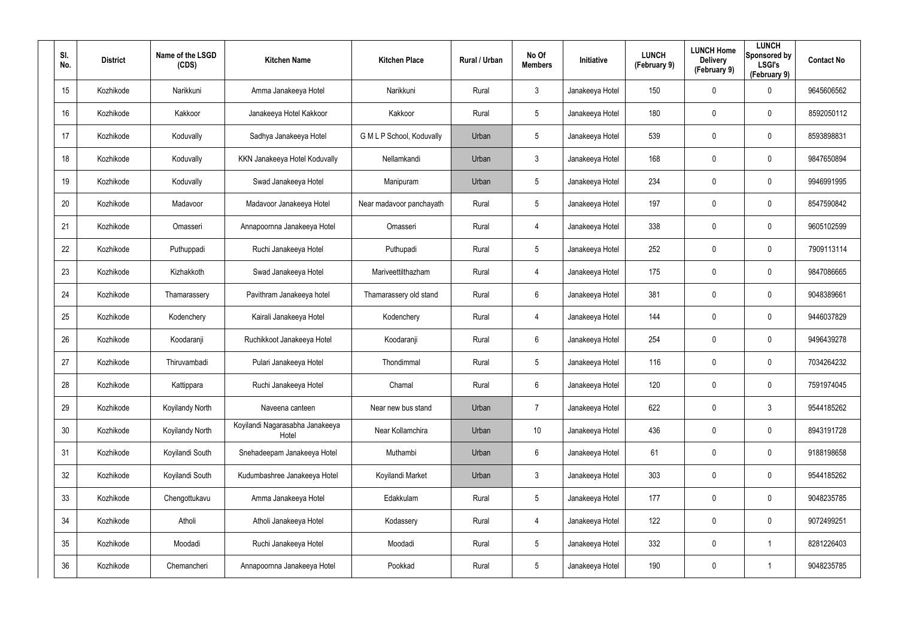| SI.<br>No. | <b>District</b> | Name of the LSGD<br>(CDS) | <b>Kitchen Name</b>                      | <b>Kitchen Place</b>      | Rural / Urban | No Of<br><b>Members</b> | <b>Initiative</b> | <b>LUNCH</b><br>(February 9) | <b>LUNCH Home</b><br><b>Delivery</b><br>(February 9) | <b>LUNCH</b><br>Sponsored by<br><b>LSGI's</b><br>(February 9) | <b>Contact No</b> |
|------------|-----------------|---------------------------|------------------------------------------|---------------------------|---------------|-------------------------|-------------------|------------------------------|------------------------------------------------------|---------------------------------------------------------------|-------------------|
| 15         | Kozhikode       | Narikkuni                 | Amma Janakeeya Hotel                     | Narikkuni                 | Rural         | 3                       | Janakeeya Hotel   | 150                          | 0                                                    | $\mathbf 0$                                                   | 9645606562        |
| 16         | Kozhikode       | Kakkoor                   | Janakeeya Hotel Kakkoor                  | Kakkoor                   | Rural         | $5\phantom{.0}$         | Janakeeya Hotel   | 180                          | 0                                                    | $\mathbf 0$                                                   | 8592050112        |
| 17         | Kozhikode       | Koduvally                 | Sadhya Janakeeya Hotel                   | G M L P School, Koduvally | Urban         | $5\phantom{.0}$         | Janakeeya Hotel   | 539                          | 0                                                    | $\mathbf 0$                                                   | 8593898831        |
| 18         | Kozhikode       | Koduvally                 | KKN Janakeeya Hotel Koduvally            | Nellamkandi               | Urban         | $\mathbf{3}$            | Janakeeya Hotel   | 168                          | 0                                                    | $\mathbf 0$                                                   | 9847650894        |
| 19         | Kozhikode       | Koduvally                 | Swad Janakeeya Hotel                     | Manipuram                 | Urban         | $5\phantom{.0}$         | Janakeeya Hotel   | 234                          | 0                                                    | $\mathbf 0$                                                   | 9946991995        |
| 20         | Kozhikode       | Madavoor                  | Madavoor Janakeeya Hotel                 | Near madavoor panchayath  | Rural         | $5\phantom{.0}$         | Janakeeya Hotel   | 197                          | 0                                                    | $\mathbf 0$                                                   | 8547590842        |
| 21         | Kozhikode       | Omasseri                  | Annapoornna Janakeeya Hotel              | Omasseri                  | Rural         | 4                       | Janakeeya Hotel   | 338                          | 0                                                    | $\mathbf 0$                                                   | 9605102599        |
| 22         | Kozhikode       | Puthuppadi                | Ruchi Janakeeya Hotel                    | Puthupadi                 | Rural         | $5\overline{)}$         | Janakeeya Hotel   | 252                          | 0                                                    | $\mathbf 0$                                                   | 7909113114        |
| 23         | Kozhikode       | Kizhakkoth                | Swad Janakeeya Hotel                     | Mariveettilthazham        | Rural         | 4                       | Janakeeya Hotel   | 175                          | 0                                                    | $\mathbf 0$                                                   | 9847086665        |
| 24         | Kozhikode       | Thamarassery              | Pavithram Janakeeya hotel                | Thamarassery old stand    | Rural         | 6                       | Janakeeya Hotel   | 381                          | 0                                                    | $\mathbf 0$                                                   | 9048389661        |
| 25         | Kozhikode       | Kodenchery                | Kairali Janakeeya Hotel                  | Kodenchery                | Rural         | 4                       | Janakeeya Hotel   | 144                          | 0                                                    | $\mathbf 0$                                                   | 9446037829        |
| 26         | Kozhikode       | Koodaranji                | Ruchikkoot Janakeeya Hotel               | Koodaranji                | Rural         | 6                       | Janakeeya Hotel   | 254                          | 0                                                    | $\mathbf 0$                                                   | 9496439278        |
| 27         | Kozhikode       | Thiruvambadi              | Pulari Janakeeya Hotel                   | Thondimmal                | Rural         | $5\overline{)}$         | Janakeeya Hotel   | 116                          | $\mathbf 0$                                          | $\mathbf 0$                                                   | 7034264232        |
| 28         | Kozhikode       | Kattippara                | Ruchi Janakeeya Hotel                    | Chamal                    | Rural         | 6                       | Janakeeya Hotel   | 120                          | 0                                                    | $\pmb{0}$                                                     | 7591974045        |
| 29         | Kozhikode       | Koyilandy North           | Naveena canteen                          | Near new bus stand        | Urban         | $\overline{7}$          | Janakeeya Hotel   | 622                          | 0                                                    | $\mathbf{3}$                                                  | 9544185262        |
| 30         | Kozhikode       | Koyilandy North           | Koyilandi Nagarasabha Janakeeya<br>Hotel | Near Kollamchira          | Urban         | 10 <sup>°</sup>         | Janakeeya Hotel   | 436                          | 0                                                    | $\mathbf 0$                                                   | 8943191728        |
| 31         | Kozhikode       | Koyilandi South           | Snehadeepam Janakeeya Hotel              | Muthambi                  | Urban         | $6\phantom{.}6$         | Janakeeya Hotel   | 61                           | 0                                                    | $\mathbf 0$                                                   | 9188198658        |
| 32         | Kozhikode       | Koyilandi South           | Kudumbashree Janakeeya Hotel             | Koyilandi Market          | Urban         | $\mathbf{3}$            | Janakeeya Hotel   | 303                          | 0                                                    | $\mathbf 0$                                                   | 9544185262        |
| 33         | Kozhikode       | Chengottukavu             | Amma Janakeeya Hotel                     | Edakkulam                 | Rural         | $5\phantom{.0}$         | Janakeeya Hotel   | 177                          | 0                                                    | $\mathbf 0$                                                   | 9048235785        |
| 34         | Kozhikode       | Atholi                    | Atholi Janakeeya Hotel                   | Kodassery                 | Rural         | 4                       | Janakeeya Hotel   | 122                          | 0                                                    | $\mathbf 0$                                                   | 9072499251        |
| 35         | Kozhikode       | Moodadi                   | Ruchi Janakeeya Hotel                    | Moodadi                   | Rural         | $5\phantom{.0}$         | Janakeeya Hotel   | 332                          | 0                                                    | $\mathbf 1$                                                   | 8281226403        |
| 36         | Kozhikode       | Chemancheri               | Annapoornna Janakeeya Hotel              | Pookkad                   | Rural         | $5\phantom{.0}$         | Janakeeya Hotel   | 190                          | 0                                                    | 1                                                             | 9048235785        |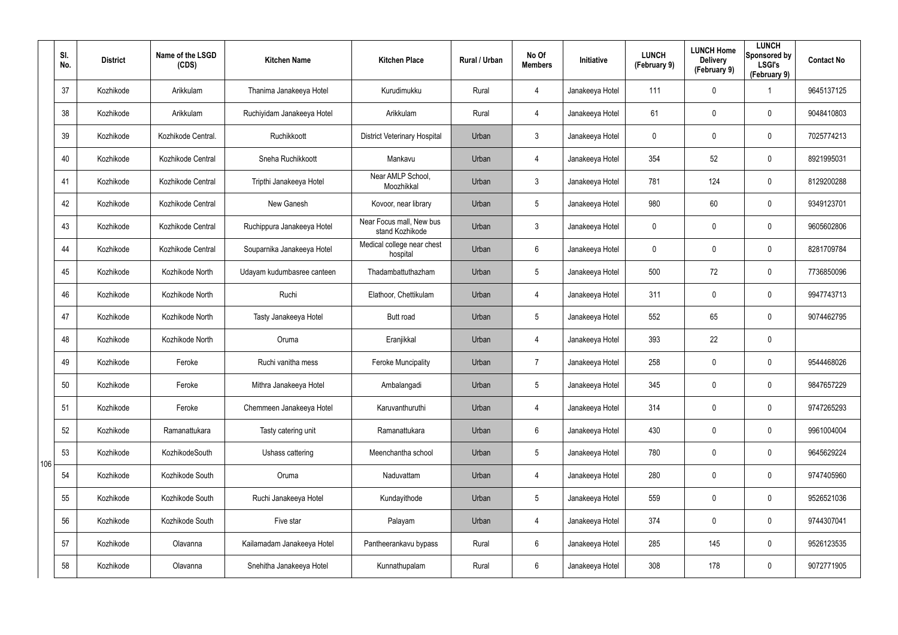|     | SI.<br>No. | <b>District</b> | Name of the LSGD<br>(CDS) | <b>Kitchen Name</b>        | <b>Kitchen Place</b>                        | Rural / Urban | No Of<br><b>Members</b> | Initiative      | <b>LUNCH</b><br>(February 9) | <b>LUNCH Home</b><br><b>Delivery</b><br>(February 9) | <b>LUNCH</b><br>Sponsored by<br><b>LSGI's</b><br>(February 9) | <b>Contact No</b> |
|-----|------------|-----------------|---------------------------|----------------------------|---------------------------------------------|---------------|-------------------------|-----------------|------------------------------|------------------------------------------------------|---------------------------------------------------------------|-------------------|
|     | 37         | Kozhikode       | Arikkulam                 | Thanima Janakeeya Hotel    | Kurudimukku                                 | Rural         | $\overline{4}$          | Janakeeya Hotel | 111                          | 0                                                    | -1                                                            | 9645137125        |
|     | 38         | Kozhikode       | Arikkulam                 | Ruchiyidam Janakeeya Hotel | Arikkulam                                   | Rural         | $\overline{4}$          | Janakeeya Hotel | 61                           | 0                                                    | $\mathbf 0$                                                   | 9048410803        |
|     | 39         | Kozhikode       | Kozhikode Central.        | Ruchikkoott                | <b>District Veterinary Hospital</b>         | Urban         | $\mathbf{3}$            | Janakeeya Hotel | 0                            | 0                                                    | $\mathbf 0$                                                   | 7025774213        |
|     | 40         | Kozhikode       | Kozhikode Central         | Sneha Ruchikkoott          | Mankavu                                     | Urban         | $\overline{4}$          | Janakeeya Hotel | 354                          | 52                                                   | $\pmb{0}$                                                     | 8921995031        |
|     | 41         | Kozhikode       | Kozhikode Central         | Tripthi Janakeeya Hotel    | Near AMLP School,<br>Moozhikkal             | Urban         | $\mathbf{3}$            | Janakeeya Hotel | 781                          | 124                                                  | $\mathbf 0$                                                   | 8129200288        |
|     | 42         | Kozhikode       | Kozhikode Central         | New Ganesh                 | Kovoor, near library                        | Urban         | $5\phantom{.0}$         | Janakeeya Hotel | 980                          | 60                                                   | $\pmb{0}$                                                     | 9349123701        |
|     | 43         | Kozhikode       | Kozhikode Central         | Ruchippura Janakeeya Hotel | Near Focus mall, New bus<br>stand Kozhikode | Urban         | $\mathbf{3}$            | Janakeeya Hotel | 0                            | 0                                                    | $\mathbf 0$                                                   | 9605602806        |
|     | 44         | Kozhikode       | Kozhikode Central         | Souparnika Janakeeya Hotel | Medical college near chest<br>hospital      | Urban         | 6                       | Janakeeya Hotel | 0                            | 0                                                    | $\mathbf 0$                                                   | 8281709784        |
|     | 45         | Kozhikode       | Kozhikode North           | Udayam kudumbasree canteen | Thadambattuthazham                          | Urban         | $5\phantom{.0}$         | Janakeeya Hotel | 500                          | 72                                                   | $\mathbf 0$                                                   | 7736850096        |
|     | 46         | Kozhikode       | Kozhikode North           | Ruchi                      | Elathoor, Chettikulam                       | Urban         | $\overline{4}$          | Janakeeya Hotel | 311                          | 0                                                    | $\mathbf 0$                                                   | 9947743713        |
|     | 47         | Kozhikode       | Kozhikode North           | Tasty Janakeeya Hotel      | Butt road                                   | Urban         | $5\phantom{.0}$         | Janakeeya Hotel | 552                          | 65                                                   | $\mathbf 0$                                                   | 9074462795        |
|     | 48         | Kozhikode       | Kozhikode North           | Oruma                      | Eranjikkal                                  | Urban         | $\overline{4}$          | Janakeeya Hotel | 393                          | 22                                                   | $\pmb{0}$                                                     |                   |
|     | 49         | Kozhikode       | Feroke                    | Ruchi vanitha mess         | Feroke Muncipality                          | Urban         | $\overline{7}$          | Janakeeya Hotel | 258                          | 0                                                    | $\mathbf 0$                                                   | 9544468026        |
|     | 50         | Kozhikode       | Feroke                    | Mithra Janakeeya Hotel     | Ambalangadi                                 | Urban         | $5\phantom{.0}$         | Janakeeya Hotel | 345                          | 0                                                    | $\pmb{0}$                                                     | 9847657229        |
|     | 51         | Kozhikode       | Feroke                    | Chemmeen Janakeeya Hotel   | Karuvanthuruthi                             | Urban         | $\overline{4}$          | Janakeeya Hotel | 314                          | $\mathbf 0$                                          | $\mathbf 0$                                                   | 9747265293        |
|     | 52         | Kozhikode       | Ramanattukara             | Tasty catering unit        | Ramanattukara                               | Urban         | $6\phantom{.0}$         | Janakeeya Hotel | 430                          | 0                                                    | $\mathbf 0$                                                   | 9961004004        |
| 106 | 53         | Kozhikode       | KozhikodeSouth            | Ushass cattering           | Meenchantha school                          | Urban         | $5\phantom{.0}$         | Janakeeya Hotel | 780                          | 0                                                    | $\mathbf 0$                                                   | 9645629224        |
|     | 54         | Kozhikode       | Kozhikode South           | Oruma                      | Naduvattam                                  | Urban         | $\overline{4}$          | Janakeeya Hotel | 280                          | $\mathbf 0$                                          | $\pmb{0}$                                                     | 9747405960        |
|     | 55         | Kozhikode       | Kozhikode South           | Ruchi Janakeeya Hotel      | Kundayithode                                | Urban         | $5\phantom{.0}$         | Janakeeya Hotel | 559                          | 0                                                    | $\mathbf 0$                                                   | 9526521036        |
|     | 56         | Kozhikode       | Kozhikode South           | Five star                  | Palayam                                     | Urban         | $\overline{4}$          | Janakeeya Hotel | 374                          | $\mathbf 0$                                          | $\pmb{0}$                                                     | 9744307041        |
|     | 57         | Kozhikode       | Olavanna                  | Kailamadam Janakeeya Hotel | Pantheerankavu bypass                       | Rural         | $6\phantom{.0}$         | Janakeeya Hotel | 285                          | 145                                                  | $\mathbf 0$                                                   | 9526123535        |
|     | 58         | Kozhikode       | Olavanna                  | Snehitha Janakeeya Hotel   | Kunnathupalam                               | Rural         | 6                       | Janakeeya Hotel | 308                          | 178                                                  | $\pmb{0}$                                                     | 9072771905        |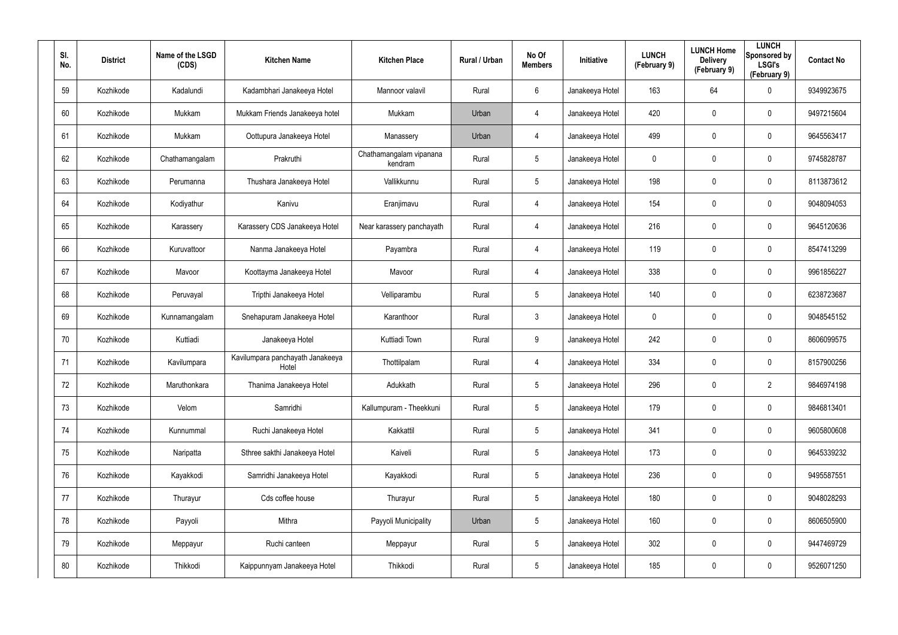| SI.<br>No. | <b>District</b> | Name of the LSGD<br>(CDS) | <b>Kitchen Name</b>                       | <b>Kitchen Place</b>               | Rural / Urban | No Of<br><b>Members</b> | <b>Initiative</b> | <b>LUNCH</b><br>(February 9) | <b>LUNCH Home</b><br><b>Delivery</b><br>(February 9) | <b>LUNCH</b><br>Sponsored by<br><b>LSGI's</b><br>(February 9) | <b>Contact No</b> |
|------------|-----------------|---------------------------|-------------------------------------------|------------------------------------|---------------|-------------------------|-------------------|------------------------------|------------------------------------------------------|---------------------------------------------------------------|-------------------|
| 59         | Kozhikode       | Kadalundi                 | Kadambhari Janakeeya Hotel                | Mannoor valavil                    | Rural         | 6                       | Janakeeya Hotel   | 163                          | 64                                                   | $\mathbf 0$                                                   | 9349923675        |
| 60         | Kozhikode       | Mukkam                    | Mukkam Friends Janakeeya hotel            | Mukkam                             | Urban         | 4                       | Janakeeya Hotel   | 420                          | 0                                                    | $\boldsymbol{0}$                                              | 9497215604        |
| 61         | Kozhikode       | Mukkam                    | Oottupura Janakeeya Hotel                 | Manassery                          | Urban         | 4                       | Janakeeya Hotel   | 499                          | 0                                                    | $\mathbf 0$                                                   | 9645563417        |
| 62         | Kozhikode       | Chathamangalam            | Prakruthi                                 | Chathamangalam vipanana<br>kendram | Rural         | $5\phantom{.0}$         | Janakeeya Hotel   | 0                            | 0                                                    | $\mathbf 0$                                                   | 9745828787        |
| 63         | Kozhikode       | Perumanna                 | Thushara Janakeeya Hotel                  | Vallikkunnu                        | Rural         | $5\phantom{.0}$         | Janakeeya Hotel   | 198                          | 0                                                    | $\boldsymbol{0}$                                              | 8113873612        |
| 64         | Kozhikode       | Kodiyathur                | Kanivu                                    | Eranjimavu                         | Rural         | 4                       | Janakeeya Hotel   | 154                          | 0                                                    | $\mathbf 0$                                                   | 9048094053        |
| 65         | Kozhikode       | Karassery                 | Karassery CDS Janakeeya Hotel             | Near karassery panchayath          | Rural         | 4                       | Janakeeya Hotel   | 216                          | 0                                                    | $\mathbf 0$                                                   | 9645120636        |
| 66         | Kozhikode       | Kuruvattoor               | Nanma Janakeeya Hotel                     | Payambra                           | Rural         | 4                       | Janakeeya Hotel   | 119                          | 0                                                    | $\mathbf 0$                                                   | 8547413299        |
| 67         | Kozhikode       | Mavoor                    | Koottayma Janakeeya Hotel                 | Mavoor                             | Rural         | 4                       | Janakeeya Hotel   | 338                          | 0                                                    | $\mathbf 0$                                                   | 9961856227        |
| 68         | Kozhikode       | Peruvayal                 | Tripthi Janakeeya Hotel                   | Velliparambu                       | Rural         | $5\overline{)}$         | Janakeeya Hotel   | 140                          | 0                                                    | $\mathbf 0$                                                   | 6238723687        |
| 69         | Kozhikode       | Kunnamangalam             | Snehapuram Janakeeya Hotel                | Karanthoor                         | Rural         | $\mathbf{3}$            | Janakeeya Hotel   | 0                            | 0                                                    | $\mathbf 0$                                                   | 9048545152        |
| 70         | Kozhikode       | Kuttiadi                  | Janakeeya Hotel                           | Kuttiadi Town                      | Rural         | 9                       | Janakeeya Hotel   | 242                          | 0                                                    | $\mathbf 0$                                                   | 8606099575        |
| 71         | Kozhikode       | Kavilumpara               | Kavilumpara panchayath Janakeeya<br>Hotel | Thottilpalam                       | Rural         | 4                       | Janakeeya Hotel   | 334                          | $\mathbf 0$                                          | $\mathbf 0$                                                   | 8157900256        |
| 72         | Kozhikode       | Maruthonkara              | Thanima Janakeeya Hotel                   | Adukkath                           | Rural         | $5\phantom{.0}$         | Janakeeya Hotel   | 296                          | 0                                                    | $\overline{2}$                                                | 9846974198        |
| 73         | Kozhikode       | Velom                     | Samridhi                                  | Kallumpuram - Theekkuni            | Rural         | $5\phantom{.0}$         | Janakeeya Hotel   | 179                          | $\mathbf 0$                                          | $\mathbf 0$                                                   | 9846813401        |
| 74         | Kozhikode       | Kunnummal                 | Ruchi Janakeeya Hotel                     | Kakkattil                          | Rural         | $5\phantom{.0}$         | Janakeeya Hotel   | 341                          | $\mathbf 0$                                          | $\mathbf 0$                                                   | 9605800608        |
| 75         | Kozhikode       | Naripatta                 | Sthree sakthi Janakeeya Hotel             | Kaiveli                            | Rural         | $5\phantom{.0}$         | Janakeeya Hotel   | 173                          | $\mathbf 0$                                          | $\mathbf 0$                                                   | 9645339232        |
| 76         | Kozhikode       | Kayakkodi                 | Samridhi Janakeeya Hotel                  | Kayakkodi                          | Rural         | $5\phantom{.0}$         | Janakeeya Hotel   | 236                          | 0                                                    | $\mathbf 0$                                                   | 9495587551        |
| 77         | Kozhikode       | Thurayur                  | Cds coffee house                          | Thurayur                           | Rural         | $5\phantom{.0}$         | Janakeeya Hotel   | 180                          | 0                                                    | $\mathbf 0$                                                   | 9048028293        |
| 78         | Kozhikode       | Payyoli                   | Mithra                                    | Payyoli Municipality               | Urban         | $5\phantom{.0}$         | Janakeeya Hotel   | 160                          | 0                                                    | $\mathbf 0$                                                   | 8606505900        |
| 79         | Kozhikode       | Meppayur                  | Ruchi canteen                             | Meppayur                           | Rural         | $5\phantom{.0}$         | Janakeeya Hotel   | 302                          | 0                                                    | $\mathbf 0$                                                   | 9447469729        |
| 80         | Kozhikode       | Thikkodi                  | Kaippunnyam Janakeeya Hotel               | Thikkodi                           | Rural         | $5\phantom{.0}$         | Janakeeya Hotel   | 185                          | 0                                                    | $\mathbf 0$                                                   | 9526071250        |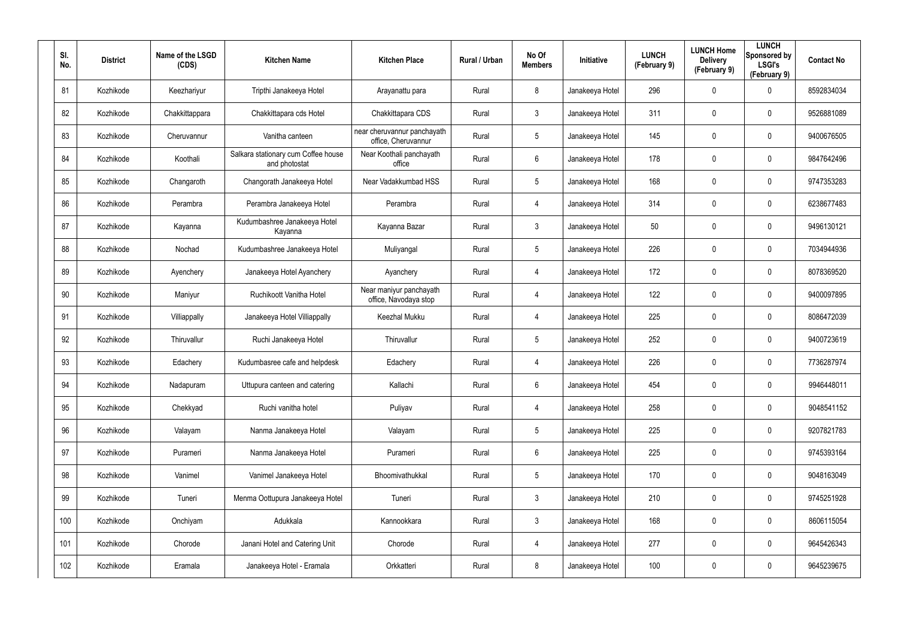| SI.<br>No. | <b>District</b> | Name of the LSGD<br>(CDS) | <b>Kitchen Name</b>                                  | <b>Kitchen Place</b>                               | Rural / Urban | No Of<br><b>Members</b> | <b>Initiative</b> | <b>LUNCH</b><br>(February 9) | <b>LUNCH Home</b><br><b>Delivery</b><br>(February 9) | <b>LUNCH</b><br>Sponsored by<br><b>LSGI's</b><br>(February 9) | <b>Contact No</b> |
|------------|-----------------|---------------------------|------------------------------------------------------|----------------------------------------------------|---------------|-------------------------|-------------------|------------------------------|------------------------------------------------------|---------------------------------------------------------------|-------------------|
| 81         | Kozhikode       | Keezhariyur               | Tripthi Janakeeya Hotel                              | Arayanattu para                                    | Rural         | 8                       | Janakeeya Hotel   | 296                          | $\mathbf 0$                                          | $\mathbf 0$                                                   | 8592834034        |
| 82         | Kozhikode       | Chakkittappara            | Chakkittapara cds Hotel                              | Chakkittapara CDS                                  | Rural         | $\mathbf{3}$            | Janakeeya Hotel   | 311                          | 0                                                    | $\mathbf 0$                                                   | 9526881089        |
| 83         | Kozhikode       | Cheruvannur               | Vanitha canteen                                      | near cheruvannur panchayath<br>office, Cheruvannur | Rural         | $5\phantom{.0}$         | Janakeeya Hotel   | 145                          | 0                                                    | $\mathbf 0$                                                   | 9400676505        |
| 84         | Kozhikode       | Koothali                  | Salkara stationary cum Coffee house<br>and photostat | Near Koothali panchayath<br>office                 | Rural         | 6                       | Janakeeya Hotel   | 178                          | 0                                                    | $\mathbf 0$                                                   | 9847642496        |
| 85         | Kozhikode       | Changaroth                | Changorath Janakeeya Hotel                           | Near Vadakkumbad HSS                               | Rural         | $5\phantom{.0}$         | Janakeeya Hotel   | 168                          | 0                                                    | $\mathbf 0$                                                   | 9747353283        |
| 86         | Kozhikode       | Perambra                  | Perambra Janakeeya Hotel                             | Perambra                                           | Rural         | 4                       | Janakeeya Hotel   | 314                          | 0                                                    | $\mathbf 0$                                                   | 6238677483        |
| 87         | Kozhikode       | Kayanna                   | Kudumbashree Janakeeya Hotel<br>Kayanna              | Kayanna Bazar                                      | Rural         | $\mathbf{3}$            | Janakeeya Hotel   | 50                           | 0                                                    | $\mathbf 0$                                                   | 9496130121        |
| 88         | Kozhikode       | Nochad                    | Kudumbashree Janakeeya Hotel                         | Muliyangal                                         | Rural         | $5\overline{)}$         | Janakeeya Hotel   | 226                          | 0                                                    | $\mathbf 0$                                                   | 7034944936        |
| 89         | Kozhikode       | Ayenchery                 | Janakeeya Hotel Ayanchery                            | Ayanchery                                          | Rural         | 4                       | Janakeeya Hotel   | 172                          | 0                                                    | $\mathbf 0$                                                   | 8078369520        |
| 90         | Kozhikode       | Maniyur                   | Ruchikoott Vanitha Hotel                             | Near maniyur panchayath<br>office, Navodaya stop   | Rural         | 4                       | Janakeeya Hotel   | 122                          | 0                                                    | $\mathbf 0$                                                   | 9400097895        |
| 91         | Kozhikode       | Villiappally              | Janakeeya Hotel Villiappally                         | Keezhal Mukku                                      | Rural         | 4                       | Janakeeya Hotel   | 225                          | 0                                                    | $\mathbf 0$                                                   | 8086472039        |
| 92         | Kozhikode       | Thiruvallur               | Ruchi Janakeeya Hotel                                | Thiruvallur                                        | Rural         | $5\overline{)}$         | Janakeeya Hotel   | 252                          | 0                                                    | $\mathbf 0$                                                   | 9400723619        |
| 93         | Kozhikode       | Edachery                  | Kudumbasree cafe and helpdesk                        | Edachery                                           | Rural         | 4                       | Janakeeya Hotel   | 226                          | $\mathbf 0$                                          | $\mathbf 0$                                                   | 7736287974        |
| 94         | Kozhikode       | Nadapuram                 | Uttupura canteen and catering                        | Kallachi                                           | Rural         | 6                       | Janakeeya Hotel   | 454                          | $\mathbf 0$                                          | $\pmb{0}$                                                     | 9946448011        |
| 95         | Kozhikode       | Chekkyad                  | Ruchi vanitha hotel                                  | Puliyav                                            | Rural         | 4                       | Janakeeya Hotel   | 258                          | $\mathbf 0$                                          | $\mathbf 0$                                                   | 9048541152        |
| 96         | Kozhikode       | Valayam                   | Nanma Janakeeya Hotel                                | Valayam                                            | Rural         | $5\phantom{.0}$         | Janakeeya Hotel   | 225                          | $\mathbf 0$                                          | $\mathbf 0$                                                   | 9207821783        |
| 97         | Kozhikode       | Purameri                  | Nanma Janakeeya Hotel                                | Purameri                                           | Rural         | $6\phantom{.}6$         | Janakeeya Hotel   | 225                          | $\mathbf 0$                                          | $\mathbf 0$                                                   | 9745393164        |
| 98         | Kozhikode       | Vanimel                   | Vanimel Janakeeya Hotel                              | Bhoomivathukkal                                    | Rural         | $5\phantom{.0}$         | Janakeeya Hotel   | 170                          | 0                                                    | $\mathbf 0$                                                   | 9048163049        |
| 99         | Kozhikode       | Tuneri                    | Menma Oottupura Janakeeya Hotel                      | Tuneri                                             | Rural         | $\mathbf{3}$            | Janakeeya Hotel   | 210                          | 0                                                    | $\mathbf 0$                                                   | 9745251928        |
| 100        | Kozhikode       | Onchiyam                  | Adukkala                                             | Kannookkara                                        | Rural         | $\mathbf{3}$            | Janakeeya Hotel   | 168                          | 0                                                    | $\mathbf 0$                                                   | 8606115054        |
| 101        | Kozhikode       | Chorode                   | Janani Hotel and Catering Unit                       | Chorode                                            | Rural         | 4                       | Janakeeya Hotel   | 277                          | 0                                                    | $\mathbf 0$                                                   | 9645426343        |
| 102        | Kozhikode       | Eramala                   | Janakeeya Hotel - Eramala                            | Orkkatteri                                         | Rural         | 8                       | Janakeeya Hotel   | 100                          | 0                                                    | $\mathbf 0$                                                   | 9645239675        |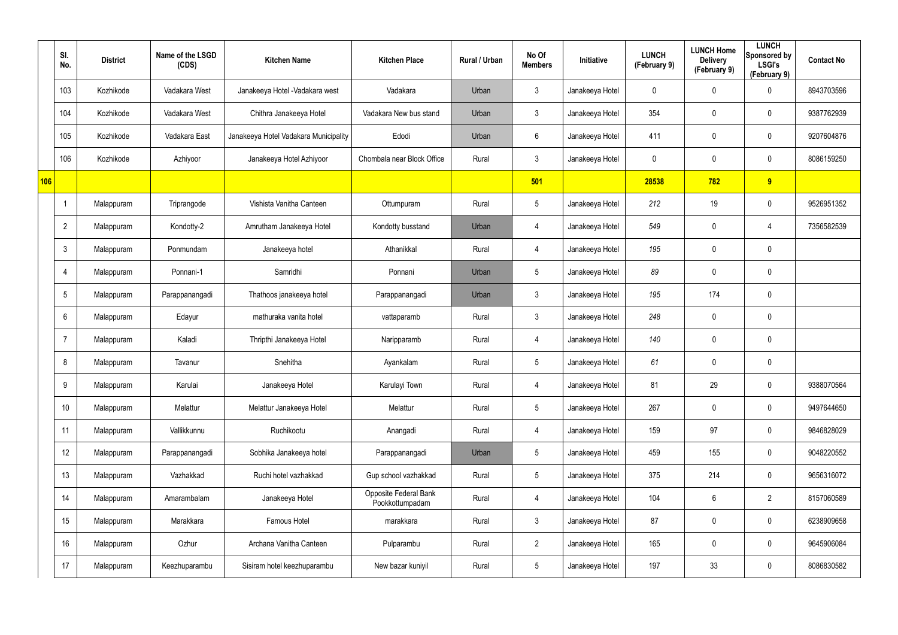|     | SI.<br>No.      | <b>District</b> | Name of the LSGD<br>(CDS) | <b>Kitchen Name</b>                   | <b>Kitchen Place</b>                     | Rural / Urban | No Of<br><b>Members</b> | Initiative      | <b>LUNCH</b><br>(February 9) | <b>LUNCH Home</b><br><b>Delivery</b><br>(February 9) | <b>LUNCH</b><br>Sponsored by<br><b>LSGI's</b><br>(February 9) | <b>Contact No</b> |
|-----|-----------------|-----------------|---------------------------|---------------------------------------|------------------------------------------|---------------|-------------------------|-----------------|------------------------------|------------------------------------------------------|---------------------------------------------------------------|-------------------|
|     | 103             | Kozhikode       | Vadakara West             | Janakeeya Hotel - Vadakara west       | Vadakara                                 | Urban         | $\mathbf{3}$            | Janakeeya Hotel | 0                            | 0                                                    | $\mathbf 0$                                                   | 8943703596        |
|     | 104             | Kozhikode       | Vadakara West             | Chithra Janakeeya Hotel               | Vadakara New bus stand                   | Urban         | $\mathbf{3}$            | Janakeeya Hotel | 354                          | 0                                                    | $\mathbf 0$                                                   | 9387762939        |
|     | 105             | Kozhikode       | Vadakara East             | Janakeeya Hotel Vadakara Municipality | Edodi                                    | Urban         | $6\overline{6}$         | Janakeeya Hotel | 411                          | 0                                                    | $\mathbf 0$                                                   | 9207604876        |
|     | 106             | Kozhikode       | Azhiyoor                  | Janakeeya Hotel Azhiyoor              | Chombala near Block Office               | Rural         | $\mathbf{3}$            | Janakeeya Hotel | 0                            | 0                                                    | $\mathbf 0$                                                   | 8086159250        |
| 106 |                 |                 |                           |                                       |                                          |               | 501                     |                 | 28538                        | 782                                                  | 9                                                             |                   |
|     |                 | Malappuram      | Triprangode               | Vishista Vanitha Canteen              | Ottumpuram                               | Rural         | $5\phantom{.0}$         | Janakeeya Hotel | 212                          | 19                                                   | $\mathbf 0$                                                   | 9526951352        |
|     | $\overline{2}$  | Malappuram      | Kondotty-2                | Amrutham Janakeeya Hotel              | Kondotty busstand                        | Urban         | $\overline{4}$          | Janakeeya Hotel | 549                          | 0                                                    | 4                                                             | 7356582539        |
|     | 3               | Malappuram      | Ponmundam                 | Janakeeya hotel                       | Athanikkal                               | Rural         | $\overline{4}$          | Janakeeya Hotel | 195                          | 0                                                    | $\mathbf 0$                                                   |                   |
|     | 4               | Malappuram      | Ponnani-1                 | Samridhi                              | Ponnani                                  | Urban         | $5\phantom{.0}$         | Janakeeya Hotel | 89                           | 0                                                    | $\mathbf 0$                                                   |                   |
|     | $5\overline{)}$ | Malappuram      | Parappanangadi            | Thathoos janakeeya hotel              | Parappanangadi                           | Urban         | $\mathbf{3}$            | Janakeeya Hotel | 195                          | 174                                                  | $\mathbf 0$                                                   |                   |
|     | 6               | Malappuram      | Edayur                    | mathuraka vanita hotel                | vattaparamb                              | Rural         | $\mathbf{3}$            | Janakeeya Hotel | 248                          | 0                                                    | $\mathbf 0$                                                   |                   |
|     | -7              | Malappuram      | Kaladi                    | Thripthi Janakeeya Hotel              | Naripparamb                              | Rural         | 4                       | Janakeeya Hotel | 140                          | 0                                                    | $\mathbf 0$                                                   |                   |
|     | 8               | Malappuram      | Tavanur                   | Snehitha                              | Ayankalam                                | Rural         | $5\phantom{.0}$         | Janakeeya Hotel | 61                           | 0                                                    | $\pmb{0}$                                                     |                   |
|     | 9               | Malappuram      | Karulai                   | Janakeeya Hotel                       | Karulayi Town                            | Rural         | 4                       | Janakeeya Hotel | 81                           | 29                                                   | $\pmb{0}$                                                     | 9388070564        |
|     | 10              | Malappuram      | Melattur                  | Melattur Janakeeya Hotel              | Melattur                                 | Rural         | $5\phantom{.0}$         | Janakeeya Hotel | 267                          | $\mathbf 0$                                          | $\mathbf 0$                                                   | 9497644650        |
|     | 11              | Malappuram      | Vallikkunnu               | Ruchikootu                            | Anangadi                                 | Rural         | $\overline{4}$          | Janakeeya Hotel | 159                          | 97                                                   | $\pmb{0}$                                                     | 9846828029        |
|     | 12              | Malappuram      | Parappanangadi            | Sobhika Janakeeya hotel               | Parappanangadi                           | Urban         | $5\phantom{.0}$         | Janakeeya Hotel | 459                          | 155                                                  | $\pmb{0}$                                                     | 9048220552        |
|     | 13              | Malappuram      | Vazhakkad                 | Ruchi hotel vazhakkad                 | Gup school vazhakkad                     | Rural         | $5\overline{)}$         | Janakeeya Hotel | 375                          | 214                                                  | $\mathbf 0$                                                   | 9656316072        |
|     | 14              | Malappuram      | Amarambalam               | Janakeeya Hotel                       | Opposite Federal Bank<br>Pookkottumpadam | Rural         | 4                       | Janakeeya Hotel | 104                          | $6\phantom{.}$                                       | $\overline{2}$                                                | 8157060589        |
|     | 15              | Malappuram      | Marakkara                 | Famous Hotel                          | marakkara                                | Rural         | 3 <sup>1</sup>          | Janakeeya Hotel | 87                           | 0                                                    | $\pmb{0}$                                                     | 6238909658        |
|     | 16              | Malappuram      | Ozhur                     | Archana Vanitha Canteen               | Pulparambu                               | Rural         | $2\overline{ }$         | Janakeeya Hotel | 165                          | 0                                                    | $\mathbf 0$                                                   | 9645906084        |
|     | 17              | Malappuram      | Keezhuparambu             | Sisiram hotel keezhuparambu           | New bazar kuniyil                        | Rural         | $5\phantom{.0}$         | Janakeeya Hotel | 197                          | 33                                                   | $\pmb{0}$                                                     | 8086830582        |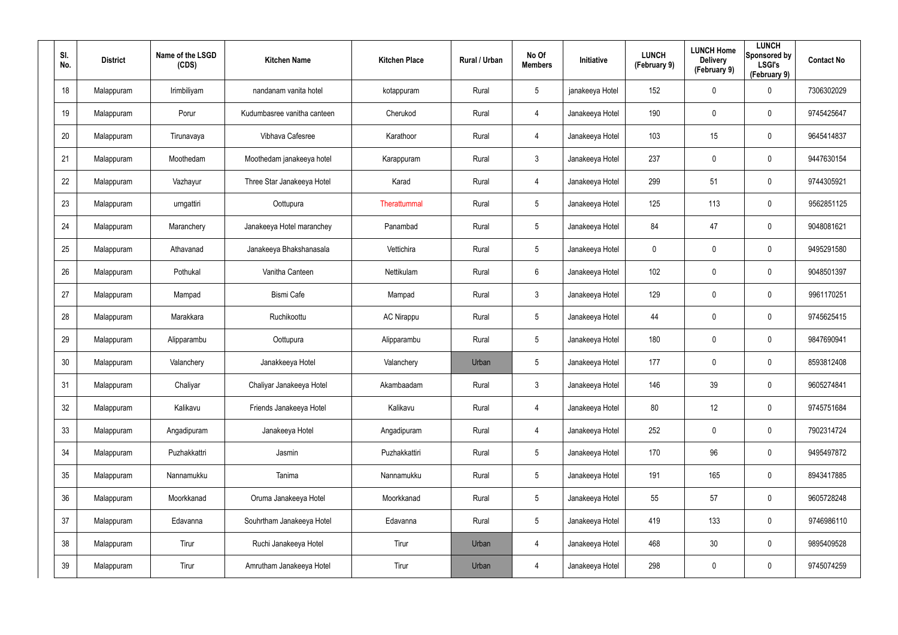| SI.<br>No. | <b>District</b> | Name of the LSGD<br>(CDS) | <b>Kitchen Name</b>         | <b>Kitchen Place</b> | Rural / Urban | No Of<br><b>Members</b> | <b>Initiative</b> | <b>LUNCH</b><br>(February 9) | <b>LUNCH Home</b><br><b>Delivery</b><br>(February 9) | <b>LUNCH</b><br>Sponsored by<br><b>LSGI's</b><br>(February 9) | <b>Contact No</b> |
|------------|-----------------|---------------------------|-----------------------------|----------------------|---------------|-------------------------|-------------------|------------------------------|------------------------------------------------------|---------------------------------------------------------------|-------------------|
| 18         | Malappuram      | Irimbiliyam               | nandanam vanita hotel       | kotappuram           | Rural         | 5                       | janakeeya Hotel   | 152                          | 0                                                    | $\mathbf 0$                                                   | 7306302029        |
| 19         | Malappuram      | Porur                     | Kudumbasree vanitha canteen | Cherukod             | Rural         | 4                       | Janakeeya Hotel   | 190                          | 0                                                    | $\pmb{0}$                                                     | 9745425647        |
| 20         | Malappuram      | Tirunavaya                | Vibhava Cafesree            | Karathoor            | Rural         | 4                       | Janakeeya Hotel   | 103                          | 15                                                   | $\pmb{0}$                                                     | 9645414837        |
| 21         | Malappuram      | Moothedam                 | Moothedam janakeeya hotel   | Karappuram           | Rural         | $\mathbf{3}$            | Janakeeya Hotel   | 237                          | 0                                                    | $\pmb{0}$                                                     | 9447630154        |
| 22         | Malappuram      | Vazhayur                  | Three Star Janakeeya Hotel  | Karad                | Rural         | 4                       | Janakeeya Hotel   | 299                          | 51                                                   | $\pmb{0}$                                                     | 9744305921        |
| 23         | Malappuram      | urngattiri                | Oottupura                   | Therattummal         | Rural         | $5\phantom{.0}$         | Janakeeya Hotel   | 125                          | 113                                                  | $\pmb{0}$                                                     | 9562851125        |
| 24         | Malappuram      | Maranchery                | Janakeeya Hotel maranchey   | Panambad             | Rural         | $5\phantom{.0}$         | Janakeeya Hotel   | 84                           | 47                                                   | $\pmb{0}$                                                     | 9048081621        |
| 25         | Malappuram      | Athavanad                 | Janakeeya Bhakshanasala     | Vettichira           | Rural         | $5\phantom{.0}$         | Janakeeya Hotel   | 0                            | 0                                                    | $\mathbf 0$                                                   | 9495291580        |
| 26         | Malappuram      | Pothukal                  | Vanitha Canteen             | Nettikulam           | Rural         | 6                       | Janakeeya Hotel   | 102                          | 0                                                    | $\pmb{0}$                                                     | 9048501397        |
| 27         | Malappuram      | Mampad                    | <b>Bismi Cafe</b>           | Mampad               | Rural         | $\mathbf{3}$            | Janakeeya Hotel   | 129                          | 0                                                    | $\mathbf 0$                                                   | 9961170251        |
| 28         | Malappuram      | Marakkara                 | Ruchikoottu                 | <b>AC Nirappu</b>    | Rural         | $5\phantom{.0}$         | Janakeeya Hotel   | 44                           | 0                                                    | $\pmb{0}$                                                     | 9745625415        |
| 29         | Malappuram      | Alipparambu               | Oottupura                   | Alipparambu          | Rural         | $5\overline{)}$         | Janakeeya Hotel   | 180                          | $\mathbf 0$                                          | $\mathbf 0$                                                   | 9847690941        |
| 30         | Malappuram      | Valanchery                | Janakkeeya Hotel            | Valanchery           | Urban         | $5\overline{)}$         | Janakeeya Hotel   | 177                          | $\mathbf 0$                                          | $\mathbf 0$                                                   | 8593812408        |
| 31         | Malappuram      | Chaliyar                  | Chaliyar Janakeeya Hotel    | Akambaadam           | Rural         | $\mathbf{3}$            | Janakeeya Hotel   | 146                          | 39                                                   | $\pmb{0}$                                                     | 9605274841        |
| 32         | Malappuram      | Kalikavu                  | Friends Janakeeya Hotel     | Kalikavu             | Rural         | 4                       | Janakeeya Hotel   | 80                           | 12                                                   | $\mathsf{0}$                                                  | 9745751684        |
| 33         | Malappuram      | Angadipuram               | Janakeeya Hotel             | Angadipuram          | Rural         | 4                       | Janakeeya Hotel   | 252                          | $\mathbf 0$                                          | $\mathbf 0$                                                   | 7902314724        |
| 34         | Malappuram      | Puzhakkattri              | Jasmin                      | Puzhakkattiri        | Rural         | $5\phantom{.0}$         | Janakeeya Hotel   | 170                          | 96                                                   | $\mathbf 0$                                                   | 9495497872        |
| $35\,$     | Malappuram      | Nannamukku                | Tanima                      | Nannamukku           | Rural         | $5\phantom{.0}$         | Janakeeya Hotel   | 191                          | 165                                                  | $\mathsf{0}$                                                  | 8943417885        |
| 36         | Malappuram      | Moorkkanad                | Oruma Janakeeya Hotel       | Moorkkanad           | Rural         | $5\phantom{.0}$         | Janakeeya Hotel   | 55                           | 57                                                   | $\mathbf 0$                                                   | 9605728248        |
| 37         | Malappuram      | Edavanna                  | Souhrtham Janakeeya Hotel   | Edavanna             | Rural         | $5\phantom{.0}$         | Janakeeya Hotel   | 419                          | 133                                                  | $\mathsf{0}$                                                  | 9746986110        |
| 38         | Malappuram      | Tirur                     | Ruchi Janakeeya Hotel       | Tirur                | Urban         | 4                       | Janakeeya Hotel   | 468                          | 30                                                   | $\mathbf 0$                                                   | 9895409528        |
| 39         | Malappuram      | Tirur                     | Amrutham Janakeeya Hotel    | Tirur                | Urban         | $\overline{4}$          | Janakeeya Hotel   | 298                          | 0                                                    | $\mathbf 0$                                                   | 9745074259        |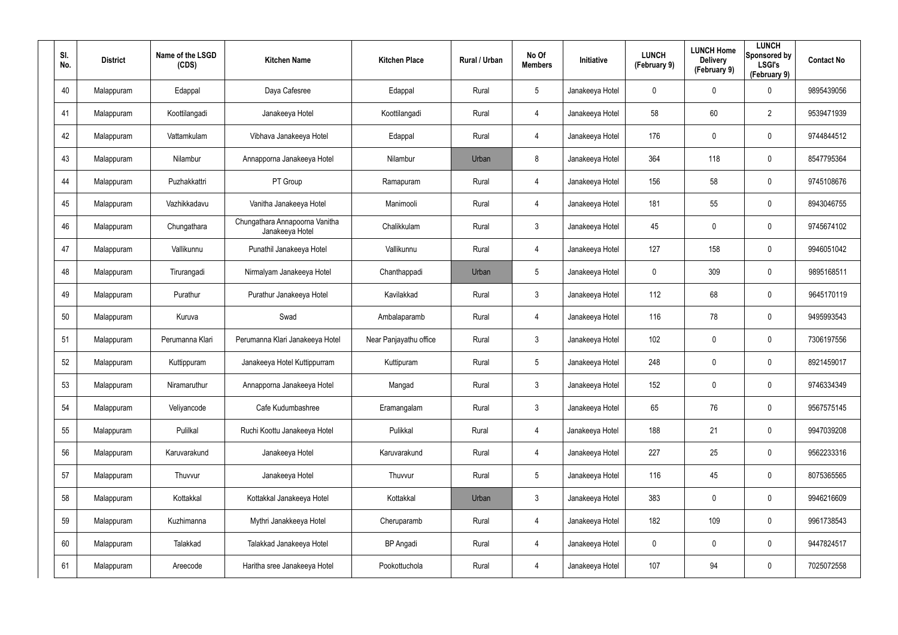| SI.<br>No. | <b>District</b> | Name of the LSGD<br>(CDS) | <b>Kitchen Name</b>                               | <b>Kitchen Place</b>   | Rural / Urban | No Of<br><b>Members</b> | <b>Initiative</b> | <b>LUNCH</b><br>(February 9) | <b>LUNCH Home</b><br><b>Delivery</b><br>(February 9) | <b>LUNCH</b><br>Sponsored by<br><b>LSGI's</b><br>(February 9) | <b>Contact No</b> |
|------------|-----------------|---------------------------|---------------------------------------------------|------------------------|---------------|-------------------------|-------------------|------------------------------|------------------------------------------------------|---------------------------------------------------------------|-------------------|
| 40         | Malappuram      | Edappal                   | Daya Cafesree                                     | Edappal                | Rural         | $5\phantom{.0}$         | Janakeeya Hotel   | 0                            | 0                                                    | $\mathbf 0$                                                   | 9895439056        |
| 41         | Malappuram      | Koottilangadi             | Janakeeya Hotel                                   | Koottilangadi          | Rural         | 4                       | Janakeeya Hotel   | 58                           | 60                                                   | $\overline{2}$                                                | 9539471939        |
| 42         | Malappuram      | Vattamkulam               | Vibhava Janakeeya Hotel                           | Edappal                | Rural         | 4                       | Janakeeya Hotel   | 176                          | 0                                                    | $\pmb{0}$                                                     | 9744844512        |
| 43         | Malappuram      | Nilambur                  | Annapporna Janakeeya Hotel                        | Nilambur               | Urban         | 8                       | Janakeeya Hotel   | 364                          | 118                                                  | $\mathbf 0$                                                   | 8547795364        |
| 44         | Malappuram      | Puzhakkattri              | PT Group                                          | Ramapuram              | Rural         | 4                       | Janakeeya Hotel   | 156                          | 58                                                   | $\pmb{0}$                                                     | 9745108676        |
| 45         | Malappuram      | Vazhikkadavu              | Vanitha Janakeeya Hotel                           | Manimooli              | Rural         | 4                       | Janakeeya Hotel   | 181                          | 55                                                   | $\pmb{0}$                                                     | 8943046755        |
| 46         | Malappuram      | Chungathara               | Chungathara Annapoorna Vanitha<br>Janakeeya Hotel | Chalikkulam            | Rural         | $\mathbf{3}$            | Janakeeya Hotel   | 45                           | 0                                                    | $\pmb{0}$                                                     | 9745674102        |
| 47         | Malappuram      | Vallikunnu                | Punathil Janakeeya Hotel                          | Vallikunnu             | Rural         | 4                       | Janakeeya Hotel   | 127                          | 158                                                  | $\mathbf 0$                                                   | 9946051042        |
| 48         | Malappuram      | Tirurangadi               | Nirmalyam Janakeeya Hotel                         | Chanthappadi           | Urban         | $5\phantom{.0}$         | Janakeeya Hotel   | 0                            | 309                                                  | $\pmb{0}$                                                     | 9895168511        |
| 49         | Malappuram      | Purathur                  | Purathur Janakeeya Hotel                          | Kavilakkad             | Rural         | $\mathbf{3}$            | Janakeeya Hotel   | 112                          | 68                                                   | $\mathbf 0$                                                   | 9645170119        |
| 50         | Malappuram      | Kuruva                    | Swad                                              | Ambalaparamb           | Rural         | 4                       | Janakeeya Hotel   | 116                          | 78                                                   | $\pmb{0}$                                                     | 9495993543        |
| 51         | Malappuram      | Perumanna Klari           | Perumanna Klari Janakeeya Hotel                   | Near Panjayathu office | Rural         | $\mathbf{3}$            | Janakeeya Hotel   | 102                          | $\mathbf 0$                                          | $\mathbf 0$                                                   | 7306197556        |
| 52         | Malappuram      | Kuttippuram               | Janakeeya Hotel Kuttippurram                      | Kuttipuram             | Rural         | $5\phantom{.0}$         | Janakeeya Hotel   | 248                          | 0                                                    | $\mathbf 0$                                                   | 8921459017        |
| 53         | Malappuram      | Niramaruthur              | Annapporna Janakeeya Hotel                        | Mangad                 | Rural         | $\mathbf{3}$            | Janakeeya Hotel   | 152                          | $\mathbf 0$                                          | $\pmb{0}$                                                     | 9746334349        |
| 54         | Malappuram      | Veliyancode               | Cafe Kudumbashree                                 | Eramangalam            | Rural         | $\mathbf{3}$            | Janakeeya Hotel   | 65                           | 76                                                   | $\mathsf{0}$                                                  | 9567575145        |
| 55         | Malappuram      | Pulilkal                  | Ruchi Koottu Janakeeya Hotel                      | Pulikkal               | Rural         | 4                       | Janakeeya Hotel   | 188                          | 21                                                   | $\mathbf 0$                                                   | 9947039208        |
| 56         | Malappuram      | Karuvarakund              | Janakeeya Hotel                                   | Karuvarakund           | Rural         | 4                       | Janakeeya Hotel   | 227                          | 25                                                   | $\mathbf 0$                                                   | 9562233316        |
| 57         | Malappuram      | Thuvvur                   | Janakeeya Hotel                                   | Thuvvur                | Rural         | $5\phantom{.0}$         | Janakeeya Hotel   | 116                          | 45                                                   | $\mathbf 0$                                                   | 8075365565        |
| 58         | Malappuram      | Kottakkal                 | Kottakkal Janakeeya Hotel                         | Kottakkal              | Urban         | $\mathbf{3}$            | Janakeeya Hotel   | 383                          | 0                                                    | $\mathbf 0$                                                   | 9946216609        |
| 59         | Malappuram      | Kuzhimanna                | Mythri Janakkeeya Hotel                           | Cheruparamb            | Rural         | 4                       | Janakeeya Hotel   | 182                          | 109                                                  | $\mathbf 0$                                                   | 9961738543        |
| 60         | Malappuram      | Talakkad                  | Talakkad Janakeeya Hotel                          | <b>BP</b> Angadi       | Rural         | 4                       | Janakeeya Hotel   | 0                            | 0                                                    | $\mathbf 0$                                                   | 9447824517        |
| 61         | Malappuram      | Areecode                  | Haritha sree Janakeeya Hotel                      | Pookottuchola          | Rural         | $\overline{4}$          | Janakeeya Hotel   | 107                          | 94                                                   | $\mathbf 0$                                                   | 7025072558        |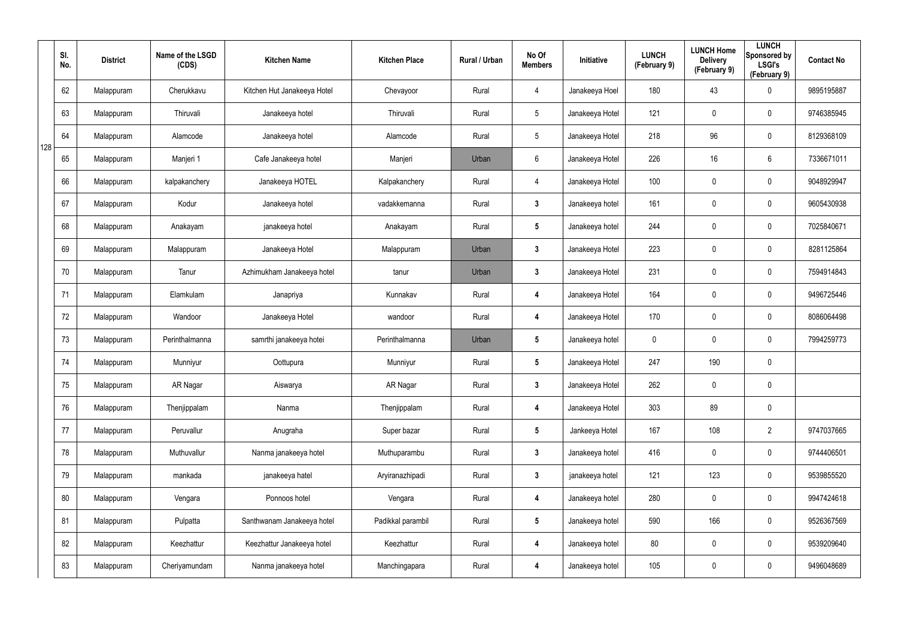|     | SI.<br>No. | <b>District</b> | Name of the LSGD<br>(CDS) | <b>Kitchen Name</b>         | <b>Kitchen Place</b> | Rural / Urban | No Of<br><b>Members</b> | Initiative      | <b>LUNCH</b><br>(February 9) | <b>LUNCH Home</b><br><b>Delivery</b><br>(February 9) | <b>LUNCH</b><br>Sponsored by<br><b>LSGI's</b><br>(February 9) | <b>Contact No</b> |
|-----|------------|-----------------|---------------------------|-----------------------------|----------------------|---------------|-------------------------|-----------------|------------------------------|------------------------------------------------------|---------------------------------------------------------------|-------------------|
|     | 62         | Malappuram      | Cherukkavu                | Kitchen Hut Janakeeya Hotel | Chevayoor            | Rural         | $\overline{4}$          | Janakeeya Hoel  | 180                          | 43                                                   | $\mathbf 0$                                                   | 9895195887        |
|     | 63         | Malappuram      | Thiruvali                 | Janakeeya hotel             | Thiruvali            | Rural         | $5\phantom{.0}$         | Janakeeya Hotel | 121                          | 0                                                    | $\mathbf 0$                                                   | 9746385945        |
| 128 | 64         | Malappuram      | Alamcode                  | Janakeeya hotel             | Alamcode             | Rural         | $5\overline{)}$         | Janakeeya Hotel | 218                          | 96                                                   | $\mathbf 0$                                                   | 8129368109        |
|     | 65         | Malappuram      | Manjeri 1                 | Cafe Janakeeya hotel        | Manjeri              | Urban         | 6                       | Janakeeya Hotel | 226                          | 16                                                   | 6                                                             | 7336671011        |
|     | 66         | Malappuram      | kalpakanchery             | Janakeeya HOTEL             | Kalpakanchery        | Rural         | $\overline{4}$          | Janakeeya Hotel | 100                          | 0                                                    | $\mathbf 0$                                                   | 9048929947        |
|     | 67         | Malappuram      | Kodur                     | Janakeeya hotel             | vadakkemanna         | Rural         | $3\phantom{.0}$         | Janakeeya hotel | 161                          | 0                                                    | $\mathbf 0$                                                   | 9605430938        |
|     | 68         | Malappuram      | Anakayam                  | janakeeya hotel             | Anakayam             | Rural         | $5\phantom{.0}$         | Janakeeya hotel | 244                          | 0                                                    | $\mathbf 0$                                                   | 7025840671        |
|     | 69         | Malappuram      | Malappuram                | Janakeeya Hotel             | Malappuram           | Urban         | $\mathbf{3}$            | Janakeeya Hotel | 223                          | 0                                                    | $\mathbf 0$                                                   | 8281125864        |
|     | 70         | Malappuram      | Tanur                     | Azhimukham Janakeeya hotel  | tanur                | Urban         | $3\phantom{a}$          | Janakeeya Hotel | 231                          | 0                                                    | $\mathbf 0$                                                   | 7594914843        |
|     | 71         | Malappuram      | Elamkulam                 | Janapriya                   | Kunnakav             | Rural         | 4                       | Janakeeya Hotel | 164                          | 0                                                    | $\mathbf 0$                                                   | 9496725446        |
|     | 72         | Malappuram      | Wandoor                   | Janakeeya Hotel             | wandoor              | Rural         | 4                       | Janakeeya Hotel | 170                          | 0                                                    | $\boldsymbol{0}$                                              | 8086064498        |
|     | 73         | Malappuram      | Perinthalmanna            | samrthi janakeeya hotei     | Perinthalmanna       | Urban         | $5\phantom{.0}$         | Janakeeya hotel | 0                            | 0                                                    | $\mathbf 0$                                                   | 7994259773        |
|     | 74         | Malappuram      | Munniyur                  | Oottupura                   | Munniyur             | Rural         | $5\phantom{.0}$         | Janakeeya Hotel | 247                          | 190                                                  | $\pmb{0}$                                                     |                   |
|     | 75         | Malappuram      | AR Nagar                  | Aiswarya                    | AR Nagar             | Rural         | $\mathbf{3}$            | Janakeeya Hotel | 262                          | 0                                                    | $\pmb{0}$                                                     |                   |
|     | 76         | Malappuram      | Thenjippalam              | Nanma                       | Thenjippalam         | Rural         | $\overline{\mathbf{4}}$ | Janakeeya Hotel | 303                          | 89                                                   | $\pmb{0}$                                                     |                   |
|     | 77         | Malappuram      | Peruvallur                | Anugraha                    | Super bazar          | Rural         | $5\phantom{.0}$         | Jankeeya Hotel  | 167                          | 108                                                  | $\overline{2}$                                                | 9747037665        |
|     | 78         | Malappuram      | Muthuvallur               | Nanma janakeeya hotel       | Muthuparambu         | Rural         | $3\phantom{a}$          | Janakeeya hotel | 416                          | $\mathbf 0$                                          | $\pmb{0}$                                                     | 9744406501        |
|     | 79         | Malappuram      | mankada                   | janakeeya hatel             | Aryiranazhipadi      | Rural         | $3\phantom{a}$          | janakeeya hotel | 121                          | 123                                                  | $\pmb{0}$                                                     | 9539855520        |
|     | 80         | Malappuram      | Vengara                   | Ponnoos hotel               | Vengara              | Rural         | $\overline{\mathbf{4}}$ | Janakeeya hotel | 280                          | 0                                                    | $\mathbf 0$                                                   | 9947424618        |
|     | 81         | Malappuram      | Pulpatta                  | Santhwanam Janakeeya hotel  | Padikkal parambil    | Rural         | $5\phantom{.0}$         | Janakeeya hotel | 590                          | 166                                                  | $\pmb{0}$                                                     | 9526367569        |
|     | 82         | Malappuram      | Keezhattur                | Keezhattur Janakeeya hotel  | Keezhattur           | Rural         | $\overline{\mathbf{4}}$ | Janakeeya hotel | 80                           | 0                                                    | $\mathbf 0$                                                   | 9539209640        |
|     | 83         | Malappuram      | Cheriyamundam             | Nanma janakeeya hotel       | Manchingapara        | Rural         | $\overline{\mathbf{4}}$ | Janakeeya hotel | 105                          | 0                                                    | $\pmb{0}$                                                     | 9496048689        |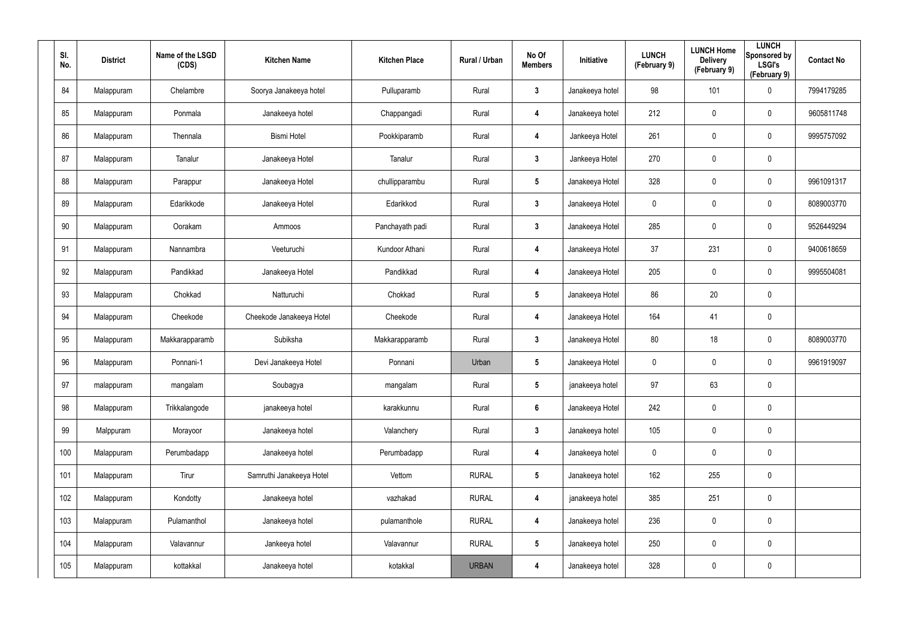| SI.<br>No. | <b>District</b> | Name of the LSGD<br>(CDS) | <b>Kitchen Name</b>      | <b>Kitchen Place</b> | Rural / Urban | No Of<br><b>Members</b> | Initiative      | <b>LUNCH</b><br>(February 9) | <b>LUNCH Home</b><br><b>Delivery</b><br>(February 9) | <b>LUNCH</b><br>Sponsored by<br><b>LSGI's</b><br>(February 9) | <b>Contact No</b> |
|------------|-----------------|---------------------------|--------------------------|----------------------|---------------|-------------------------|-----------------|------------------------------|------------------------------------------------------|---------------------------------------------------------------|-------------------|
| 84         | Malappuram      | Chelambre                 | Soorya Janakeeya hotel   | Pulluparamb          | Rural         | $\mathbf{3}$            | Janakeeya hotel | 98                           | 101                                                  | $\boldsymbol{0}$                                              | 7994179285        |
| 85         | Malappuram      | Ponmala                   | Janakeeya hotel          | Chappangadi          | Rural         | 4                       | Janakeeya hotel | 212                          | 0                                                    | $\pmb{0}$                                                     | 9605811748        |
| 86         | Malappuram      | Thennala                  | <b>Bismi Hotel</b>       | Pookkiparamb         | Rural         | $\overline{\mathbf{4}}$ | Jankeeya Hotel  | 261                          | 0                                                    | $\pmb{0}$                                                     | 9995757092        |
| 87         | Malappuram      | Tanalur                   | Janakeeya Hotel          | Tanalur              | Rural         | $\mathbf{3}$            | Jankeeya Hotel  | 270                          | 0                                                    | $\pmb{0}$                                                     |                   |
| 88         | Malappuram      | Parappur                  | Janakeeya Hotel          | chullipparambu       | Rural         | $5\phantom{.0}$         | Janakeeya Hotel | 328                          | 0                                                    | $\pmb{0}$                                                     | 9961091317        |
| 89         | Malappuram      | Edarikkode                | Janakeeya Hotel          | Edarikkod            | Rural         | $\mathbf{3}$            | Janakeeya Hotel | 0                            | 0                                                    | $\pmb{0}$                                                     | 8089003770        |
| 90         | Malappuram      | Oorakam                   | Ammoos                   | Panchayath padi      | Rural         | $\mathbf{3}$            | Janakeeya Hotel | 285                          | 0                                                    | $\mathbf 0$                                                   | 9526449294        |
| 91         | Malappuram      | Nannambra                 | Veeturuchi               | Kundoor Athani       | Rural         | 4                       | Janakeeya Hotel | 37                           | 231                                                  | $\mathbf 0$                                                   | 9400618659        |
| 92         | Malappuram      | Pandikkad                 | Janakeeya Hotel          | Pandikkad            | Rural         | 4                       | Janakeeya Hotel | 205                          | $\mathbf 0$                                          | $\mathbf 0$                                                   | 9995504081        |
| 93         | Malappuram      | Chokkad                   | Natturuchi               | Chokkad              | Rural         | $5\phantom{.0}$         | Janakeeya Hotel | 86                           | 20                                                   | $\mathbf 0$                                                   |                   |
| 94         | Malappuram      | Cheekode                  | Cheekode Janakeeya Hotel | Cheekode             | Rural         | 4                       | Janakeeya Hotel | 164                          | 41                                                   | $\pmb{0}$                                                     |                   |
| 95         | Malappuram      | Makkarapparamb            | Subiksha                 | Makkarapparamb       | Rural         | $\mathbf{3}$            | Janakeeya Hotel | 80                           | 18                                                   | $\mathbf 0$                                                   | 8089003770        |
| 96         | Malappuram      | Ponnani-1                 | Devi Janakeeya Hotel     | Ponnani              | Urban         | $5\phantom{.0}$         | Janakeeya Hotel | 0                            | $\mathbf 0$                                          | $\mathbf 0$                                                   | 9961919097        |
| 97         | malappuram      | mangalam                  | Soubagya                 | mangalam             | Rural         | $5\phantom{.0}$         | janakeeya hotel | 97                           | 63                                                   | $\pmb{0}$                                                     |                   |
| 98         | Malappuram      | Trikkalangode             | janakeeya hotel          | karakkunnu           | Rural         | $6\phantom{.}$          | Janakeeya Hotel | 242                          | $\mathbf 0$                                          | $\mathbf 0$                                                   |                   |
| 99         | Malppuram       | Morayoor                  | Janakeeya hotel          | Valanchery           | Rural         | $3\phantom{a}$          | Janakeeya hotel | 105                          | $\mathbf 0$                                          | $\mathbf 0$                                                   |                   |
| 100        | Malappuram      | Perumbadapp               | Janakeeya hotel          | Perumbadapp          | Rural         | 4                       | Janakeeya hotel | 0                            | 0                                                    | $\mathbf 0$                                                   |                   |
| 101        | Malappuram      | Tirur                     | Samruthi Janakeeya Hotel | Vettom               | <b>RURAL</b>  | $5\phantom{.0}$         | Janakeeya hotel | 162                          | 255                                                  | $\pmb{0}$                                                     |                   |
| 102        | Malappuram      | Kondotty                  | Janakeeya hotel          | vazhakad             | <b>RURAL</b>  | $\overline{\mathbf{4}}$ | janakeeya hotel | 385                          | 251                                                  | $\mathbf 0$                                                   |                   |
| 103        | Malappuram      | Pulamanthol               | Janakeeya hotel          | pulamanthole         | <b>RURAL</b>  | $\overline{\mathbf{4}}$ | Janakeeya hotel | 236                          | $\pmb{0}$                                            | $\pmb{0}$                                                     |                   |
| 104        | Malappuram      | Valavannur                | Jankeeya hotel           | Valavannur           | <b>RURAL</b>  | $5\phantom{.0}$         | Janakeeya hotel | 250                          | 0                                                    | $\mathbf 0$                                                   |                   |
| 105        | Malappuram      | kottakkal                 | Janakeeya hotel          | kotakkal             | <b>URBAN</b>  | 4                       | Janakeeya hotel | 328                          | 0                                                    | $\pmb{0}$                                                     |                   |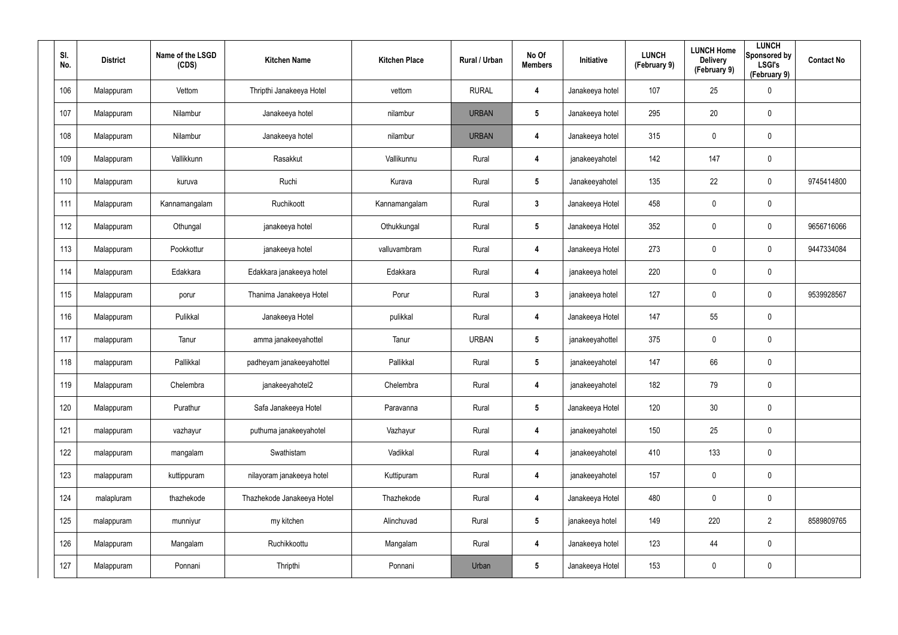| SI.<br>No. | <b>District</b> | Name of the LSGD<br>(CDS) | <b>Kitchen Name</b>        | <b>Kitchen Place</b> | Rural / Urban | No Of<br><b>Members</b> | Initiative      | <b>LUNCH</b><br>(February 9) | <b>LUNCH Home</b><br><b>Delivery</b><br>(February 9) | <b>LUNCH</b><br>Sponsored by<br><b>LSGI's</b><br>(February 9) | <b>Contact No</b> |
|------------|-----------------|---------------------------|----------------------------|----------------------|---------------|-------------------------|-----------------|------------------------------|------------------------------------------------------|---------------------------------------------------------------|-------------------|
| 106        | Malappuram      | Vettom                    | Thripthi Janakeeya Hotel   | vettom               | <b>RURAL</b>  | 4                       | Janakeeya hotel | 107                          | 25                                                   | $\pmb{0}$                                                     |                   |
| 107        | Malappuram      | Nilambur                  | Janakeeya hotel            | nilambur             | <b>URBAN</b>  | $5\phantom{.0}$         | Janakeeya hotel | 295                          | 20                                                   | $\pmb{0}$                                                     |                   |
| 108        | Malappuram      | Nilambur                  | Janakeeya hotel            | nilambur             | <b>URBAN</b>  | 4                       | Janakeeya hotel | 315                          | $\pmb{0}$                                            | $\mathbf 0$                                                   |                   |
| 109        | Malappuram      | Vallikkunn                | Rasakkut                   | Vallikunnu           | Rural         | 4                       | janakeeyahotel  | 142                          | 147                                                  | $\pmb{0}$                                                     |                   |
| 110        | Malappuram      | kuruva                    | Ruchi                      | Kurava               | Rural         | $5\phantom{.0}$         | Janakeeyahotel  | 135                          | 22                                                   | $\pmb{0}$                                                     | 9745414800        |
| 111        | Malappuram      | Kannamangalam             | Ruchikoott                 | Kannamangalam        | Rural         | $\mathbf{3}$            | Janakeeya Hotel | 458                          | $\mathbf 0$                                          | $\pmb{0}$                                                     |                   |
| 112        | Malappuram      | Othungal                  | janakeeya hotel            | Othukkungal          | Rural         | $5\phantom{.0}$         | Janakeeya Hotel | 352                          | $\mathbf 0$                                          | $\mathbf 0$                                                   | 9656716066        |
| 113        | Malappuram      | Pookkottur                | janakeeya hotel            | valluvambram         | Rural         | 4                       | Janakeeya Hotel | 273                          | 0                                                    | $\mathbf 0$                                                   | 9447334084        |
| 114        | Malappuram      | Edakkara                  | Edakkara janakeeya hotel   | Edakkara             | Rural         | 4                       | janakeeya hotel | 220                          | $\mathbf 0$                                          | $\pmb{0}$                                                     |                   |
| 115        | Malappuram      | porur                     | Thanima Janakeeya Hotel    | Porur                | Rural         | $3\phantom{a}$          | janakeeya hotel | 127                          | 0                                                    | $\mathbf 0$                                                   | 9539928567        |
| 116        | Malappuram      | Pulikkal                  | Janakeeya Hotel            | pulikkal             | Rural         | 4                       | Janakeeya Hotel | 147                          | 55                                                   | $\mathbf 0$                                                   |                   |
| 117        | malappuram      | Tanur                     | amma janakeeyahottel       | Tanur                | <b>URBAN</b>  | $5\phantom{.0}$         | janakeeyahottel | 375                          | 0                                                    | $\mathbf 0$                                                   |                   |
| 118        | malappuram      | Pallikkal                 | padheyam janakeeyahottel   | Pallikkal            | Rural         | $5\phantom{.0}$         | janakeeyahotel  | 147                          | 66                                                   | $\pmb{0}$                                                     |                   |
| 119        | Malappuram      | Chelembra                 | janakeeyahotel2            | Chelembra            | Rural         | 4                       | janakeeyahotel  | 182                          | 79                                                   | $\pmb{0}$                                                     |                   |
| 120        | Malappuram      | Purathur                  | Safa Janakeeya Hotel       | Paravanna            | Rural         | $5\phantom{.0}$         | Janakeeya Hotel | 120                          | 30                                                   | $\mathbf 0$                                                   |                   |
| 121        | malappuram      | vazhayur                  | puthuma janakeeyahotel     | Vazhayur             | Rural         | 4                       | janakeeyahotel  | 150                          | 25                                                   | $\pmb{0}$                                                     |                   |
| 122        | malappuram      | mangalam                  | Swathistam                 | Vadikkal             | Rural         | 4                       | janakeeyahotel  | 410                          | 133                                                  | $\mathbf 0$                                                   |                   |
| 123        | malappuram      | kuttippuram               | nilayoram janakeeya hotel  | Kuttipuram           | Rural         | 4                       | janakeeyahotel  | 157                          | 0                                                    | $\pmb{0}$                                                     |                   |
| 124        | malapluram      | thazhekode                | Thazhekode Janakeeya Hotel | Thazhekode           | Rural         | 4                       | Janakeeya Hotel | 480                          | $\mathbf 0$                                          | $\mathbf 0$                                                   |                   |
| 125        | malappuram      | munniyur                  | my kitchen                 | Alinchuvad           | Rural         | $5\phantom{.0}$         | janakeeya hotel | 149                          | 220                                                  | $\overline{2}$                                                | 8589809765        |
| 126        | Malappuram      | Mangalam                  | Ruchikkoottu               | Mangalam             | Rural         | 4                       | Janakeeya hotel | 123                          | 44                                                   | $\mathbf 0$                                                   |                   |
| 127        | Malappuram      | Ponnani                   | Thripthi                   | Ponnani              | Urban         | $5\phantom{.0}$         | Janakeeya Hotel | 153                          | 0                                                    | $\pmb{0}$                                                     |                   |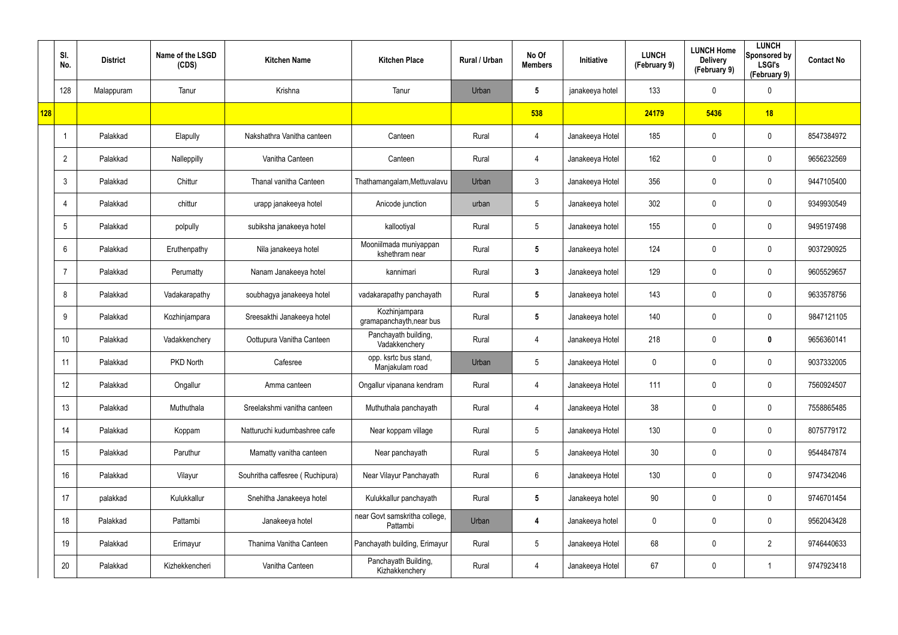|            | SI.<br>No.      | <b>District</b> | Name of the LSGD<br>(CDS) | <b>Kitchen Name</b>             | <b>Kitchen Place</b>                      | Rural / Urban | No Of<br><b>Members</b> | Initiative      | <b>LUNCH</b><br>(February 9) | <b>LUNCH Home</b><br><b>Delivery</b><br>(February 9) | <b>LUNCH</b><br>Sponsored by<br><b>LSGI's</b><br>(February 9) | <b>Contact No</b> |
|------------|-----------------|-----------------|---------------------------|---------------------------------|-------------------------------------------|---------------|-------------------------|-----------------|------------------------------|------------------------------------------------------|---------------------------------------------------------------|-------------------|
|            | 128             | Malappuram      | Tanur                     | Krishna                         | Tanur                                     | Urban         | $5\phantom{.0}$         | janakeeya hotel | 133                          | 0                                                    | $\mathbf 0$                                                   |                   |
| <b>128</b> |                 |                 |                           |                                 |                                           |               | 538                     |                 | 24179                        | 5436                                                 | 18                                                            |                   |
|            |                 | Palakkad        | Elapully                  | Nakshathra Vanitha canteen      | Canteen                                   | Rural         | $\overline{4}$          | Janakeeya Hotel | 185                          | 0                                                    | $\mathbf 0$                                                   | 8547384972        |
|            | $\overline{2}$  | Palakkad        | Nalleppilly               | Vanitha Canteen                 | Canteen                                   | Rural         | $\overline{4}$          | Janakeeya Hotel | 162                          | $\mathbf 0$                                          | $\mathbf 0$                                                   | 9656232569        |
|            | $\mathbf{3}$    | Palakkad        | Chittur                   | Thanal vanitha Canteen          | Thathamangalam, Mettuvalavu               | Urban         | $\mathbf{3}$            | Janakeeya Hotel | 356                          | 0                                                    | $\mathbf 0$                                                   | 9447105400        |
|            | $\overline{4}$  | Palakkad        | chittur                   | urapp janakeeya hotel           | Anicode junction                          | urban         | $5\phantom{.0}$         | Janakeeya hotel | 302                          | 0                                                    | $\mathbf 0$                                                   | 9349930549        |
|            | $5\phantom{.0}$ | Palakkad        | polpully                  | subiksha janakeeya hotel        | kallootiyal                               | Rural         | $5\phantom{.0}$         | Janakeeya hotel | 155                          | 0                                                    | $\mathbf 0$                                                   | 9495197498        |
|            | $6^{\circ}$     | Palakkad        | Eruthenpathy              | Nila janakeeya hotel            | Mooniilmada muniyappan<br>kshethram near  | Rural         | $5\phantom{.0}$         | Janakeeya hotel | 124                          | 0                                                    | $\mathbf 0$                                                   | 9037290925        |
|            | -7              | Palakkad        | Perumatty                 | Nanam Janakeeya hotel           | kannimari                                 | Rural         | $\mathbf{3}$            | Janakeeya hotel | 129                          | 0                                                    | $\mathbf 0$                                                   | 9605529657        |
|            | 8               | Palakkad        | Vadakarapathy             | soubhagya janakeeya hotel       | vadakarapathy panchayath                  | Rural         | $5\phantom{.0}$         | Janakeeya hotel | 143                          | 0                                                    | $\mathbf 0$                                                   | 9633578756        |
|            | 9               | Palakkad        | Kozhinjampara             | Sreesakthi Janakeeya hotel      | Kozhinjampara<br>gramapanchayth, near bus | Rural         | $5\phantom{.0}$         | Janakeeya hotel | 140                          | 0                                                    | $\mathbf 0$                                                   | 9847121105        |
|            | 10              | Palakkad        | Vadakkenchery             | Oottupura Vanitha Canteen       | Panchayath building,<br>Vadakkenchery     | Rural         | $\overline{4}$          | Janakeeya Hotel | 218                          | 0                                                    | $\mathbf 0$                                                   | 9656360141        |
|            | 11              | Palakkad        | PKD North                 | Cafesree                        | opp. ksrtc bus stand,<br>Manjakulam road  | Urban         | $5\phantom{.0}$         | Janakeeya Hotel | 0                            | 0                                                    | $\mathbf 0$                                                   | 9037332005        |
|            | 12              | Palakkad        | Ongallur                  | Amma canteen                    | Ongallur vipanana kendram                 | Rural         | $\overline{4}$          | Janakeeya Hotel | 111                          | $\mathbf 0$                                          | $\pmb{0}$                                                     | 7560924507        |
|            | 13              | Palakkad        | Muthuthala                | Sreelakshmi vanitha canteen     | Muthuthala panchayath                     | Rural         | $\overline{4}$          | Janakeeya Hotel | 38                           | $\mathbf 0$                                          | $\mathbf 0$                                                   | 7558865485        |
|            | 14              | Palakkad        | Koppam                    | Natturuchi kudumbashree cafe    | Near koppam village                       | Rural         | $5\phantom{.0}$         | Janakeeya Hotel | 130                          | $\mathbf 0$                                          | $\mathbf 0$                                                   | 8075779172        |
|            | 15              | Palakkad        | Paruthur                  | Mamatty vanitha canteen         | Near panchayath                           | Rural         | $5\phantom{.0}$         | Janakeeya Hotel | 30 <sup>°</sup>              | 0                                                    | $\mathbf 0$                                                   | 9544847874        |
|            | 16              | Palakkad        | Vilayur                   | Souhritha caffesree (Ruchipura) | Near Vilayur Panchayath                   | Rural         | $6\phantom{.}6$         | Janakeeya Hotel | 130                          | 0                                                    | $\mathbf 0$                                                   | 9747342046        |
|            | 17              | palakkad        | Kulukkallur               | Snehitha Janakeeya hotel        | Kulukkallur panchayath                    | Rural         | $5\phantom{.0}$         | Janakeeya hotel | 90                           | 0                                                    | $\mathbf 0$                                                   | 9746701454        |
|            | 18              | Palakkad        | Pattambi                  | Janakeeya hotel                 | near Govt samskritha college,<br>Pattambi | Urban         | 4                       | Janakeeya hotel | 0                            | 0                                                    | $\mathbf 0$                                                   | 9562043428        |
|            | 19              | Palakkad        | Erimayur                  | Thanima Vanitha Canteen         | Panchayath building, Erimayur             | Rural         | $5\phantom{.0}$         | Janakeeya Hotel | 68                           | 0                                                    | $\overline{2}$                                                | 9746440633        |
|            | 20              | Palakkad        | Kizhekkencheri            | Vanitha Canteen                 | Panchayath Building,<br>Kizhakkenchery    | Rural         | 4                       | Janakeeya Hotel | 67                           | 0                                                    | $\mathbf{1}$                                                  | 9747923418        |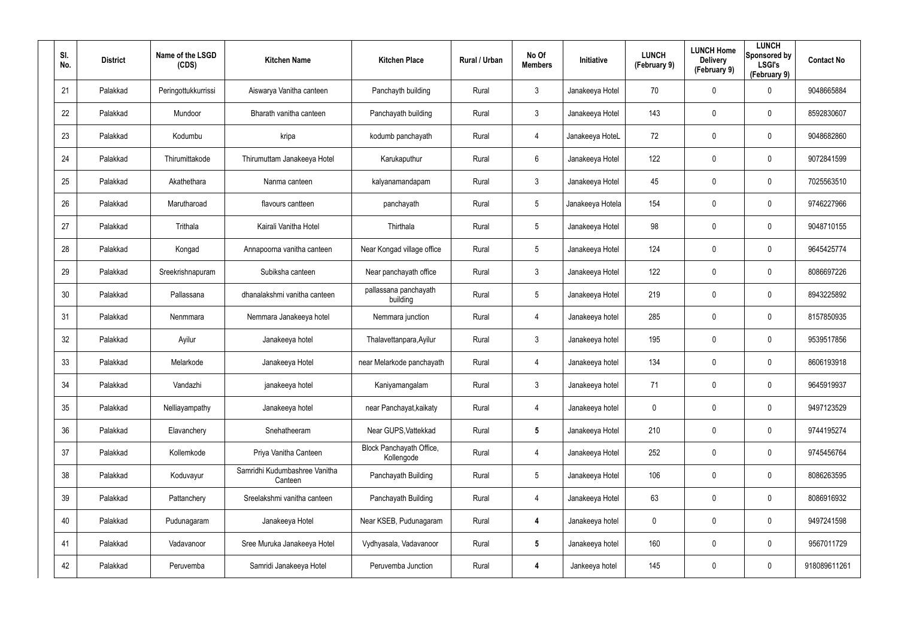| SI.<br>No. | <b>District</b> | Name of the LSGD<br>(CDS) | <b>Kitchen Name</b>                      | <b>Kitchen Place</b>                   | Rural / Urban | No Of<br><b>Members</b> | <b>Initiative</b> | <b>LUNCH</b><br>(February 9) | <b>LUNCH Home</b><br><b>Delivery</b><br>(February 9) | <b>LUNCH</b><br>Sponsored by<br><b>LSGI's</b><br>(February 9) | <b>Contact No</b> |
|------------|-----------------|---------------------------|------------------------------------------|----------------------------------------|---------------|-------------------------|-------------------|------------------------------|------------------------------------------------------|---------------------------------------------------------------|-------------------|
| 21         | Palakkad        | Peringottukkurrissi       | Aiswarya Vanitha canteen                 | Panchayth building                     | Rural         | 3                       | Janakeeya Hotel   | 70                           | 0                                                    | $\mathbf 0$                                                   | 9048665884        |
| 22         | Palakkad        | Mundoor                   | Bharath vanitha canteen                  | Panchayath building                    | Rural         | $\mathbf{3}$            | Janakeeya Hotel   | 143                          | 0                                                    | $\mathbf 0$                                                   | 8592830607        |
| 23         | Palakkad        | Kodumbu                   | kripa                                    | kodumb panchayath                      | Rural         | 4                       | Janakeeya HoteL   | 72                           | 0                                                    | $\mathbf 0$                                                   | 9048682860        |
| 24         | Palakkad        | Thirumittakode            | Thirumuttam Janakeeya Hotel              | Karukaputhur                           | Rural         | 6                       | Janakeeya Hotel   | 122                          | 0                                                    | $\mathbf 0$                                                   | 9072841599        |
| 25         | Palakkad        | Akathethara               | Nanma canteen                            | kalyanamandapam                        | Rural         | $\mathbf{3}$            | Janakeeya Hotel   | 45                           | 0                                                    | $\mathbf 0$                                                   | 7025563510        |
| 26         | Palakkad        | Marutharoad               | flavours cantteen                        | panchayath                             | Rural         | $5\phantom{.0}$         | Janakeeya Hotela  | 154                          | 0                                                    | $\mathbf 0$                                                   | 9746227966        |
| 27         | Palakkad        | Trithala                  | Kairali Vanitha Hotel                    | Thirthala                              | Rural         | $5\phantom{.0}$         | Janakeeya Hotel   | 98                           | 0                                                    | $\mathbf 0$                                                   | 9048710155        |
| 28         | Palakkad        | Kongad                    | Annapoorna vanitha canteen               | Near Kongad village office             | Rural         | $5\overline{)}$         | Janakeeya Hotel   | 124                          | 0                                                    | $\mathbf 0$                                                   | 9645425774        |
| 29         | Palakkad        | Sreekrishnapuram          | Subiksha canteen                         | Near panchayath office                 | Rural         | $\mathbf{3}$            | Janakeeya Hotel   | 122                          | 0                                                    | $\mathbf 0$                                                   | 8086697226        |
| 30         | Palakkad        | Pallassana                | dhanalakshmi vanitha canteen             | pallassana panchayath<br>building      | Rural         | $5\overline{)}$         | Janakeeya Hotel   | 219                          | 0                                                    | $\mathbf 0$                                                   | 8943225892        |
| 31         | Palakkad        | Nenmmara                  | Nemmara Janakeeya hotel                  | Nemmara junction                       | Rural         | 4                       | Janakeeya hotel   | 285                          | 0                                                    | $\mathbf 0$                                                   | 8157850935        |
| 32         | Palakkad        | Ayilur                    | Janakeeya hotel                          | Thalavettanpara, Ayilur                | Rural         | $\mathbf{3}$            | Janakeeya hotel   | 195                          | 0                                                    | $\mathbf 0$                                                   | 9539517856        |
| 33         | Palakkad        | Melarkode                 | Janakeeya Hotel                          | near Melarkode panchayath              | Rural         | 4                       | Janakeeya hotel   | 134                          | $\mathbf 0$                                          | $\mathbf 0$                                                   | 8606193918        |
| 34         | Palakkad        | Vandazhi                  | janakeeya hotel                          | Kaniyamangalam                         | Rural         | $\mathfrak{Z}$          | Janakeeya hotel   | 71                           | 0                                                    | $\pmb{0}$                                                     | 9645919937        |
| 35         | Palakkad        | Nelliayampathy            | Janakeeya hotel                          | near Panchayat, kaikaty                | Rural         | 4                       | Janakeeya hotel   | 0                            | 0                                                    | $\mathbf 0$                                                   | 9497123529        |
| 36         | Palakkad        | Elavanchery               | Snehatheeram                             | Near GUPS, Vattekkad                   | Rural         | $5\phantom{.0}$         | Janakeeya Hotel   | 210                          | 0                                                    | $\mathbf 0$                                                   | 9744195274        |
| 37         | Palakkad        | Kollemkode                | Priya Vanitha Canteen                    | Block Panchayath Office,<br>Kollengode | Rural         | 4                       | Janakeeya Hotel   | 252                          | 0                                                    | $\mathbf 0$                                                   | 9745456764        |
| 38         | Palakkad        | Koduvayur                 | Samridhi Kudumbashree Vanitha<br>Canteen | Panchayath Building                    | Rural         | $5\phantom{.0}$         | Janakeeya Hotel   | 106                          | 0                                                    | $\pmb{0}$                                                     | 8086263595        |
| 39         | Palakkad        | Pattanchery               | Sreelakshmi vanitha canteen              | Panchayath Building                    | Rural         | 4                       | Janakeeya Hotel   | 63                           | 0                                                    | $\mathbf 0$                                                   | 8086916932        |
| 40         | Palakkad        | Pudunagaram               | Janakeeya Hotel                          | Near KSEB, Pudunagaram                 | Rural         | 4                       | Janakeeya hotel   | 0                            | 0                                                    | $\pmb{0}$                                                     | 9497241598        |
| 41         | Palakkad        | Vadavanoor                | Sree Muruka Janakeeya Hotel              | Vydhyasala, Vadavanoor                 | Rural         | $5\phantom{.0}$         | Janakeeya hotel   | 160                          | 0                                                    | $\pmb{0}$                                                     | 9567011729        |
| 42         | Palakkad        | Peruvemba                 | Samridi Janakeeya Hotel                  | Peruvemba Junction                     | Rural         | 4                       | Jankeeya hotel    | 145                          | 0                                                    | $\mathsf{0}$                                                  | 918089611261      |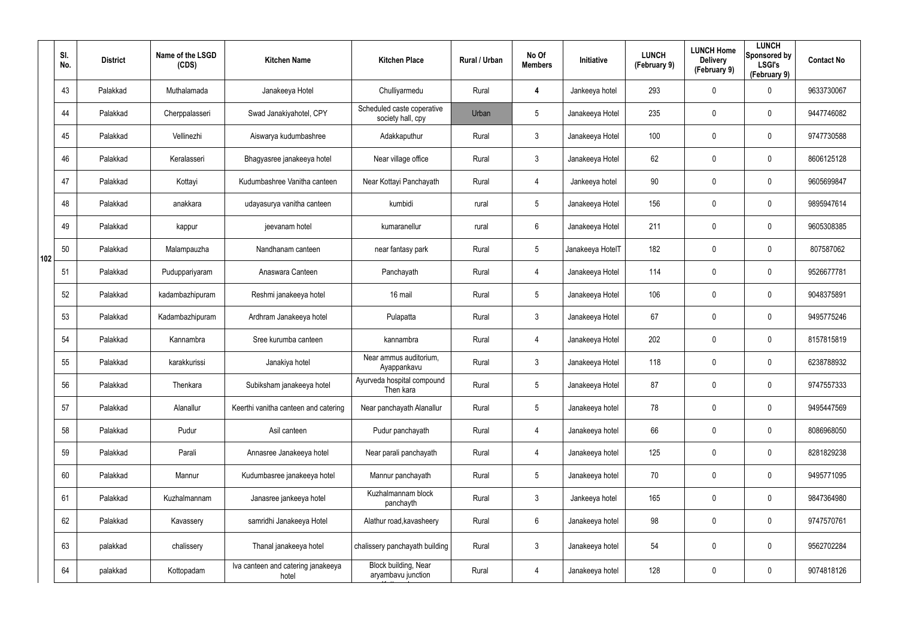|     | SI.<br>No. | <b>District</b> | Name of the LSGD<br>(CDS) | <b>Kitchen Name</b>                         | <b>Kitchen Place</b>                            | Rural / Urban | No Of<br><b>Members</b> | Initiative       | <b>LUNCH</b><br>(February 9) | <b>LUNCH Home</b><br><b>Delivery</b><br>(February 9) | <b>LUNCH</b><br>Sponsored by<br><b>LSGI's</b><br>(February 9) | <b>Contact No</b> |
|-----|------------|-----------------|---------------------------|---------------------------------------------|-------------------------------------------------|---------------|-------------------------|------------------|------------------------------|------------------------------------------------------|---------------------------------------------------------------|-------------------|
|     | 43         | Palakkad        | Muthalamada               | Janakeeya Hotel                             | Chulliyarmedu                                   | Rural         | 4                       | Jankeeya hotel   | 293                          | 0                                                    | $\mathbf 0$                                                   | 9633730067        |
|     | 44         | Palakkad        | Cherppalasseri            | Swad Janakiyahotel, CPY                     | Scheduled caste coperative<br>society hall, cpy | Urban         | $5\phantom{.0}$         | Janakeeya Hotel  | 235                          | 0                                                    | $\boldsymbol{0}$                                              | 9447746082        |
|     | 45         | Palakkad        | Vellinezhi                | Aiswarya kudumbashree                       | Adakkaputhur                                    | Rural         | $\mathbf{3}$            | Janakeeya Hotel  | 100                          | 0                                                    | $\mathbf 0$                                                   | 9747730588        |
|     | 46         | Palakkad        | Keralasseri               | Bhagyasree janakeeya hotel                  | Near village office                             | Rural         | $\mathfrak{Z}$          | Janakeeya Hotel  | 62                           | 0                                                    | $\pmb{0}$                                                     | 8606125128        |
|     | 47         | Palakkad        | Kottayi                   | Kudumbashree Vanitha canteen                | Near Kottayi Panchayath                         | Rural         | $\overline{4}$          | Jankeeya hotel   | 90                           | 0                                                    | $\mathbf 0$                                                   | 9605699847        |
|     | 48         | Palakkad        | anakkara                  | udayasurya vanitha canteen                  | kumbidi                                         | rural         | $5\phantom{.0}$         | Janakeeya Hotel  | 156                          | 0                                                    | $\pmb{0}$                                                     | 9895947614        |
|     | 49         | Palakkad        | kappur                    | jeevanam hotel                              | kumaranellur                                    | rural         | $6\phantom{.}6$         | Janakeeya Hotel  | 211                          | 0                                                    | $\mathbf 0$                                                   | 9605308385        |
| 102 | 50         | Palakkad        | Malampauzha               | Nandhanam canteen                           | near fantasy park                               | Rural         | $5\overline{)}$         | Janakeeya HotelT | 182                          | 0                                                    | $\mathbf 0$                                                   | 807587062         |
|     | 51         | Palakkad        | Puduppariyaram            | Anaswara Canteen                            | Panchayath                                      | Rural         | $\overline{4}$          | Janakeeya Hotel  | 114                          | 0                                                    | $\mathbf 0$                                                   | 9526677781        |
|     | 52         | Palakkad        | kadambazhipuram           | Reshmi janakeeya hotel                      | 16 mail                                         | Rural         | $5\phantom{.0}$         | Janakeeya Hotel  | 106                          | 0                                                    | $\mathbf 0$                                                   | 9048375891        |
|     | 53         | Palakkad        | Kadambazhipuram           | Ardhram Janakeeya hotel                     | Pulapatta                                       | Rural         | $\mathbf{3}$            | Janakeeya Hotel  | 67                           | 0                                                    | $\pmb{0}$                                                     | 9495775246        |
|     | 54         | Palakkad        | Kannambra                 | Sree kurumba canteen                        | kannambra                                       | Rural         | $\overline{4}$          | Janakeeya Hotel  | 202                          | 0                                                    | $\mathbf 0$                                                   | 8157815819        |
|     | 55         | Palakkad        | karakkurissi              | Janakiya hotel                              | Near ammus auditorium,<br>Ayappankavu           | Rural         | $\mathbf{3}$            | Janakeeya Hotel  | 118                          | 0                                                    | $\mathbf 0$                                                   | 6238788932        |
|     | 56         | Palakkad        | Thenkara                  | Subiksham janakeeya hotel                   | Ayurveda hospital compound<br>Then kara         | Rural         | $5\phantom{.0}$         | Janakeeya Hotel  | 87                           | $\mathbf 0$                                          | $\pmb{0}$                                                     | 9747557333        |
|     | 57         | Palakkad        | Alanallur                 | Keerthi vanitha canteen and catering        | Near panchayath Alanallur                       | Rural         | $5\phantom{.0}$         | Janakeeya hotel  | 78                           | $\mathbf 0$                                          | $\mathbf 0$                                                   | 9495447569        |
|     | 58         | Palakkad        | Pudur                     | Asil canteen                                | Pudur panchayath                                | Rural         | $\overline{4}$          | Janakeeya hotel  | 66                           | $\mathbf 0$                                          | $\mathbf 0$                                                   | 8086968050        |
|     | 59         | Palakkad        | Parali                    | Annasree Janakeeya hotel                    | Near parali panchayath                          | Rural         | $\overline{4}$          | Janakeeya hotel  | 125                          | 0                                                    | $\mathbf 0$                                                   | 8281829238        |
|     | 60         | Palakkad        | Mannur                    | Kudumbasree janakeeya hotel                 | Mannur panchayath                               | Rural         | $5\phantom{.0}$         | Janakeeya hotel  | 70                           | $\mathbf 0$                                          | $\mathbf 0$                                                   | 9495771095        |
|     | 61         | Palakkad        | Kuzhalmannam              | Janasree jankeeya hotel                     | Kuzhalmannam block<br>panchayth                 | Rural         | $\mathbf{3}$            | Jankeeya hotel   | 165                          | $\mathbf 0$                                          | $\mathbf 0$                                                   | 9847364980        |
|     | 62         | Palakkad        | Kavassery                 | samridhi Janakeeya Hotel                    | Alathur road, kavasheery                        | Rural         | $6\phantom{.}$          | Janakeeya hotel  | 98                           | $\mathbf 0$                                          | $\pmb{0}$                                                     | 9747570761        |
|     | 63         | palakkad        | chalissery                | Thanal janakeeya hotel                      | chalissery panchayath building                  | Rural         | $\mathbf{3}$            | Janakeeya hotel  | 54                           | 0                                                    | $\pmb{0}$                                                     | 9562702284        |
|     | 64         | palakkad        | Kottopadam                | Iva canteen and catering janakeeya<br>hotel | Block building, Near<br>aryambavu junction      | Rural         | $\overline{4}$          | Janakeeya hotel  | 128                          | 0                                                    | $\pmb{0}$                                                     | 9074818126        |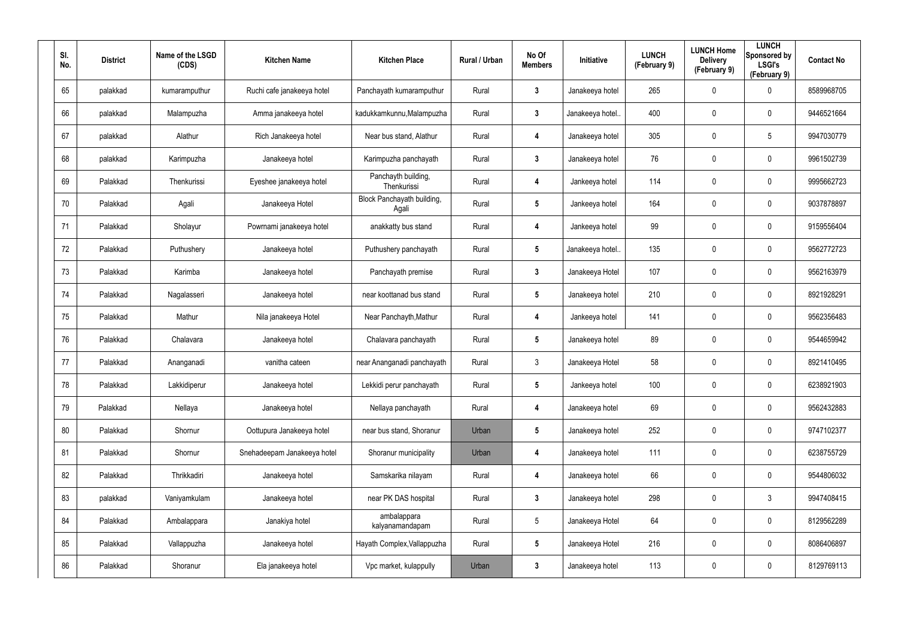| SI.<br>No. | <b>District</b> | Name of the LSGD<br>(CDS) | <b>Kitchen Name</b>         | <b>Kitchen Place</b>                | Rural / Urban | No Of<br><b>Members</b> | Initiative       | <b>LUNCH</b><br>(February 9) | <b>LUNCH Home</b><br><b>Delivery</b><br>(February 9) | <b>LUNCH</b><br>Sponsored by<br><b>LSGI's</b><br>(February 9) | <b>Contact No</b> |
|------------|-----------------|---------------------------|-----------------------------|-------------------------------------|---------------|-------------------------|------------------|------------------------------|------------------------------------------------------|---------------------------------------------------------------|-------------------|
| 65         | palakkad        | kumaramputhur             | Ruchi cafe janakeeya hotel  | Panchayath kumaramputhur            | Rural         | 3                       | Janakeeya hotel  | 265                          | 0                                                    | $\boldsymbol{0}$                                              | 8589968705        |
| 66         | palakkad        | Malampuzha                | Amma janakeeya hotel        | kadukkamkunnu, Malampuzha           | Rural         | 3                       | Janakeeya hotel. | 400                          | 0                                                    | $\boldsymbol{0}$                                              | 9446521664        |
| 67         | palakkad        | Alathur                   | Rich Janakeeya hotel        | Near bus stand, Alathur             | Rural         | 4                       | Janakeeya hotel  | 305                          | 0                                                    | 5                                                             | 9947030779        |
| 68         | palakkad        | Karimpuzha                | Janakeeya hotel             | Karimpuzha panchayath               | Rural         | 3                       | Janakeeya hotel  | 76                           | 0                                                    | $\boldsymbol{0}$                                              | 9961502739        |
| 69         | Palakkad        | Thenkurissi               | Eyeshee janakeeya hotel     | Panchayth building,<br>Thenkurissi  | Rural         | 4                       | Jankeeya hotel   | 114                          | 0                                                    | $\boldsymbol{0}$                                              | 9995662723        |
| 70         | Palakkad        | Agali                     | Janakeeya Hotel             | Block Panchayath building,<br>Agali | Rural         | 5                       | Jankeeya hotel   | 164                          | 0                                                    | $\boldsymbol{0}$                                              | 9037878897        |
| 71         | Palakkad        | Sholayur                  | Powrnami janakeeya hotel    | anakkatty bus stand                 | Rural         | 4                       | Jankeeya hotel   | 99                           | 0                                                    | $\boldsymbol{0}$                                              | 9159556404        |
| 72         | Palakkad        | Puthushery                | Janakeeya hotel             | Puthushery panchayath               | Rural         | $5\phantom{.0}$         | Janakeeya hotel. | 135                          | 0                                                    | $\mathbf 0$                                                   | 9562772723        |
| 73         | Palakkad        | Karimba                   | Janakeeya hotel             | Panchayath premise                  | Rural         | $3\phantom{a}$          | Janakeeya Hotel  | 107                          | 0                                                    | $\boldsymbol{0}$                                              | 9562163979        |
| 74         | Palakkad        | Nagalasseri               | Janakeeya hotel             | near koottanad bus stand            | Rural         | 5                       | Janakeeya hotel  | 210                          | 0                                                    | $\mathbf 0$                                                   | 8921928291        |
| 75         | Palakkad        | Mathur                    | Nila janakeeya Hotel        | Near Panchayth, Mathur              | Rural         | 4                       | Jankeeya hotel   | 141                          | 0                                                    | $\boldsymbol{0}$                                              | 9562356483        |
| 76         | Palakkad        | Chalavara                 | Janakeeya hotel             | Chalavara panchayath                | Rural         | $\overline{\mathbf{5}}$ | Janakeeya hotel  | 89                           | 0                                                    | $\mathbf 0$                                                   | 9544659942        |
| 77         | Palakkad        | Ananganadi                | vanitha cateen              | near Ananganadi panchayath          | Rural         | $\mathbf{3}$            | Janakeeya Hotel  | 58                           | 0                                                    | $\mathbf 0$                                                   | 8921410495        |
| 78         | Palakkad        | Lakkidiperur              | Janakeeya hotel             | Lekkidi perur panchayath            | Rural         | 5                       | Jankeeya hotel   | 100                          | 0                                                    | $\pmb{0}$                                                     | 6238921903        |
| 79         | Palakkad        | Nellaya                   | Janakeeya hotel             | Nellaya panchayath                  | Rural         | 4                       | Janakeeya hotel  | 69                           | 0                                                    | $\mathbf 0$                                                   | 9562432883        |
| 80         | Palakkad        | Shornur                   | Oottupura Janakeeya hotel   | near bus stand, Shoranur            | Urban         | $5\phantom{.0}$         | Janakeeya hotel  | 252                          | 0                                                    | $\mathbf 0$                                                   | 9747102377        |
| 81         | Palakkad        | Shornur                   | Snehadeepam Janakeeya hotel | Shoranur municipality               | Urban         | 4                       | Janakeeya hotel  | 111                          | 0                                                    | $\mathbf 0$                                                   | 6238755729        |
| 82         | Palakkad        | Thrikkadiri               | Janakeeya hotel             | Samskarika nilayam                  | Rural         | 4                       | Janakeeya hotel  | 66                           | 0                                                    | $\mathbf 0$                                                   | 9544806032        |
| 83         | palakkad        | Vaniyamkulam              | Janakeeya hotel             | near PK DAS hospital                | Rural         | $\mathbf{3}$            | Janakeeya hotel  | 298                          | 0                                                    | $\mathbf{3}$                                                  | 9947408415        |
| 84         | Palakkad        | Ambalappara               | Janakiya hotel              | ambalappara<br>kalyanamandapam      | Rural         | $5\phantom{.0}$         | Janakeeya Hotel  | 64                           | 0                                                    | $\mathbf 0$                                                   | 8129562289        |
| 85         | Palakkad        | Vallappuzha               | Janakeeya hotel             | Hayath Complex, Vallappuzha         | Rural         | $5\phantom{.0}$         | Janakeeya Hotel  | 216                          | 0                                                    | $\mathbf 0$                                                   | 8086406897        |
| 86         | Palakkad        | Shoranur                  | Ela janakeeya hotel         | Vpc market, kulappully              | Urban         | $\mathbf{3}$            | Janakeeya hotel  | 113                          | 0                                                    | $\boldsymbol{0}$                                              | 8129769113        |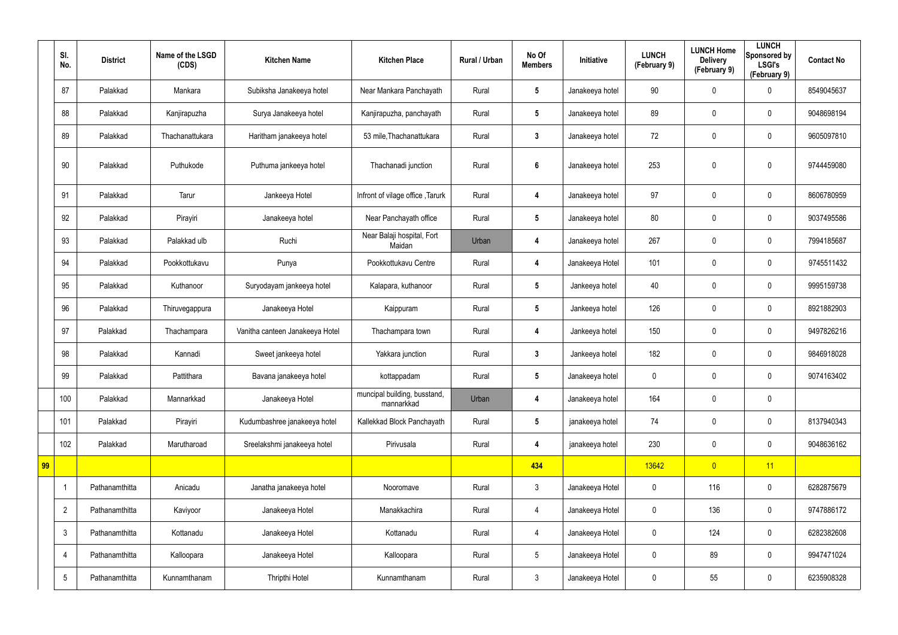|    | SI.<br>No.      | <b>District</b> | Name of the LSGD<br>(CDS) | <b>Kitchen Name</b>             | <b>Kitchen Place</b>                       | Rural / Urban | No Of<br><b>Members</b> | Initiative      | <b>LUNCH</b><br>(February 9) | <b>LUNCH Home</b><br><b>Delivery</b><br>(February 9) | <b>LUNCH</b><br>Sponsored by<br><b>LSGI's</b><br>(February 9) | <b>Contact No</b> |
|----|-----------------|-----------------|---------------------------|---------------------------------|--------------------------------------------|---------------|-------------------------|-----------------|------------------------------|------------------------------------------------------|---------------------------------------------------------------|-------------------|
|    | 87              | Palakkad        | Mankara                   | Subiksha Janakeeya hotel        | Near Mankara Panchayath                    | Rural         | $5\overline{)}$         | Janakeeya hotel | 90                           | 0                                                    | $\boldsymbol{0}$                                              | 8549045637        |
|    | 88              | Palakkad        | Kanjirapuzha              | Surya Janakeeya hotel           | Kanjirapuzha, panchayath                   | Rural         | $5\overline{)}$         | Janakeeya hotel | 89                           | $\boldsymbol{0}$                                     | $\mathbf 0$                                                   | 9048698194        |
|    | 89              | Palakkad        | Thachanattukara           | Haritham janakeeya hotel        | 53 mile, Thachanattukara                   | Rural         | $3\phantom{a}$          | Janakeeya hotel | 72                           | 0                                                    | $\mathbf 0$                                                   | 9605097810        |
|    | 90              | Palakkad        | Puthukode                 | Puthuma jankeeya hotel          | Thachanadi junction                        | Rural         | $6\phantom{1}$          | Janakeeya hotel | 253                          | 0                                                    | $\mathbf 0$                                                   | 9744459080        |
|    | 91              | Palakkad        | Tarur                     | Jankeeya Hotel                  | Infront of vilage office, Tarurk           | Rural         | 4                       | Janakeeya hotel | 97                           | 0                                                    | $\mathbf 0$                                                   | 8606780959        |
|    | 92              | Palakkad        | Pirayiri                  | Janakeeya hotel                 | Near Panchayath office                     | Rural         | $5\overline{)}$         | Janakeeya hotel | 80                           | 0                                                    | $\boldsymbol{0}$                                              | 9037495586        |
|    | 93              | Palakkad        | Palakkad ulb              | Ruchi                           | Near Balaji hospital, Fort<br>Maidan       | Urban         | 4                       | Janakeeya hotel | 267                          | 0                                                    | $\mathbf 0$                                                   | 7994185687        |
|    | 94              | Palakkad        | Pookkottukavu             | Punya                           | Pookkottukavu Centre                       | Rural         | 4                       | Janakeeya Hotel | 101                          | $\mathbf 0$                                          | $\boldsymbol{0}$                                              | 9745511432        |
|    | 95              | Palakkad        | Kuthanoor                 | Suryodayam jankeeya hotel       | Kalapara, kuthanoor                        | Rural         | $5\overline{)}$         | Jankeeya hotel  | 40                           | 0                                                    | $\mathbf 0$                                                   | 9995159738        |
|    | 96              | Palakkad        | Thiruvegappura            | Janakeeya Hotel                 | Kaippuram                                  | Rural         | $5\overline{)}$         | Jankeeya hotel  | 126                          | $\boldsymbol{0}$                                     | $\boldsymbol{0}$                                              | 8921882903        |
|    | 97              | Palakkad        | Thachampara               | Vanitha canteen Janakeeya Hotel | Thachampara town                           | Rural         | 4                       | Jankeeya hotel  | 150                          | 0                                                    | $\mathbf 0$                                                   | 9497826216        |
|    | 98              | Palakkad        | Kannadi                   | Sweet jankeeya hotel            | Yakkara junction                           | Rural         | $\mathbf{3}$            | Jankeeya hotel  | 182                          | 0                                                    | $\boldsymbol{0}$                                              | 9846918028        |
|    | 99              | Palakkad        | Pattithara                | Bavana janakeeya hotel          | kottappadam                                | Rural         | $5\phantom{.0}$         | Janakeeya hotel | $\mathbf 0$                  | $\mathbf 0$                                          | 0                                                             | 9074163402        |
|    | 100             | Palakkad        | Mannarkkad                | Janakeeya Hotel                 | muncipal building, busstand,<br>mannarkkad | Urban         | $\overline{\mathbf{4}}$ | Janakeeya hotel | 164                          | $\pmb{0}$                                            | $\pmb{0}$                                                     |                   |
|    | 101             | Palakkad        | Pirayiri                  | Kudumbashree janakeeya hotel    | Kallekkad Block Panchayath                 | Rural         | $5\phantom{.0}$         | janakeeya hotel | 74                           | $\pmb{0}$                                            | $\pmb{0}$                                                     | 8137940343        |
|    | 102             | Palakkad        | Marutharoad               | Sreelakshmi janakeeya hotel     | Pirivusala                                 | Rural         | 4                       | janakeeya hotel | 230                          | $\pmb{0}$                                            | $\pmb{0}$                                                     | 9048636162        |
| 99 |                 |                 |                           |                                 |                                            |               | 434                     |                 | 13642                        | $\overline{0}$                                       | 11                                                            |                   |
|    |                 | Pathanamthitta  | Anicadu                   | Janatha janakeeya hotel         | Nooromave                                  | Rural         | $\mathfrak{Z}$          | Janakeeya Hotel | $\pmb{0}$                    | 116                                                  | $\pmb{0}$                                                     | 6282875679        |
|    | $\overline{2}$  | Pathanamthitta  | Kaviyoor                  | Janakeeya Hotel                 | Manakkachira                               | Rural         | $\overline{4}$          | Janakeeya Hotel | 0                            | 136                                                  | $\pmb{0}$                                                     | 9747886172        |
|    | $\mathfrak{Z}$  | Pathanamthitta  | Kottanadu                 | Janakeeya Hotel                 | Kottanadu                                  | Rural         | $\overline{4}$          | Janakeeya Hotel | $\pmb{0}$                    | 124                                                  | $\pmb{0}$                                                     | 6282382608        |
|    | 4               | Pathanamthitta  | Kalloopara                | Janakeeya Hotel                 | Kalloopara                                 | Rural         | $5\phantom{.0}$         | Janakeeya Hotel | 0                            | 89                                                   | $\pmb{0}$                                                     | 9947471024        |
|    | $5\phantom{.0}$ | Pathanamthitta  | Kunnamthanam              | Thripthi Hotel                  | Kunnamthanam                               | Rural         | $\mathfrak{Z}$          | Janakeeya Hotel | 0                            | 55                                                   | $\pmb{0}$                                                     | 6235908328        |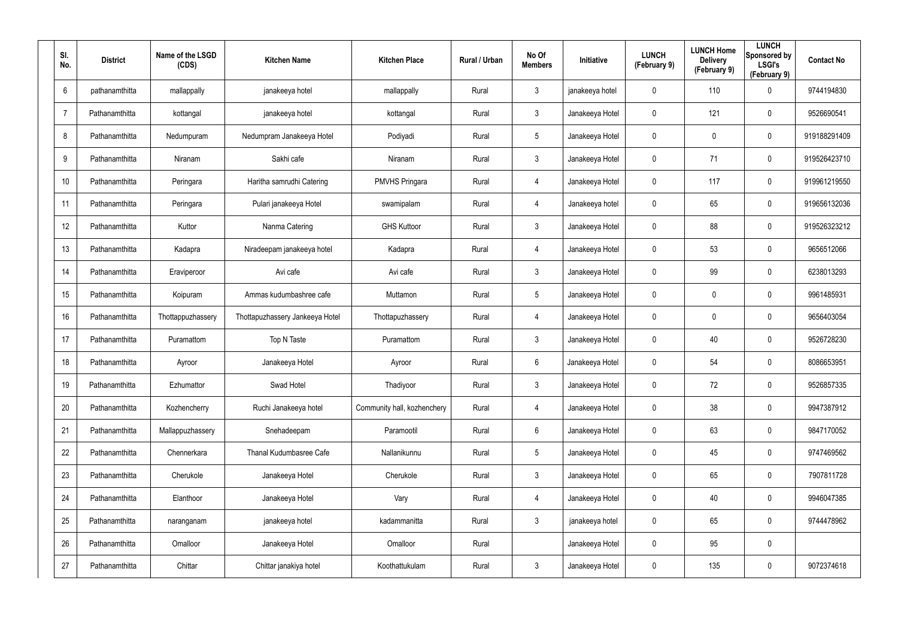| SI.<br>No.      | <b>District</b> | Name of the LSGD<br>(CDS) | <b>Kitchen Name</b>             | <b>Kitchen Place</b>        | <b>Rural / Urban</b> | No Of<br><b>Members</b> | <b>Initiative</b> | <b>LUNCH</b><br>(February 9) | <b>LUNCH Home</b><br><b>Delivery</b><br>(February 9) | <b>LUNCH</b><br>Sponsored by<br><b>LSGI's</b><br>(February 9) | <b>Contact No</b> |
|-----------------|-----------------|---------------------------|---------------------------------|-----------------------------|----------------------|-------------------------|-------------------|------------------------------|------------------------------------------------------|---------------------------------------------------------------|-------------------|
| $6\overline{6}$ | pathanamthitta  | mallappally               | janakeeya hotel                 | mallappally                 | Rural                | $\mathbf{3}$            | janakeeya hotel   | 0                            | 110                                                  | $\mathbf 0$                                                   | 9744194830        |
| $\overline{7}$  | Pathanamthitta  | kottangal                 | janakeeya hotel                 | kottangal                   | Rural                | $\mathbf{3}$            | Janakeeya Hotel   | 0                            | 121                                                  | $\mathbf 0$                                                   | 9526690541        |
| 8               | Pathanamthitta  | Nedumpuram                | Nedumpram Janakeeya Hotel       | Podiyadi                    | Rural                | $5\overline{)}$         | Janakeeya Hotel   | 0                            | $\mathbf 0$                                          | $\mathbf 0$                                                   | 919188291409      |
| 9               | Pathanamthitta  | Niranam                   | Sakhi cafe                      | Niranam                     | Rural                | $\mathbf{3}$            | Janakeeya Hotel   | 0                            | 71                                                   | $\mathbf 0$                                                   | 919526423710      |
| 10              | Pathanamthitta  | Peringara                 | Haritha samrudhi Catering       | <b>PMVHS Pringara</b>       | Rural                | $\overline{4}$          | Janakeeya Hotel   | 0                            | 117                                                  | $\mathbf 0$                                                   | 919961219550      |
| 11              | Pathanamthitta  | Peringara                 | Pulari janakeeya Hotel          | swamipalam                  | Rural                | 4                       | Janakeeya hotel   | 0                            | 65                                                   | $\mathbf 0$                                                   | 919656132036      |
| 12              | Pathanamthitta  | Kuttor                    | Nanma Catering                  | <b>GHS Kuttoor</b>          | Rural                | $\mathbf{3}$            | Janakeeya Hotel   | 0                            | 88                                                   | $\mathbf 0$                                                   | 919526323212      |
| 13              | Pathanamthitta  | Kadapra                   | Niradeepam janakeeya hotel      | Kadapra                     | Rural                | $\overline{4}$          | Janakeeya Hotel   | 0                            | 53                                                   | $\mathbf 0$                                                   | 9656512066        |
| 14              | Pathanamthitta  | Eraviperoor               | Avi cafe                        | Avi cafe                    | Rural                | 3                       | Janakeeya Hotel   | 0                            | 99                                                   | $\mathbf 0$                                                   | 6238013293        |
| 15              | Pathanamthitta  | Koipuram                  | Ammas kudumbashree cafe         | Muttamon                    | Rural                | $5\overline{)}$         | Janakeeya Hotel   | 0                            | $\mathbf 0$                                          | $\mathbf 0$                                                   | 9961485931        |
| 16              | Pathanamthitta  | Thottappuzhassery         | Thottapuzhassery Jankeeya Hotel | Thottapuzhassery            | Rural                | $\overline{4}$          | Janakeeya Hotel   | 0                            | $\mathbf 0$                                          | $\mathbf 0$                                                   | 9656403054        |
| 17              | Pathanamthitta  | Puramattom                | Top N Taste                     | Puramattom                  | Rural                | 3                       | Janakeeya Hotel   | 0                            | 40                                                   | $\mathbf 0$                                                   | 9526728230        |
| 18              | Pathanamthitta  | Ayroor                    | Janakeeya Hotel                 | Ayroor                      | Rural                | 6                       | Janakeeya Hotel   | 0                            | 54                                                   | $\mathbf 0$                                                   | 8086653951        |
| 19              | Pathanamthitta  | Ezhumattor                | Swad Hotel                      | Thadiyoor                   | Rural                | $\mathfrak{Z}$          | Janakeeya Hotel   | 0                            | 72                                                   | $\pmb{0}$                                                     | 9526857335        |
| 20              | Pathanamthitta  | Kozhencherry              | Ruchi Janakeeya hotel           | Community hall, kozhenchery | Rural                | $\overline{4}$          | Janakeeya Hotel   | 0                            | 38                                                   | $\pmb{0}$                                                     | 9947387912        |
| 21              | Pathanamthitta  | Mallappuzhassery          | Snehadeepam                     | Paramootil                  | Rural                | $6\phantom{.0}$         | Janakeeya Hotel   | 0                            | 63                                                   | $\pmb{0}$                                                     | 9847170052        |
| 22              | Pathanamthitta  | Chennerkara               | Thanal Kudumbasree Cafe         | Nallanikunnu                | Rural                | $5\overline{)}$         | Janakeeya Hotel   | 0                            | 45                                                   | $\boldsymbol{0}$                                              | 9747469562        |
| 23              | Pathanamthitta  | Cherukole                 | Janakeeya Hotel                 | Cherukole                   | Rural                | $\mathbf{3}$            | Janakeeya Hotel   | 0                            | 65                                                   | $\boldsymbol{0}$                                              | 7907811728        |
| 24              | Pathanamthitta  | Elanthoor                 | Janakeeya Hotel                 | Vary                        | Rural                | $\overline{4}$          | Janakeeya Hotel   | 0                            | 40                                                   | $\boldsymbol{0}$                                              | 9946047385        |
| 25              | Pathanamthitta  | naranganam                | janakeeya hotel                 | kadammanitta                | Rural                | $\mathbf{3}$            | janakeeya hotel   | 0                            | 65                                                   | $\boldsymbol{0}$                                              | 9744478962        |
| 26              | Pathanamthitta  | Omalloor                  | Janakeeya Hotel                 | Omalloor                    | Rural                |                         | Janakeeya Hotel   | 0                            | 95                                                   | $\pmb{0}$                                                     |                   |
| 27              | Pathanamthitta  | Chittar                   | Chittar janakiya hotel          | Koothattukulam              | Rural                | $\mathfrak{Z}$          | Janakeeya Hotel   | 0                            | 135                                                  | $\pmb{0}$                                                     | 9072374618        |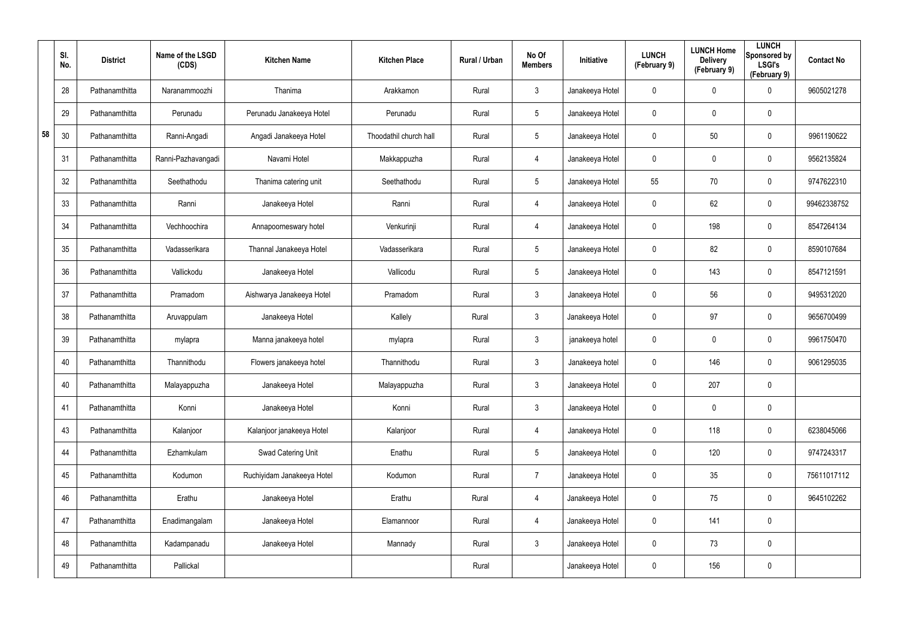|    | SI.<br>No. | <b>District</b> | Name of the LSGD<br>(CDS) | <b>Kitchen Name</b>        | <b>Kitchen Place</b>   | Rural / Urban | No Of<br><b>Members</b> | Initiative      | <b>LUNCH</b><br>(February 9) | <b>LUNCH Home</b><br><b>Delivery</b><br>(February 9) | <b>LUNCH</b><br>Sponsored by<br><b>LSGI's</b><br>(February 9) | <b>Contact No</b> |
|----|------------|-----------------|---------------------------|----------------------------|------------------------|---------------|-------------------------|-----------------|------------------------------|------------------------------------------------------|---------------------------------------------------------------|-------------------|
|    | 28         | Pathanamthitta  | Naranammoozhi             | Thanima                    | Arakkamon              | Rural         | $\mathbf{3}$            | Janakeeya Hotel | $\mathbf 0$                  | 0                                                    | $\boldsymbol{0}$                                              | 9605021278        |
|    | 29         | Pathanamthitta  | Perunadu                  | Perunadu Janakeeya Hotel   | Perunadu               | Rural         | $5\overline{)}$         | Janakeeya Hotel | 0                            | 0                                                    | $\boldsymbol{0}$                                              |                   |
| 58 | 30         | Pathanamthitta  | Ranni-Angadi              | Angadi Janakeeya Hotel     | Thoodathil church hall | Rural         | $5\phantom{.0}$         | Janakeeya Hotel | $\mathbf 0$                  | 50                                                   | $\boldsymbol{0}$                                              | 9961190622        |
|    | 31         | Pathanamthitta  | Ranni-Pazhavangadi        | Navami Hotel               | Makkappuzha            | Rural         | 4                       | Janakeeya Hotel | 0                            | 0                                                    | $\boldsymbol{0}$                                              | 9562135824        |
|    | 32         | Pathanamthitta  | Seethathodu               | Thanima catering unit      | Seethathodu            | Rural         | $5\phantom{.0}$         | Janakeeya Hotel | 55                           | 70                                                   | $\boldsymbol{0}$                                              | 9747622310        |
|    | 33         | Pathanamthitta  | Ranni                     | Janakeeya Hotel            | Ranni                  | Rural         | 4                       | Janakeeya Hotel | 0                            | 62                                                   | $\boldsymbol{0}$                                              | 99462338752       |
|    | 34         | Pathanamthitta  | Vechhoochira              | Annapoorneswary hotel      | Venkurinji             | Rural         | $\overline{4}$          | Janakeeya Hotel | $\mathbf 0$                  | 198                                                  | $\mathbf 0$                                                   | 8547264134        |
|    | 35         | Pathanamthitta  | Vadasserikara             | Thannal Janakeeya Hotel    | Vadasserikara          | Rural         | $5\overline{)}$         | Janakeeya Hotel | $\mathbf 0$                  | 82                                                   | $\mathbf 0$                                                   | 8590107684        |
|    | 36         | Pathanamthitta  | Vallickodu                | Janakeeya Hotel            | Vallicodu              | Rural         | $5\phantom{.0}$         | Janakeeya Hotel | $\mathbf 0$                  | 143                                                  | $\mathbf 0$                                                   | 8547121591        |
|    | 37         | Pathanamthitta  | Pramadom                  | Aishwarya Janakeeya Hotel  | Pramadom               | Rural         | $\mathbf{3}$            | Janakeeya Hotel | $\mathbf 0$                  | 56                                                   | $\mathbf 0$                                                   | 9495312020        |
|    | 38         | Pathanamthitta  | Aruvappulam               | Janakeeya Hotel            | Kallely                | Rural         | $\mathbf{3}$            | Janakeeya Hotel | $\mathbf 0$                  | 97                                                   | $\boldsymbol{0}$                                              | 9656700499        |
|    | 39         | Pathanamthitta  | mylapra                   | Manna janakeeya hotel      | mylapra                | Rural         | $\mathbf{3}$            | janakeeya hotel | 0                            | 0                                                    | $\boldsymbol{0}$                                              | 9961750470        |
|    | 40         | Pathanamthitta  | Thannithodu               | Flowers janakeeya hotel    | Thannithodu            | Rural         | $\mathbf{3}$            | Janakeeya hotel | 0                            | 146                                                  | $\boldsymbol{0}$                                              | 9061295035        |
|    | 40         | Pathanamthitta  | Malayappuzha              | Janakeeya Hotel            | Malayappuzha           | Rural         | $\mathbf{3}$            | Janakeeya Hotel | 0                            | 207                                                  | $\pmb{0}$                                                     |                   |
|    | 41         | Pathanamthitta  | Konni                     | Janakeeya Hotel            | Konni                  | Rural         | $\mathbf{3}$            | Janakeeya Hotel | $\pmb{0}$                    | 0                                                    | $\mathbf 0$                                                   |                   |
|    | 43         | Pathanamthitta  | Kalanjoor                 | Kalanjoor janakeeya Hotel  | Kalanjoor              | Rural         | $\overline{4}$          | Janakeeya Hotel | $\pmb{0}$                    | 118                                                  | $\pmb{0}$                                                     | 6238045066        |
|    | 44         | Pathanamthitta  | Ezhamkulam                | Swad Catering Unit         | Enathu                 | Rural         | 5 <sub>5</sub>          | Janakeeya Hotel | $\pmb{0}$                    | 120                                                  | $\mathbf 0$                                                   | 9747243317        |
|    | 45         | Pathanamthitta  | Kodumon                   | Ruchiyidam Janakeeya Hotel | Kodumon                | Rural         | $\overline{7}$          | Janakeeya Hotel | 0                            | 35                                                   | $\mathbf 0$                                                   | 75611017112       |
|    | 46         | Pathanamthitta  | Erathu                    | Janakeeya Hotel            | Erathu                 | Rural         | $\overline{4}$          | Janakeeya Hotel | $\pmb{0}$                    | 75                                                   | $\mathbf 0$                                                   | 9645102262        |
|    | 47         | Pathanamthitta  | Enadimangalam             | Janakeeya Hotel            | Elamannoor             | Rural         | $\overline{4}$          | Janakeeya Hotel | $\pmb{0}$                    | 141                                                  | $\mathbf 0$                                                   |                   |
|    | 48         | Pathanamthitta  | Kadampanadu               | Janakeeya Hotel            | Mannady                | Rural         | $\mathbf{3}$            | Janakeeya Hotel | $\pmb{0}$                    | 73                                                   | $\mathbf 0$                                                   |                   |
|    | 49         | Pathanamthitta  | Pallickal                 |                            |                        | Rural         |                         | Janakeeya Hotel | 0                            | 156                                                  | $\pmb{0}$                                                     |                   |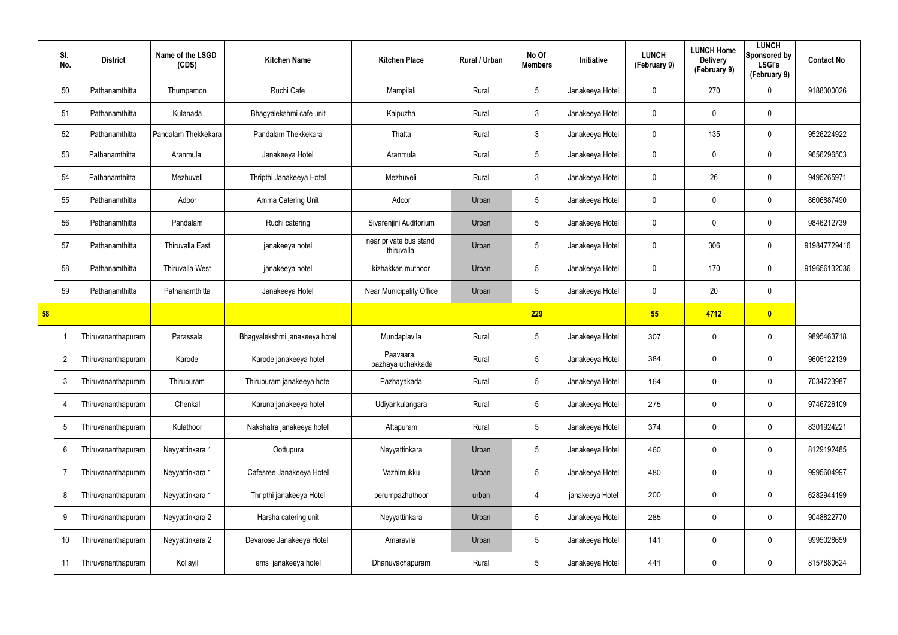|    | SI.<br>No.      | <b>District</b>           | Name of the LSGD<br>(CDS) | <b>Kitchen Name</b>           | <b>Kitchen Place</b>                 | <b>Rural / Urban</b> | No Of<br><b>Members</b> | <b>Initiative</b> | <b>LUNCH</b><br>(February 9) | <b>LUNCH Home</b><br><b>Delivery</b><br>(February 9) | <b>LUNCH</b><br>Sponsored by<br><b>LSGI's</b><br>(February 9) | <b>Contact No</b> |
|----|-----------------|---------------------------|---------------------------|-------------------------------|--------------------------------------|----------------------|-------------------------|-------------------|------------------------------|------------------------------------------------------|---------------------------------------------------------------|-------------------|
|    | 50              | Pathanamthitta            | Thumpamon                 | Ruchi Cafe                    | Mampilali                            | Rural                | $\sqrt{5}$              | Janakeeya Hotel   | 0                            | 270                                                  | 0                                                             | 9188300026        |
|    | 51              | Pathanamthitta            | Kulanada                  | Bhagyalekshmi cafe unit       | Kaipuzha                             | Rural                | $\mathfrak{Z}$          | Janakeeya Hotel   | 0                            | $\mathbf 0$                                          | $\mathbf 0$                                                   |                   |
|    | 52              | Pathanamthitta            | Pandalam Thekkekara       | Pandalam Thekkekara           | Thatta                               | Rural                | $\mathbf{3}$            | Janakeeya Hotel   | $\mathbf 0$                  | 135                                                  | $\boldsymbol{0}$                                              | 9526224922        |
|    | 53              | Pathanamthitta            | Aranmula                  | Janakeeya Hotel               | Aranmula                             | Rural                | $5\overline{)}$         | Janakeeya Hotel   | 0                            | 0                                                    | $\boldsymbol{0}$                                              | 9656296503        |
|    | 54              | Pathanamthitta            | Mezhuveli                 | Thripthi Janakeeya Hotel      | Mezhuveli                            | Rural                | $\mathbf{3}$            | Janakeeya Hotel   | 0                            | 26                                                   | $\mathbf 0$                                                   | 9495265971        |
|    | 55              | Pathanamthitta            | Adoor                     | Amma Catering Unit            | Adoor                                | Urban                | $5\phantom{.0}$         | Janakeeya Hotel   | 0                            | 0                                                    | $\boldsymbol{0}$                                              | 8606887490        |
|    | 56              | Pathanamthitta            | Pandalam                  | Ruchi catering                | Sivarenjini Auditorium               | Urban                | 5                       | Janakeeya Hotel   | $\Omega$                     | 0                                                    | $\mathbf 0$                                                   | 9846212739        |
|    | 57              | Pathanamthitta            | <b>Thiruvalla East</b>    | janakeeya hotel               | near private bus stand<br>thiruvalla | Urban                | $5\phantom{.0}$         | Janakeeya Hotel   | 0                            | 306                                                  | $\boldsymbol{0}$                                              | 919847729416      |
|    | 58              | Pathanamthitta            | Thiruvalla West           | janakeeya hotel               | kizhakkan muthoor                    | Urban                | 5                       | Janakeeya Hotel   | 0                            | 170                                                  | $\boldsymbol{0}$                                              | 919656132036      |
|    | 59              | Pathanamthitta            | Pathanamthitta            | Janakeeya Hotel               | Near Municipality Office             | Urban                | $5\phantom{.0}$         | Janakeeya Hotel   | 0                            | 20                                                   | $\mathbf 0$                                                   |                   |
| 58 |                 |                           |                           |                               |                                      |                      | 229                     |                   | 55 <sub>5</sub>              | 4712                                                 | $\mathbf{0}$                                                  |                   |
|    |                 | Thiruvananthapuram        | Parassala                 | Bhagyalekshmi janakeeya hotel | Mundaplavila                         | Rural                | $5\,$                   | Janakeeya Hotel   | 307                          | $\mathbf 0$                                          | $\mathbf 0$                                                   | 9895463718        |
|    | $\overline{2}$  | <b>Thiruvananthapuram</b> | Karode                    | Karode janakeeya hotel        | Paavaara,<br>pazhaya uchakkada       | Rural                | $5\overline{)}$         | Janakeeya Hotel   | 384                          | $\mathbf 0$                                          | $\mathbf 0$                                                   | 9605122139        |
|    | $\mathbf{3}$    | hiruvananthapuram         | Thirupuram                | Thirupuram janakeeya hotel    | Pazhayakada                          | Rural                | $\sqrt{5}$              | Janakeeya Hotel   | 164                          | $\mathbf 0$                                          | $\mathbf 0$                                                   | 7034723987        |
|    | $\overline{4}$  | Thiruvananthapuram        | Chenkal                   | Karuna janakeeya hotel        | Udiyankulangara                      | Rural                | $5\phantom{.0}$         | Janakeeya Hotel   | 275                          | $\pmb{0}$                                            | $\mathsf{O}\xspace$                                           | 9746726109        |
|    | $5\phantom{.0}$ | Thiruvananthapuram        | Kulathoor                 | Nakshatra janakeeya hotel     | Attapuram                            | Rural                | $5\phantom{.0}$         | Janakeeya Hotel   | 374                          | $\pmb{0}$                                            | $\mathbf 0$                                                   | 8301924221        |
|    | 6               | Thiruvananthapuram        | Neyyattinkara 1           | Oottupura                     | Neyyattinkara                        | Urban                | $\sqrt{5}$              | Janakeeya Hotel   | 460                          | $\pmb{0}$                                            | $\mathsf{O}\xspace$                                           | 8129192485        |
|    | -7              | Thiruvananthapuram        | Neyyattinkara 1           | Cafesree Janakeeya Hotel      | Vazhimukku                           | Urban                | $\sqrt{5}$              | Janakeeya Hotel   | 480                          | 0                                                    | $\mathbf 0$                                                   | 9995604997        |
|    | 8               | Thiruvananthapuram        | Neyyattinkara 1           | Thripthi janakeeya Hotel      | perumpazhuthoor                      | urban                | 4                       | janakeeya Hotel   | 200                          | $\pmb{0}$                                            | $\mathbf 0$                                                   | 6282944199        |
|    | 9               | Thiruvananthapuram        | Neyyattinkara 2           | Harsha catering unit          | Neyyattinkara                        | Urban                | $\sqrt{5}$              | Janakeeya Hotel   | 285                          | 0                                                    | $\mathbf 0$                                                   | 9048822770        |
|    | 10              | Thiruvananthapuram        | Neyyattinkara 2           | Devarose Janakeeya Hotel      | Amaravila                            | Urban                | $\sqrt{5}$              | Janakeeya Hotel   | 141                          | 0                                                    | $\mathbf 0$                                                   | 9995028659        |
|    | 11              | Thiruvananthapuram        | Kollayil                  | ems janakeeya hotel           | Dhanuvachapuram                      | Rural                | $\sqrt{5}$              | Janakeeya Hotel   | 441                          | 0                                                    | $\mathbf 0$                                                   | 8157880624        |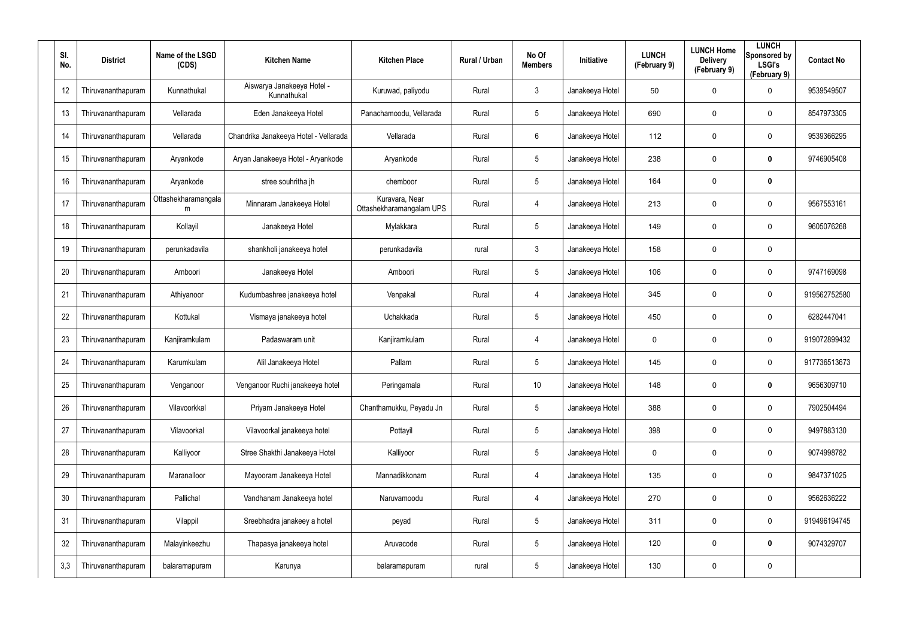| SI.<br>No. | <b>District</b>    | Name of the LSGD<br>(CDS) | <b>Kitchen Name</b>                       | <b>Kitchen Place</b>                       | <b>Rural / Urban</b> | No Of<br><b>Members</b> | Initiative      | <b>LUNCH</b><br>(February 9) | <b>LUNCH Home</b><br><b>Delivery</b><br>(February 9) | <b>LUNCH</b><br>Sponsored by<br><b>LSGI's</b><br>(February 9) | <b>Contact No</b> |
|------------|--------------------|---------------------------|-------------------------------------------|--------------------------------------------|----------------------|-------------------------|-----------------|------------------------------|------------------------------------------------------|---------------------------------------------------------------|-------------------|
| 12         | Thiruvananthapuram | Kunnathukal               | Aiswarya Janakeeya Hotel -<br>Kunnathukal | Kuruwad, paliyodu                          | Rural                | $\mathbf{3}$            | Janakeeya Hotel | 50                           | 0                                                    | $\mathbf 0$                                                   | 9539549507        |
| 13         | Thiruvananthapuram | Vellarada                 | Eden Janakeeya Hotel                      | Panachamoodu, Vellarada                    | Rural                | 5                       | Janakeeya Hotel | 690                          | 0                                                    | $\mathbf 0$                                                   | 8547973305        |
| 14         | Thiruvananthapuram | Vellarada                 | Chandrika Janakeeya Hotel - Vellarada     | Vellarada                                  | Rural                | 6                       | Janakeeya Hotel | 112                          | 0                                                    | $\mathbf 0$                                                   | 9539366295        |
| 15         | Thiruvananthapuram | Aryankode                 | Aryan Janakeeya Hotel - Aryankode         | Aryankode                                  | Rural                | 5                       | Janakeeya Hotel | 238                          | 0                                                    | $\mathbf 0$                                                   | 9746905408        |
| 16         | Thiruvananthapuram | Aryankode                 | stree souhritha jh                        | chemboor                                   | Rural                | 5                       | Janakeeya Hotel | 164                          | 0                                                    | $\mathbf 0$                                                   |                   |
| 17         | Thiruvananthapuram | Ottashekharamangala<br>m  | Minnaram Janakeeya Hotel                  | Kuravara, Near<br>Ottashekharamangalam UPS | Rural                | 4                       | Janakeeya Hotel | 213                          | 0                                                    | $\mathbf 0$                                                   | 9567553161        |
| 18         | Thiruvananthapuram | Kollayil                  | Janakeeya Hotel                           | Mylakkara                                  | Rural                | 5                       | Janakeeya Hotel | 149                          | 0                                                    | $\mathbf 0$                                                   | 9605076268        |
| 19         | Thiruvananthapuram | perunkadavila             | shankholi janakeeya hotel                 | perunkadavila                              | rural                | $\mathbf{3}$            | Janakeeya Hotel | 158                          | 0                                                    | $\mathbf 0$                                                   |                   |
| 20         | Thiruvananthapuram | Amboori                   | Janakeeya Hotel                           | Amboori                                    | Rural                | 5                       | Janakeeya Hotel | 106                          | 0                                                    | $\mathbf 0$                                                   | 9747169098        |
| 21         | Thiruvananthapuram | Athiyanoor                | Kudumbashree janakeeya hotel              | Venpakal                                   | Rural                | 4                       | Janakeeya Hotel | 345                          | 0                                                    | $\mathbf 0$                                                   | 919562752580      |
| 22         | Thiruvananthapuram | Kottukal                  | Vismaya janakeeya hotel                   | Uchakkada                                  | Rural                | 5                       | Janakeeya Hotel | 450                          | 0                                                    | $\mathbf 0$                                                   | 6282447041        |
| 23         | Thiruvananthapuram | Kanjiramkulam             | Padaswaram unit                           | Kanjiramkulam                              | Rural                | 4                       | Janakeeya Hotel | 0                            | 0                                                    | $\mathbf 0$                                                   | 919072899432      |
| 24         | Thiruvananthapuram | Karumkulam                | Alil Janakeeya Hotel                      | Pallam                                     | Rural                | 5                       | Janakeeya Hotel | 145                          | 0                                                    | $\mathbf 0$                                                   | 917736513673      |
| 25         | Thiruvananthapuram | Venganoor                 | Venganoor Ruchi janakeeya hotel           | Peringamala                                | Rural                | 10 <sup>°</sup>         | Janakeeya Hotel | 148                          | 0                                                    | $\mathbf 0$                                                   | 9656309710        |
| 26         | Thiruvananthapuram | Vilavoorkkal              | Priyam Janakeeya Hotel                    | Chanthamukku, Peyadu Jn                    | Rural                | 5                       | Janakeeya Hotel | 388                          | 0                                                    | $\mathbf 0$                                                   | 7902504494        |
| 27         | Thiruvananthapuram | Vilavoorkal               | Vilavoorkal janakeeya hotel               | Pottayil                                   | Rural                | 5                       | Janakeeya Hotel | 398                          | 0                                                    | $\mathbf 0$                                                   | 9497883130        |
| 28         | Thiruvananthapuram | Kalliyoor                 | Stree Shakthi Janakeeya Hotel             | Kalliyoor                                  | Rural                | 5                       | Janakeeya Hotel | 0                            | 0                                                    | $\mathbf 0$                                                   | 9074998782        |
| 29         | Thiruvananthapuram | Maranalloor               | Mayooram Janakeeya Hotel                  | Mannadikkonam                              | Rural                | $\overline{4}$          | Janakeeya Hotel | 135                          | 0                                                    | $\mathbf 0$                                                   | 9847371025        |
| 30         | Thiruvananthapuram | Pallichal                 | Vandhanam Janakeeya hotel                 | Naruvamoodu                                | Rural                | 4                       | Janakeeya Hotel | 270                          | 0                                                    | $\mathbf 0$                                                   | 9562636222        |
| 31         | Thiruvananthapuram | Vilappil                  | Sreebhadra janakeey a hotel               | peyad                                      | Rural                | 5                       | Janakeeya Hotel | 311                          | 0                                                    | $\mathbf 0$                                                   | 919496194745      |
| 32         | Thiruvananthapuram | Malayinkeezhu             | Thapasya janakeeya hotel                  | Aruvacode                                  | Rural                | 5                       | Janakeeya Hotel | 120                          | 0                                                    | $\mathbf 0$                                                   | 9074329707        |
| 3,3        | Thiruvananthapuram | balaramapuram             | Karunya                                   | balaramapuram                              | rural                | 5                       | Janakeeya Hotel | 130                          | 0                                                    | $\mathbf 0$                                                   |                   |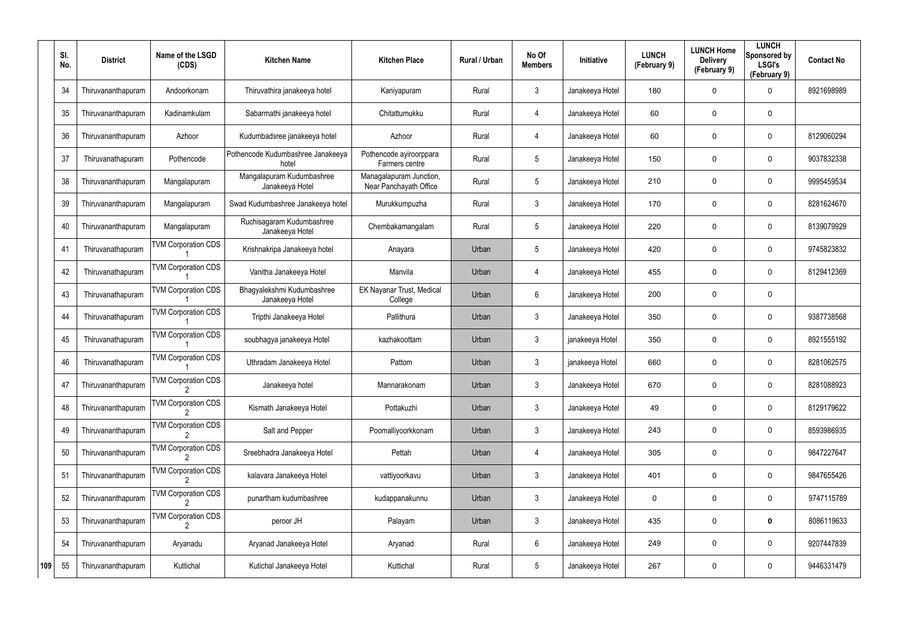|     | SI.<br>No. | <b>District</b>    | Name of the LSGD<br>(CDS)  | <b>Kitchen Name</b>                           | <b>Kitchen Place</b>                              | <b>Rural / Urban</b> | No Of<br><b>Members</b> | Initiative      | <b>LUNCH</b><br>(February 9) | <b>LUNCH Home</b><br><b>Delivery</b><br>(February 9) | <b>LUNCH</b><br>Sponsored by<br><b>LSGI's</b><br>(February 9) | <b>Contact No</b> |
|-----|------------|--------------------|----------------------------|-----------------------------------------------|---------------------------------------------------|----------------------|-------------------------|-----------------|------------------------------|------------------------------------------------------|---------------------------------------------------------------|-------------------|
|     | 34         | Thiruvananthapuram | Andoorkonam                | Thiruvathira janakeeya hotel                  | Kaniyapuram                                       | Rural                | 3                       | Janakeeya Hotel | 180                          | 0                                                    | 0                                                             | 8921698989        |
|     | 35         | Thiruvananthapuram | Kadinamkulam               | Sabarmathi janakeeya hotel                    | Chitattumukku                                     | Rural                | 4                       | Janakeeya Hotel | 60                           | 0                                                    | $\mathbf 0$                                                   |                   |
|     | 36         | Thiruvananthapuram | Azhoor                     | Kudumbadsree janakeeya hotel                  | Azhoor                                            | Rural                | 4                       | Janakeeya Hotel | 60                           | 0                                                    | $\mathbf 0$                                                   | 8129060294        |
|     | 37         | Thiruvanathapuram  | Pothencode                 | Pothencode Kudumbashree Janakeeya<br>hotel    | Pothencode ayiroorppara<br>Farmers centre         | Rural                | 5                       | Janakeeya Hotel | 150                          | 0                                                    | $\mathbf 0$                                                   | 9037832338        |
|     | 38         | Thiruvananthapuram | Mangalapuram               | Mangalapuram Kudumbashree<br>Janakeeya Hotel  | Managalapuram Junction,<br>Near Panchayath Office | Rural                | $5\phantom{.0}$         | Janakeeya Hotel | 210                          | 0                                                    | $\mathbf 0$                                                   | 9995459534        |
|     | 39         | Thiruvananthapuram | Mangalapuram               | Swad Kudumbashree Janakeeya hotel             | Murukkumpuzha                                     | Rural                | 3                       | Janakeeya Hotel | 170                          | 0                                                    | $\mathbf 0$                                                   | 8281624670        |
|     | 40         | Thiruvananthapuram | Mangalapuram               | Ruchisagaram Kudumbashree<br>Janakeeya Hotel  | Chembakamangalam                                  | Rural                | $5\phantom{.0}$         | Janakeeya Hotel | 220                          | 0                                                    | $\mathbf 0$                                                   | 8139079929        |
|     | 41         | Thiruvanathapuram  | <b>TVM Corporation CDS</b> | Krishnakripa Janakeeya hotel                  | Anayara                                           | Urban                | $5\overline{)}$         | Janakeeya Hotel | 420                          | 0                                                    | $\mathbf 0$                                                   | 9745823832        |
|     | 42         | Thiruvanathapuram  | <b>TVM Corporation CDS</b> | Vanitha Janakeeya Hotel                       | Manvila                                           | Urban                | 4                       | Janakeeya Hotel | 455                          | 0                                                    | $\mathbf 0$                                                   | 8129412369        |
|     | 43         | Thiruvanathapuram  | <b>TVM Corporation CDS</b> | Bhagyalekshmi Kudumbashree<br>Janakeeya Hotel | EK Nayanar Trust, Medical<br>College              | Urban                | 6                       | Janakeeya Hotel | 200                          | 0                                                    | $\mathbf 0$                                                   |                   |
|     | 44         | Thiruvanathapuram  | <b>TVM Corporation CDS</b> | Tripthi Janakeeya Hotel                       | Pallithura                                        | Urban                | 3                       | Janakeeya Hotel | 350                          | 0                                                    | $\mathbf 0$                                                   | 9387738568        |
|     | 45         | Thiruvanathapuram  | <b>TVM Corporation CDS</b> | soubhagya janakeeya Hotel                     | kazhakoottam                                      | Urban                | 3                       | janakeeya Hotel | 350                          | 0                                                    | 0                                                             | 8921555192        |
|     | 46         | Thiruvanathapuram  | <b>TVM Corporation CDS</b> | Uthradam Janakeeya Hotel                      | Pattom                                            | Urban                | 3                       | janakeeya Hotel | 660                          | 0                                                    | 0                                                             | 8281062575        |
|     | 47         | Thiruvananthapuram | <b>TVM Corporation CDS</b> | Janakeeya hotel                               | Mannarakonam                                      | Urban                | 3                       | Janakeeya Hotel | 670                          | 0                                                    | $\mathbf 0$                                                   | 8281088923        |
|     | 48         | Thiruvananthapuram | <b>TVM Corporation CDS</b> | Kismath Janakeeya Hotel                       | Pottakuzhi                                        | Urban                | $\mathfrak{Z}$          | Janakeeya Hotel | 49                           | 0                                                    | 0                                                             | 8129179622        |
|     | 49         | Thiruvananthapuram | <b>TVM Corporation CDS</b> | Salt and Pepper                               | Poomalliyoorkkonam                                | Urban                | $\mathfrak{Z}$          | Janakeeya Hotel | 243                          | 0                                                    | 0                                                             | 8593986935        |
|     | 50         | Thiruvananthapuram | <b>TVM Corporation CDS</b> | Sreebhadra Janakeeya Hotel                    | Pettah                                            | Urban                | 4                       | Janakeeya Hotel | 305                          | 0                                                    | 0                                                             | 9847227647        |
|     | 51         | Thiruvananthapuram | <b>TVM Corporation CDS</b> | kalavara Janakeeya Hotel                      | vattiyoorkavu                                     | Urban                | $\mathfrak{Z}$          | Janakeeya Hotel | 401                          | 0                                                    | 0                                                             | 9847655426        |
|     | 52         | Thiruvananthapuram | <b>TVM Corporation CDS</b> | punartham kudumbashree                        | kudappanakunnu                                    | Urban                | $\mathbf{3}$            | Janakeeya Hotel | 0                            | 0                                                    | 0                                                             | 9747115789        |
|     | 53         | Thiruvananthapuram | <b>TVM Corporation CDS</b> | peroor JH                                     | Palayam                                           | Urban                | $\mathfrak{Z}$          | Janakeeya Hotel | 435                          | 0                                                    | $\mathbf 0$                                                   | 8086119633        |
|     | 54         | Thiruvananthapuram | Aryanadu                   | Aryanad Janakeeya Hotel                       | Aryanad                                           | Rural                | 6                       | Janakeeya Hotel | 249                          | 0                                                    | 0                                                             | 9207447839        |
| 109 | 55         | Thiruvananthapuram | Kuttichal                  | Kutichal Janakeeya Hotel                      | Kuttichal                                         | Rural                | $5\phantom{.0}$         | Janakeeya Hotel | 267                          | 0                                                    | 0                                                             | 9446331479        |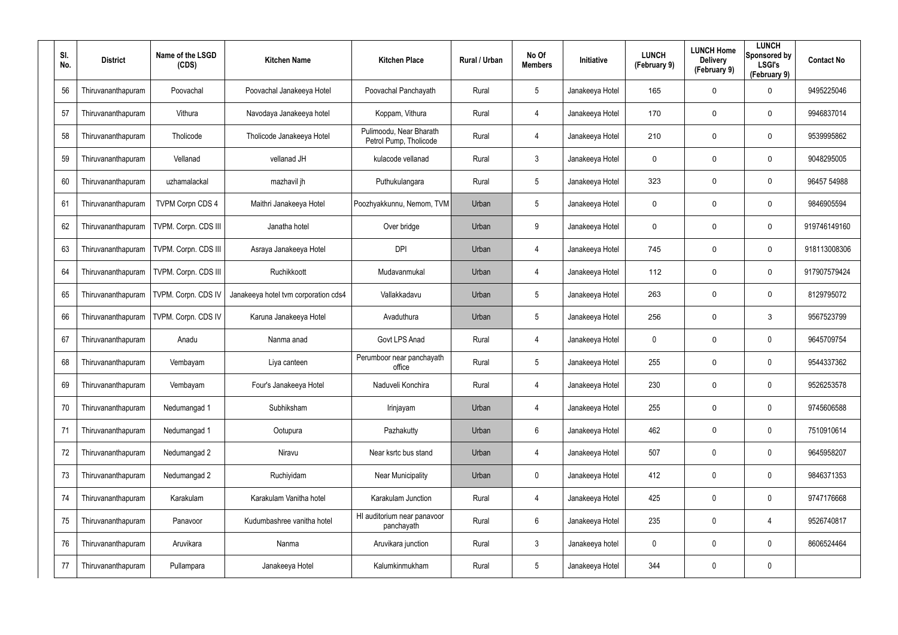| SI.<br>No. | <b>District</b>    | Name of the LSGD<br>(CDS) | <b>Kitchen Name</b>                  | <b>Kitchen Place</b>                              | Rural / Urban | No Of<br><b>Members</b> | <b>Initiative</b> | <b>LUNCH</b><br>(February 9) | <b>LUNCH Home</b><br><b>Delivery</b><br>(February 9) | <b>LUNCH</b><br>Sponsored by<br><b>LSGI's</b><br>(February 9) | <b>Contact No</b> |
|------------|--------------------|---------------------------|--------------------------------------|---------------------------------------------------|---------------|-------------------------|-------------------|------------------------------|------------------------------------------------------|---------------------------------------------------------------|-------------------|
| 56         | Thiruvananthapuram | Poovachal                 | Poovachal Janakeeya Hotel            | Poovachal Panchayath                              | Rural         | $5\phantom{.0}$         | Janakeeya Hotel   | 165                          | 0                                                    | $\mathbf 0$                                                   | 9495225046        |
| 57         | Thiruvananthapuram | Vithura                   | Navodaya Janakeeya hotel             | Koppam, Vithura                                   | Rural         | 4                       | Janakeeya Hotel   | 170                          | 0                                                    | $\mathbf 0$                                                   | 9946837014        |
| 58         | Thiruvananthapuram | Tholicode                 | Tholicode Janakeeya Hotel            | Pulimoodu, Near Bharath<br>Petrol Pump, Tholicode | Rural         | 4                       | Janakeeya Hotel   | 210                          | 0                                                    | $\mathbf 0$                                                   | 9539995862        |
| 59         | Thiruvananthapuram | Vellanad                  | vellanad JH                          | kulacode vellanad                                 | Rural         | $\mathbf{3}$            | Janakeeya Hotel   | 0                            | 0                                                    | $\mathbf 0$                                                   | 9048295005        |
| 60         | Thiruvananthapuram | uzhamalackal              | mazhavil jh                          | Puthukulangara                                    | Rural         | $5\phantom{.0}$         | Janakeeya Hotel   | 323                          | 0                                                    | $\mathbf 0$                                                   | 96457 54988       |
| 61         | Thiruvananthapuram | <b>TVPM Corpn CDS 4</b>   | Maithri Janakeeya Hotel              | Poozhyakkunnu, Nemom, TVM                         | Urban         | 5                       | Janakeeya Hotel   | 0                            | 0                                                    | $\mathbf 0$                                                   | 9846905594        |
| 62         | Thiruvananthapuram | TVPM. Corpn. CDS III      | Janatha hotel                        | Over bridge                                       | Urban         | 9                       | Janakeeya Hotel   | 0                            | 0                                                    | $\mathbf 0$                                                   | 919746149160      |
| 63         | Thiruvananthapuram | TVPM. Corpn. CDS III      | Asraya Janakeeya Hotel               | <b>DPI</b>                                        | Urban         | 4                       | Janakeeya Hotel   | 745                          | 0                                                    | $\mathbf 0$                                                   | 918113008306      |
| 64         | Thiruvananthapuram | TVPM. Corpn. CDS III      | Ruchikkoott                          | Mudavanmukal                                      | Urban         | 4                       | Janakeeya Hotel   | 112                          | 0                                                    | $\mathbf 0$                                                   | 917907579424      |
| 65         | Thiruvananthapuram | TVPM. Corpn. CDS IV       | Janakeeya hotel tvm corporation cds4 | Vallakkadavu                                      | Urban         | $5\overline{)}$         | Janakeeya Hotel   | 263                          | 0                                                    | $\mathbf 0$                                                   | 8129795072        |
| 66         | Thiruvananthapuram | TVPM. Corpn. CDS IV       | Karuna Janakeeya Hotel               | Avaduthura                                        | Urban         | $5\phantom{.0}$         | Janakeeya Hotel   | 256                          | 0                                                    | 3                                                             | 9567523799        |
| 67         | Thiruvananthapuram | Anadu                     | Nanma anad                           | Govt LPS Anad                                     | Rural         | 4                       | Janakeeya Hotel   | 0                            | 0                                                    | $\mathbf 0$                                                   | 9645709754        |
| 68         | Thiruvananthapuram | Vembayam                  | Liya canteen                         | Perumboor near panchayath<br>office               | Rural         | $5\phantom{.0}$         | Janakeeya Hotel   | 255                          | 0                                                    | $\mathbf 0$                                                   | 9544337362        |
| 69         | Thiruvananthapuram | Vembayam                  | Four's Janakeeya Hotel               | Naduveli Konchira                                 | Rural         | 4                       | Janakeeya Hotel   | 230                          | 0                                                    | $\pmb{0}$                                                     | 9526253578        |
| 70         | Thiruvananthapuram | Nedumangad 1              | Subhiksham                           | Irinjayam                                         | Urban         | 4                       | Janakeeya Hotel   | 255                          | 0                                                    | $\pmb{0}$                                                     | 9745606588        |
| 71         | Thiruvananthapuram | Nedumangad 1              | Ootupura                             | Pazhakutty                                        | Urban         | 6                       | Janakeeya Hotel   | 462                          | 0                                                    | $\pmb{0}$                                                     | 7510910614        |
| 72         | Thiruvananthapuram | Nedumangad 2              | Niravu                               | Near ksrtc bus stand                              | Urban         | 4                       | Janakeeya Hotel   | 507                          | 0                                                    | $\pmb{0}$                                                     | 9645958207        |
| 73         | Thiruvananthapuram | Nedumangad 2              | Ruchiyidam                           | <b>Near Municipality</b>                          | Urban         | $\mathbf 0$             | Janakeeya Hotel   | 412                          | 0                                                    | $\pmb{0}$                                                     | 9846371353        |
| 74         | Thiruvananthapuram | Karakulam                 | Karakulam Vanitha hotel              | Karakulam Junction                                | Rural         | 4                       | Janakeeya Hotel   | 425                          | 0                                                    | $\pmb{0}$                                                     | 9747176668        |
| 75         | Thiruvananthapuram | Panavoor                  | Kudumbashree vanitha hotel           | HI auditorium near panavoor<br>panchayath         | Rural         | 6                       | Janakeeya Hotel   | 235                          | 0                                                    | 4                                                             | 9526740817        |
| 76         | Thiruvananthapuram | Aruvikara                 | Nanma                                | Aruvikara junction                                | Rural         | $\mathbf{3}$            | Janakeeya hotel   | 0                            | 0                                                    | $\pmb{0}$                                                     | 8606524464        |
| 77         | Thiruvananthapuram | Pullampara                | Janakeeya Hotel                      | Kalumkinmukham                                    | Rural         | $5\phantom{.0}$         | Janakeeya Hotel   | 344                          | 0                                                    | $\pmb{0}$                                                     |                   |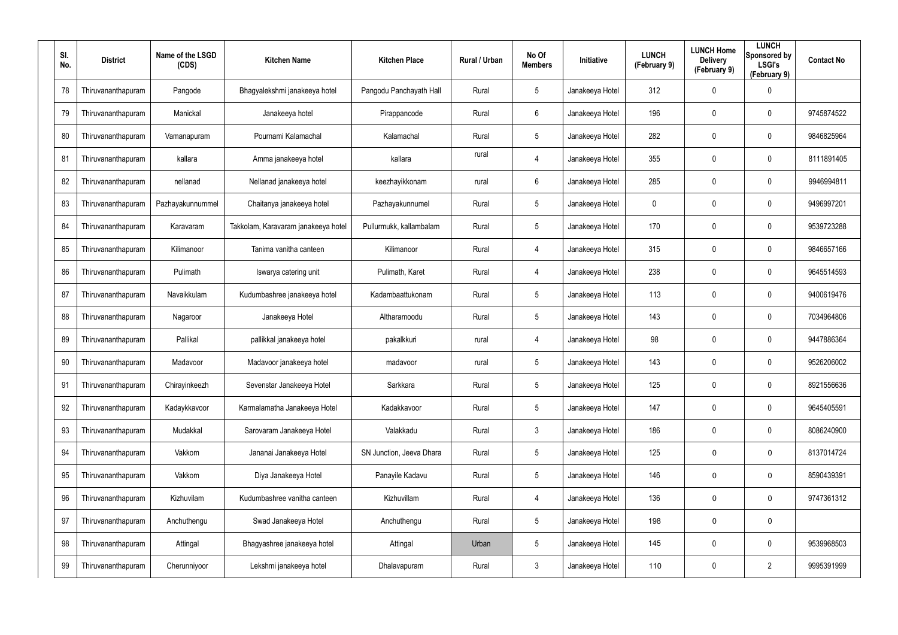| SI.<br>No. | <b>District</b>    | Name of the LSGD<br>(CDS) | <b>Kitchen Name</b>                 | <b>Kitchen Place</b>     | Rural / Urban | No Of<br><b>Members</b> | Initiative      | <b>LUNCH</b><br>(February 9) | <b>LUNCH Home</b><br><b>Delivery</b><br>(February 9) | <b>LUNCH</b><br>Sponsored by<br><b>LSGI's</b><br>(February 9) | <b>Contact No</b> |
|------------|--------------------|---------------------------|-------------------------------------|--------------------------|---------------|-------------------------|-----------------|------------------------------|------------------------------------------------------|---------------------------------------------------------------|-------------------|
| 78         | Thiruvananthapuram | Pangode                   | Bhagyalekshmi janakeeya hotel       | Pangodu Panchayath Hall  | Rural         | $5\phantom{.0}$         | Janakeeya Hotel | 312                          | 0                                                    | $\boldsymbol{0}$                                              |                   |
| 79         | Thiruvananthapuram | Manickal                  | Janakeeya hotel                     | Pirappancode             | Rural         | 6                       | Janakeeya Hotel | 196                          | 0                                                    | $\pmb{0}$                                                     | 9745874522        |
| 80         | Thiruvananthapuram | Vamanapuram               | Pournami Kalamachal                 | Kalamachal               | Rural         | $5\phantom{.0}$         | Janakeeya Hotel | 282                          | 0                                                    | $\mathbf 0$                                                   | 9846825964        |
| 81         | Thiruvananthapuram | kallara                   | Amma janakeeya hotel                | kallara                  | rural         | 4                       | Janakeeya Hotel | 355                          | 0                                                    | $\mathbf 0$                                                   | 8111891405        |
| 82         | Thiruvananthapuram | nellanad                  | Nellanad janakeeya hotel            | keezhayikkonam           | rural         | 6                       | Janakeeya Hotel | 285                          | 0                                                    | $\mathbf 0$                                                   | 9946994811        |
| 83         | Thiruvananthapuram | Pazhayakunnummel          | Chaitanya janakeeya hotel           | Pazhayakunnumel          | Rural         | $5\overline{)}$         | Janakeeya Hotel | 0                            | 0                                                    | $\mathbf 0$                                                   | 9496997201        |
| 84         | Thiruvananthapuram | Karavaram                 | Takkolam, Karavaram janakeeya hotel | Pullurmukk, kallambalam  | Rural         | $5\phantom{.0}$         | Janakeeya Hotel | 170                          | 0                                                    | $\mathbf 0$                                                   | 9539723288        |
| 85         | Thiruvananthapuram | Kilimanoor                | Tanima vanitha canteen              | Kilimanoor               | Rural         | 4                       | Janakeeya Hotel | 315                          | 0                                                    | $\mathbf 0$                                                   | 9846657166        |
| 86         | Thiruvananthapuram | Pulimath                  | Iswarya catering unit               | Pulimath, Karet          | Rural         | 4                       | Janakeeya Hotel | 238                          | 0                                                    | $\boldsymbol{0}$                                              | 9645514593        |
| 87         | Thiruvananthapuram | Navaikkulam               | Kudumbashree janakeeya hotel        | Kadambaattukonam         | Rural         | $5\phantom{.0}$         | Janakeeya Hotel | 113                          | 0                                                    | $\mathbf 0$                                                   | 9400619476        |
| 88         | Thiruvananthapuram | Nagaroor                  | Janakeeya Hotel                     | Altharamoodu             | Rural         | $5\phantom{.0}$         | Janakeeya Hotel | 143                          | 0                                                    | $\boldsymbol{0}$                                              | 7034964806        |
| 89         | Thiruvananthapuram | Pallikal                  | pallikkal janakeeya hotel           | pakalkkuri               | rural         | 4                       | Janakeeya Hotel | 98                           | 0                                                    | $\mathbf 0$                                                   | 9447886364        |
| 90         | Thiruvananthapuram | Madavoor                  | Madavoor janakeeya hotel            | madavoor                 | rural         | $5\phantom{.0}$         | Janakeeya Hotel | 143                          | 0                                                    | $\boldsymbol{0}$                                              | 9526206002        |
| 91         | Thiruvananthapuram | Chirayinkeezh             | Sevenstar Janakeeya Hotel           | Sarkkara                 | Rural         | 5                       | Janakeeya Hotel | 125                          | 0                                                    | $\pmb{0}$                                                     | 8921556636        |
| 92         | Thiruvananthapuram | Kadaykkavoor              | Karmalamatha Janakeeya Hotel        | Kadakkavoor              | Rural         | $5\phantom{.0}$         | Janakeeya Hotel | 147                          | 0                                                    | $\pmb{0}$                                                     | 9645405591        |
| 93         | Thiruvananthapuram | Mudakkal                  | Sarovaram Janakeeya Hotel           | Valakkadu                | Rural         | $\mathbf{3}$            | Janakeeya Hotel | 186                          | 0                                                    | $\pmb{0}$                                                     | 8086240900        |
| 94         | Thiruvananthapuram | Vakkom                    | Jananai Janakeeya Hotel             | SN Junction, Jeeva Dhara | Rural         | $5\phantom{.0}$         | Janakeeya Hotel | 125                          | 0                                                    | $\mathbf 0$                                                   | 8137014724        |
| 95         | Thiruvananthapuram | Vakkom                    | Diya Janakeeya Hotel                | Panayile Kadavu          | Rural         | $5\phantom{.0}$         | Janakeeya Hotel | 146                          | 0                                                    | $\mathbf 0$                                                   | 8590439391        |
| 96         | Thiruvananthapuram | Kizhuvilam                | Kudumbashree vanitha canteen        | Kizhuvillam              | Rural         | 4                       | Janakeeya Hotel | 136                          | 0                                                    | $\mathbf 0$                                                   | 9747361312        |
| 97         | Thiruvananthapuram | Anchuthengu               | Swad Janakeeya Hotel                | Anchuthengu              | Rural         | $5\phantom{.0}$         | Janakeeya Hotel | 198                          | 0                                                    | $\mathbf 0$                                                   |                   |
| 98         | Thiruvananthapuram | Attingal                  | Bhagyashree janakeeya hotel         | Attingal                 | Urban         | $5\phantom{.0}$         | Janakeeya Hotel | 145                          | 0                                                    | $\pmb{0}$                                                     | 9539968503        |
| 99         | Thiruvananthapuram | Cherunniyoor              | Lekshmi janakeeya hotel             | Dhalavapuram             | Rural         | $\mathfrak{Z}$          | Janakeeya Hotel | 110                          | 0                                                    | $\overline{2}$                                                | 9995391999        |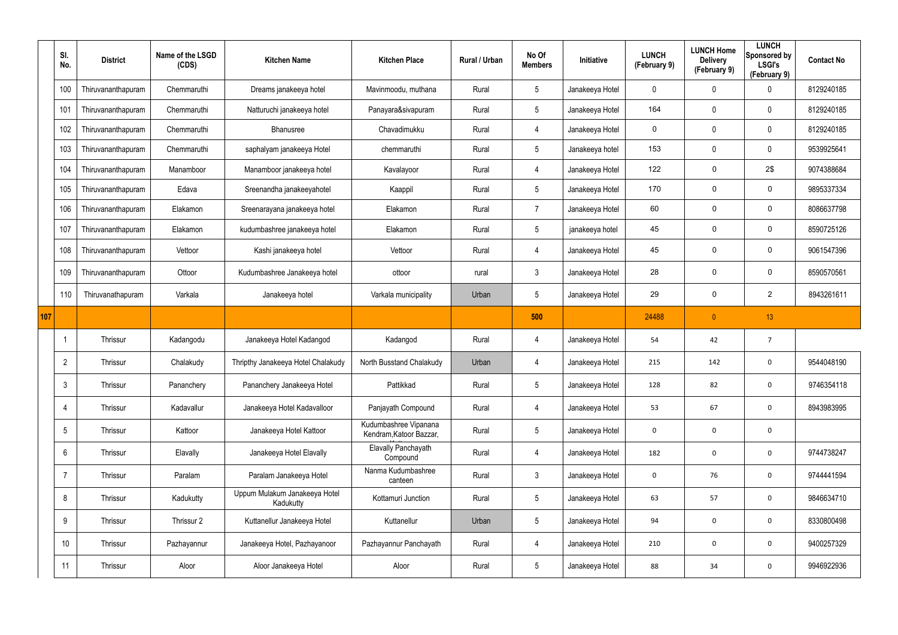|     | SI.<br>No.      | <b>District</b>    | Name of the LSGD<br>(CDS) | <b>Kitchen Name</b>                        | <b>Kitchen Place</b>                             | Rural / Urban | No Of<br><b>Members</b> | Initiative      | <b>LUNCH</b><br>(February 9) | <b>LUNCH Home</b><br><b>Delivery</b><br>(February 9) | <b>LUNCH</b><br>Sponsored by<br><b>LSGI's</b><br>(February 9) | <b>Contact No</b> |
|-----|-----------------|--------------------|---------------------------|--------------------------------------------|--------------------------------------------------|---------------|-------------------------|-----------------|------------------------------|------------------------------------------------------|---------------------------------------------------------------|-------------------|
|     | 100             | Thiruvananthapuram | Chemmaruthi               | Dreams janakeeya hotel                     | Mavinmoodu, muthana                              | Rural         | $5\overline{)}$         | Janakeeya Hotel | 0                            | 0                                                    | 0                                                             | 8129240185        |
|     | 101             | Thiruvananthapuram | Chemmaruthi               | Natturuchi janakeeya hotel                 | Panayara&sivapuram                               | Rural         | $5\phantom{.0}$         | Janakeeya Hotel | 164                          | 0                                                    | $\mathbf 0$                                                   | 8129240185        |
|     | 102             | Thiruvananthapuram | Chemmaruthi               | Bhanusree                                  | Chavadimukku                                     | Rural         | 4                       | Janakeeya Hotel | $\mathsf{O}$                 | 0                                                    | $\mathbf 0$                                                   | 8129240185        |
|     | 103             | Thiruvananthapuram | Chemmaruthi               | saphalyam janakeeya Hotel                  | chemmaruthi                                      | Rural         | $5\overline{)}$         | Janakeeya hotel | 153                          | 0                                                    | $\mathbf 0$                                                   | 9539925641        |
|     | 104             | Thiruvananthapuram | Manamboor                 | Manamboor janakeeya hotel                  | Kavalayoor                                       | Rural         | 4                       | Janakeeya Hotel | 122                          | 0                                                    | 2\$                                                           | 9074388684        |
|     | 105             | Thiruvananthapuram | Edava                     | Sreenandha janakeeyahotel                  | Kaappil                                          | Rural         | $5\phantom{.0}$         | Janakeeya Hotel | 170                          | 0                                                    | 0                                                             | 9895337334        |
|     | 106             | Thiruvananthapuram | Elakamon                  | Sreenarayana janakeeya hotel               | Elakamon                                         | Rural         | $\overline{7}$          | Janakeeya Hotel | 60                           | 0                                                    | $\mathsf{O}$                                                  | 8086637798        |
|     | 107             | Thiruvananthapuram | Elakamon                  | kudumbashree janakeeya hotel               | Elakamon                                         | Rural         | $5\overline{)}$         | janakeeya hotel | 45                           | 0                                                    | 0                                                             | 8590725126        |
|     | 108             | Thiruvananthapuram | Vettoor                   | Kashi janakeeya hotel                      | Vettoor                                          | Rural         | 4                       | Janakeeya Hotel | 45                           | 0                                                    | 0                                                             | 9061547396        |
|     | 109             | Thiruvananthapuram | Ottoor                    | Kudumbashree Janakeeya hotel               | ottoor                                           | rural         | $\mathbf{3}$            | Janakeeya Hotel | 28                           | 0                                                    | $\mathbf 0$                                                   | 8590570561        |
|     | 110             | Thiruvanathapuram  | Varkala                   | Janakeeya hotel                            | Varkala municipality                             | Urban         | $5\overline{)}$         | Janakeeya Hotel | 29                           | 0                                                    | 2                                                             | 8943261611        |
| 107 |                 |                    |                           |                                            |                                                  |               |                         |                 |                              |                                                      |                                                               |                   |
|     |                 |                    |                           |                                            |                                                  |               | 500                     |                 | 24488                        | $\overline{0}$                                       | 13                                                            |                   |
|     |                 | Thrissur           | Kadangodu                 | Janakeeya Hotel Kadangod                   | Kadangod                                         | Rural         | 4                       | Janakeeya Hotel | 54                           | 42                                                   | $\overline{7}$                                                |                   |
|     | $\overline{2}$  | Thrissur           | Chalakudy                 | Thripthy Janakeeya Hotel Chalakudy         | North Busstand Chalakudy                         | Urban         | 4                       | Janakeeya Hotel | 215                          | 142                                                  | $\mathbf 0$                                                   | 9544048190        |
|     | $\mathbf{3}$    | Thrissur           | Pananchery                | Pananchery Janakeeya Hotel                 | Pattikkad                                        | Rural         | $5\phantom{.0}$         | Janakeeya Hotel | 128                          | 82                                                   | $\boldsymbol{0}$                                              | 9746354118        |
|     | $\overline{4}$  | Thrissur           | Kadavallur                | Janakeeya Hotel Kadavalloor                | Panjayath Compound                               | Rural         | 4                       | Janakeeya Hotel | 53                           | 67                                                   | $\mathbf 0$                                                   | 8943983995        |
|     | 5               | Thrissur           | Kattoor                   | Janakeeya Hotel Kattoor                    | Kudumbashree Vipanana<br>Kendram, Katoor Bazzar, | Rural         | $5\phantom{.0}$         | Janakeeya Hotel | $\mathbf 0$                  | $\mathbf 0$                                          | $\boldsymbol{0}$                                              |                   |
|     | 6               | Thrissur           | Elavally                  | Janakeeya Hotel Elavally                   | Elavally Panchayath<br>Compound                  | Rural         | 4                       | Janakeeya Hotel | 182                          | 0                                                    | $\mathbf 0$                                                   | 9744738247        |
|     | 7               | Thrissur           | Paralam                   | Paralam Janakeeya Hotel                    | Nanma Kudumbashree<br>canteen                    | Rural         | $\mathfrak{Z}$          | Janakeeya Hotel | $\mathbf 0$                  | 76                                                   | $\mathbf 0$                                                   | 9744441594        |
|     | 8               | Thrissur           | Kadukutty                 | Uppum Mulakum Janakeeya Hotel<br>Kadukutty | Kottamuri Junction                               | Rural         | $5\phantom{.0}$         | Janakeeya Hotel | 63                           | 57                                                   | $\mathbf 0$                                                   | 9846634710        |
|     | 9               | Thrissur           | Thrissur 2                | Kuttanellur Janakeeya Hotel                | Kuttanellur                                      | Urban         | $5\phantom{.0}$         | Janakeeya Hotel | 94                           | $\mathbf 0$                                          | $\mathbf 0$                                                   | 8330800498        |
|     | 10 <sup>°</sup> | Thrissur           | Pazhayannur               | Janakeeya Hotel, Pazhayanoor               | Pazhayannur Panchayath                           | Rural         | 4                       | Janakeeya Hotel | 210                          | 0                                                    | $\mathbf 0$                                                   | 9400257329        |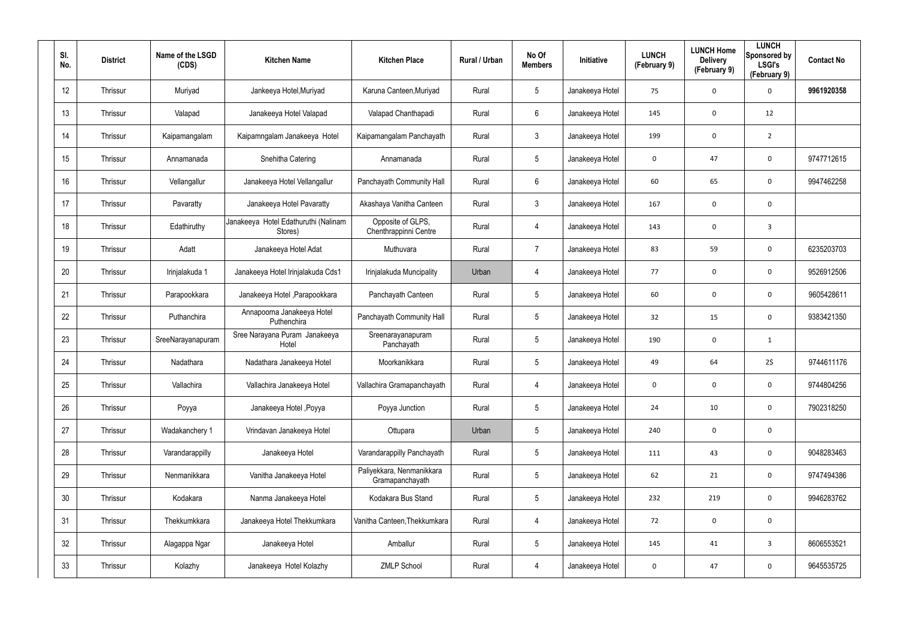| SI.<br>No. | <b>District</b> | Name of the LSGD<br>(CDS) | <b>Kitchen Name</b>                             | <b>Kitchen Place</b>                         | Rural / Urban | No Of<br><b>Members</b> | Initiative      | <b>LUNCH</b><br>(February 9) | <b>LUNCH Home</b><br><b>Delivery</b><br>(February 9) | <b>LUNCH</b><br>Sponsored by<br><b>LSGI's</b><br>(February 9) | <b>Contact No</b> |
|------------|-----------------|---------------------------|-------------------------------------------------|----------------------------------------------|---------------|-------------------------|-----------------|------------------------------|------------------------------------------------------|---------------------------------------------------------------|-------------------|
| 12         | Thrissur        | Muriyad                   | Jankeeya Hotel, Muriyad                         | Karuna Canteen, Muriyad                      | Rural         | 5                       | Janakeeya Hotel | 75                           | 0                                                    | $\mathbf 0$                                                   | 9961920358        |
| 13         | Thrissur        | Valapad                   | Janakeeya Hotel Valapad                         | Valapad Chanthapadi                          | Rural         | 6                       | Janakeeya Hotel | 145                          | $\mathbf 0$                                          | 12                                                            |                   |
| 14         | Thrissur        | Kaipamangalam             | Kaipamngalam Janakeeya Hotel                    | Kaipamangalam Panchayath                     | Rural         | $\mathfrak{Z}$          | Janakeeya Hotel | 199                          | 0                                                    | $\overline{2}$                                                |                   |
| 15         | Thrissur        | Annamanada                | Snehitha Catering                               | Annamanada                                   | Rural         | 5                       | Janakeeya Hotel | 0                            | 47                                                   | $\mathbf 0$                                                   | 9747712615        |
| 16         | Thrissur        | Vellangallur              | Janakeeya Hotel Vellangallur                    | Panchayath Community Hall                    | Rural         | 6                       | Janakeeya Hotel | 60                           | 65                                                   | $\mathbf 0$                                                   | 9947462258        |
| 17         | Thrissur        | Pavaratty                 | Janakeeya Hotel Pavaratty                       | Akashaya Vanitha Canteen                     | Rural         | 3                       | Janakeeya Hotel | 167                          | 0                                                    | 0                                                             |                   |
| 18         | Thrissur        | Edathiruthy               | Janakeeya Hotel Edathuruthi (Nalinam<br>Stores) | Opposite of GLPS,<br>Chenthrappinni Centre   | Rural         | 4                       | Janakeeya Hotel | 143                          | 0                                                    | $\overline{3}$                                                |                   |
| 19         | Thrissur        | Adatt                     | Janakeeya Hotel Adat                            | Muthuvara                                    | Rural         | $\overline{7}$          | Janakeeya Hotel | 83                           | 59                                                   | $\mathbf 0$                                                   | 6235203703        |
| 20         | Thrissur        | Irinjalakuda 1            | Janakeeya Hotel Irinjalakuda Cds1               | Irinjalakuda Muncipality                     | Urban         | 4                       | Janakeeya Hotel | 77                           | 0                                                    | $\mathbf 0$                                                   | 9526912506        |
| 21         | Thrissur        | Parapookkara              | Janakeeya Hotel , Parapookkara                  | Panchayath Canteen                           | Rural         | $5\overline{)}$         | Janakeeya Hotel | 60                           | 0                                                    | $\mathbf 0$                                                   | 9605428611        |
| 22         | Thrissur        | Puthanchira               | Annapoorna Janakeeya Hotel<br>Puthenchira       | Panchayath Community Hall                    | Rural         | $5\phantom{.0}$         | Janakeeya Hotel | 32                           | 15                                                   | $\mathbf 0$                                                   | 9383421350        |
| 23         | Thrissur        | SreeNarayanapuram         | Sree Narayana Puram Janakeeya<br>Hotel          | Sreenarayanapuram<br>Panchayath              | Rural         | $5\overline{)}$         | Janakeeya Hotel | 190                          | 0                                                    | $\mathbf{1}$                                                  |                   |
| 24         | Thrissur        | Nadathara                 | Nadathara Janakeeya Hotel                       | Moorkanikkara                                | Rural         | $5\phantom{.0}$         | Janakeeya Hotel | 49                           | 64                                                   | 2\$                                                           | 9744611176        |
| 25         | Thrissur        | Vallachira                | Vallachira Janakeeya Hotel                      | Vallachira Gramapanchayath                   | Rural         | 4                       | Janakeeya Hotel | $\mathbf 0$                  | 0                                                    | $\mathbf 0$                                                   | 9744804256        |
| 26         | Thrissur        | Poyya                     | Janakeeya Hotel , Poyya                         | Poyya Junction                               | Rural         | $5\phantom{.0}$         | Janakeeya Hotel | 24                           | $10\,$                                               | $\mathbf 0$                                                   | 7902318250        |
| 27         | Thrissur        | Wadakanchery 1            | Vrindavan Janakeeya Hotel                       | Ottupara                                     | Urban         | $5\phantom{.0}$         | Janakeeya Hotel | 240                          | 0                                                    | $\mathbf 0$                                                   |                   |
| 28         | Thrissur        | Varandarappilly           | Janakeeya Hotel                                 | Varandarappilly Panchayath                   | Rural         | $5\phantom{.0}$         | Janakeeya Hotel | 111                          | 43                                                   | $\mathbf 0$                                                   | 9048283463        |
| 29         | Thrissur        | Nenmanikkara              | Vanitha Janakeeya Hotel                         | Paliyekkara, Nenmanikkara<br>Gramapanchayath | Rural         | $5\phantom{.0}$         | Janakeeya Hotel | 62                           | 21                                                   | $\mathbf 0$                                                   | 9747494386        |
| 30         | Thrissur        | Kodakara                  | Nanma Janakeeya Hotel                           | Kodakara Bus Stand                           | Rural         | 5                       | Janakeeya Hotel | 232                          | 219                                                  | $\mathbf 0$                                                   | 9946283762        |
| 31         | Thrissur        | Thekkumkkara              | Janakeeya Hotel Thekkumkara                     | Vanitha Canteen, Thekkumkara                 | Rural         | 4                       | Janakeeya Hotel | 72                           | 0                                                    | $\mathbf 0$                                                   |                   |
| 32         | Thrissur        | Alagappa Ngar             | Janakeeya Hotel                                 | Amballur                                     | Rural         | 5                       | Janakeeya Hotel | 145                          | 41                                                   | $\mathbf{3}$                                                  | 8606553521        |
| 33         | Thrissur        | Kolazhy                   | Janakeeya Hotel Kolazhy                         | <b>ZMLP School</b>                           | Rural         | 4                       | Janakeeya Hotel | $\mathbf 0$                  | 47                                                   | $\mathbf 0$                                                   | 9645535725        |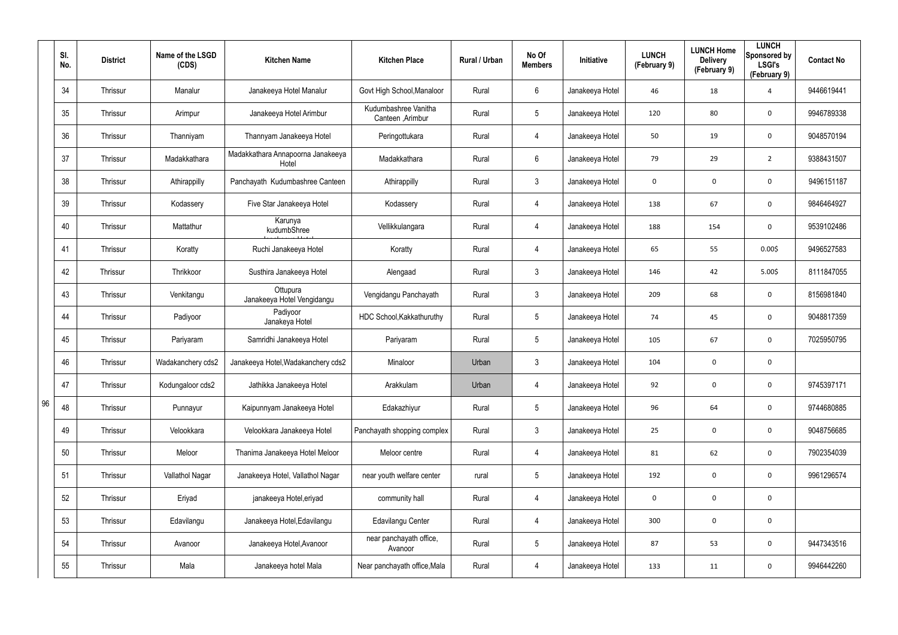|    | SI.<br>No. | <b>District</b> | Name of the LSGD<br>(CDS) | <b>Kitchen Name</b>                        | <b>Kitchen Place</b>                      | Rural / Urban | No Of<br><b>Members</b> | Initiative      | <b>LUNCH</b><br>(February 9) | <b>LUNCH Home</b><br><b>Delivery</b><br>(February 9) | <b>LUNCH</b><br>Sponsored by<br><b>LSGI's</b><br>(February 9) | <b>Contact No</b> |
|----|------------|-----------------|---------------------------|--------------------------------------------|-------------------------------------------|---------------|-------------------------|-----------------|------------------------------|------------------------------------------------------|---------------------------------------------------------------|-------------------|
|    | 34         | Thrissur        | Manalur                   | Janakeeya Hotel Manalur                    | Govt High School, Manaloor                | Rural         | 6                       | Janakeeya Hotel | 46                           | 18                                                   | 4                                                             | 9446619441        |
|    | 35         | Thrissur        | Arimpur                   | Janakeeya Hotel Arimbur                    | Kudumbashree Vanitha<br>Canteen , Arimbur | Rural         | $5\phantom{.0}$         | Janakeeya Hotel | 120                          | 80                                                   | $\mathbf 0$                                                   | 9946789338        |
|    | 36         | Thrissur        | Thanniyam                 | Thannyam Janakeeya Hotel                   | Peringottukara                            | Rural         | $\overline{4}$          | Janakeeya Hotel | 50                           | 19                                                   | $\mathbf 0$                                                   | 9048570194        |
|    | 37         | Thrissur        | Madakkathara              | Madakkathara Annapoorna Janakeeya<br>Hotel | Madakkathara                              | Rural         | 6                       | Janakeeya Hotel | 79                           | 29                                                   | $\overline{2}$                                                | 9388431507        |
|    | 38         | Thrissur        | Athirappilly              | Panchayath Kudumbashree Canteen            | Athirappilly                              | Rural         | $\mathfrak{Z}$          | Janakeeya Hotel | 0                            | $\mathbf 0$                                          | $\mathbf 0$                                                   | 9496151187        |
|    | 39         | Thrissur        | Kodassery                 | Five Star Janakeeya Hotel                  | Kodassery                                 | Rural         | 4                       | Janakeeya Hotel | 138                          | 67                                                   | $\mathbf 0$                                                   | 9846464927        |
|    | 40         | Thrissur        | Mattathur                 | Karunya<br>kudumbShree                     | Vellikkulangara                           | Rural         | 4                       | Janakeeya Hotel | 188                          | 154                                                  | 0                                                             | 9539102486        |
|    | 41         | Thrissur        | Koratty                   | Ruchi Janakeeya Hotel                      | Koratty                                   | Rural         | 4                       | Janakeeya Hotel | 65                           | 55                                                   | 0.005                                                         | 9496527583        |
|    | 42         | Thrissur        | Thrikkoor                 | Susthira Janakeeya Hotel                   | Alengaad                                  | Rural         | $\mathbf{3}$            | Janakeeya Hotel | 146                          | 42                                                   | 5.00\$                                                        | 8111847055        |
|    | 43         | Thrissur        | Venkitangu                | Ottupura<br>Janakeeya Hotel Vengidangu     | Vengidangu Panchayath                     | Rural         | $\mathbf{3}$            | Janakeeya Hotel | 209                          | 68                                                   | $\mathbf 0$                                                   | 8156981840        |
|    | 44         | Thrissur        | Padiyoor                  | Padiyoor<br>Janakeya Hotel                 | HDC School, Kakkathuruthy                 | Rural         | $5\phantom{.0}$         | Janakeeya Hotel | 74                           | 45                                                   | $\mathbf 0$                                                   | 9048817359        |
|    | 45         | Thrissur        | Pariyaram                 | Samridhi Janakeeya Hotel                   | Pariyaram                                 | Rural         | $5\overline{)}$         | Janakeeya Hotel | 105                          | 67                                                   | $\mathbf 0$                                                   | 7025950795        |
|    | 46         | Thrissur        | Wadakanchery cds2         | Janakeeya Hotel, Wadakanchery cds2         | Minaloor                                  | Urban         | $\mathfrak{Z}$          | Janakeeya Hotel | 104                          | 0                                                    | 0                                                             |                   |
|    | 47         | Thrissur        | Kodungaloor cds2          | Jathikka Janakeeya Hotel                   | Arakkulam                                 | Urban         | 4                       | Janakeeya Hotel | 92                           | 0                                                    | $\pmb{0}$                                                     | 9745397171        |
| 96 | 48         | Thrissur        | Punnayur                  | Kaipunnyam Janakeeya Hotel                 | Edakazhiyur                               | Rural         | $5\phantom{.0}$         | Janakeeya Hotel | 96                           | 64                                                   | $\mathbf 0$                                                   | 9744680885        |
|    | 49         | Thrissur        | Velookkara                | Velookkara Janakeeya Hotel                 | Panchayath shopping complex               | Rural         | $\mathfrak{Z}$          | Janakeeya Hotel | 25                           | 0                                                    | $\mathbf 0$                                                   | 9048756685        |
|    | 50         | Thrissur        | Meloor                    | Thanima Janakeeya Hotel Meloor             | Meloor centre                             | Rural         | 4                       | Janakeeya Hotel | 81                           | 62                                                   | $\mathbf 0$                                                   | 7902354039        |
|    | 51         | Thrissur        | Vallathol Nagar           | Janakeeya Hotel, Vallathol Nagar           | near youth welfare center                 | rural         | $5\phantom{.0}$         | Janakeeya Hotel | 192                          | 0                                                    | $\mathbf 0$                                                   | 9961296574        |
|    | 52         | Thrissur        | Eriyad                    | janakeeya Hotel, eriyad                    | community hall                            | Rural         | 4                       | Janakeeya Hotel | $\mathbf 0$                  | $\boldsymbol{0}$                                     | $\mathbf 0$                                                   |                   |
|    | 53         | Thrissur        | Edavilangu                | Janakeeya Hotel, Edavilangu                | Edavilangu Center                         | Rural         | 4                       | Janakeeya Hotel | 300                          | 0                                                    | $\mathbf 0$                                                   |                   |
|    | 54         | Thrissur        | Avanoor                   | Janakeeya Hotel, Avanoor                   | near panchayath office,<br>Avanoor        | Rural         | $5\phantom{.0}$         | Janakeeya Hotel | 87                           | 53                                                   | $\mathbf 0$                                                   | 9447343516        |
|    | 55         | Thrissur        | Mala                      | Janakeeya hotel Mala                       | Near panchayath office, Mala              | Rural         | 4                       | Janakeeya Hotel | 133                          | 11                                                   | $\mathbf 0$                                                   | 9946442260        |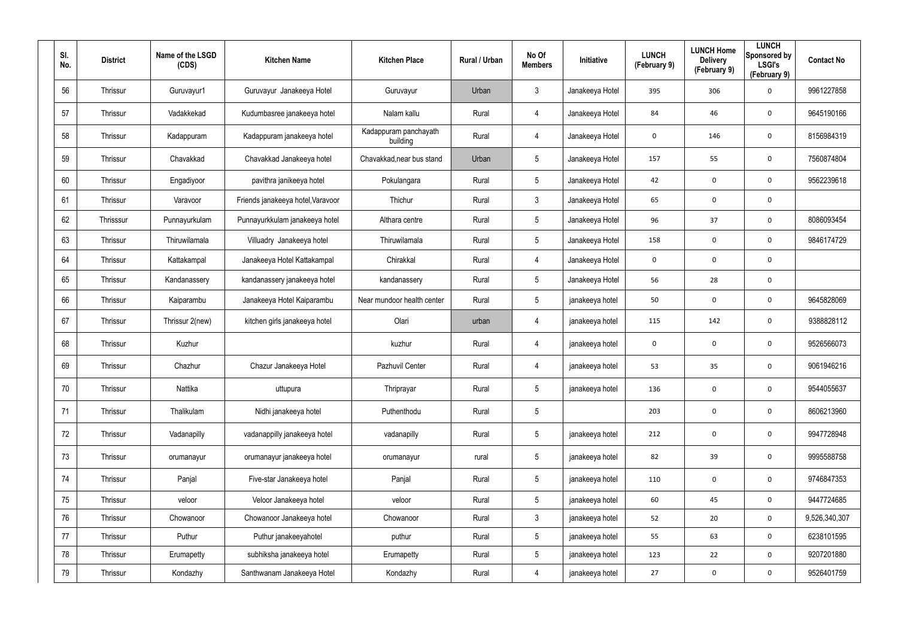| SI.<br>No. | <b>District</b> | Name of the LSGD<br>(CDS) | <b>Kitchen Name</b>               | <b>Kitchen Place</b>              | Rural / Urban | No Of<br><b>Members</b> | Initiative      | <b>LUNCH</b><br>(February 9) | <b>LUNCH Home</b><br><b>Delivery</b><br>(February 9) | <b>LUNCH</b><br>Sponsored by<br><b>LSGI's</b><br>(February 9) | <b>Contact No</b> |
|------------|-----------------|---------------------------|-----------------------------------|-----------------------------------|---------------|-------------------------|-----------------|------------------------------|------------------------------------------------------|---------------------------------------------------------------|-------------------|
| 56         | Thrissur        | Guruvayur1                | Guruvayur Janakeeya Hotel         | Guruvayur                         | Urban         | $\mathfrak{Z}$          | Janakeeya Hotel | 395                          | 306                                                  | $\mathbf 0$                                                   | 9961227858        |
| 57         | Thrissur        | Vadakkekad                | Kudumbasree janakeeya hotel       | Nalam kallu                       | Rural         | 4                       | Janakeeya Hotel | 84                           | 46                                                   | $\mathbf 0$                                                   | 9645190166        |
| 58         | Thrissur        | Kadappuram                | Kadappuram janakeeya hotel        | Kadappuram panchayath<br>building | Rural         | 4                       | Janakeeya Hotel | 0                            | 146                                                  | $\mathbf 0$                                                   | 8156984319        |
| 59         | Thrissur        | Chavakkad                 | Chavakkad Janakeeya hotel         | Chavakkad, near bus stand         | Urban         | $5\phantom{.0}$         | Janakeeya Hotel | 157                          | 55                                                   | $\mathbf 0$                                                   | 7560874804        |
| 60         | Thrissur        | Engadiyoor                | pavithra janikeeya hotel          | Pokulangara                       | Rural         | $5\phantom{.0}$         | Janakeeya Hotel | 42                           | 0                                                    | $\mathbf 0$                                                   | 9562239618        |
| 61         | Thrissur        | Varavoor                  | Friends janakeeya hotel, Varavoor | Thichur                           | Rural         | $\mathbf{3}$            | Janakeeya Hotel | 65                           | 0                                                    | $\mathbf 0$                                                   |                   |
| 62         | Thrisssur       | Punnayurkulam             | Punnayurkkulam janakeeya hotel    | Althara centre                    | Rural         | $5\phantom{.0}$         | Janakeeya Hotel | 96                           | 37                                                   | $\mathbf 0$                                                   | 8086093454        |
| 63         | Thrissur        | Thiruwilamala             | Villuadry Janakeeya hotel         | Thiruwilamala                     | Rural         | $5\phantom{.0}$         | Janakeeya Hotel | 158                          | 0                                                    | $\mathbf 0$                                                   | 9846174729        |
| 64         | Thrissur        | Kattakampal               | Janakeeya Hotel Kattakampal       | Chirakkal                         | Rural         | 4                       | Janakeeya Hotel | $\mathbf 0$                  | 0                                                    | $\boldsymbol{0}$                                              |                   |
| 65         | Thrissur        | Kandanassery              | kandanassery janakeeya hotel      | kandanassery                      | Rural         | $5\phantom{.0}$         | Janakeeya Hotel | 56                           | 28                                                   | $\mathbf 0$                                                   |                   |
| 66         | Thrissur        | Kaiparambu                | Janakeeya Hotel Kaiparambu        | Near mundoor health center        | Rural         | $5\phantom{.0}$         | janakeeya hotel | 50                           | 0                                                    | $\mathbf 0$                                                   | 9645828069        |
| 67         | Thrissur        | Thrissur 2(new)           | kitchen girls janakeeya hotel     | Olari                             | urban         | 4                       | janakeeya hotel | 115                          | 142                                                  | $\mathbf 0$                                                   | 9388828112        |
| 68         | Thrissur        | Kuzhur                    |                                   | kuzhur                            | Rural         | 4                       | janakeeya hotel | $\mathbf 0$                  | 0                                                    | $\mathbf 0$                                                   | 9526566073        |
| 69         | Thrissur        | Chazhur                   | Chazur Janakeeya Hotel            | Pazhuvil Center                   | Rural         | 4                       | janakeeya hotel | 53                           | 35                                                   | $\mathbf 0$                                                   | 9061946216        |
| 70         | Thrissur        | Nattika                   | uttupura                          | Thriprayar                        | Rural         | $5\phantom{.0}$         | janakeeya hotel | 136                          | 0                                                    | $\mathbf 0$                                                   | 9544055637        |
| 71         | Thrissur        | Thalikulam                | Nidhi janakeeya hotel             | Puthenthodu                       | Rural         | $5\phantom{.0}$         |                 | 203                          | 0                                                    | $\mathbf 0$                                                   | 8606213960        |
| 72         | Thrissur        | Vadanapilly               | vadanappilly janakeeya hotel      | vadanapilly                       | Rural         | $5\phantom{.0}$         | janakeeya hotel | 212                          | 0                                                    | $\mathbf 0$                                                   | 9947728948        |
| 73         | Thrissur        | orumanayur                | orumanayur janakeeya hotel        | orumanayur                        | rural         | $5\phantom{.0}$         | janakeeya hotel | 82                           | 39                                                   | $\mathbf 0$                                                   | 9995588758        |
| 74         | Thrissur        | Panjal                    | Five-star Janakeeya hotel         | Panjal                            | Rural         | $5\phantom{.0}$         | janakeeya hotel | 110                          | 0                                                    | $\mathbf 0$                                                   | 9746847353        |
| 75         | Thrissur        | veloor                    | Veloor Janakeeya hotel            | veloor                            | Rural         | $5\phantom{.0}$         | janakeeya hotel | 60                           | 45                                                   | $\mathbf 0$                                                   | 9447724685        |
| 76         | Thrissur        | Chowanoor                 | Chowanoor Janakeeya hotel         | Chowanoor                         | Rural         | $\mathfrak{Z}$          | janakeeya hotel | 52                           | 20                                                   | $\mathbf 0$                                                   | 9,526,340,307     |
| 77         | Thrissur        | Puthur                    | Puthur janakeeyahotel             | puthur                            | Rural         | $5\phantom{.0}$         | janakeeya hotel | 55                           | 63                                                   | $\mathbf 0$                                                   | 6238101595        |
| 78         | Thrissur        | Erumapetty                | subhiksha janakeeya hotel         | Erumapetty                        | Rural         | $5\phantom{.0}$         | janakeeya hotel | 123                          | 22                                                   | $\mathbf 0$                                                   | 9207201880        |
| 79         | Thrissur        | Kondazhy                  | Santhwanam Janakeeya Hotel        | Kondazhy                          | Rural         | 4                       | janakeeya hotel | 27                           | 0                                                    | $\mathbf 0$                                                   | 9526401759        |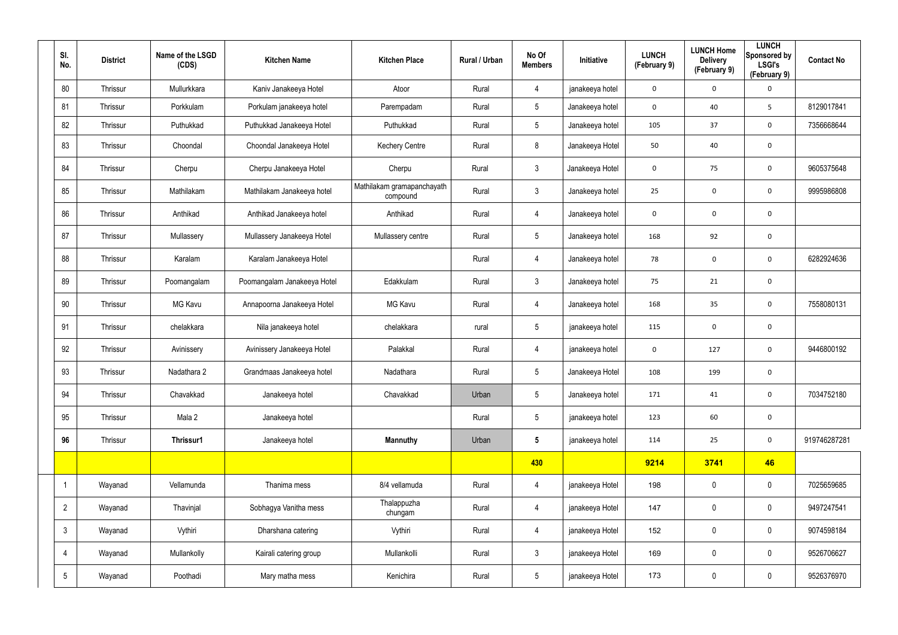| SI.<br>No.      | <b>District</b> | Name of the LSGD<br>(CDS) | <b>Kitchen Name</b>         | <b>Kitchen Place</b>                   | Rural / Urban | No Of<br><b>Members</b> | Initiative      | <b>LUNCH</b><br>(February 9) | <b>LUNCH Home</b><br><b>Delivery</b><br>(February 9) | <b>LUNCH</b><br>Sponsored by<br><b>LSGI's</b><br>(February 9) | <b>Contact No</b> |
|-----------------|-----------------|---------------------------|-----------------------------|----------------------------------------|---------------|-------------------------|-----------------|------------------------------|------------------------------------------------------|---------------------------------------------------------------|-------------------|
| 80              | Thrissur        | Mullurkkara               | Kaniv Janakeeya Hotel       | Atoor                                  | Rural         | $\overline{4}$          | janakeeya hotel | $\mathbf{0}$                 | $\mathbf 0$                                          | $\mathbf 0$                                                   |                   |
| 81              | Thrissur        | Porkkulam                 | Porkulam janakeeya hotel    | Parempadam                             | Rural         | $5\overline{)}$         | Janakeeya hotel | $\mathbf{0}$                 | 40                                                   | 5                                                             | 8129017841        |
| 82              | Thrissur        | Puthukkad                 | Puthukkad Janakeeya Hotel   | Puthukkad                              | Rural         | $5\overline{)}$         | Janakeeya hotel | 105                          | 37                                                   | $\mathbf 0$                                                   | 7356668644        |
| 83              | Thrissur        | Choondal                  | Choondal Janakeeya Hotel    | <b>Kechery Centre</b>                  | Rural         | 8                       | Janakeeya Hotel | 50                           | 40                                                   | $\pmb{0}$                                                     |                   |
| 84              | Thrissur        | Cherpu                    | Cherpu Janakeeya Hotel      | Cherpu                                 | Rural         | $\mathbf{3}$            | Janakeeya Hotel | 0                            | 75                                                   | $\pmb{0}$                                                     | 9605375648        |
| 85              | Thrissur        | Mathilakam                | Mathilakam Janakeeya hotel  | Mathilakam gramapanchayath<br>compound | Rural         | $\mathbf{3}$            | Janakeeya hotel | 25                           | $\mathbf 0$                                          | $\mathbf 0$                                                   | 9995986808        |
| 86              | Thrissur        | Anthikad                  | Anthikad Janakeeya hotel    | Anthikad                               | Rural         | 4                       | Janakeeya hotel | 0                            | $\mathbf 0$                                          | $\mathbf 0$                                                   |                   |
| 87              | Thrissur        | Mullassery                | Mullassery Janakeeya Hotel  | Mullassery centre                      | Rural         | $5\phantom{.0}$         | Janakeeya hotel | 168                          | 92                                                   | $\pmb{0}$                                                     |                   |
| 88              | Thrissur        | Karalam                   | Karalam Janakeeya Hotel     |                                        | Rural         | 4                       | Janakeeya hotel | 78                           | 0                                                    | $\mathbf 0$                                                   | 6282924636        |
| 89              | Thrissur        | Poomangalam               | Poomangalam Janakeeya Hotel | Edakkulam                              | Rural         | $\mathbf{3}$            | Janakeeya hotel | 75                           | 21                                                   | $\pmb{0}$                                                     |                   |
| 90              | Thrissur        | <b>MG Kavu</b>            | Annapoorna Janakeeya Hotel  | <b>MG Kavu</b>                         | Rural         | 4                       | Janakeeya hotel | 168                          | 35                                                   | $\mathbf 0$                                                   | 7558080131        |
| 91              | Thrissur        | chelakkara                | Nila janakeeya hotel        | chelakkara                             | rural         | $5\phantom{.0}$         | janakeeya hotel | 115                          | $\mathbf 0$                                          | $\pmb{0}$                                                     |                   |
| 92              | Thrissur        | Avinissery                | Avinissery Janakeeya Hotel  | Palakkal                               | Rural         | 4                       | janakeeya hotel | 0                            | 127                                                  | $\pmb{0}$                                                     | 9446800192        |
| 93              | Thrissur        | Nadathara 2               | Grandmaas Janakeeya hotel   | Nadathara                              | Rural         | $5\phantom{.0}$         | Janakeeya Hotel | 108                          | 199                                                  | $\mathbf 0$                                                   |                   |
| 94              | Thrissur        | Chavakkad                 | Janakeeya hotel             | Chavakkad                              | Urban         | $5\phantom{.0}$         | Janakeeya hotel | 171                          | 41                                                   | $\pmb{0}$                                                     | 7034752180        |
| 95              | Thrissur        | Mala 2                    | Janakeeya hotel             |                                        | Rural         | $5\phantom{.0}$         | janakeeya hotel | 123                          | 60                                                   | $\pmb{0}$                                                     |                   |
| 96              | Thrissur        | Thrissur1                 | Janakeeya hotel             | <b>Mannuthy</b>                        | Urban         | $5\phantom{.0}$         | janakeeya hotel | 114                          | 25                                                   | $\pmb{0}$                                                     | 919746287281      |
|                 |                 |                           |                             |                                        |               | 430                     |                 | 9214                         | 3741                                                 | 46                                                            |                   |
|                 | Wayanad         | Vellamunda                | Thanima mess                | 8/4 vellamuda                          | Rural         | $\overline{4}$          | janakeeya Hotel | 198                          | 0                                                    | $\mathbf 0$                                                   | 7025659685        |
| $\overline{2}$  | Wayanad         | Thavinjal                 | Sobhagya Vanitha mess       | Thalappuzha<br>chungam                 | Rural         | 4                       | janakeeya Hotel | 147                          | 0                                                    | $\mathbf 0$                                                   | 9497247541        |
| $\mathbf{3}$    | Wayanad         | Vythiri                   | Dharshana catering          | Vythiri                                | Rural         | $\overline{4}$          | janakeeya Hotel | 152                          | 0                                                    | $\mathbf 0$                                                   | 9074598184        |
| $\overline{4}$  | Wayanad         | Mullankolly               | Kairali catering group      | Mullankolli                            | Rural         | $\mathfrak{Z}$          | janakeeya Hotel | 169                          | 0                                                    | $\mathbf 0$                                                   | 9526706627        |
| $5\phantom{.0}$ | Wayanad         | Poothadi                  | Mary matha mess             | Kenichira                              | Rural         | $5\phantom{.0}$         | janakeeya Hotel | 173                          | $\pmb{0}$                                            | $\boldsymbol{0}$                                              | 9526376970        |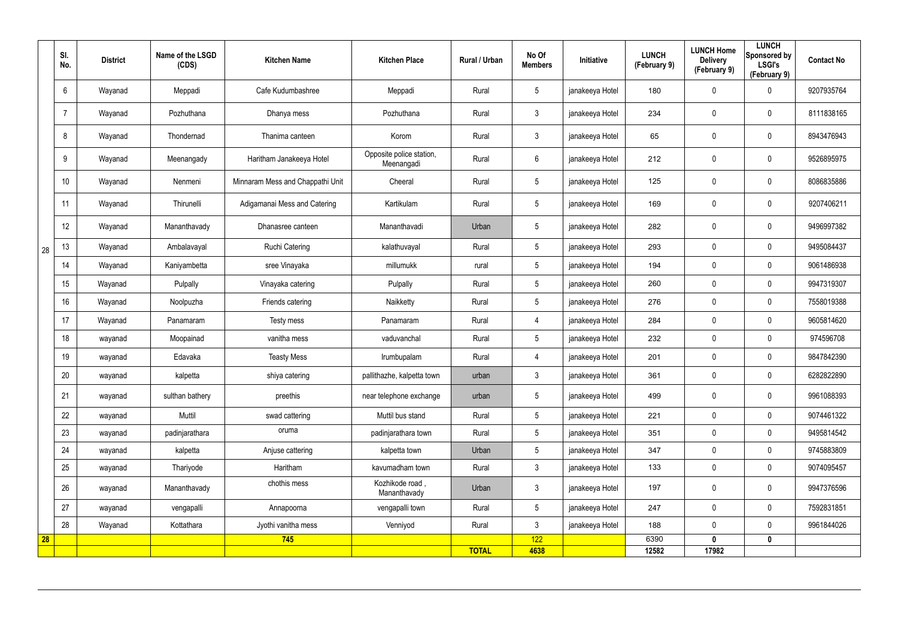|    | SI.<br>No. | <b>District</b> | Name of the LSGD<br>(CDS) | <b>Kitchen Name</b>              | <b>Kitchen Place</b>                   | Rural / Urban | No Of<br><b>Members</b> | <b>Initiative</b> | <b>LUNCH</b><br>(February 9) | <b>LUNCH Home</b><br><b>Delivery</b><br>(February 9) | <b>LUNCH</b><br>Sponsored by<br><b>LSGI's</b><br>(February 9) | <b>Contact No</b> |
|----|------------|-----------------|---------------------------|----------------------------------|----------------------------------------|---------------|-------------------------|-------------------|------------------------------|------------------------------------------------------|---------------------------------------------------------------|-------------------|
|    | 6          | Wayanad         | Meppadi                   | Cafe Kudumbashree                | Meppadi                                | Rural         | $5\phantom{.0}$         | janakeeya Hotel   | 180                          | $\boldsymbol{0}$                                     | 0                                                             | 9207935764        |
|    |            | Wayanad         | Pozhuthana                | Dhanya mess                      | Pozhuthana                             | Rural         | $\mathfrak{Z}$          | janakeeya Hotel   | 234                          | $\boldsymbol{0}$                                     | $\pmb{0}$                                                     | 8111838165        |
|    | 8          | Wayanad         | Thondernad                | Thanima canteen                  | Korom                                  | Rural         | $\mathbf{3}$            | janakeeya Hotel   | 65                           | $\boldsymbol{0}$                                     | $\pmb{0}$                                                     | 8943476943        |
|    | 9          | Wayanad         | Meenangady                | Haritham Janakeeya Hotel         | Opposite police station,<br>Meenangadi | Rural         | 6                       | janakeeya Hotel   | 212                          | $\boldsymbol{0}$                                     | $\mathbf 0$                                                   | 9526895975        |
|    | 10         | Wayanad         | Nenmeni                   | Minnaram Mess and Chappathi Unit | Cheeral                                | Rural         | $5\overline{)}$         | janakeeya Hotel   | 125                          | 0                                                    | $\mathbf 0$                                                   | 8086835886        |
|    | 11         | Wayanad         | Thirunelli                | Adigamanai Mess and Catering     | Kartikulam                             | Rural         | $5\overline{)}$         | janakeeya Hotel   | 169                          | 0                                                    | $\mathbf 0$                                                   | 9207406211        |
|    | 12         | Wayanad         | Mananthavady              | Dhanasree canteen                | Mananthavadi                           | Urban         | $5\overline{)}$         | janakeeya Hotel   | 282                          | $\boldsymbol{0}$                                     | $\mathbf 0$                                                   | 9496997382        |
| 28 | 13         | Wayanad         | Ambalavayal               | <b>Ruchi Catering</b>            | kalathuvayal                           | Rural         | $5\overline{)}$         | janakeeya Hotel   | 293                          | $\mathbf 0$                                          | $\pmb{0}$                                                     | 9495084437        |
|    | 14         | Wayanad         | Kaniyambetta              | sree Vinayaka                    | millumukk                              | rural         | $5\overline{)}$         | janakeeya Hotel   | 194                          | $\mathbf 0$                                          | $\pmb{0}$                                                     | 9061486938        |
|    | 15         | Wayanad         | Pulpally                  | Vinayaka catering                | Pulpally                               | Rural         | $5\overline{)}$         | janakeeya Hotel   | 260                          | 0                                                    | $\mathbf 0$                                                   | 9947319307        |
|    | 16         | Wayanad         | Noolpuzha                 | Friends catering                 | Naikketty                              | Rural         | $5\overline{)}$         | janakeeya Hotel   | 276                          | $\mathbf 0$                                          | $\mathbf 0$                                                   | 7558019388        |
|    | 17         | Wayanad         | Panamaram                 | Testy mess                       | Panamaram                              | Rural         | 4                       | janakeeya Hotel   | 284                          | $\mathbf 0$                                          | $\mathbf 0$                                                   | 9605814620        |
|    | 18         | wayanad         | Moopainad                 | vanitha mess                     | vaduvanchal                            | Rural         | $5\overline{)}$         | janakeeya Hotel   | 232                          | $\mathbf 0$                                          | $\mathbf 0$                                                   | 974596708         |
|    | 19         | wayanad         | Edavaka                   | <b>Teasty Mess</b>               | Irumbupalam                            | Rural         | $\overline{4}$          | janakeeya Hotel   | 201                          | 0                                                    | $\mathbf 0$                                                   | 9847842390        |
|    | 20         | wayanad         | kalpetta                  | shiya catering                   | pallithazhe, kalpetta town             | urban         | 3                       | janakeeya Hotel   | 361                          | 0                                                    | $\Omega$                                                      | 6282822890        |
|    | 21         | wayanad         | sulthan bathery           | preethis                         | near telephone exchange                | urban         | 5 <sup>5</sup>          | janakeeya Hotel   | 499                          | 0                                                    | $\mathbf 0$                                                   | 9961088393        |
|    | 22         | wayanad         | Muttil                    | swad cattering                   | Muttil bus stand                       | Rural         | $5\overline{)}$         | janakeeya Hotel   | 221                          | $\mathsf{0}$                                         | $\mathbf 0$                                                   | 9074461322        |
|    | 23         | wayanad         | padinjarathara            | oruma                            | padinjarathara town                    | Rural         | 5 <sup>5</sup>          | janakeeya Hotel   | 351                          | 0                                                    | $\mathbf 0$                                                   | 9495814542        |
|    | 24         | wayanad         | kalpetta                  | Anjuse cattering                 | kalpetta town                          | Urban         | 5 <sup>5</sup>          | janakeeya Hotel   | 347                          | 0                                                    | $\mathbf 0$                                                   | 9745883809        |
|    | 25         | wayanad         | Thariyode                 | Haritham                         | kavumadham town                        | Rural         | 3                       | janakeeya Hotel   | 133                          | $\pmb{0}$                                            | $\mathbf 0$                                                   | 9074095457        |
|    | 26         | wayanad         | Mananthavady              | chothis mess                     | Kozhikode road,<br>Mananthavady        | Urban         | $\mathbf{3}$            | janakeeya Hotel   | 197                          | 0                                                    | $\pmb{0}$                                                     | 9947376596        |
|    | 27         | wayanad         | vengapalli                | Annapoorna                       | vengapalli town                        | Rural         | $5\overline{)}$         | janakeeya Hotel   | 247                          | 0                                                    | $\mathbf 0$                                                   | 7592831851        |
|    | 28         | Wayanad         | Kottathara                | Jyothi vanitha mess              | Venniyod                               | Rural         | 3                       | janakeeya Hotel   | 188                          | $\mathbf 0$                                          | $\mathbf 0$                                                   | 9961844026        |
| 28 |            |                 |                           | 745                              |                                        | <b>TOTAL</b>  | 122<br>4638             |                   | 6390<br>12582                | $\mathbf{0}$<br>17982                                | $\mathbf 0$                                                   |                   |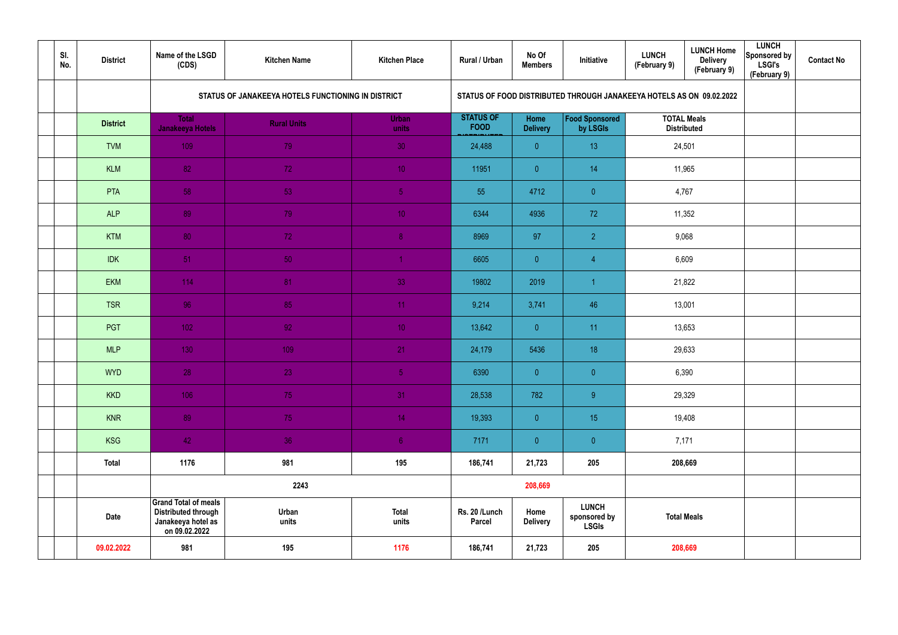| SI.<br>No. | <b>District</b>  | Name of the LSGD<br>(CDS)                                                                        | <b>Kitchen Name</b>                                | <b>Kitchen Place</b>  | Rural / Urban                   | No Of<br><b>Members</b> | Initiative                                   | <b>LUNCH Home</b><br><b>LUNCH</b><br><b>Delivery</b><br>(February 9)<br>(February 9) | <b>LUNCH</b><br>Sponsored by<br><b>LSGI's</b><br>(February 9) | <b>Contact No</b> |
|------------|------------------|--------------------------------------------------------------------------------------------------|----------------------------------------------------|-----------------------|---------------------------------|-------------------------|----------------------------------------------|--------------------------------------------------------------------------------------|---------------------------------------------------------------|-------------------|
|            |                  |                                                                                                  | STATUS OF JANAKEEYA HOTELS FUNCTIONING IN DISTRICT |                       |                                 |                         |                                              | STATUS OF FOOD DISTRIBUTED THROUGH JANAKEEYA HOTELS AS ON 09.02.2022                 |                                                               |                   |
|            | <b>District</b>  | <b>Total</b><br>Janakeeya Hotels                                                                 | <b>Rural Units</b>                                 | Urban<br>units        | <b>STATUS OF</b><br><b>FOOD</b> | Home<br><b>Delivery</b> | Food Sponsored<br>by LSGIs                   | <b>TOTAL Meals</b><br><b>Distributed</b>                                             |                                                               |                   |
|            | <b>TVM</b>       | 109                                                                                              | 79                                                 | 30 <sup>°</sup>       | 24,488                          | $\overline{0}$          | 13                                           | 24,501                                                                               |                                                               |                   |
|            | 82<br><b>KLM</b> |                                                                                                  | 72                                                 | 10 <sup>°</sup>       | 11951                           | $\overline{0}$          | 14                                           | 11,965                                                                               |                                                               |                   |
|            | 58<br>PTA        |                                                                                                  | 53                                                 | 5 <sub>5</sub>        | 55                              | 4712                    | $\overline{0}$                               | 4,767                                                                                |                                                               |                   |
|            | <b>ALP</b>       | 89                                                                                               | 79                                                 | 10 <sub>1</sub>       | 6344                            | 4936                    | 72                                           | 11,352                                                                               |                                                               |                   |
|            | <b>KTM</b>       | 80                                                                                               | 72                                                 | 8 <sub>1</sub>        | 8969                            | 97                      | $\overline{2}$                               | 9,068                                                                                |                                                               |                   |
|            | <b>IDK</b>       | 51                                                                                               | 50                                                 |                       | 6605                            | $\overline{0}$          | $\overline{4}$                               | 6,609                                                                                |                                                               |                   |
|            | <b>EKM</b>       | 114                                                                                              | 81                                                 | 33                    | 19802                           | 2019                    | $\overline{1}$                               | 21,822                                                                               |                                                               |                   |
|            | <b>TSR</b>       | 96                                                                                               | 85                                                 | 11 <sub>1</sub>       | 9,214                           | 3,741                   | 46                                           | 13,001                                                                               |                                                               |                   |
|            | PGT              | $1021$                                                                                           | 92 <sup>°</sup>                                    | 10 <sup>°</sup>       | 13,642                          | $\overline{0}$          | 11                                           | 13,653                                                                               |                                                               |                   |
|            | <b>MLP</b>       | 130                                                                                              | 109                                                | 21                    | 24,179                          | 5436                    | 18                                           | 29,633                                                                               |                                                               |                   |
|            | <b>WYD</b>       | 28                                                                                               | 23                                                 | 5 <sub>1</sub>        | 6390                            | $\overline{0}$          | $\theta$                                     | 6,390                                                                                |                                                               |                   |
|            | <b>KKD</b>       | 106                                                                                              | 75                                                 | 31                    | 28,538                          | 782                     | 9 <sup>°</sup>                               | 29,329                                                                               |                                                               |                   |
|            | <b>KNR</b>       | 89                                                                                               | 75                                                 | 14 <sub>1</sub>       | 19,393                          | $\overline{0}$          | 15                                           | 19,408                                                                               |                                                               |                   |
|            | <b>KSG</b>       | 42                                                                                               | 36                                                 | 6 <sup>1</sup>        | 7171                            | $\overline{0}$          | $\pmb{0}$                                    | 7,171                                                                                |                                                               |                   |
|            | <b>Total</b>     | 1176                                                                                             | 981                                                | 195                   | 186,741                         | 21,723                  | 205                                          | 208,669                                                                              |                                                               |                   |
|            |                  |                                                                                                  | 2243                                               |                       |                                 | 208,669                 |                                              |                                                                                      |                                                               |                   |
|            | <b>Date</b>      | <b>Grand Total of meals</b><br><b>Distributed through</b><br>Janakeeya hotel as<br>on 09.02.2022 | Urban<br>units                                     | <b>Total</b><br>units | Rs. 20 /Lunch<br>Parcel         | Home<br><b>Delivery</b> | <b>LUNCH</b><br>sponsored by<br><b>LSGIs</b> | <b>Total Meals</b>                                                                   |                                                               |                   |
|            | 09.02.2022       | 981                                                                                              | 195                                                | 1176                  | 186,741                         | 21,723                  | 205                                          | 208,669                                                                              |                                                               |                   |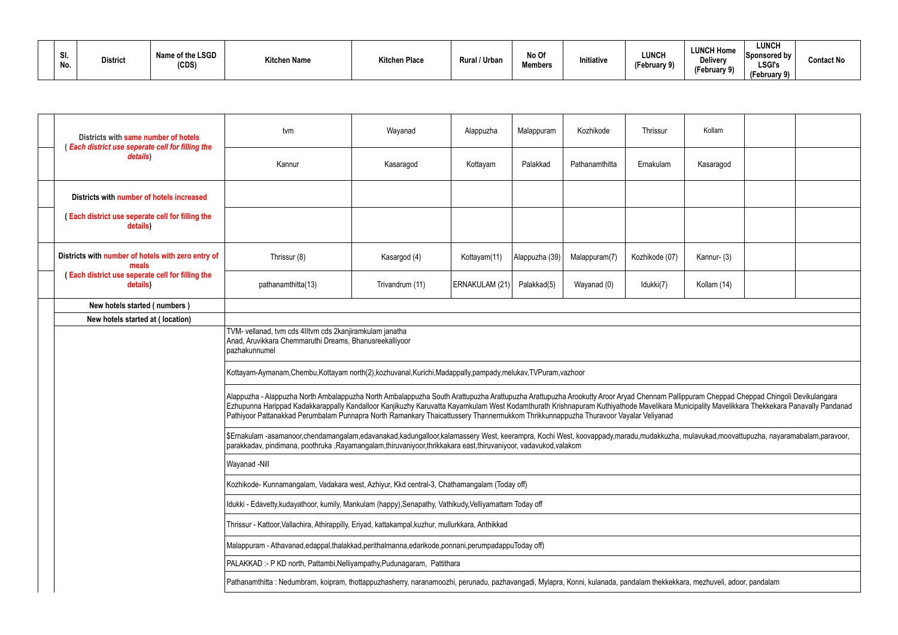| 31.<br>No. | <b>District</b> | Name of the LSGD<br>(CDS) | <b>Kitchen Name</b> | <b>Kitchen Place</b> | <b>Rural / Urban</b> | No Of<br><b>Members</b> | Initiative | <b>LUNCH</b><br>$\mathbf{A}$<br>(February 9) | <b>LUNCH Home</b><br><b>Delivery</b><br>(February 9) | <b>LUNCH</b><br>Sponsored by<br><b>LSGI's</b><br>(February 9) | <b>Contact No</b> |
|------------|-----------------|---------------------------|---------------------|----------------------|----------------------|-------------------------|------------|----------------------------------------------|------------------------------------------------------|---------------------------------------------------------------|-------------------|
|------------|-----------------|---------------------------|---------------------|----------------------|----------------------|-------------------------|------------|----------------------------------------------|------------------------------------------------------|---------------------------------------------------------------|-------------------|

| Districts with same number of hotels<br><b>Each district use seperate cell for filling the</b> | tvm                                                                                                                                                                                                                                                                                                                                                                                                                                                                                                              | Wayanad         | Alappuzha      | Malappuram     | Kozhikode      | Thrissur       | Kollam      |  |
|------------------------------------------------------------------------------------------------|------------------------------------------------------------------------------------------------------------------------------------------------------------------------------------------------------------------------------------------------------------------------------------------------------------------------------------------------------------------------------------------------------------------------------------------------------------------------------------------------------------------|-----------------|----------------|----------------|----------------|----------------|-------------|--|
| details)                                                                                       | Kannur                                                                                                                                                                                                                                                                                                                                                                                                                                                                                                           | Kasaragod       | Kottayam       | Palakkad       | Pathanamthitta | Ernakulam      | Kasaragod   |  |
| Districts with number of hotels increased                                                      |                                                                                                                                                                                                                                                                                                                                                                                                                                                                                                                  |                 |                |                |                |                |             |  |
| (Each district use seperate cell for filling the<br>details)                                   |                                                                                                                                                                                                                                                                                                                                                                                                                                                                                                                  |                 |                |                |                |                |             |  |
| Districts with number of hotels with zero entry of<br>meals                                    | Thrissur (8)                                                                                                                                                                                                                                                                                                                                                                                                                                                                                                     | Kasargod (4)    | Kottayam(11)   | Alappuzha (39) | Malappuram(7)  | Kozhikode (07) | Kannur- (3) |  |
| (Each district use seperate cell for filling the<br>details)                                   | pathanamthitta(13)                                                                                                                                                                                                                                                                                                                                                                                                                                                                                               | Trivandrum (11) | ERNAKULAM (21) | Palakkad(5)    | Wayanad (0)    | Idukki(7)      | Kollam (14) |  |
| New hotels started (numbers)                                                                   |                                                                                                                                                                                                                                                                                                                                                                                                                                                                                                                  |                 |                |                |                |                |             |  |
| New hotels started at (location)                                                               |                                                                                                                                                                                                                                                                                                                                                                                                                                                                                                                  |                 |                |                |                |                |             |  |
|                                                                                                | TVM- vellanad, tvm cds 4IItvm cds 2kanjiramkulam janatha<br>Anad, Aruvikkara Chemmaruthi Dreams, Bhanusreekalliyoor<br>pazhakunnumel                                                                                                                                                                                                                                                                                                                                                                             |                 |                |                |                |                |             |  |
|                                                                                                | Kottayam-Aymanam,Chembu,Kottayam north(2),kozhuvanal,Kurichi,Madappally,pampady,melukav,TVPuram,vazhoor                                                                                                                                                                                                                                                                                                                                                                                                          |                 |                |                |                |                |             |  |
|                                                                                                | Alappuzha - Alappuzha North Ambalappuzha North Ambalappuzha South Arattupuzha Arattupuzha Arookutty Aroor Aryad Chennam Pallippuram Cheppad Cheppad Chingoli Devikulangara<br>Ezhupunna Harippad Kadakkarappally Kandalloor Kanjikuzhy Karuvatta Kayamkulam West Kodamthurath Krishnapuram Kuthiyathode Mavelikara Municipality Mavelikkara Thekkekara Panavally Pandanad<br>Pathiyoor Pattanakkad Perumbalam Punnapra North Ramankary Thaicattussery Thannermukkom Thrikkunnappuzha Thuravoor Vayalar Veliyanad |                 |                |                |                |                |             |  |
|                                                                                                | \$Ernakulam-asamanoor,chendamangalam,edavanakad,kadungalloor,kalamassery West, keerampra, Kochi West, koovappady,maradu,mudakkuzha, mulavukad,moovattupuzha, nayaramabalam,paravoor,<br>parakkadav, pindimana, poothruka ,Rayamangalam,thiruvaniyoor,thrikkakara east,thiruvaniyoor, vadavukod,valakom                                                                                                                                                                                                           |                 |                |                |                |                |             |  |
|                                                                                                | Wayanad -Nill                                                                                                                                                                                                                                                                                                                                                                                                                                                                                                    |                 |                |                |                |                |             |  |
|                                                                                                | Kozhikode- Kunnamangalam, Vadakara west, Azhiyur, Kkd central-3, Chathamangalam (Today off)                                                                                                                                                                                                                                                                                                                                                                                                                      |                 |                |                |                |                |             |  |
|                                                                                                | Idukki - Edavetty, kudayathoor, kumily, Mankulam (happy), Senapathy, Vathikudy, Velliyamattam Today off                                                                                                                                                                                                                                                                                                                                                                                                          |                 |                |                |                |                |             |  |
|                                                                                                | Thrissur - Kattoor, Vallachira, Athirappilly, Eriyad, kattakampal, kuzhur, mullurkkara, Anthikkad                                                                                                                                                                                                                                                                                                                                                                                                                |                 |                |                |                |                |             |  |
|                                                                                                | Malappuram - Athavanad, edappal, thalakkad, perithalmanna, edarikode, ponnani, perumpadappuToday off)                                                                                                                                                                                                                                                                                                                                                                                                            |                 |                |                |                |                |             |  |
|                                                                                                | PALAKKAD :- P KD north, Pattambi, Nelliyampathy, Pudunagaram, Pattithara                                                                                                                                                                                                                                                                                                                                                                                                                                         |                 |                |                |                |                |             |  |
|                                                                                                | Pathanamthitta: Nedumbram, koipram, thottappuzhasherry, naranamoozhi, perunadu, pazhavangadi, Mylapra, Konni, kulanada, pandalam thekkekkara, mezhuveli, adoor, pandalam                                                                                                                                                                                                                                                                                                                                         |                 |                |                |                |                |             |  |
|                                                                                                |                                                                                                                                                                                                                                                                                                                                                                                                                                                                                                                  |                 |                |                |                |                |             |  |

| Kollam                                                                                                    |  |
|-----------------------------------------------------------------------------------------------------------|--|
| Kasaragod                                                                                                 |  |
|                                                                                                           |  |
|                                                                                                           |  |
| Kannur- (3)                                                                                               |  |
| Kollam (14)                                                                                               |  |
|                                                                                                           |  |
|                                                                                                           |  |
|                                                                                                           |  |
|                                                                                                           |  |
| lippuram Cheppad Cheppad Chingoli Devikulangara<br>lunicipality Mavelikkara Thekkekara Panavally Pandanad |  |
| , mulavukad, moovattupuzha, nayaramabalam, paravoor,                                                      |  |
|                                                                                                           |  |
|                                                                                                           |  |
|                                                                                                           |  |
|                                                                                                           |  |
|                                                                                                           |  |
|                                                                                                           |  |
| ara, mezhuveli, adoor, pandalam                                                                           |  |